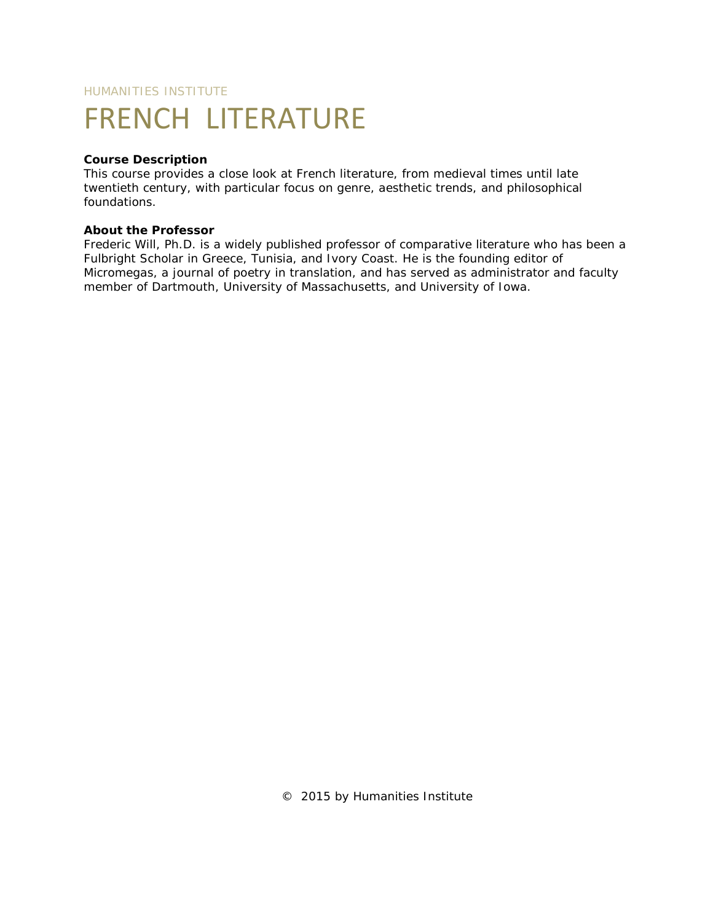# HUMANITIES INSTITUTE FRENCH LITERATURE

## **Course Description**

This course provides a close look at French literature, from medieval times until late twentieth century, with particular focus on genre, aesthetic trends, and philosophical foundations.

## **About the Professor**

Frederic Will, Ph.D. is a widely published professor of comparative literature who has been a Fulbright Scholar in Greece, Tunisia, and Ivory Coast. He is the founding editor of *Micromegas,* a journal of poetry in translation, and has served as administrator and faculty member of Dartmouth, University of Massachusetts, and University of Iowa.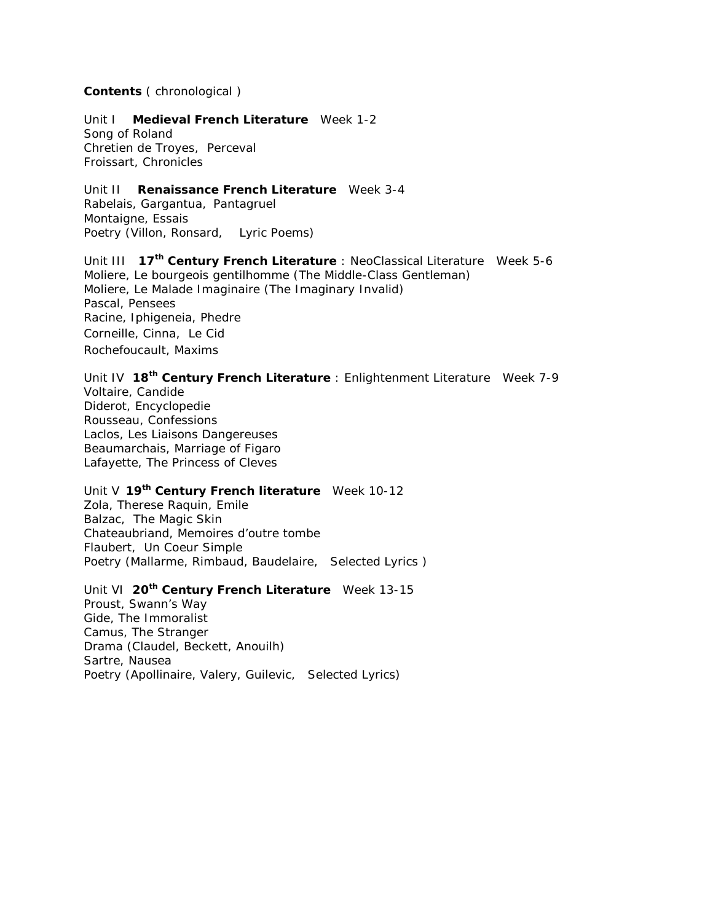**Contents** ( chronological )

Unit I *M***edieval French Literature** *Week 1-2 Song of Roland* Chretien de Troyes, Perceval Froissart, *Chronicles*

Unit II **Renaissance French Literature** Week 3-4 Rabelais, *Gargantua, Pantagruel* Montaigne, *Essais* Poetry (Villon, Ronsard, Lyric Poems)

Unit III **17th Century French Literature** : *NeoClassical Literature Week 5-6 Moliere, Le bourgeois gentilhomme (The Middle-Class Gentleman)* Moliere, *Le Malade Imaginaire (The Imaginary Invalid)* Pascal, *Pensees* Racine, *Iphigeneia, Phedre* Corneille, *Cinna, Le Cid* Rochefoucault, *Maxims*

Unit IV **18th Century French Literature** : Enlightenment Literature Week 7-9 Voltaire, Candide Diderot, *Encyclopedie* Rousseau, Confessions Laclos, *Les Liaisons Dangereuses* Beaumarchais, Marriage of Figaro Lafayette, *The Princess of Cleves*

Unit V **19th Century French literature** *Week 10-12 Zola, Therese Raquin, Emile* Balzac, The Magic Skin Chateaubriand, *Memoires d'outre tombe* Flaubert, *Un Coeur Simple* Poetry (Mallarme, Rimbaud, Baudelaire, Selected Lyrics )

Unit VI **20th Century French Literature** Week 13-15 Proust, Swann's Way Gide, The Immoralist Camus, The Stranger Drama (Claudel, Beckett, Anouilh) Sartre, Nausea Poetry (Apollinaire, Valery, Guilevic, Selected Lyrics)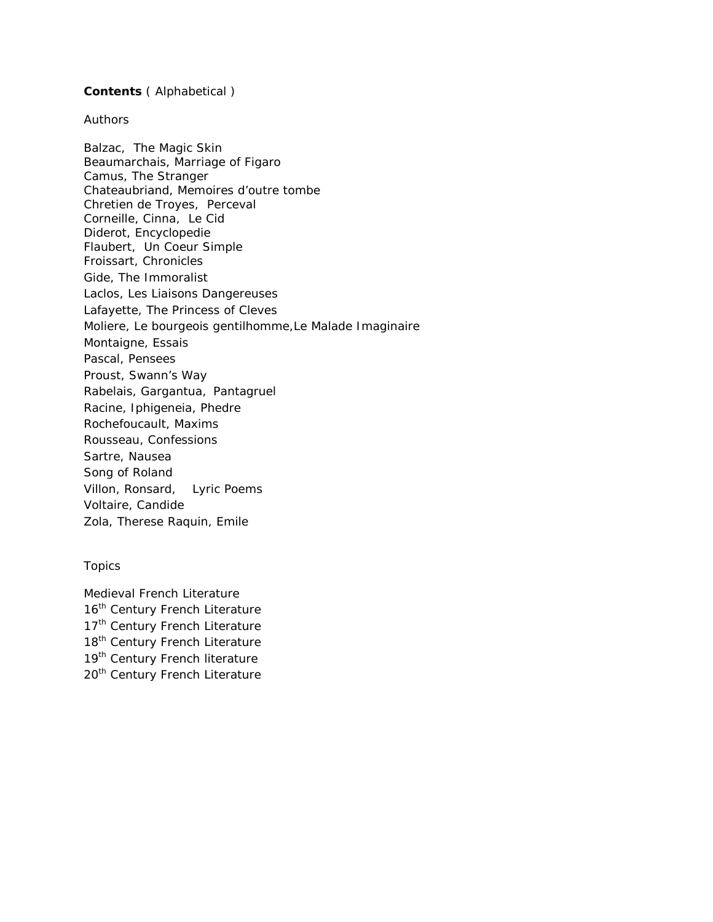## **Contents** ( Alphabetical )

## Authors

Balzac, The Magic Skin Beaumarchais, Marriage of Figaro Camus, The Stranger Chateaubriand, *Memoires d'outre tombe* Chretien de Troyes, Perceval Corneille, *Cinna, Le Cid* Diderot, *Encyclopedie* Flaubert, *Un Coeur Simple* Froissart, *Chronicles* Gide, The Immoralist Laclos, *Les Liaisons Dangereuses* Lafayette, *The Princess of Cleves Moliere, Le bourgeois gentilhomme,Le Malade Imaginaire*  Montaigne, *Essais* Pascal, *Pensees* Proust, Swann's Way Rabelais, *Gargantua, Pantagruel* Racine, *Iphigeneia, Phedre* Rochefoucault, *Maxims* Rousseau, Confessions Sartre, Nausea *Song of Roland* Villon, Ronsard, Lyric Poems Voltaire, Candide *Zola, Therese Raquin, Emile*

## *Topics*

*M*edieval French Literature 16<sup>th</sup> Century French Literature 17<sup>th</sup> Century French Literature 18<sup>th</sup> Century French Literature 19<sup>th</sup> Century French literature 20<sup>th</sup> Century French Literature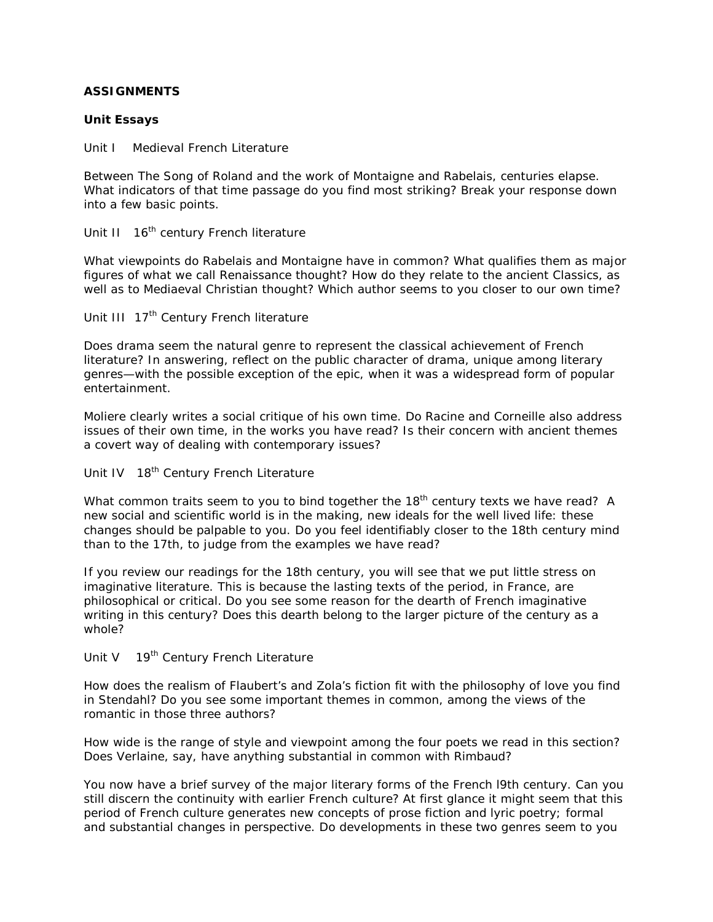# **ASSIGNMENTS**

## **Unit Essays**

Unit I Medieval French Literature

Between *The Song of Roland* and the work of Montaigne and Rabelais, centuries elapse. What indicators of that time passage do you find most striking? Break your response down into a few basic points.

# Unit II 16<sup>th</sup> century French literature

What viewpoints do Rabelais and Montaigne have in common? What qualifies them as major figures of what we call Renaissance thought? How do they relate to the ancient Classics, as well as to Mediaeval Christian thought? Which author seems to you closer to our own time?

Unit III 17<sup>th</sup> Century French literature

Does drama seem the natural genre to represent the classical achievement of French literature? In answering, reflect on the public character of drama, unique among literary genres—with the possible exception of the epic, when it was a widespread form of popular entertainment.

Moliere clearly writes a social critique of his own time. Do Racine and Corneille also address issues of their own time, in the works you have read? Is their concern with ancient themes a covert way of dealing with contemporary issues?

Unit IV 18<sup>th</sup> Century French Literature

What common traits seem to you to bind together the  $18<sup>th</sup>$  century texts we have read? A new social and scientific world is in the making, new ideals for the well lived life: these changes should be palpable to you. Do you feel identifiably closer to the 18th century mind than to the 17th, to judge from the examples we have read?

If you review our readings for the 18th century, you will see that we put little stress on imaginative literature. This is because the lasting texts of the period, in France, are philosophical or critical. Do you see some reason for the dearth of French imaginative writing in this century? Does this dearth belong to the larger picture of the century as a whole?

# Unit V 19<sup>th</sup> Century French Literature

How does the realism of Flaubert's and Zola's fiction fit with the philosophy of love you find in Stendahl? Do you see some important themes in common, among the views of the romantic in those three authors?

How wide is the range of style and viewpoint among the four poets we read in this section? Does Verlaine, say, have anything substantial in common with Rimbaud?

You now have a brief survey of the major literary forms of the French l9th century. Can you still discern the continuity with earlier French culture? At first glance it might seem that this period of French culture generates new concepts of prose fiction and lyric poetry; formal and substantial changes in perspective. Do developments in these two genres seem to you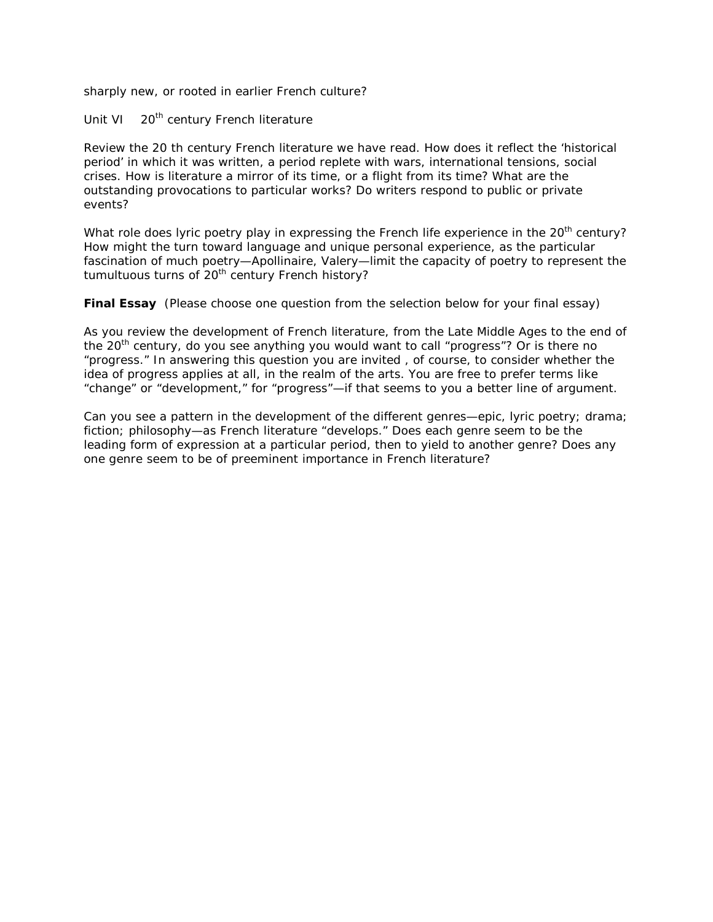sharply new, or rooted in earlier French culture?

Unit VI 20<sup>th</sup> century French literature

Review the 20 th century French literature we have read. How does it reflect the 'historical period' in which it was written, a period replete with wars, international tensions, social crises. How is literature a mirror of its time, or a flight from its time? What are the outstanding provocations to particular works? Do writers respond to public or private events?

What role does lyric poetry play in expressing the French life experience in the 20<sup>th</sup> century? How might the turn toward language and unique personal experience, as the particular fascination of much poetry—Apollinaire, Valery—limit the capacity of poetry to represent the tumultuous turns of  $20<sup>th</sup>$  century French history?

**Final Essay** (Please choose one question from the selection below for your final essay)

As you review the development of French literature, from the Late Middle Ages to the end of the 20<sup>th</sup> century, do you see anything you would want to call "progress"? Or is there no "progress." In answering this question you are invited , of course, to consider whether the idea of progress applies at all, in the realm of the arts. You are free to prefer terms like "change" or "development," for "progress"—if that seems to you a better line of argument.

Can you see a pattern in the development of the different genres—epic, lyric poetry; drama; fiction; philosophy—as French literature "develops." Does each genre seem to be the leading form of expression at a particular period, then to yield to another genre? Does any one genre seem to be of preeminent importance in French literature?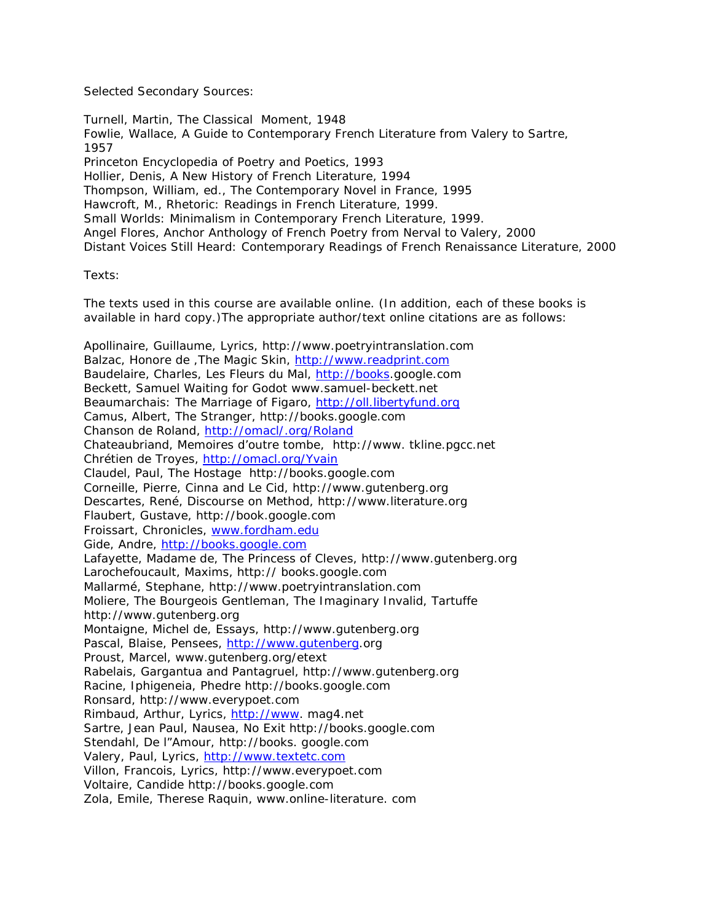Selected Secondary Sources:

*Turnell, Martin, The Classical Moment, 1948 Fowlie, Wallace, A Guide to Contemporary French Literature from Valery to Sartre, 1957 Princeton Encyclopedia of Poetry and Poetics, 1993 Hollier, Denis, A New History of French Literature, 1994 Thompson, William, ed., The Contemporary Novel in France, 1995 Hawcroft, M., Rhetoric: Readings in French Literature, 1999. Small Worlds: Minimalism in Contemporary French Literature, 1999. Angel Flores, Anchor Anthology of French Poetry from Nerval to Valery, 2000 Distant Voices Still Heard: Contemporary Readings of French Renaissance Literature, 2000*

## Texts:

*The texts used in this course are available online. (In addition, each of these books is available in hard copy.)The appropriate author/text online citations are as follows:*

*Apollinaire, Guillaume, Lyrics, http://www.poetryintranslation.com Balzac, Honore de ,The Magic Skin, [http://www.readprint.com](http://www.readprint.com/) Baudelaire, Charles, Les Fleurs du Mal, [http://books.](http://books/)google.com Beckett, Samuel Waiting for Godot www.samuel-beckett.net Beaumarchais*: *The Marriage of Figaro, [http://oll.libertyfund.org](http://oll.libertyfund.org/) Camus, Albert, The Stranger, http://books.google.com Chanson de Roland,<http://omacl/.org/Roland> Chateaubriand, Memoires d'outre tombe, http://www. tkline.pgcc.net Chrétien de Troyes,<http://omacl.org/Yvain> Claudel, Paul, The Hostage http://books.google.com Corneille, Pierre, Cinna and Le Cid, http://www.gutenberg.org Descartes, René, Discourse on Method, http://www.literature.org Flaubert, Gustave, http://book.google.com Froissart, Chronicles, [www.fordham.edu](http://www.fordham.edu/) Gide, Andre, [http://books.google.com](http://books.google.com/) Lafayette, Madame de, The Princess of Cleves, http://www.gutenberg.org Larochefoucault, Maxims, http:// books.google.com Mallarmé, Stephane, http://www.poetryintranslation.com Moliere, The Bourgeois Gentleman, The Imaginary Invalid, Tartuffe http://www.gutenberg.org Montaigne, Michel de, Essays, http://www.gutenberg.org Pascal, Blaise, Pensees, [http://www.gutenberg.](http://www.gutenberg/)org Proust, Marcel, www.gutenberg.org/etext Rabelais, Gargantua and Pantagruel, http://www.gutenberg.org Racine, Iphigeneia, Phedre http://books.google.com Ronsard, http://www.everypoet.com Rimbaud, Arthur, Lyrics, [http://www.](http://www/) mag4.net Sartre, Jean Paul, Nausea, No Exit http://books.google.com Stendahl, De l"Amour, http://books. google.com Valery, Paul, Lyrics, [http://www.textetc.com](http://www.textetc.com/) Villon, Francois, Lyrics, http://www.everypoet.com Voltaire, Candide http://books.google.com Zola, Emile, Therese Raquin, www.online-literature. com*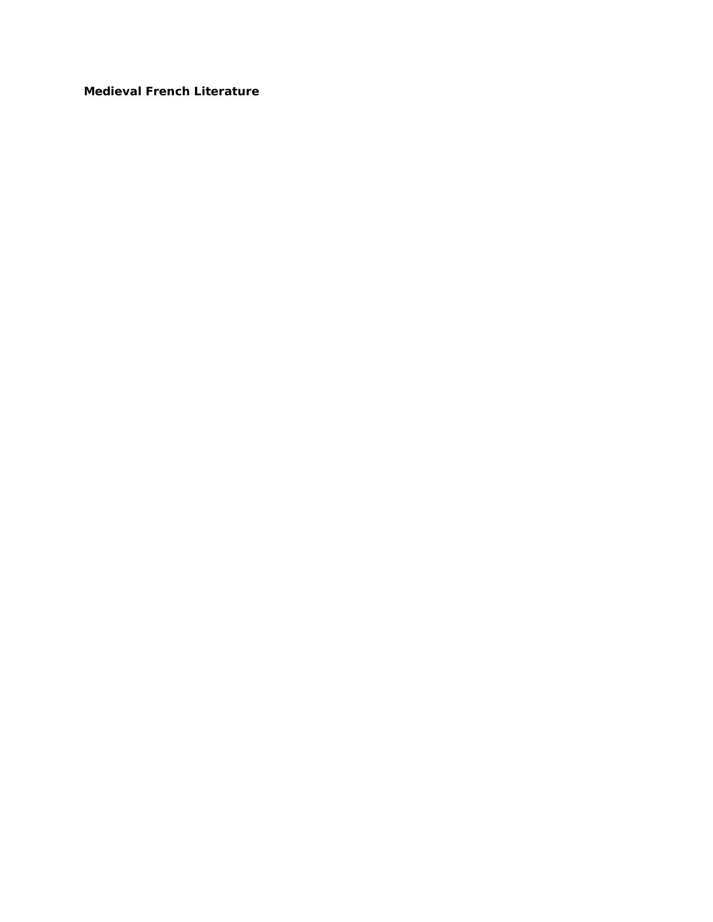*Medieval French Literature*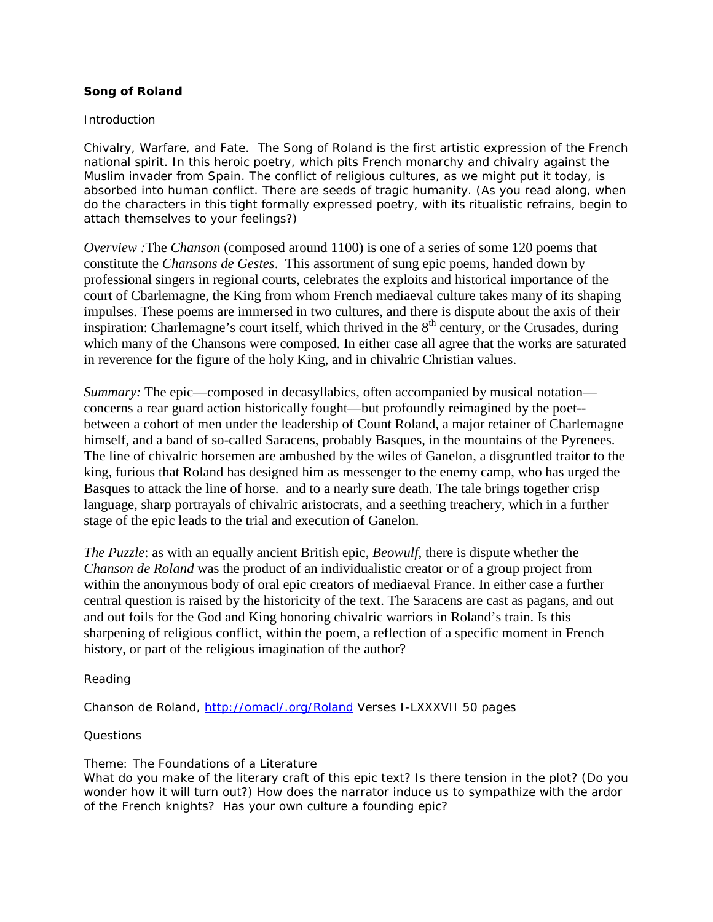# *Song of Roland*

## *Introduction*

*Chivalry, Warfare, and Fate.* The Song of Roland is the first artistic expression of the French national spirit. In this heroic poetry, which pits French monarchy and chivalry against the Muslim invader from Spain. The conflict of religious cultures, as we might put it today, is absorbed into human conflict. There are seeds of tragic humanity. (As you read along, when do the characters in this tight formally expressed poetry, with its ritualistic refrains, begin to attach themselves to your feelings?)

*Overview :*The *Chanson* (composed around 1100) is one of a series of some 120 poems that constitute the *Chansons de Gestes*. This assortment of sung epic poems, handed down by professional singers in regional courts, celebrates the exploits and historical importance of the court of Cbarlemagne, the King from whom French mediaeval culture takes many of its shaping impulses. These poems are immersed in two cultures, and there is dispute about the axis of their inspiration: Charlemagne's court itself, which thrived in the  $8<sup>th</sup>$  century, or the Crusades, during which many of the Chansons were composed. In either case all agree that the works are saturated in reverence for the figure of the holy King, and in chivalric Christian values.

*Summary:* The epic—composed in decasyllabics, often accompanied by musical notation concerns a rear guard action historically fought—but profoundly reimagined by the poet- between a cohort of men under the leadership of Count Roland, a major retainer of Charlemagne himself, and a band of so-called Saracens, probably Basques, in the mountains of the Pyrenees. The line of chivalric horsemen are ambushed by the wiles of Ganelon, a disgruntled traitor to the king, furious that Roland has designed him as messenger to the enemy camp, who has urged the Basques to attack the line of horse. and to a nearly sure death. The tale brings together crisp language, sharp portrayals of chivalric aristocrats, and a seething treachery, which in a further stage of the epic leads to the trial and execution of Ganelon.

*The Puzzle*: as with an equally ancient British epic, *Beowulf,* there is dispute whether the *Chanson de Roland* was the product of an individualistic creator or of a group project from within the anonymous body of oral epic creators of mediaeval France. In either case a further central question is raised by the historicity of the text. The Saracens are cast as pagans, and out and out foils for the God and King honoring chivalric warriors in Roland's train. Is this sharpening of religious conflict, within the poem, a reflection of a specific moment in French history, or part of the religious imagination of the author?

# *Reading*

*Chanson de Roland,<http://omacl/.org/Roland>* Verses I-LXXXVII 50 pages

# *Questions*

# *Theme: The Foundations of a Literature*

What do you make of the literary craft of this epic text? Is there tension in the plot? (Do you wonder how it will turn out?) How does the narrator induce us to sympathize with the ardor of the French knights? Has your own culture a founding epic?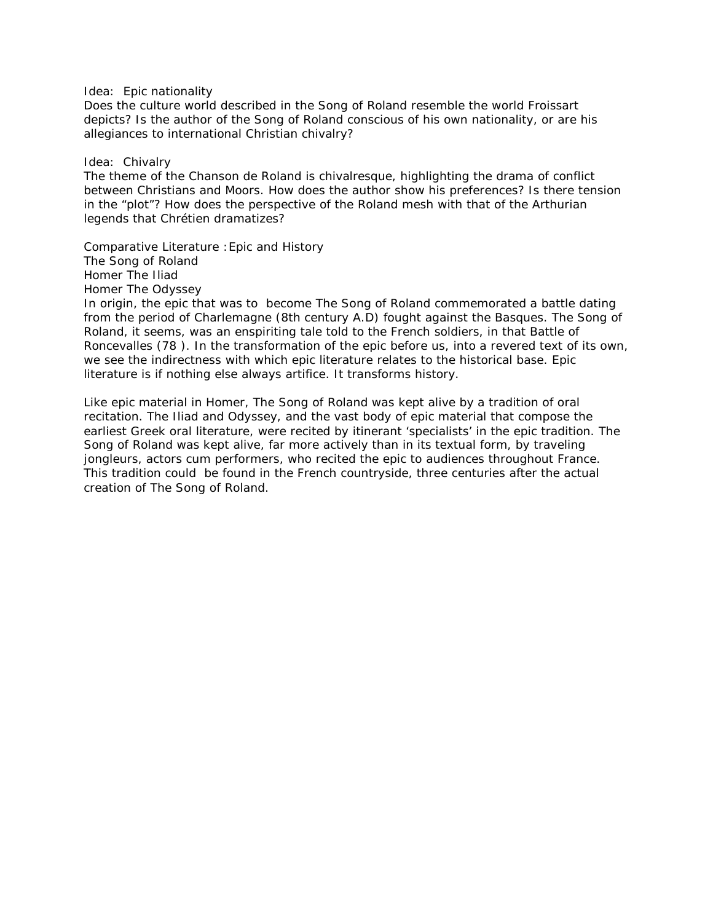#### *Idea: Epic nationality*

Does the culture world described in the *Song of Roland* resemble the world Froissart depicts? Is the author of the *Song of Roland* conscious of his own nationality, or are his allegiances to international Christian chivalry?

#### *Idea: Chivalry*

The theme of the Chanson de Roland is chivalresque, highlighting the drama of conflict between Christians and Moors. How does the author show his preferences? Is there tension in the "plot"? How does the perspective of the Roland mesh with that of the Arthurian legends that Chrétien dramatizes?

*Comparative Literature :Epic and History The Song of Roland* Homer *The Iliad* Homer *The Odyssey*

In origin, the epic that was to become The Song of Roland commemorated a battle dating from the period of Charlemagne (8th century A.D) fought against the Basques. The Song of Roland, it seems, was an enspiriting tale told to the French soldiers, in that Battle of Roncevalles (78 ). In the transformation of the epic before us, into a revered text of its own, we see the indirectness with which epic literature relates to the historical base. Epic literature is if nothing else always artifice. It transforms history.

Like epic material in Homer, The Song of Roland was kept alive by a tradition of oral recitation. The Iliad and Odyssey, and the vast body of epic material that compose the earliest Greek oral literature, were recited by itinerant 'specialists' in the epic tradition. The Song of Roland was kept alive, far more actively than in its textual form, by traveling jongleurs, actors cum performers, who recited the epic to audiences throughout France. This tradition could be found in the French countryside, three centuries after the actual creation of The Song of Roland.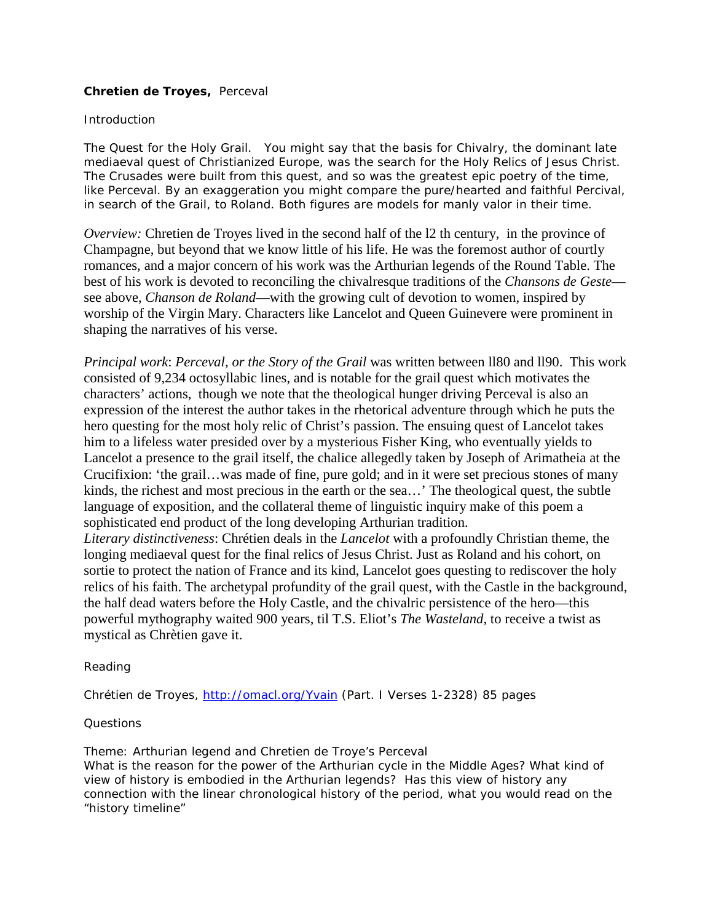# **Chretien de Troyes,** Perceval

## *Introduction*

*The Quest for the Holy Grail.* You might say that the basis for Chivalry, the dominant late mediaeval quest of Christianized Europe, was the search for the Holy Relics of Jesus Christ. The Crusades were built from this quest, and so was the greatest epic poetry of the time, like *Perceval*. By an exaggeration you might compare the pure/hearted and faithful Percival, in search of the Grail, to Roland. Both figures are models for manly valor in their time.

*Overview:* Chretien de Troyes lived in the second half of the 12 th century, in the province of Champagne, but beyond that we know little of his life. He was the foremost author of courtly romances, and a major concern of his work was the Arthurian legends of the Round Table. The best of his work is devoted to reconciling the chivalresque traditions of the *Chansons de Geste* see above, *Chanson de Roland*—with the growing cult of devotion to women, inspired by worship of the Virgin Mary. Characters like Lancelot and Queen Guinevere were prominent in shaping the narratives of his verse.

*Principal work*: *Perceval, or the Story of the Grail* was written between ll80 and ll90. This work consisted of 9,234 octosyllabic lines, and is notable for the grail quest which motivates the characters' actions, though we note that the theological hunger driving Perceval is also an expression of the interest the author takes in the rhetorical adventure through which he puts the hero questing for the most holy relic of Christ's passion. The ensuing quest of Lancelot takes him to a lifeless water presided over by a mysterious Fisher King, who eventually yields to Lancelot a presence to the grail itself, the chalice allegedly taken by Joseph of Arimatheia at the Crucifixion: 'the grail…was made of fine, pure gold; and in it were set precious stones of many kinds, the richest and most precious in the earth or the sea…' The theological quest, the subtle language of exposition, and the collateral theme of linguistic inquiry make of this poem a sophisticated end product of the long developing Arthurian tradition. *Literary distinctiveness*: Chrétien deals in the *Lancelot* with a profoundly Christian theme, the

longing mediaeval quest for the final relics of Jesus Christ. Just as Roland and his cohort, on sortie to protect the nation of France and its kind, Lancelot goes questing to rediscover the holy relics of his faith. The archetypal profundity of the grail quest, with the Castle in the background, the half dead waters before the Holy Castle, and the chivalric persistence of the hero—this powerful mythography waited 900 years, til T.S. Eliot's *The Wasteland*, to receive a twist as mystical as Chrètien gave it.

# *Reading*

*Chrétien de Troyes,<http://omacl.org/Yvain>* (*Part. I* Verses 1-2328) 85 pages

## *Questions*

## *Theme: Arthurian legend and Chretien de Troye's Perceval*

What is the reason for the power of the Arthurian cycle in the Middle Ages? What kind of view of history is embodied in the Arthurian legends? Has this view of history any connection with the linear chronological history of the period, what you would read on the "history timeline"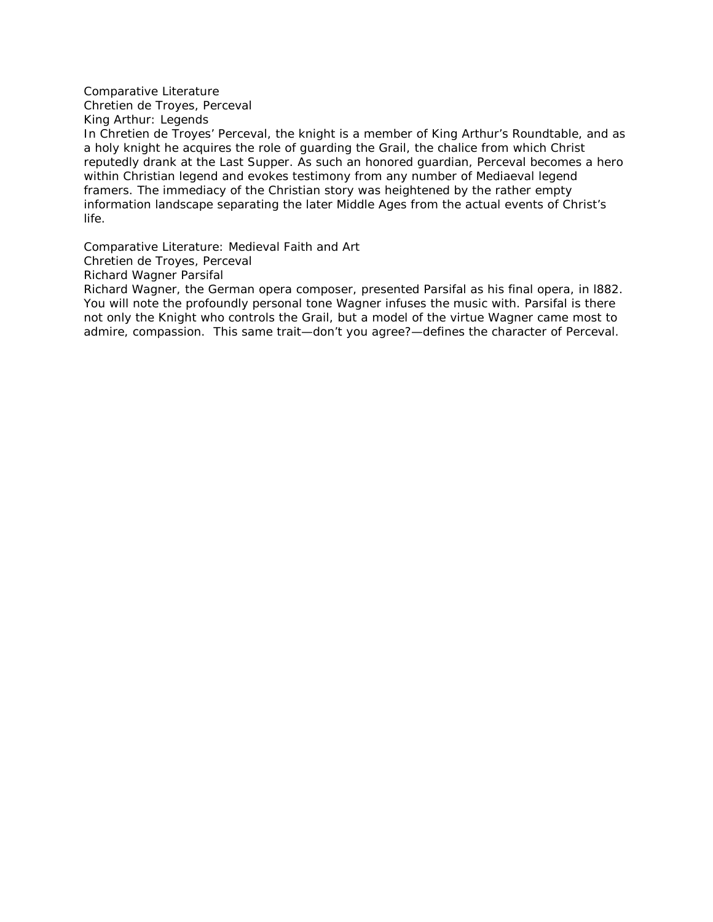#### *Comparative Literature* Chretien de Troyes, *Perceval*

*King Arthur: Legends*

In Chretien de Troyes' Perceval, the knight is a member of King Arthur's Roundtable, and as a holy knight he acquires the role of guarding the Grail, the chalice from which Christ reputedly drank at the Last Supper. As such an honored guardian, Perceval becomes a hero within Christian legend and evokes testimony from any number of Mediaeval legend framers. The immediacy of the Christian story was heightened by the rather empty information landscape separating the later Middle Ages from the actual events of Christ's life.

*Comparative Literature: Medieval Faith and Art*

Chretien de Troyes, *Perceval*

Richard Wagner *Parsifal*

Richard Wagner, the German opera composer, presented Parsifal as his final opera, in l882. You will note the profoundly personal tone Wagner infuses the music with. Parsifal is there not only the Knight who controls the Grail, but a model of the virtue Wagner came most to admire, compassion. This same trait—don't you agree?—defines the character of Perceval.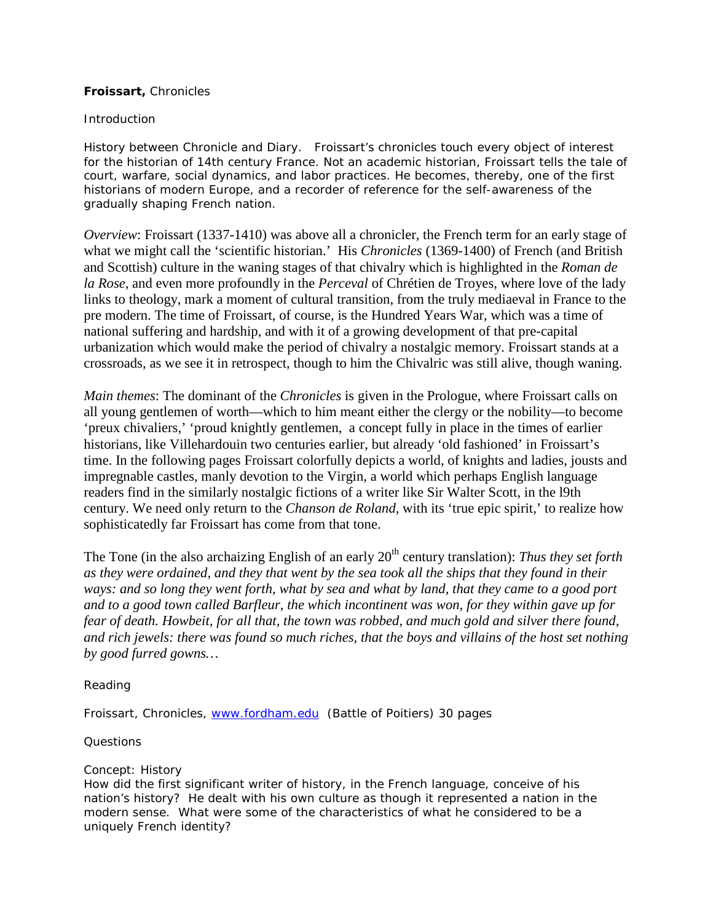## **Froissart,** *Chronicles*

## *Introduction*

*History between Chronicle and Diary.* Froissart's chronicles touch every object of interest for the historian of 14th century France. Not an academic historian, Froissart tells the tale of court, warfare, social dynamics, and labor practices. He becomes, thereby, one of the first historians of modern Europe, and a recorder of reference for the self-awareness of the gradually shaping French nation.

*Overview*: Froissart (1337-1410) was above all a chronicler, the French term for an early stage of what we might call the 'scientific historian.' His *Chronicles* (1369-1400) of French (and British and Scottish) culture in the waning stages of that chivalry which is highlighted in the *Roman de la Rose*, and even more profoundly in the *Perceval* of Chrétien de Troyes, where love of the lady links to theology, mark a moment of cultural transition, from the truly mediaeval in France to the pre modern. The time of Froissart, of course, is the Hundred Years War, which was a time of national suffering and hardship, and with it of a growing development of that pre-capital urbanization which would make the period of chivalry a nostalgic memory. Froissart stands at a crossroads, as we see it in retrospect, though to him the Chivalric was still alive, though waning.

*Main themes*: The dominant of the *Chronicles* is given in the Prologue, where Froissart calls on all young gentlemen of worth—which to him meant either the clergy or the nobility—to become 'preux chivaliers,' 'proud knightly gentlemen, a concept fully in place in the times of earlier historians, like Villehardouin two centuries earlier, but already 'old fashioned' in Froissart's time. In the following pages Froissart colorfully depicts a world, of knights and ladies, jousts and impregnable castles, manly devotion to the Virgin, a world which perhaps English language readers find in the similarly nostalgic fictions of a writer like Sir Walter Scott, in the l9th century. We need only return to the *Chanson de Roland,* with its 'true epic spirit,' to realize how sophisticatedly far Froissart has come from that tone.

The Tone (in the also archaizing English of an early 20<sup>th</sup> century translation): *Thus they set forth as they were ordained, and they that went by the sea took all the ships that they found in their ways: and so long they went forth, what by sea and what by land, that they came to a good port and to a good town called Barfleur, the which incontinent was won, for they within gave up for fear of death. Howbeit, for all that, the town was robbed, and much gold and silver there found, and rich jewels: there was found so much riches, that the boys and villains of the host set nothing by good furred gowns…*

# *Reading*

*Froissart, Chronicles, [www.fordham.edu](http://www.fordham.edu/)* (Battle of Poitiers) 30 pages

## *Questions*

## *Concept: History*

How did the first significant writer of history, in the French language, conceive of his nation's history? He dealt with his own culture as though it represented a nation in the modern sense. What were some of the characteristics of what he considered to be a uniquely French identity?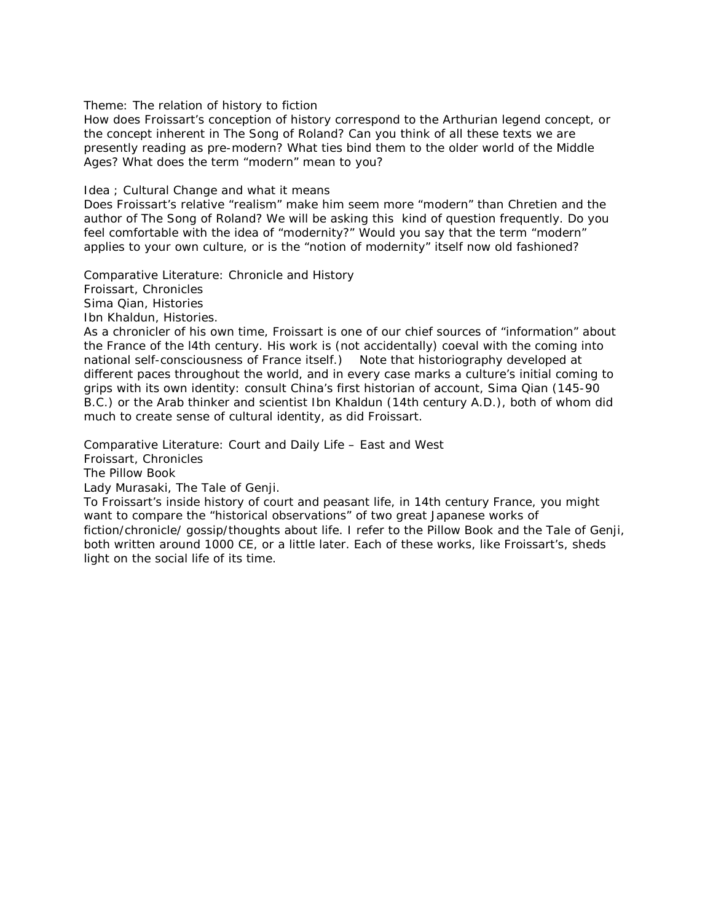## *Theme: The relation of history to fiction*

How does Froissart's conception of history correspond to the Arthurian legend concept, or the concept inherent in *The Song of Roland*? Can you think of all these texts we are presently reading as pre-modern? What ties bind them to the older world of the Middle Ages? What does the term "modern" mean to you?

#### *Idea ; Cultural Change and what it means*

Does Froissart's relative "realism" make him seem more "modern" than Chretien and the author of *The Song of Roland*? We will be asking this kind of question frequently. Do you feel comfortable with the idea of "modernity?" Would you say that the term "modern" applies to your own culture, or is the "notion of modernity" itself now old fashioned?

#### *Comparative Literature: Chronicle and History*

Froissart, Chronicles

Sima Qian, Histories

Ibn Khaldun, Histories.

As a chronicler of his own time, Froissart is one of our chief sources of "information" about the France of the l4th century. His work is (not accidentally) coeval with the coming into national self-consciousness of France itself.) Note that historiography developed at different paces throughout the world, and in every case marks a culture's initial coming to grips with its own identity: consult China's first historian of account, Sima Qian (145-90 B.C.) or the Arab thinker and scientist Ibn Khaldun (14th century A.D.), both of whom did much to create sense of cultural identity, as did Froissart.

*Comparative Literature: Court and Daily Life – East and West* Froissart, Chronicles

The Pillow Book

Lady Murasaki, The Tale of Genji.

To Froissart's inside history of court and peasant life, in 14th century France, you might want to compare the "historical observations" of two great Japanese works of fiction/chronicle/ gossip/thoughts about life. I refer to the Pillow Book and the Tale of Genji, both written around 1000 CE, or a little later. Each of these works, like Froissart's, sheds light on the social life of its time.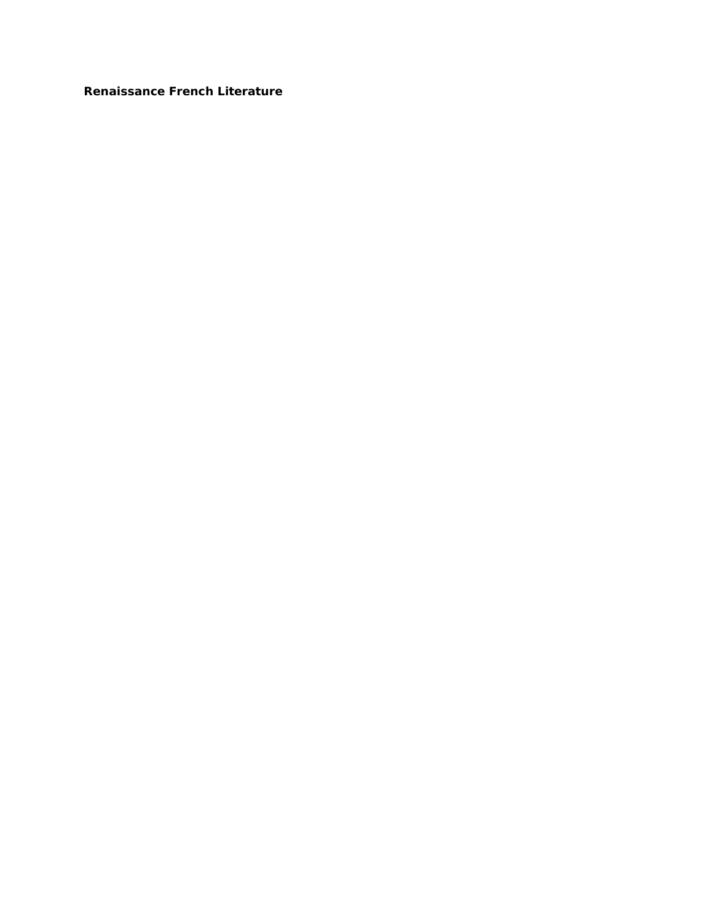**Renaissance French Literature**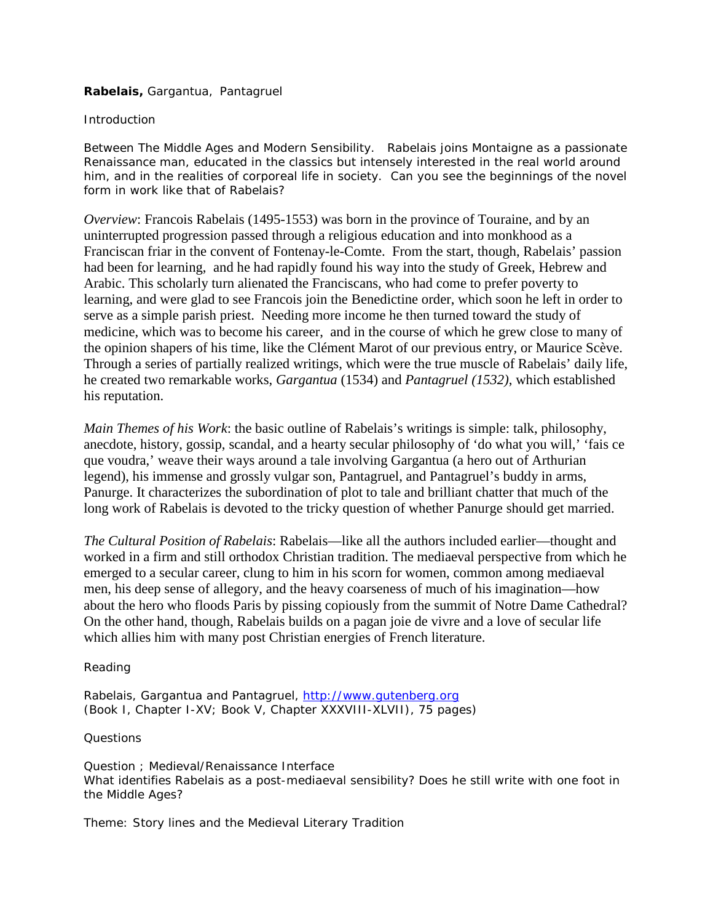## **Rabelais,** *Gargantua, Pantagruel*

## *Introduction*

*Between The Middle Ages and Modern Sensibility.* Rabelais joins Montaigne as a passionate Renaissance man, educated in the classics but intensely interested in the real world around him, and in the realities of corporeal life in society. Can you see the beginnings of the novel form in work like that of Rabelais?

*Overview*: Francois Rabelais (1495-1553) was born in the province of Touraine, and by an uninterrupted progression passed through a religious education and into monkhood as a Franciscan friar in the convent of Fontenay-le-Comte. From the start, though, Rabelais' passion had been for learning, and he had rapidly found his way into the study of Greek, Hebrew and Arabic. This scholarly turn alienated the Franciscans, who had come to prefer poverty to learning, and were glad to see Francois join the Benedictine order, which soon he left in order to serve as a simple parish priest. Needing more income he then turned toward the study of medicine, which was to become his career, and in the course of which he grew close to many of the opinion shapers of his time, like the Clément Marot of our previous entry, or Maurice Scève. Through a series of partially realized writings, which were the true muscle of Rabelais' daily life, he created two remarkable works, *Gargantua* (1534) and *Pantagruel (1532)*, which established his reputation.

*Main Themes of his Work*: the basic outline of Rabelais's writings is simple: talk, philosophy, anecdote, history, gossip, scandal, and a hearty secular philosophy of 'do what you will,' 'fais ce que voudra,' weave their ways around a tale involving Gargantua (a hero out of Arthurian legend), his immense and grossly vulgar son, Pantagruel, and Pantagruel's buddy in arms, Panurge. It characterizes the subordination of plot to tale and brilliant chatter that much of the long work of Rabelais is devoted to the tricky question of whether Panurge should get married.

*The Cultural Position of Rabelais*: Rabelais—like all the authors included earlier—thought and worked in a firm and still orthodox Christian tradition. The mediaeval perspective from which he emerged to a secular career, clung to him in his scorn for women, common among mediaeval men, his deep sense of allegory, and the heavy coarseness of much of his imagination—how about the hero who floods Paris by pissing copiously from the summit of Notre Dame Cathedral? On the other hand, though, Rabelais builds on a pagan joie de vivre and a love of secular life which allies him with many post Christian energies of French literature.

## *Reading*

*Rabelais, Gargantua and Pantagruel, [http://www.gutenberg.org](http://www.gutenberg.org/)* (Book I, Chapter I-XV; Book V, Chapter XXXVIII-XLVII), 75 pages)

## *Questions*

*Question ; Medieval/Renaissance Interface* What identifies Rabelais as a post-mediaeval sensibility? Does he still write with one foot in the Middle Ages?

*Theme: Story lines and the Medieval Literary Tradition*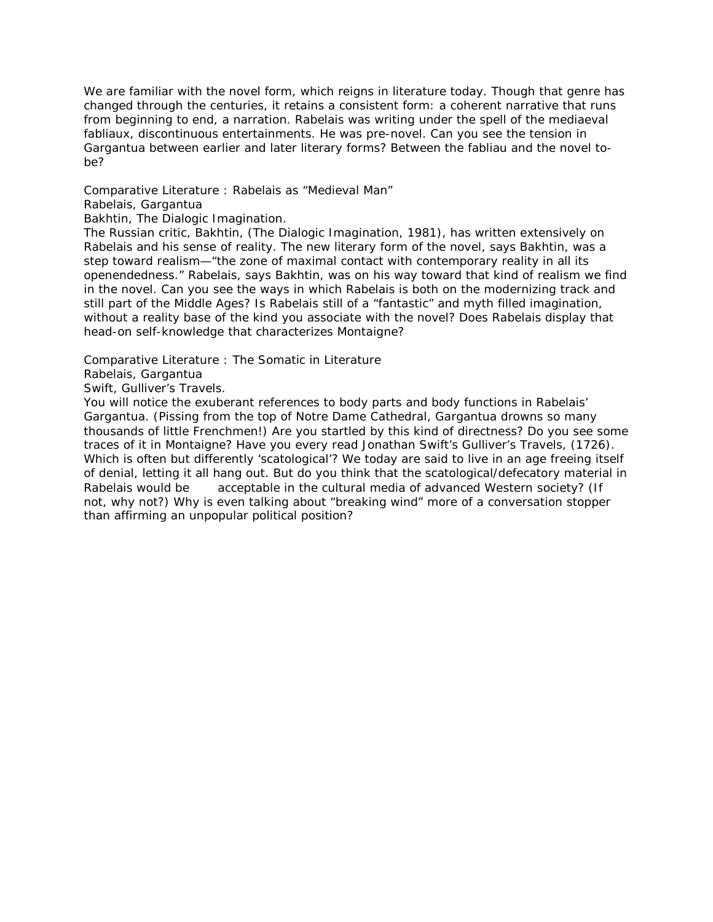We are familiar with the novel form, which reigns in literature today. Though that genre has changed through the centuries, it retains a consistent form: a coherent narrative that runs from beginning to end, a narration. Rabelais was writing under the spell of the mediaeval fabliaux, discontinuous entertainments. He was pre-novel. Can you see the tension in *Gargantua* between earlier and later literary forms? Between the fabliau and the novel tobe?

## *Comparative Literature : Rabelais as "Medieval Man"*

Rabelais, Gargantua

Bakhtin, The Dialogic Imagination.

The Russian critic, Bakhtin, (The Dialogic Imagination, 1981), has written extensively on Rabelais and his sense of reality. The new literary form of the novel, says Bakhtin, was a step toward realism—"the zone of maximal contact with contemporary reality in all its openendedness." Rabelais, says Bakhtin, was on his way toward that kind of realism we find in the novel. Can you see the ways in which Rabelais is both on the modernizing track and still part of the Middle Ages? Is Rabelais still of a "fantastic" and myth filled imagination, without a reality base of the kind you associate with the novel? Does Rabelais display that head-on self-knowledge that characterizes Montaigne?

## *Comparative Literature : The Somatic in Literature*

Rabelais, Gargantua

Swift, Gulliver's Travels.

You will notice the exuberant references to body parts and body functions in Rabelais' Gargantua. (Pissing from the top of Notre Dame Cathedral, Gargantua drowns so many thousands of little Frenchmen!) Are you startled by this kind of directness? Do you see some traces of it in Montaigne? Have you every read Jonathan Swift's Gulliver's Travels, (1726). Which is often but differently 'scatological'? We today are said to live in an age freeing itself of denial, letting it all hang out. But do you think that the scatological/defecatory material in Rabelais would be acceptable in the cultural media of advanced Western society? (If not, why not?) Why is even talking about "breaking wind" more of a conversation stopper than affirming an unpopular political position?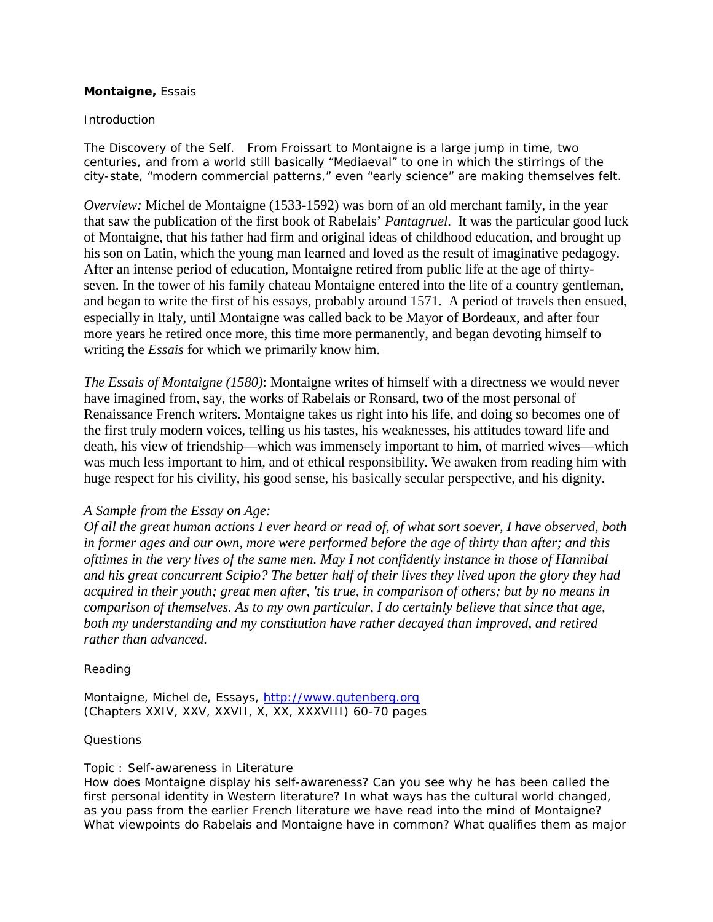## **Montaigne,** *Essais*

## *Introduction*

*The Discovery of the Self.* From Froissart to Montaigne is a large jump in time, two centuries, and from a world still basically "Mediaeval" to one in which the stirrings of the city-state, "modern commercial patterns," even "early science" are making themselves felt.

*Overview:* Michel de Montaigne (1533-1592) was born of an old merchant family, in the year that saw the publication of the first book of Rabelais' *Pantagruel*. It was the particular good luck of Montaigne, that his father had firm and original ideas of childhood education, and brought up his son on Latin, which the young man learned and loved as the result of imaginative pedagogy. After an intense period of education, Montaigne retired from public life at the age of thirtyseven. In the tower of his family chateau Montaigne entered into the life of a country gentleman, and began to write the first of his essays, probably around 1571. A period of travels then ensued, especially in Italy, until Montaigne was called back to be Mayor of Bordeaux, and after four more years he retired once more, this time more permanently, and began devoting himself to writing the *Essais* for which we primarily know him.

*The Essais of Montaigne (1580)*: Montaigne writes of himself with a directness we would never have imagined from, say, the works of Rabelais or Ronsard, two of the most personal of Renaissance French writers. Montaigne takes us right into his life, and doing so becomes one of the first truly modern voices, telling us his tastes, his weaknesses, his attitudes toward life and death, his view of friendship—which was immensely important to him, of married wives—which was much less important to him, and of ethical responsibility. We awaken from reading him with huge respect for his civility, his good sense, his basically secular perspective, and his dignity.

# *A Sample from the Essay on Age:*

*Of all the great human actions I ever heard or read of, of what sort soever, I have observed, both in former ages and our own, more were performed before the age of thirty than after; and this ofttimes in the very lives of the same men. May I not confidently instance in those of Hannibal and his great concurrent Scipio? The better half of their lives they lived upon the glory they had acquired in their youth; great men after, 'tis true, in comparison of others; but by no means in comparison of themselves. As to my own particular, I do certainly believe that since that age, both my understanding and my constitution have rather decayed than improved, and retired rather than advanced.* 

## Reading

*Montaigne, Michel de, Essays, [http://www.gutenberg.org](http://www.gutenberg.org/)* (Chapters XXIV, XXV, XXVII, X, XX, XXXVIII) 60-70 pages

## *Questions*

## *Topic : Self-awareness in Literature*

How does Montaigne display his self-awareness? Can you see why he has been called the first personal identity in Western literature? In what ways has the cultural world changed, as you pass from the earlier French literature we have read into the mind of Montaigne? What viewpoints do Rabelais and Montaigne have in common? What qualifies them as major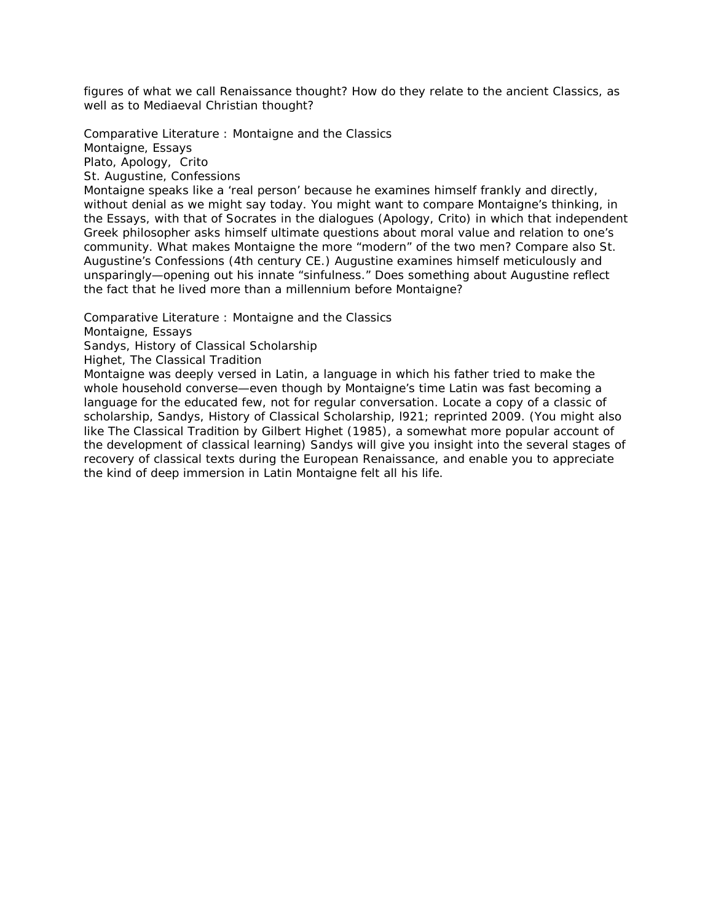figures of what we call *Renaissance* thought? How do they relate to the ancient Classics, as well as to Mediaeval Christian thought?

*Comparative Literature :* Montaigne and the Classics Montaigne, Essays Plato, Apology, Crito St. Augustine, Confessions

Montaigne speaks like a 'real person' because he examines himself frankly and directly, without denial as we might say today. You might want to compare Montaigne's thinking, in the Essays, with that of Socrates in the dialogues (Apology, Crito) in which that independent Greek philosopher asks himself ultimate questions about moral value and relation to one's community. What makes Montaigne the more "modern" of the two men? Compare also St. Augustine's Confessions (4th century CE.) Augustine examines himself meticulously and unsparingly—opening out his innate "sinfulness." Does something about Augustine reflect the fact that he lived more than a millennium before Montaigne?

*Comparative Literature :* Montaigne and the Classics

Montaigne, Essays

Sandys, History of Classical Scholarship

Highet, The Classical Tradition

Montaigne was deeply versed in Latin, a language in which his father tried to make the whole household converse—even though by Montaigne's time Latin was fast becoming a language for the educated few, not for regular conversation. Locate a copy of a classic of scholarship, Sandys, History of Classical Scholarship, l921; reprinted 2009. (You might also like The Classical Tradition by Gilbert Highet (1985), a somewhat more popular account of the development of classical learning) Sandys will give you insight into the several stages of recovery of classical texts during the European Renaissance, and enable you to appreciate the kind of deep immersion in Latin Montaigne felt all his life.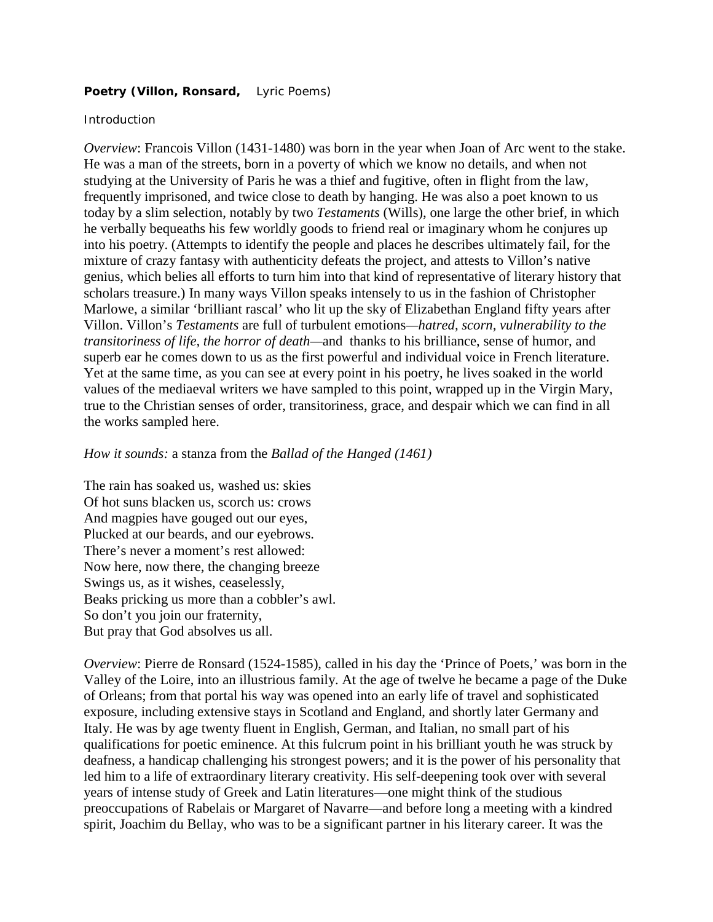## **Poetry (Villon, Ronsard,** Lyric Poems)

## Introduction

*Overview*: Francois Villon (1431-1480) was born in the year when Joan of Arc went to the stake. He was a man of the streets, born in a poverty of which we know no details, and when not studying at the University of Paris he was a thief and fugitive, often in flight from the law, frequently imprisoned, and twice close to death by hanging. He was also a poet known to us today by a slim selection, notably by two *Testaments* (Wills), one large the other brief, in which he verbally bequeaths his few worldly goods to friend real or imaginary whom he conjures up into his poetry. (Attempts to identify the people and places he describes ultimately fail, for the mixture of crazy fantasy with authenticity defeats the project, and attests to Villon's native genius, which belies all efforts to turn him into that kind of representative of literary history that scholars treasure.) In many ways Villon speaks intensely to us in the fashion of Christopher Marlowe, a similar 'brilliant rascal' who lit up the sky of Elizabethan England fifty years after Villon. Villon's *Testaments* are full of turbulent emotions*—hatred, scorn, vulnerability to the transitoriness of life, the horror of death—*andthanks to his brilliance, sense of humor, and superb ear he comes down to us as the first powerful and individual voice in French literature. Yet at the same time, as you can see at every point in his poetry, he lives soaked in the world values of the mediaeval writers we have sampled to this point, wrapped up in the Virgin Mary, true to the Christian senses of order, transitoriness, grace, and despair which we can find in all the works sampled here.

# *How it sounds:* a stanza from the *Ballad of the Hanged (1461)*

The rain has soaked us, washed us: skies Of hot suns blacken us, scorch us: crows And magpies have gouged out our eyes, Plucked at our beards, and our eyebrows. There's never a moment's rest allowed: Now here, now there, the changing breeze Swings us, as it wishes, ceaselessly, Beaks pricking us more than a cobbler's awl. So don't you join our fraternity, But pray that God absolves us all.

*Overview*: Pierre de Ronsard (1524-1585), called in his day the 'Prince of Poets,' was born in the Valley of the Loire, into an illustrious family. At the age of twelve he became a page of the Duke of Orleans; from that portal his way was opened into an early life of travel and sophisticated exposure, including extensive stays in Scotland and England, and shortly later Germany and Italy. He was by age twenty fluent in English, German, and Italian, no small part of his qualifications for poetic eminence. At this fulcrum point in his brilliant youth he was struck by deafness, a handicap challenging his strongest powers; and it is the power of his personality that led him to a life of extraordinary literary creativity. His self-deepening took over with several years of intense study of Greek and Latin literatures—one might think of the studious preoccupations of Rabelais or Margaret of Navarre—and before long a meeting with a kindred spirit, Joachim du Bellay, who was to be a significant partner in his literary career. It was the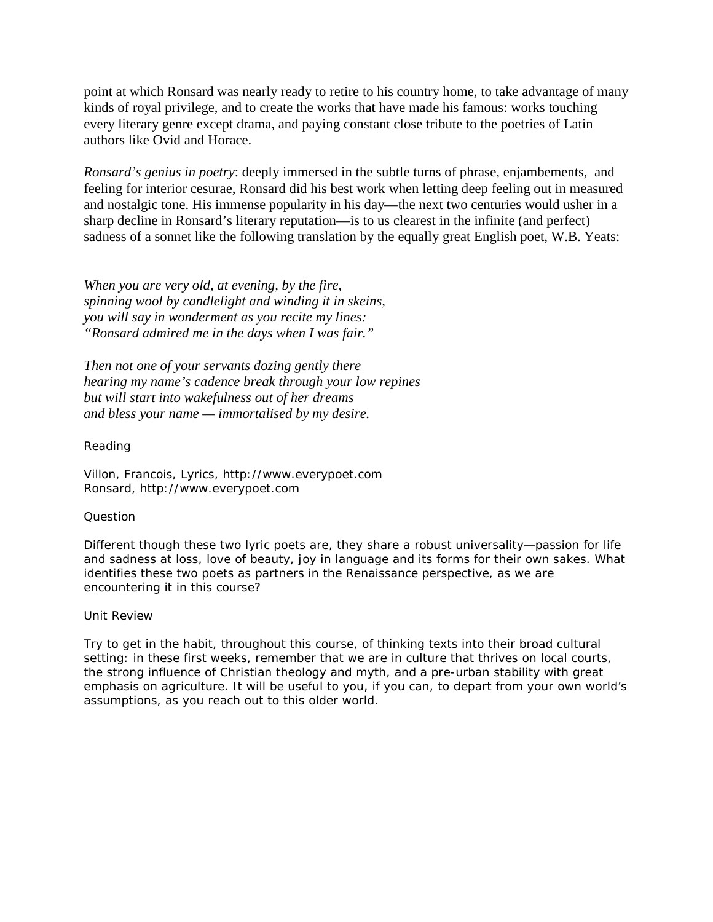point at which Ronsard was nearly ready to retire to his country home, to take advantage of many kinds of royal privilege, and to create the works that have made his famous: works touching every literary genre except drama, and paying constant close tribute to the poetries of Latin authors like Ovid and Horace.

*Ronsard's genius in poetry*: deeply immersed in the subtle turns of phrase, enjambements, and feeling for interior cesurae, Ronsard did his best work when letting deep feeling out in measured and nostalgic tone. His immense popularity in his day—the next two centuries would usher in a sharp decline in Ronsard's literary reputation—is to us clearest in the infinite (and perfect) sadness of a sonnet like the following translation by the equally great English poet, W.B. Yeats:

*When you are very old, at evening, by the fire, spinning wool by candlelight and winding it in skeins, you will say in wonderment as you recite my lines: "Ronsard admired me in the days when I was fair."*

*Then not one of your servants dozing gently there hearing my name's cadence break through your low repines but will start into wakefulness out of her dreams and bless your name — immortalised by my desire.*

*Reading*

*Villon, Francois, Lyrics, http://www.everypoet.com Ronsard, http://www.everypoet.com* 

# *Question*

Different though these two lyric poets are, they share a robust universality—passion for life and sadness at loss, love of beauty, joy in language and its forms for their own sakes. What identifies these two poets as partners in the Renaissance perspective, as we are encountering it in this course?

## *Unit Review*

Try to get in the habit, throughout this course, of thinking texts into their broad cultural setting: in these first weeks, remember that we are in culture that thrives on local courts, the strong influence of Christian theology and myth, and a pre-urban stability with great emphasis on agriculture. It will be useful to you, if you can, to depart from your own world's assumptions, as you reach out to this older world.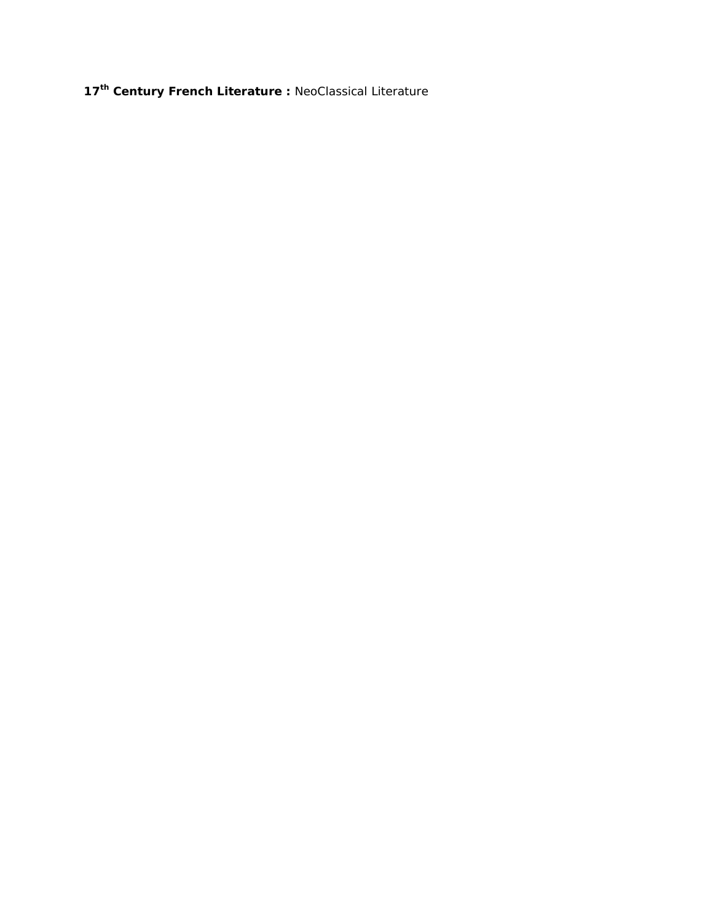*17th Century French Literature : NeoClassical Literature*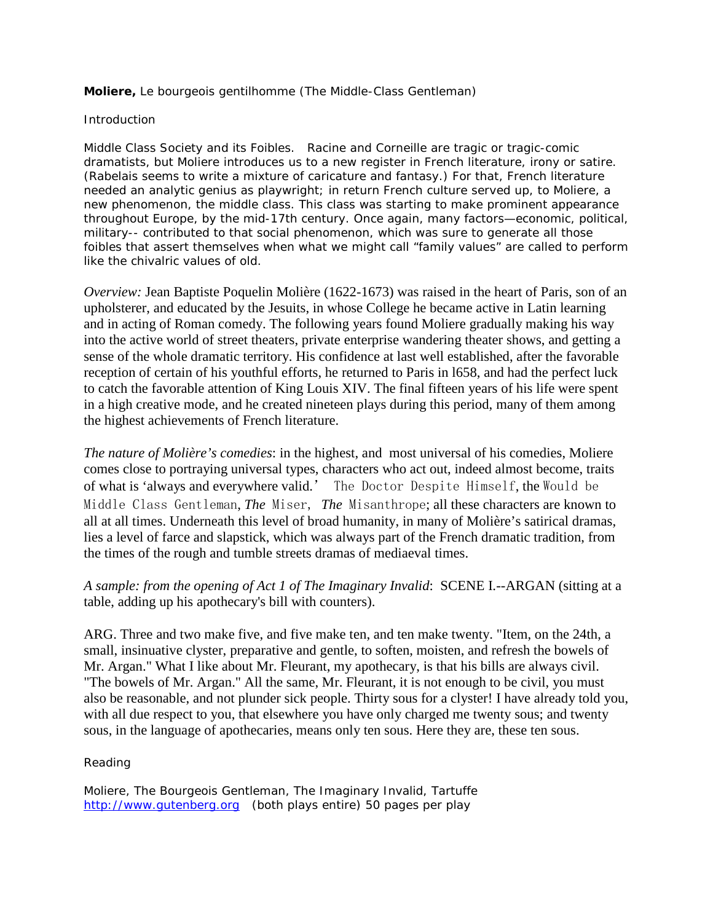# *Moliere, Le bourgeois gentilhomme (The Middle-Class Gentleman)*

## *Introduction*

*Middle Class Society and its Foibles.* Racine and Corneille are tragic or tragic-comic dramatists, but Moliere introduces us to a new register in French literature, irony or satire. (Rabelais seems to write a mixture of caricature and fantasy.) For that, French literature needed an analytic genius as playwright; in return French culture served up, to Moliere, a new phenomenon, the middle class. This class was starting to make prominent appearance throughout Europe, by the mid-17th century. Once again, many factors—economic, political, military-- contributed to that social phenomenon, which was sure to generate all those foibles that assert themselves when what we might call "family values" are called to perform like the chivalric values of old.

*Overview:* Jean Baptiste Poquelin Molière (1622-1673) was raised in the heart of Paris, son of an upholsterer, and educated by the Jesuits, in whose College he became active in Latin learning and in acting of Roman comedy. The following years found Moliere gradually making his way into the active world of street theaters, private enterprise wandering theater shows, and getting a sense of the whole dramatic territory. His confidence at last well established, after the favorable reception of certain of his youthful efforts, he returned to Paris in l658, and had the perfect luck to catch the favorable attention of King Louis XIV. The final fifteen years of his life were spent in a high creative mode, and he created nineteen plays during this period, many of them among the highest achievements of French literature.

*The nature of Molière's comedies*: in the highest, and most universal of his comedies, Moliere comes close to portraying universal types, characters who act out, indeed almost become, traits of what is 'always and everywhere valid.' The Doctor Despite Himself, the Would be Middle Class Gentleman, *The* Miser, *The* Misanthrope; all these characters are known to all at all times. Underneath this level of broad humanity, in many of Molière's satirical dramas, lies a level of farce and slapstick, which was always part of the French dramatic tradition, from the times of the rough and tumble streets dramas of mediaeval times.

*A sample: from the opening of Act 1 of The Imaginary Invalid*: SCENE I.--ARGAN (sitting at a table, adding up his apothecary's bill with counters).

ARG. Three and two make five, and five make ten, and ten make twenty. "Item, on the 24th, a small, insinuative clyster, preparative and gentle, to soften, moisten, and refresh the bowels of Mr. Argan." What I like about Mr. Fleurant, my apothecary, is that his bills are always civil. "The bowels of Mr. Argan." All the same, Mr. Fleurant, it is not enough to be civil, you must also be reasonable, and not plunder sick people. Thirty sous for a clyster! I have already told you, with all due respect to you, that elsewhere you have only charged me twenty sous; and twenty sous, in the language of apothecaries, means only ten sous. Here they are, these ten sous.

# *Reading*

*Moliere, The Bourgeois Gentleman, The Imaginary Invalid, Tartuffe [http://www.gutenberg.org](http://www.gutenberg.org/)* (both plays entire) 50 pages per play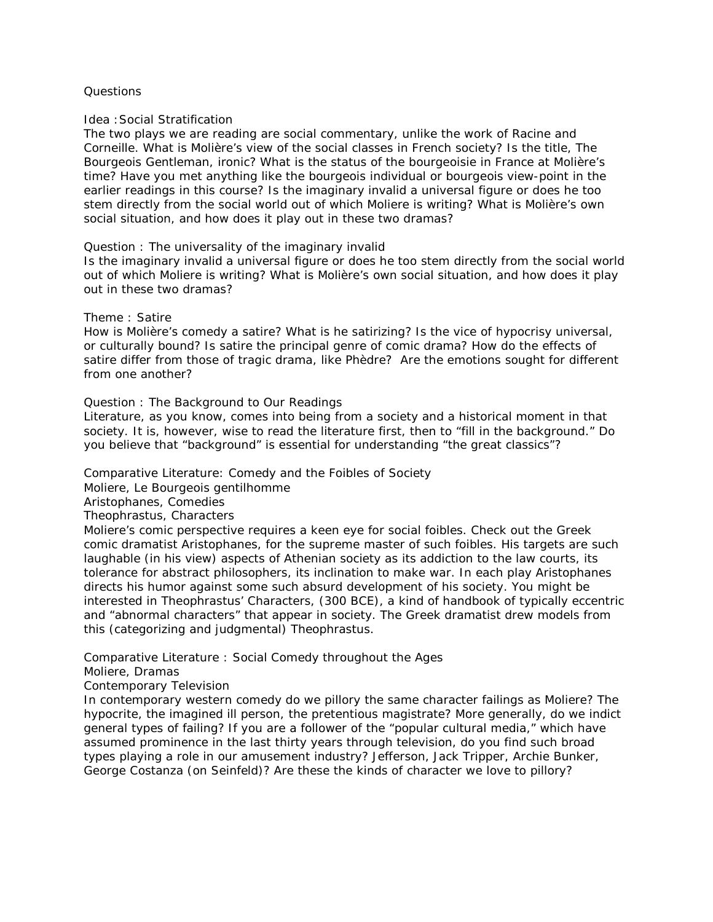## Questions

#### Idea :Social Stratification

The two plays we are reading are social commentary, unlike the work of Racine and Corneille. What is Molière's view of the social classes in French society? Is the title, *The Bourgeois Gentleman*, ironic? What is the status of the bourgeoisie in France at Molière's time? Have you met anything like the bourgeois individual or bourgeois view-point in the earlier readings in this course? Is the imaginary invalid a universal figure or does he too stem directly from the social world out of which Moliere is writing? What is Molière's own social situation, and how does it play out in these two dramas?

## Question : The universality of the imaginary invalid

Is the imaginary invalid a universal figure or does he too stem directly from the social world out of which Moliere is writing? What is Molière's own social situation, and how does it play out in these two dramas?

#### *Theme : Satire*

How is Molière's comedy a satire? What is he satirizing? Is the vice of hypocrisy universal, or culturally bound? Is satire the principal genre of comic drama? How do the effects of satire differ from those of tragic drama, like Phèdre? Are the emotions sought for different from one another?

## *Question : The Background to Our Readings*

Literature, as you know, comes into being from a society and a historical moment in that society. It is, however, wise to read the literature first, then to "fill in the background." Do you believe that "background" is essential for understanding "the great classics"?

## *Comparative Literature: Comedy and the Foibles of Society*

Moliere, Le Bourgeois gentilhomme

Aristophanes, Comedies

Theophrastus, Characters

Moliere's comic perspective requires a keen eye for social foibles. Check out the Greek comic dramatist Aristophanes, for the supreme master of such foibles. His targets are such laughable (in his view) aspects of Athenian society as its addiction to the law courts, its tolerance for abstract philosophers, its inclination to make war. In each play Aristophanes directs his humor against some such absurd development of his society. You might be interested in Theophrastus' Characters, (300 BCE), a kind of handbook of typically eccentric and "abnormal characters" that appear in society. The Greek dramatist drew models from this (categorizing and judgmental) Theophrastus.

# *Comparative Literature : Social Comedy throughout the Ages*

Moliere, Dramas

## Contemporary Television

In contemporary western comedy do we pillory the same character failings as Moliere? The hypocrite, the imagined ill person, the pretentious magistrate? More generally, do we indict general types of failing? If you are a follower of the "popular cultural media," which have assumed prominence in the last thirty years through television, do you find such broad types playing a role in our amusement industry? Jefferson, Jack Tripper, Archie Bunker, George Costanza (on Seinfeld)? Are these the kinds of character we love to pillory?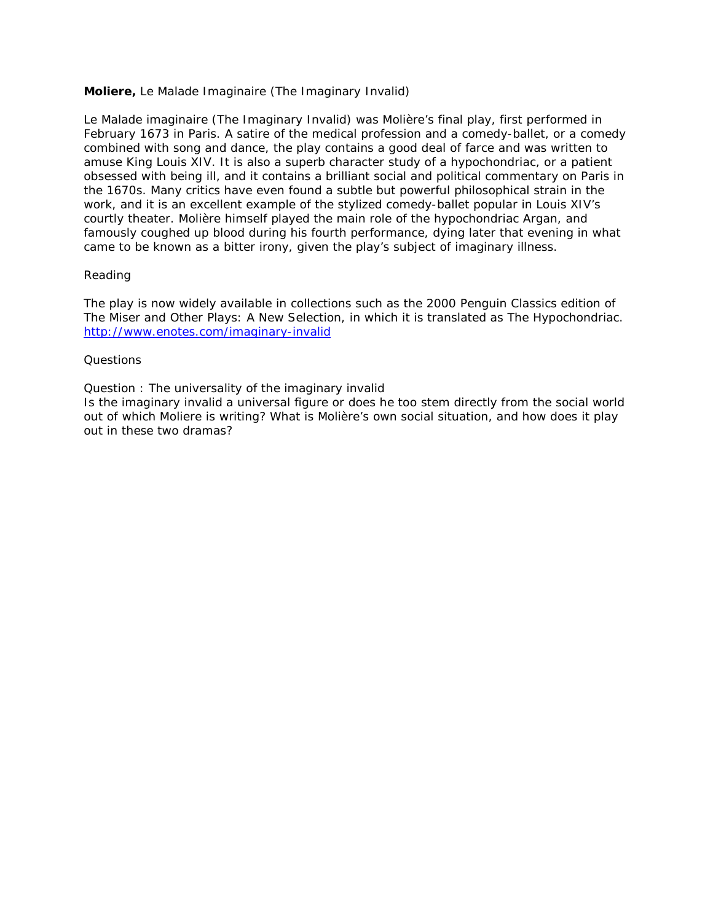# **Moliere,** *Le Malade Imaginaire (The Imaginary Invalid)*

*Le Malade imaginaire (The Imaginary Invalid)* was Molière's final play, first performed in February 1673 in Paris. A satire of the medical profession and a comedy-ballet, or a comedy combined with song and dance, the play contains a good deal of farce and was written to amuse King Louis XIV. It is also a superb character study of a hypochondriac, or a patient obsessed with being ill, and it contains a brilliant social and political commentary on Paris in the 1670s. Many critics have even found a subtle but powerful philosophical strain in the work, and it is an excellent example of the stylized comedy-ballet popular in Louis XIV's courtly theater. Molière himself played the main role of the hypochondriac Argan, and famously coughed up blood during his fourth performance, dying later that evening in what came to be known as a bitter irony, given the play's subject of imaginary illness.

## Reading

The play is now widely available in collections such as the 2000 Penguin Classics edition of *The Miser and Other Plays: A New Selection*, in which it is translated as *The Hypochondriac. <http://www.enotes.com/imaginary-invalid>*

## *Questions*

## *Question : The universality of the imaginary invalid*

Is the imaginary invalid a universal figure or does he too stem directly from the social world out of which Moliere is writing? What is Molière's own social situation, and how does it play out in these two dramas?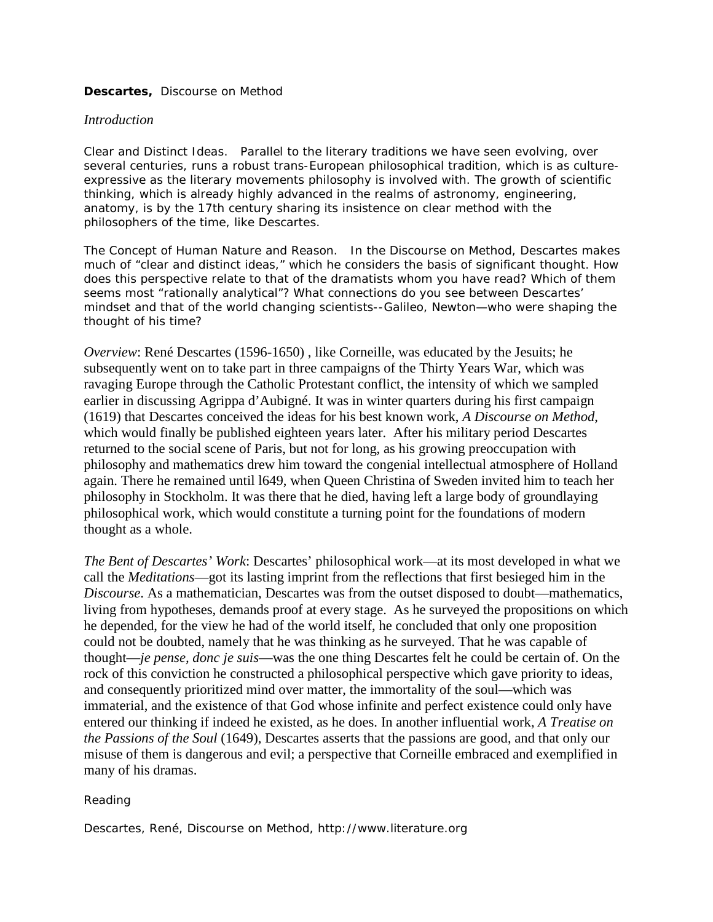## *Descartes, Discourse on Method*

# *Introduction*

*Clear and Distinct Ideas.* Parallel to the literary traditions we have seen evolving, over several centuries, runs a robust trans-European philosophical tradition, which is as cultureexpressive as the literary movements philosophy is involved with. The growth of scientific thinking, which is already highly advanced in the realms of astronomy, engineering, anatomy, is by the 17th century sharing its insistence on clear method with the philosophers of the time, like Descartes.

*The Concept of Human Nature and Reason.* In the *Discourse on Method*, Descartes makes much of "clear and distinct ideas," which he considers the basis of significant thought. How does this perspective relate to that of the dramatists whom you have read? Which of them seems most "rationally analytical"? What connections do you see between Descartes' mindset and that of the world changing scientists--Galileo, Newton—who were shaping the thought of his time?

*Overview*: René Descartes (1596-1650), like Corneille, was educated by the Jesuits; he subsequently went on to take part in three campaigns of the Thirty Years War, which was ravaging Europe through the Catholic Protestant conflict, the intensity of which we sampled earlier in discussing Agrippa d'Aubigné. It was in winter quarters during his first campaign (1619) that Descartes conceived the ideas for his best known work, *A Discourse on Method*, which would finally be published eighteen years later. After his military period Descartes returned to the social scene of Paris, but not for long, as his growing preoccupation with philosophy and mathematics drew him toward the congenial intellectual atmosphere of Holland again. There he remained until l649, when Queen Christina of Sweden invited him to teach her philosophy in Stockholm. It was there that he died, having left a large body of groundlaying philosophical work, which would constitute a turning point for the foundations of modern thought as a whole.

*The Bent of Descartes' Work*: Descartes' philosophical work—at its most developed in what we call the *Meditations*—got its lasting imprint from the reflections that first besieged him in the *Discourse*. As a mathematician, Descartes was from the outset disposed to doubt—mathematics, living from hypotheses, demands proof at every stage. As he surveyed the propositions on which he depended, for the view he had of the world itself, he concluded that only one proposition could not be doubted, namely that he was thinking as he surveyed. That he was capable of thought—*je pense, donc je suis*—was the one thing Descartes felt he could be certain of. On the rock of this conviction he constructed a philosophical perspective which gave priority to ideas, and consequently prioritized mind over matter, the immortality of the soul—which was immaterial, and the existence of that God whose infinite and perfect existence could only have entered our thinking if indeed he existed, as he does. In another influential work, *A Treatise on the Passions of the Soul* (1649), Descartes asserts that the passions are good, and that only our misuse of them is dangerous and evil; a perspective that Corneille embraced and exemplified in many of his dramas.

# *Reading*

*Descartes, René, Discourse on Method, http://www.literature.org*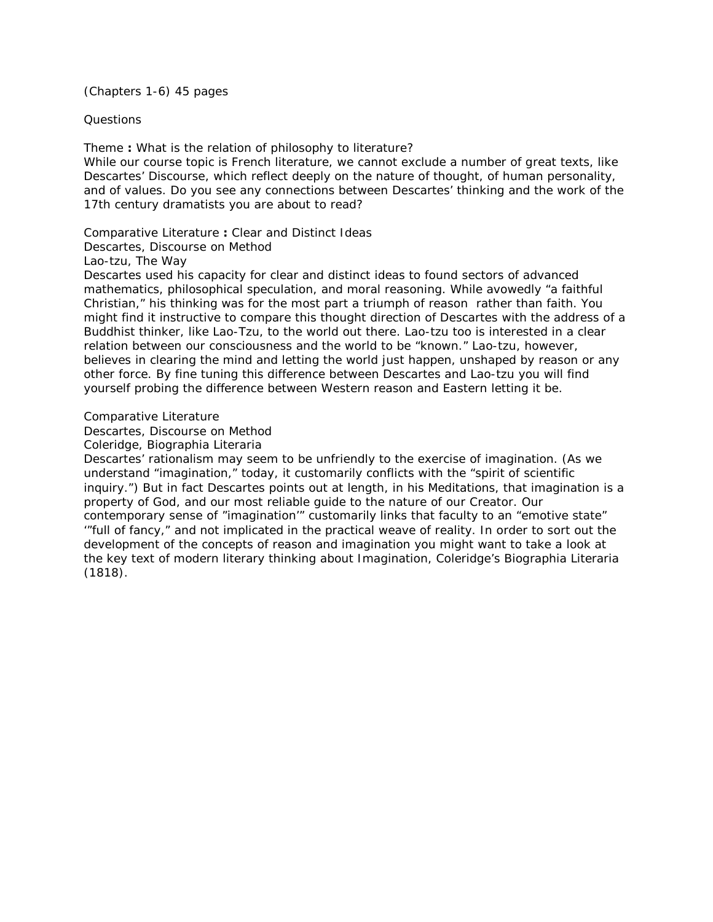## (Chapters 1-6) 45 pages

## *Questions*

## *Theme : What is the relation of philosophy to literature?*

While our course topic is French literature, we cannot exclude a number of great texts, like Descartes' *Discourse*, which reflect deeply on the nature of thought, of human personality, and of values. Do you see any connections between Descartes' thinking and the work of the 17th century dramatists you are about to read?

## *Comparative Literature : Clear and Distinct Ideas*

## Descartes, Discourse on Method

## Lao-tzu, The Way

Descartes used his capacity for clear and distinct ideas to found sectors of advanced mathematics, philosophical speculation, and moral reasoning. While avowedly "a faithful Christian," his thinking was for the most part a triumph of reason rather than faith. You might find it instructive to compare this thought direction of Descartes with the address of a Buddhist thinker, like Lao-Tzu, to the world out there. Lao-tzu too is interested in a clear relation between our consciousness and the world to be "known." Lao-tzu, however, believes in clearing the mind and letting the world just happen, unshaped by reason or any other force. By fine tuning this difference between Descartes and Lao-tzu you will find yourself probing the difference between Western reason and Eastern letting it be.

#### *Comparative Literature*

## Descartes, Discourse on Method

#### Coleridge, Biographia Literaria

Descartes' rationalism may seem to be unfriendly to the exercise of imagination. (As we understand "imagination," today, it customarily conflicts with the "spirit of scientific inquiry.") But in fact Descartes points out at length, in his Meditations, that imagination is a property of God, and our most reliable guide to the nature of our Creator. Our contemporary sense of "imagination'" customarily links that faculty to an "emotive state" '"full of fancy," and not implicated in the practical weave of reality. In order to sort out the development of the concepts of reason and imagination you might want to take a look at the key text of modern literary thinking about Imagination, Coleridge's Biographia Literaria (1818).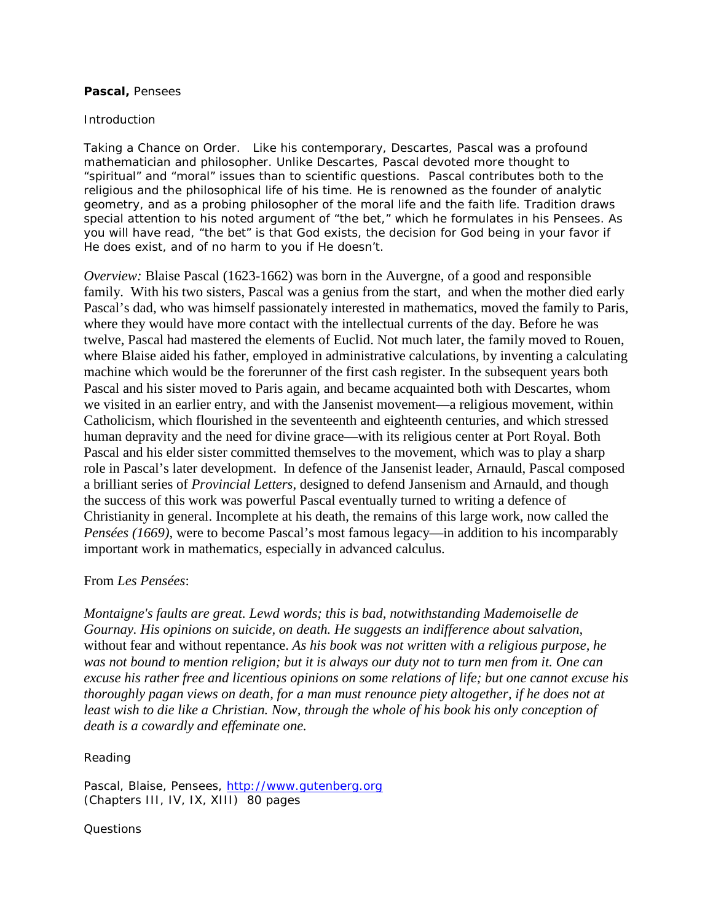## **Pascal,** *Pensees*

## *Introduction*

*Taking a Chance on Order.* Like his contemporary, Descartes, Pascal was a profound mathematician and philosopher. Unlike Descartes, Pascal devoted more thought to "spiritual" and "moral" issues than to scientific questions. Pascal contributes both to the religious and the philosophical life of his time. He is renowned as the founder of analytic geometry, and as a probing philosopher of the moral life and the faith life. Tradition draws special attention to his noted argument of "the bet," which he formulates in his *Pensees*. As you will have read, "the bet" is that God exists, the decision for God being in your favor if He does exist, and of no harm to you if He doesn't.

*Overview:* Blaise Pascal (1623-1662) was born in the Auvergne, of a good and responsible family. With his two sisters, Pascal was a genius from the start, and when the mother died early Pascal's dad, who was himself passionately interested in mathematics, moved the family to Paris, where they would have more contact with the intellectual currents of the day. Before he was twelve, Pascal had mastered the elements of Euclid. Not much later, the family moved to Rouen, where Blaise aided his father, employed in administrative calculations, by inventing a calculating machine which would be the forerunner of the first cash register. In the subsequent years both Pascal and his sister moved to Paris again, and became acquainted both with Descartes, whom we visited in an earlier entry, and with the Jansenist movement—a religious movement, within Catholicism, which flourished in the seventeenth and eighteenth centuries, and which stressed human depravity and the need for divine grace—with its religious center at Port Royal. Both Pascal and his elder sister committed themselves to the movement, which was to play a sharp role in Pascal's later development. In defence of the Jansenist leader, Arnauld, Pascal composed a brilliant series of *Provincial Letters*, designed to defend Jansenism and Arnauld, and though the success of this work was powerful Pascal eventually turned to writing a defence of Christianity in general. Incomplete at his death, the remains of this large work, now called the *Pensées (1669)*, were to become Pascal's most famous legacy—in addition to his incomparably important work in mathematics, especially in advanced calculus.

# From *Les Pensées*:

*Montaigne's faults are great. Lewd words; this is bad, notwithstanding Mademoiselle de Gournay. His opinions on suicide, on death. He suggests an indifference about salvation,*  without fear and without repentance. *As his book was not written with a religious purpose, he was not bound to mention religion; but it is always our duty not to turn men from it. One can excuse his rather free and licentious opinions on some relations of life; but one cannot excuse his thoroughly pagan views on death, for a man must renounce piety altogether, if he does not at least wish to die like a Christian. Now, through the whole of his book his only conception of death is a cowardly and effeminate one.*

## *Reading*

*Pascal, Blaise, Pensees, [http://www.gutenberg.org](http://www.gutenberg.org/)* (Chapters III, IV, IX, XIII) 80 pages

## *Questions*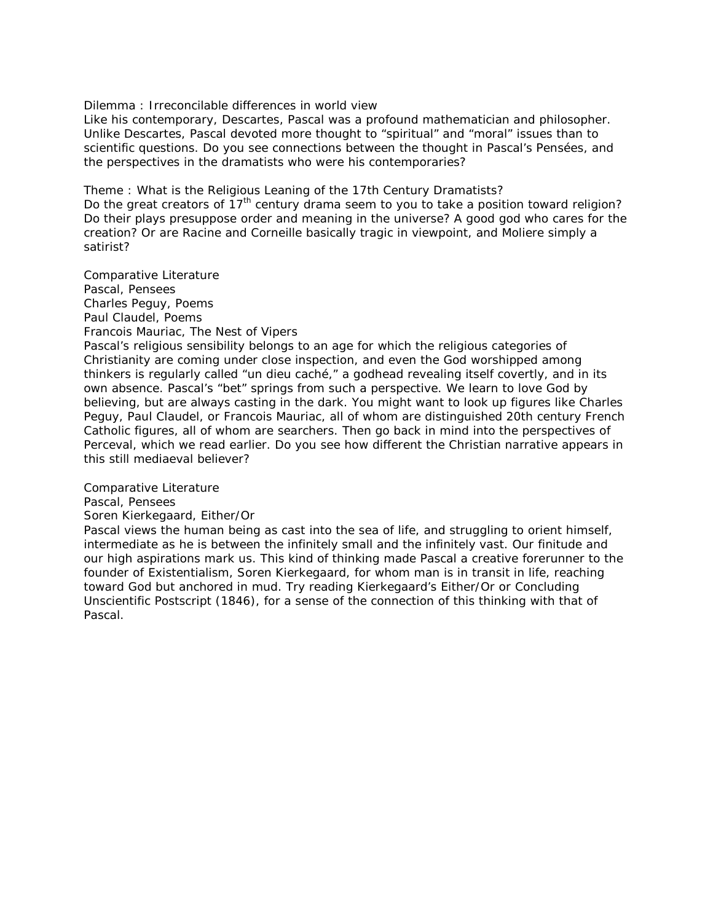## *Dilemma : Irreconcilable differences in world view*

Like his contemporary, Descartes, Pascal was a profound mathematician and philosopher. Unlike Descartes, Pascal devoted more thought to "spiritual" and "moral" issues than to scientific questions. Do you see connections between the thought in Pascal's *Pensées*, and the perspectives in the dramatists who were his contemporaries?

#### *Theme : What is the Religious Leaning of the 17th Century Dramatists?*

Do the great creators of  $17<sup>th</sup>$  century drama seem to you to take a position toward religion? Do their plays presuppose order and meaning in the universe? A good god who cares for the creation? Or are Racine and Corneille basically tragic in viewpoint, and Moliere simply a satirist?

#### *Comparative Literature*

Pascal, Pensees Charles Peguy, Poems Paul Claudel, Poems Francois Mauriac, The Nest of Vipers Pascal's religious sensibility belongs to an age for which the religious categories of Christianity are coming under close inspection, and even the God worshipped among thinkers is regularly called "un dieu caché," a godhead revealing itself covertly, and in its own absence. Pascal's "bet" springs from such a perspective. We learn to love God by believing, but are always casting in the dark. You might want to look up figures like Charles Peguy, Paul Claudel, or Francois Mauriac, all of whom are distinguished 20th century French Catholic figures, all of whom are searchers. Then go back in mind into the perspectives of Perceval, which we read earlier. Do you see how different the Christian narrative appears in this still mediaeval believer?

## *Comparative Literature*

Pascal, Pensees

Soren Kierkegaard, Either/Or

Pascal views the human being as cast into the sea of life, and struggling to orient himself, intermediate as he is between the infinitely small and the infinitely vast. Our finitude and our high aspirations mark us. This kind of thinking made Pascal a creative forerunner to the founder of Existentialism, Soren Kierkegaard, for whom man is in transit in life, reaching toward God but anchored in mud. Try reading Kierkegaard's Either/Or or Concluding Unscientific Postscript (1846), for a sense of the connection of this thinking with that of Pascal.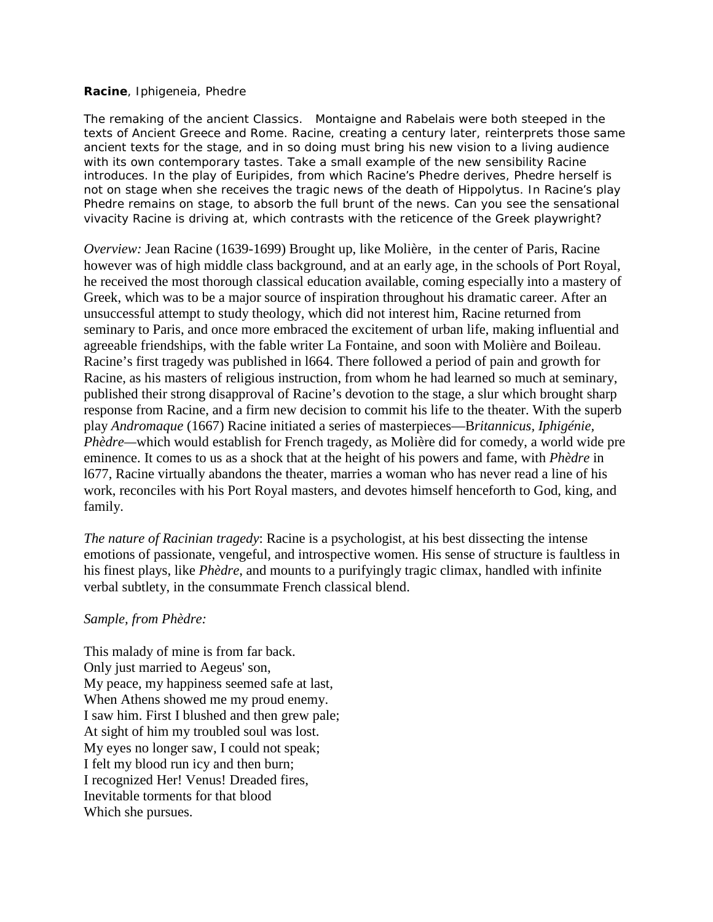## **Racine**, *Iphigeneia, Phedre*

*The remaking of the ancient Classics.* Montaigne and Rabelais were both steeped in the texts of Ancient Greece and Rome. Racine, creating a century later, reinterprets those same ancient texts for the stage, and in so doing must bring his new vision to a living audience with its own contemporary tastes. Take a small example of the new sensibility Racine introduces. In the play of Euripides, from which Racine's *Phedre* derives, Phedre herself is not on stage when she receives the tragic news of the death of Hippolytus. In Racine's play Phedre remains on stage, to absorb the full brunt of the news. Can you see the sensational vivacity Racine is driving at, which contrasts with the reticence of the Greek playwright?

*Overview:* Jean Racine (1639-1699) Brought up, like Molière, in the center of Paris, Racine however was of high middle class background, and at an early age, in the schools of Port Royal, he received the most thorough classical education available, coming especially into a mastery of Greek, which was to be a major source of inspiration throughout his dramatic career. After an unsuccessful attempt to study theology, which did not interest him, Racine returned from seminary to Paris, and once more embraced the excitement of urban life, making influential and agreeable friendships, with the fable writer La Fontaine, and soon with Molière and Boileau. Racine's first tragedy was published in l664. There followed a period of pain and growth for Racine, as his masters of religious instruction, from whom he had learned so much at seminary, published their strong disapproval of Racine's devotion to the stage, a slur which brought sharp response from Racine, and a firm new decision to commit his life to the theater. With the superb play *Andromaque* (1667) Racine initiated a series of masterpieces—B*ritannicus, Iphigénie, Phèdre—*which would establish for French tragedy, as Molière did for comedy, a world wide pre eminence. It comes to us as a shock that at the height of his powers and fame, with *Phèdre* in l677, Racine virtually abandons the theater, marries a woman who has never read a line of his work, reconciles with his Port Royal masters, and devotes himself henceforth to God, king, and family.

*The nature of Racinian tragedy*: Racine is a psychologist, at his best dissecting the intense emotions of passionate, vengeful, and introspective women. His sense of structure is faultless in his finest plays, like *Phèdre*, and mounts to a purifyingly tragic climax, handled with infinite verbal subtlety, in the consummate French classical blend.

# *Sample, from Phèdre:*

This malady of mine is from far back. Only just married to Aegeus' son, My peace, my happiness seemed safe at last, When Athens showed me my proud enemy. I saw him. First I blushed and then grew pale; At sight of him my troubled soul was lost. My eyes no longer saw, I could not speak; I felt my blood run icy and then burn; I recognized Her! Venus! Dreaded fires, Inevitable torments for that blood Which she pursues.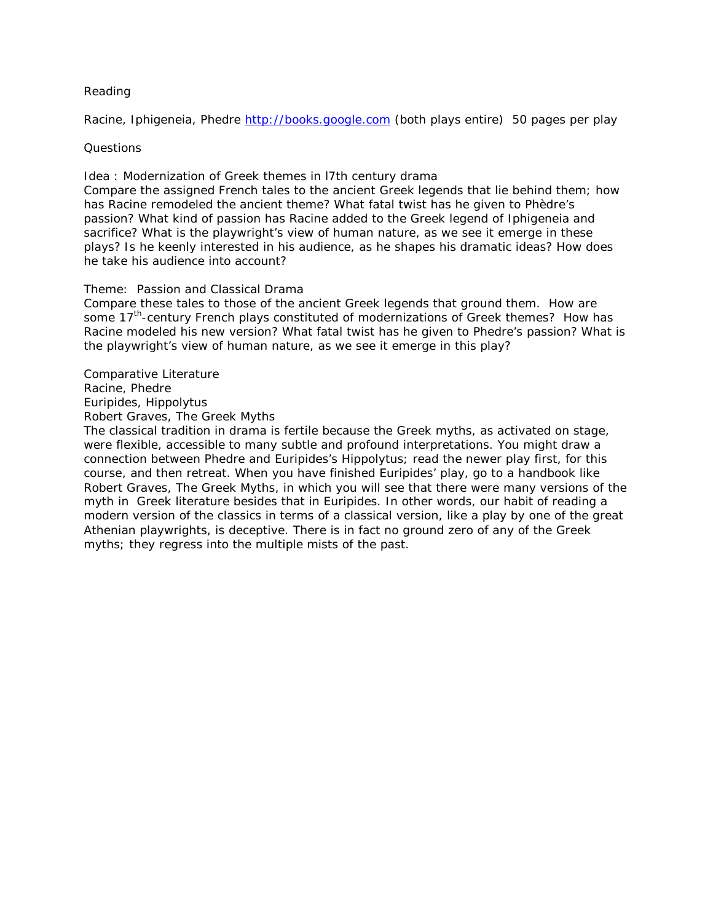## *Reading*

*Racine, Iphigeneia, Phedre [http://books.google.com](http://books.google.com/)* (both plays entire) 50 pages per play

## *Questions*

## *Idea : Modernization of Greek themes in l7th century drama*

Compare the assigned French tales to the ancient Greek legends that lie behind them; how has Racine remodeled the ancient theme? What fatal twist has he given to Phèdre's passion? What kind of passion has Racine added to the Greek legend of Iphigeneia and sacrifice? What is the playwright's view of human nature, as we see it emerge in these plays? Is he keenly interested in his audience, as he shapes his dramatic ideas? How does he take his audience into account?

## *Theme: Passion and Classical Drama*

Compare these tales to those of the ancient Greek legends that ground them. How are some 17<sup>th</sup>-century French plays constituted of modernizations of Greek themes? How has Racine modeled his new version? What fatal twist has he given to Phedre's passion? What is the playwright's view of human nature, as we see it emerge in this play?

## *Comparative Literature*

Racine, Phedre

Euripides, Hippolytus Robert Graves, The Greek Myths

The classical tradition in drama is fertile because the Greek myths, as activated on stage, were flexible, accessible to many subtle and profound interpretations. You might draw a connection between Phedre and Euripides's Hippolytus; read the newer play first, for this course, and then retreat. When you have finished Euripides' play, go to a handbook like Robert Graves, The Greek Myths, in which you will see that there were many versions of the myth in Greek literature besides that in Euripides. In other words, our habit of reading a modern version of the classics in terms of a classical version, like a play by one of the great Athenian playwrights, is deceptive. There is in fact no ground zero of any of the Greek myths; they regress into the multiple mists of the past.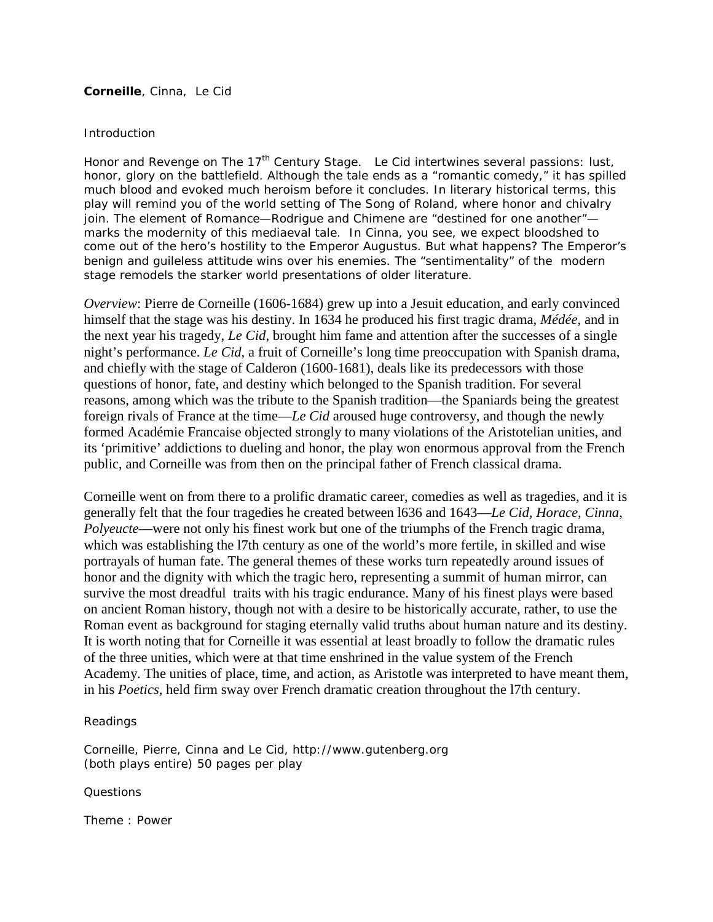## **Corneille**, *Cinna, Le Cid*

## *Introduction*

*Honor and Revenge on The 17th Century Stage. Le Cid* intertwines several passions: lust, honor, glory on the battlefield. Although the tale ends as a "romantic comedy," it has spilled much blood and evoked much heroism before it concludes. In literary historical terms, this play will remind you of the world setting of *The Song of Roland*, where honor and chivalry join. The element of Romance—Rodrigue and Chimene are "destined for one another"marks the modernity of this mediaeval tale. In *Cinna*, you see, we expect bloodshed to come out of the hero's hostility to the Emperor Augustus. But what happens? The Emperor's benign and guileless attitude wins over his enemies. The "sentimentality" of the modern stage remodels the starker world presentations of older literature.

*Overview*: Pierre de Corneille (1606-1684) grew up into a Jesuit education, and early convinced himself that the stage was his destiny. In 1634 he produced his first tragic drama, *Médée*, and in the next year his tragedy*, Le Cid*, brought him fame and attention after the successes of a single night's performance. *Le Cid*, a fruit of Corneille's long time preoccupation with Spanish drama, and chiefly with the stage of Calderon (1600-1681), deals like its predecessors with those questions of honor, fate, and destiny which belonged to the Spanish tradition. For several reasons, among which was the tribute to the Spanish tradition—the Spaniards being the greatest foreign rivals of France at the time—*Le Cid* aroused huge controversy, and though the newly formed Académie Francaise objected strongly to many violations of the Aristotelian unities, and its 'primitive' addictions to dueling and honor, the play won enormous approval from the French public, and Corneille was from then on the principal father of French classical drama.

Corneille went on from there to a prolific dramatic career, comedies as well as tragedies, and it is generally felt that the four tragedies he created between l636 and 1643—*Le Cid, Horace, Cinna, Polyeucte*—were not only his finest work but one of the triumphs of the French tragic drama, which was establishing the l7th century as one of the world's more fertile, in skilled and wise portrayals of human fate. The general themes of these works turn repeatedly around issues of honor and the dignity with which the tragic hero, representing a summit of human mirror, can survive the most dreadful traits with his tragic endurance. Many of his finest plays were based on ancient Roman history, though not with a desire to be historically accurate, rather, to use the Roman event as background for staging eternally valid truths about human nature and its destiny. It is worth noting that for Corneille it was essential at least broadly to follow the dramatic rules of the three unities, which were at that time enshrined in the value system of the French Academy. The unities of place, time, and action, as Aristotle was interpreted to have meant them, in his *Poetics*, held firm sway over French dramatic creation throughout the l7th century.

## *Readings*

*Corneille, Pierre, Cinna and Le Cid, http://www.gutenberg.org*  (both plays entire) 50 pages per play

*Questions*

*Theme : Power*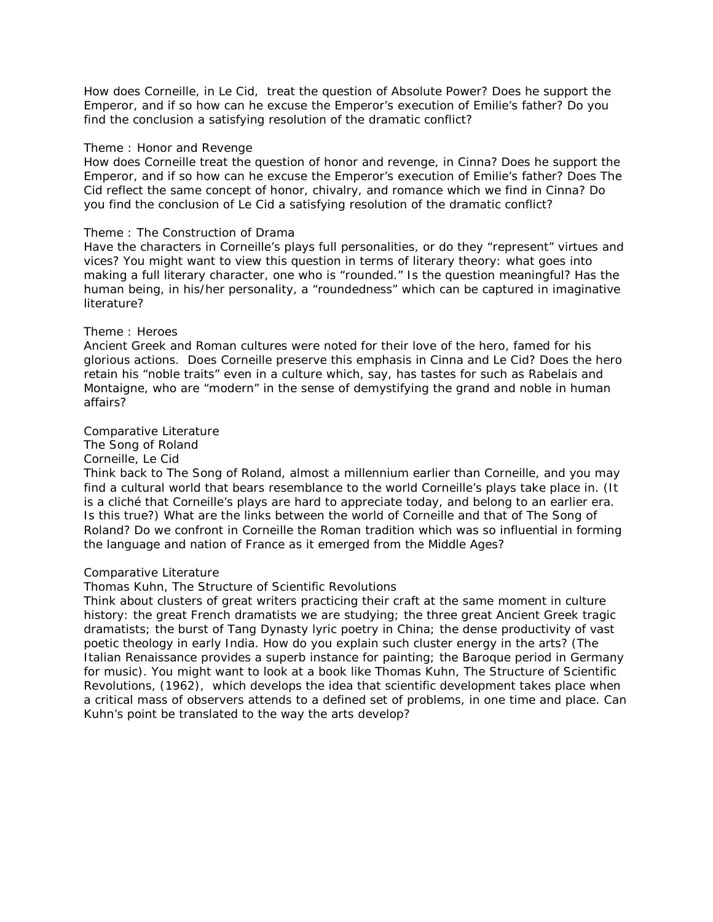How does Corneille, in *Le Cid*, treat the question of Absolute Power? Does he support the Emperor, and if so how can he excuse the Emperor's execution of Emilie's father? Do you find the conclusion a satisfying resolution of the dramatic conflict?

## *Theme : Honor and Revenge*

How does Corneille treat the question of honor and revenge, in Cinna? Does he support the Emperor, and if so how can he excuse the Emperor's execution of Emilie's father? Does *The Cid* reflect the same concept of honor, chivalry, and romance which we find in *Cinna*? Do you find the conclusion of Le Cid a satisfying resolution of the dramatic conflict?

#### *Theme : The Construction of Drama*

Have the characters in Corneille's plays full personalities, or do they "represent" virtues and vices? You might want to view this question in terms of literary theory: what goes into making a full literary character, one who is "rounded." Is the question meaningful? Has the human being, in his/her personality, a "roundedness" which can be captured in imaginative literature?

#### *Theme : Heroes*

Ancient Greek and Roman cultures were noted for their love of the hero, famed for his glorious actions. Does Corneille preserve this emphasis in *Cinna* and *Le Cid*? Does the hero retain his "noble traits" even in a culture which, say, has tastes for such as Rabelais and Montaigne, who are "modern" in the sense of demystifying the grand and noble in human affairs?

#### *Comparative Literature*

The Song of Roland

#### Corneille, Le Cid

Think back to The Song of Roland, almost a millennium earlier than Corneille, and you may find a cultural world that bears resemblance to the world Corneille's plays take place in. (It is a cliché that Corneille's plays are hard to appreciate today, and belong to an earlier era. Is this true?) What are the links between the world of Corneille and that of The Song of Roland? Do we confront in Corneille the Roman tradition which was so influential in forming the language and nation of France as it emerged from the Middle Ages?

#### *Comparative Literature*

Thomas Kuhn, The Structure of Scientific Revolutions

Think about clusters of great writers practicing their craft at the same moment in culture history: the great French dramatists we are studying; the three great Ancient Greek tragic dramatists; the burst of Tang Dynasty lyric poetry in China; the dense productivity of vast poetic theology in early India. How do you explain such cluster energy in the arts? (The Italian Renaissance provides a superb instance for painting; the Baroque period in Germany for music). You might want to look at a book like Thomas Kuhn, The Structure of Scientific Revolutions, (1962), which develops the idea that scientific development takes place when a critical mass of observers attends to a defined set of problems, in one time and place. Can Kuhn's point be translated to the way the arts develop?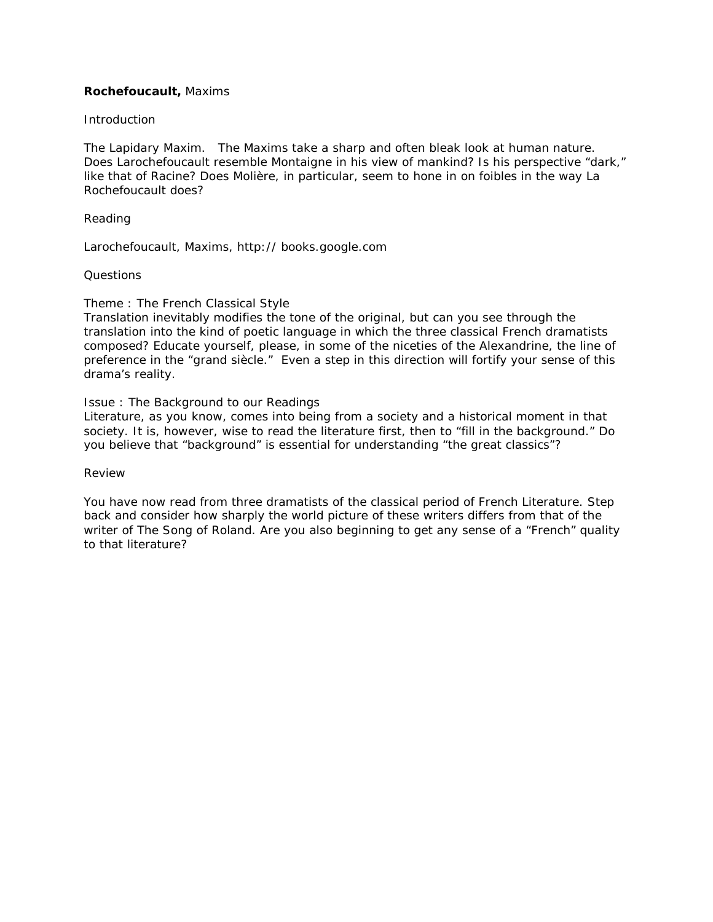## **Rochefoucault,** *Maxims*

## *Introduction*

*The Lapidary Maxim.* The *Maxims* take a sharp and often bleak look at human nature. Does Larochefoucault resemble Montaigne in his view of mankind? Is his perspective "dark," like that of Racine? Does Molière, in particular, seem to hone in on foibles in the way La Rochefoucault does?

## *Reading*

*Larochefoucault, Maxims, http:// books.google.com*

## *Questions*

## *Theme : The French Classical Style*

Translation inevitably modifies the tone of the original, but can you see through the translation into the kind of poetic language in which the three classical French dramatists composed? Educate yourself, please, in some of the niceties of the Alexandrine, the line of preference in the "grand siècle." Even a step in this direction will fortify your sense of this drama's reality.

## *Issue : The Background to our Readings*

Literature, as you know, comes into being from a society and a historical moment in that society. It is, however, wise to read the literature first, then to "fill in the background." Do you believe that "background" is essential for understanding "the great classics"?

## *Review*

You have now read from three dramatists of the classical period of French Literature. Step back and consider how sharply the world picture of these writers differs from that of the writer of *The Song of Roland*. Are you also beginning to get any sense of a "French" quality to that literature?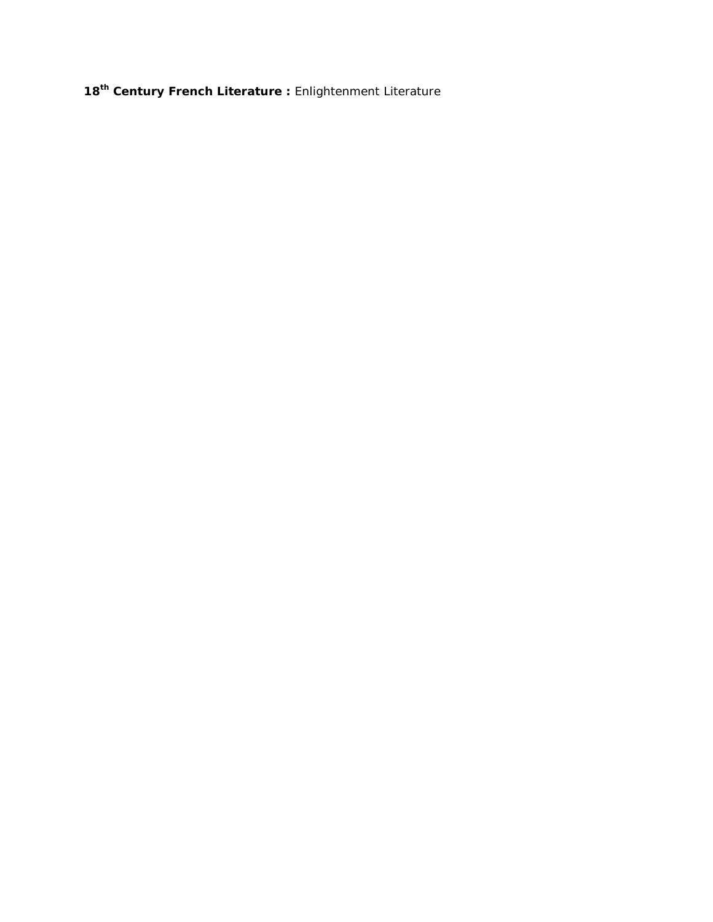**18th Century French Literature :** Enlightenment Literature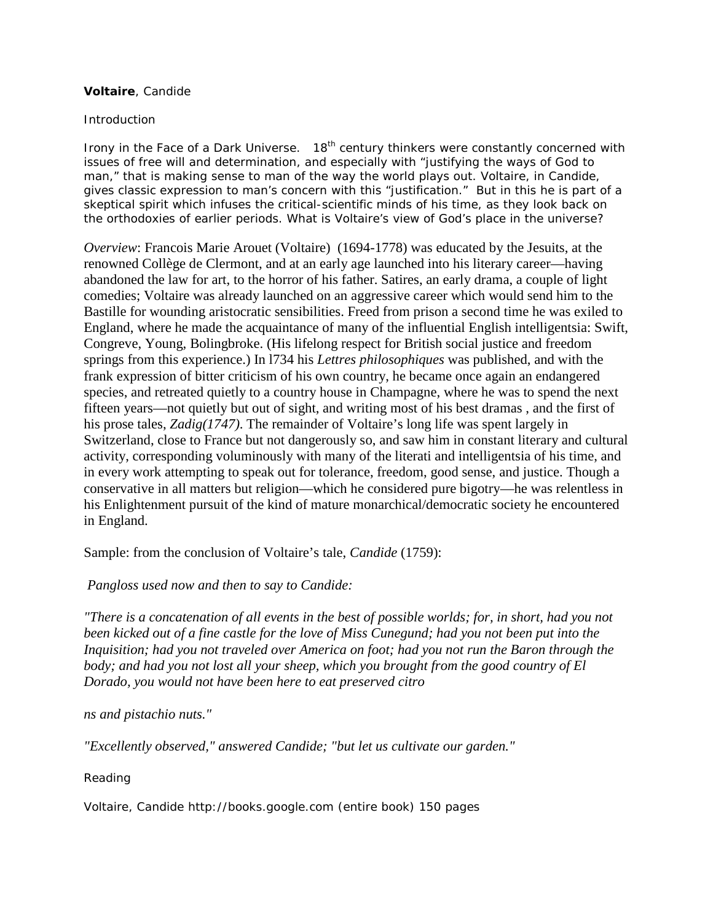## **Voltaire**, Candide

## *Introduction*

*Irony in the Face of a Dark Universe.* 18<sup>th</sup> century thinkers were constantly concerned with issues of free will and determination, and especially with "justifying the ways of God to man," that is making sense to man of the way the world plays out. Voltaire, in *Candide*, gives classic expression to man's concern with this "justification." But in this he is part of a skeptical spirit which infuses the critical-scientific minds of his time, as they look back on the orthodoxies of earlier periods. What is Voltaire's view of God's place in the universe?

*Overview*: Francois Marie Arouet (Voltaire) (1694-1778) was educated by the Jesuits, at the renowned Collège de Clermont, and at an early age launched into his literary career—having abandoned the law for art, to the horror of his father. Satires, an early drama, a couple of light comedies; Voltaire was already launched on an aggressive career which would send him to the Bastille for wounding aristocratic sensibilities. Freed from prison a second time he was exiled to England, where he made the acquaintance of many of the influential English intelligentsia: Swift, Congreve, Young, Bolingbroke. (His lifelong respect for British social justice and freedom springs from this experience.) In l734 his *Lettres philosophiques* was published, and with the frank expression of bitter criticism of his own country, he became once again an endangered species, and retreated quietly to a country house in Champagne, where he was to spend the next fifteen years—not quietly but out of sight, and writing most of his best dramas , and the first of his prose tales, *Zadig(1747)*. The remainder of Voltaire's long life was spent largely in Switzerland, close to France but not dangerously so, and saw him in constant literary and cultural activity, corresponding voluminously with many of the literati and intelligentsia of his time, and in every work attempting to speak out for tolerance, freedom, good sense, and justice. Though a conservative in all matters but religion—which he considered pure bigotry—he was relentless in his Enlightenment pursuit of the kind of mature monarchical/democratic society he encountered in England.

Sample: from the conclusion of Voltaire's tale, *Candide* (1759):

# *Pangloss used now and then to say to Candide:*

*"There is a concatenation of all events in the best of possible worlds; for, in short, had you not been kicked out of a fine castle for the love of Miss Cunegund; had you not been put into the Inquisition; had you not traveled over America on foot; had you not run the Baron through the body; and had you not lost all your sheep, which you brought from the good country of El Dorado, you would not have been here to eat preserved citro*

*ns and pistachio nuts."* 

*"Excellently observed," answered Candide; "but let us cultivate our garden."* 

*Reading*

*Voltaire, Candide http://books.google.com* (entire book) 150 pages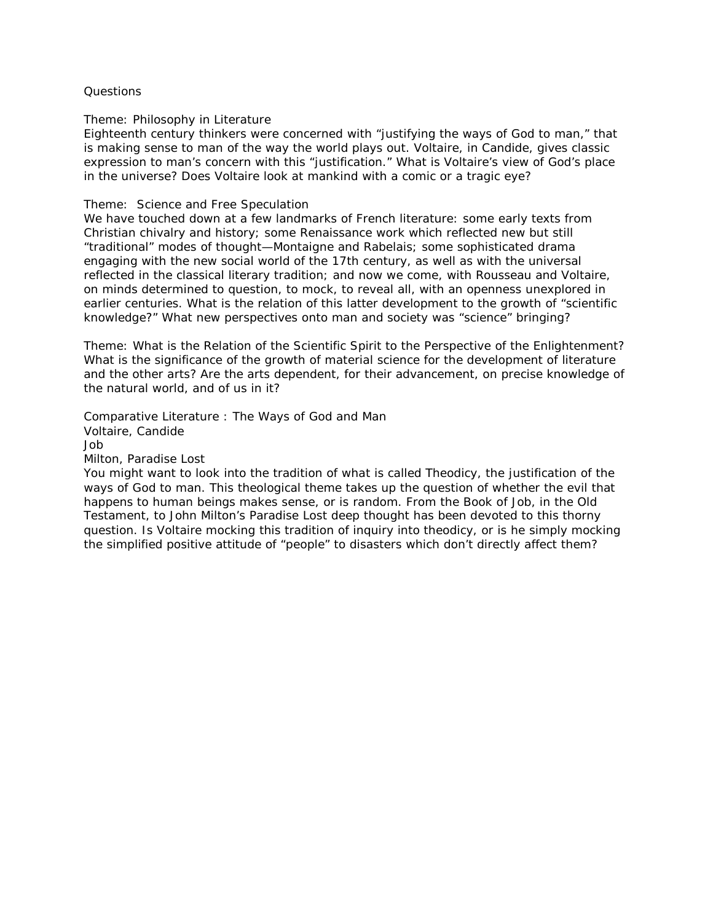## *Questions*

#### *Theme: Philosophy in Literature*

Eighteenth century thinkers were concerned with "justifying the ways of God to man," that is making sense to man of the way the world plays out. Voltaire, in *Candide*, gives classic expression to man's concern with this "justification." What is Voltaire's view of God's place in the universe? Does Voltaire look at mankind with a comic or a tragic eye?

#### *Theme: Science and Free Speculation*

We have touched down at a few landmarks of French literature: some early texts from Christian chivalry and history; some Renaissance work which reflected new but still "traditional" modes of thought—Montaigne and Rabelais; some sophisticated drama engaging with the new social world of the 17th century, as well as with the universal reflected in the classical literary tradition; and now we come, with Rousseau and Voltaire, on minds determined to question, to mock, to reveal all, with an openness unexplored in earlier centuries. What is the relation of this latter development to the growth of "scientific knowledge?" What new perspectives onto man and society was "science" bringing?

*Theme: What is the Relation of the Scientific Spirit to the Perspective of the Enlightenment?* What is the significance of the growth of material science for the development of literature and the other arts? Are the arts dependent, for their advancement, on precise knowledge of the natural world, and of us in it?

*Comparative Literature : The Ways of God and Man* Voltaire, Candide Job Milton, Paradise Lost

You might want to look into the tradition of what is called Theodicy, the justification of the ways of God to man. This theological theme takes up the question of whether the evil that happens to human beings makes sense, or is random. From the Book of Job, in the Old Testament, to John Milton's Paradise Lost deep thought has been devoted to this thorny question. Is Voltaire mocking this tradition of inquiry into theodicy, or is he simply mocking the simplified positive attitude of "people" to disasters which don't directly affect them?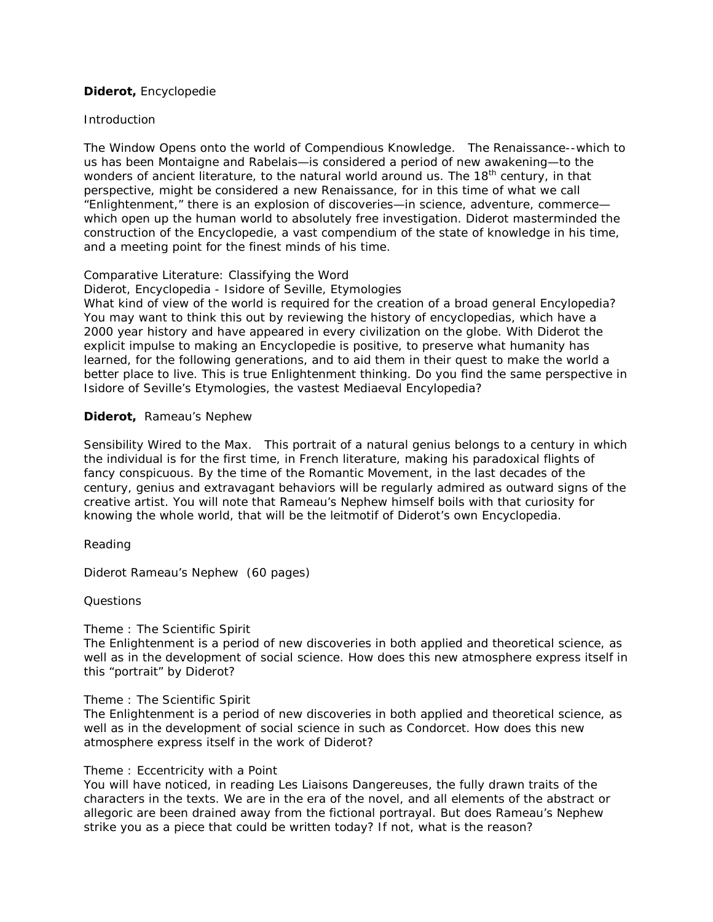#### **Diderot,** *Encyclopedie*

#### *Introduction*

*The Window Opens onto the world of Compendious Knowledge.* The Renaissance--which to us has been Montaigne and Rabelais—is considered a period of new awakening—to the wonders of ancient literature, to the natural world around us. The 18<sup>th</sup> century, in that perspective, might be considered a new Renaissance, for in this time of what we call "Enlightenment," there is an explosion of discoveries—in science, adventure, commerce which open up the human world to absolutely free investigation. Diderot masterminded the construction of the *Encyclopedie*, a vast compendium of the state of knowledge in his time, and a meeting point for the finest minds of his time.

#### *Comparative Literature: Classifying the Word*

Diderot, Encyclopedia - Isidore of Seville, Etymologies

What kind of view of the world is required for the creation of a broad general Encylopedia? You may want to think this out by reviewing the history of encyclopedias, which have a 2000 year history and have appeared in every civilization on the globe. With Diderot the explicit impulse to making an Encyclopedie is positive, to preserve what humanity has learned, for the following generations, and to aid them in their quest to make the world a better place to live. This is true Enlightenment thinking. Do you find the same perspective in Isidore of Seville's Etymologies, the vastest Mediaeval Encylopedia?

#### **Diderot,** *Rameau's Nephew*

*Sensibility Wired to the Max.* This portrait of a natural genius belongs to a century in which the individual is for the first time, in French literature, making his paradoxical flights of fancy conspicuous. By the time of the Romantic Movement, in the last decades of the century, genius and extravagant behaviors will be regularly admired as outward signs of the creative artist. You will note that Rameau's Nephew himself boils with that curiosity for knowing the whole world, that will be the leitmotif of Diderot's own *Encyclopedia*.

#### Reading

Diderot *Rameau's Nephew (*60 pages)

#### *Questions*

#### *Theme : The Scientific Spirit*

The Enlightenment is a period of new discoveries in both applied and theoretical science, as well as in the development of social science. How does this new atmosphere express itself in this "portrait" by Diderot?

#### *Theme : The Scientific Spirit*

The Enlightenment is a period of new discoveries in both applied and theoretical science, as well as in the development of social science in such as Condorcet. How does this new atmosphere express itself in the work of Diderot?

#### *Theme : Eccentricity with a Point*

You will have noticed, in reading *Les Liaisons Dangereuses*, the fully drawn traits of the characters in the texts. We are in the era of the novel, and all elements of the abstract or allegoric are been drained away from the fictional portrayal. But does Rameau's Nephew strike you as a piece that could be written today? If not, what is the reason?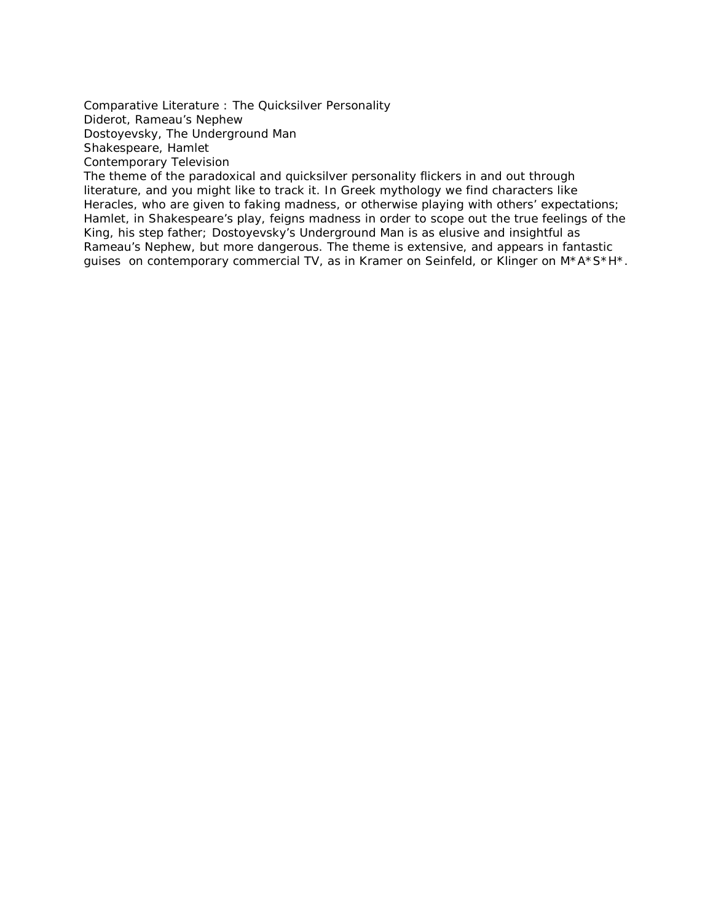*Comparative Literature : The Quicksilver Personality* Diderot, Rameau's Nephew Dostoyevsky, The Underground Man Shakespeare, Hamlet Contemporary Television

The theme of the paradoxical and quicksilver personality flickers in and out through literature, and you might like to track it. In Greek mythology we find characters like Heracles, who are given to faking madness, or otherwise playing with others' expectations; Hamlet, in Shakespeare's play, feigns madness in order to scope out the true feelings of the King, his step father; Dostoyevsky's Underground Man is as elusive and insightful as Rameau's Nephew, but more dangerous. The theme is extensive, and appears in fantastic guises on contemporary commercial TV, as in Kramer on Seinfeld, or Klinger on M\*A\*S\*H\*.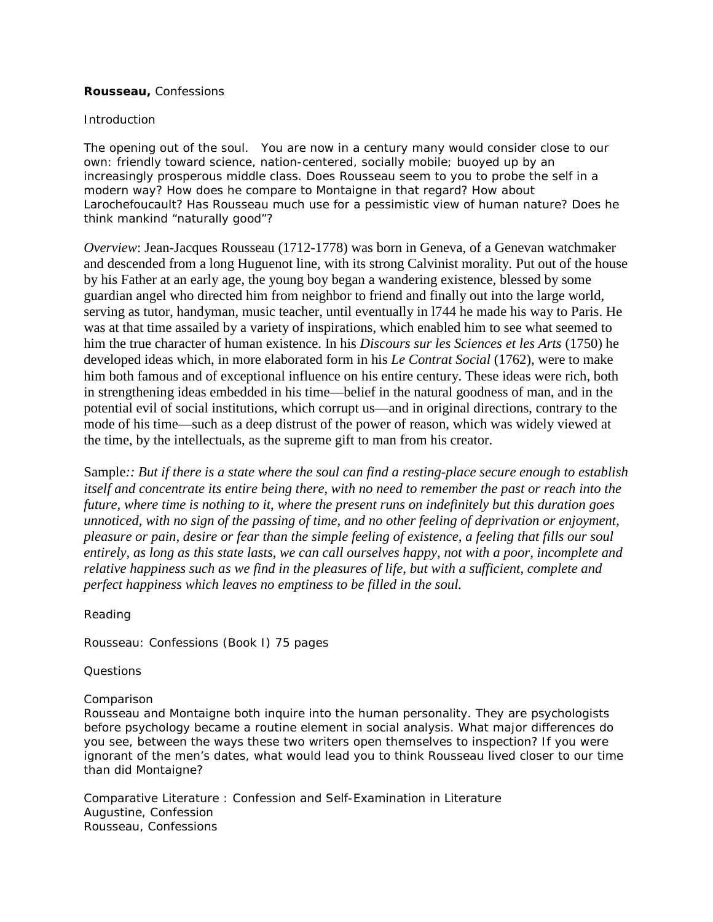#### **Rousseau,** Confessions

#### *Introduction*

*The opening out of the soul.* You are now in a century many would consider close to our own: friendly toward science, nation-centered, socially mobile; buoyed up by an increasingly prosperous middle class. Does Rousseau seem to you to probe the self in a modern way? How does he compare to Montaigne in that regard? How about Larochefoucault? Has Rousseau much use for a pessimistic view of human nature? Does he think mankind "naturally good"?

*Overview*: Jean-Jacques Rousseau (1712-1778) was born in Geneva, of a Genevan watchmaker and descended from a long Huguenot line, with its strong Calvinist morality. Put out of the house by his Father at an early age, the young boy began a wandering existence, blessed by some guardian angel who directed him from neighbor to friend and finally out into the large world, serving as tutor, handyman, music teacher, until eventually in l744 he made his way to Paris. He was at that time assailed by a variety of inspirations, which enabled him to see what seemed to him the true character of human existence. In his *Discours sur les Sciences et les Arts* (1750) he developed ideas which, in more elaborated form in his *Le Contrat Social* (1762), were to make him both famous and of exceptional influence on his entire century. These ideas were rich, both in strengthening ideas embedded in his time—belief in the natural goodness of man, and in the potential evil of social institutions, which corrupt us—and in original directions, contrary to the mode of his time—such as a deep distrust of the power of reason, which was widely viewed at the time, by the intellectuals, as the supreme gift to man from his creator.

Sample*:: But if there is a state where the soul can find a resting-place secure enough to establish itself and concentrate its entire being there, with no need to remember the past or reach into the future, where time is nothing to it, where the present runs on indefinitely but this duration goes unnoticed, with no sign of the passing of time, and no other feeling of deprivation or enjoyment, pleasure or pain, desire or fear than the simple feeling of existence, a feeling that fills our soul entirely, as long as this state lasts, we can call ourselves happy, not with a poor, incomplete and relative happiness such as we find in the pleasures of life, but with a sufficient, complete and perfect happiness which leaves no emptiness to be filled in the soul.*

Reading

Rousseau: *Confessions* (Book I) 75 pages

*Questions*

#### *Comparison*

Rousseau and Montaigne both inquire into the human personality. They are psychologists before psychology became a routine element in social analysis. What major differences do you see, between the ways these two writers open themselves to inspection? If you were ignorant of the men's dates, what would lead you to think Rousseau lived closer to our time than did Montaigne?

*Comparative Literature : Confession and Self-Examination in Literature* Augustine, *Confession* Rousseau*, Confessions*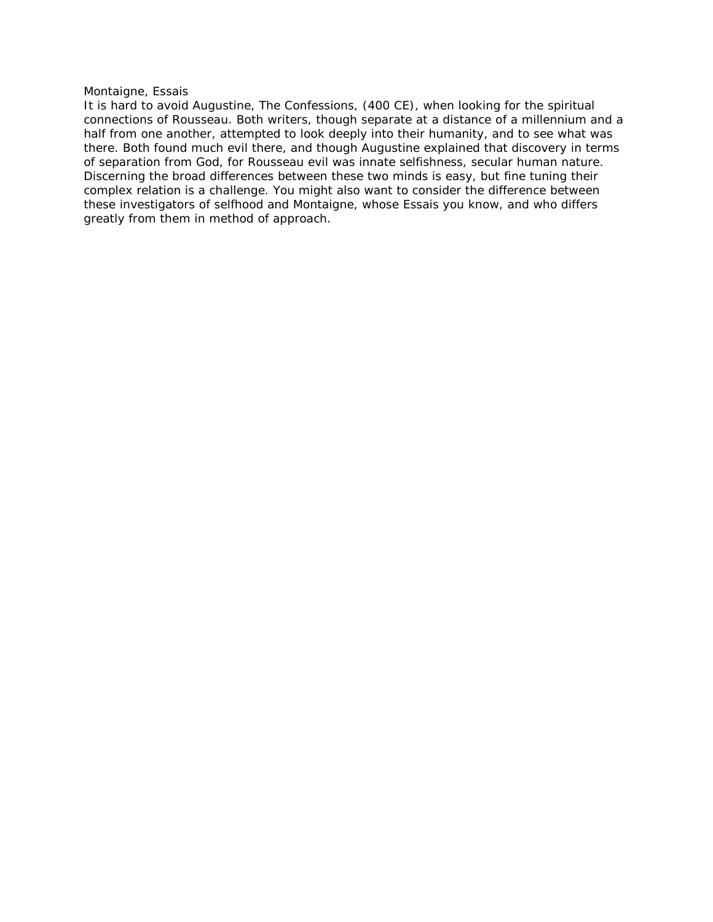#### Montaigne, *Essais*

It is hard to avoid Augustine, *The Confessions*, (400 CE), when looking for the spiritual connections of Rousseau. Both writers, though separate at a distance of a millennium and a half from one another, attempted to look deeply into their humanity, and to see what was there. Both found much evil there, and though Augustine explained that discovery in terms of separation from God, for Rousseau evil was innate selfishness, secular human nature. Discerning the broad differences between these two minds is easy, but fine tuning their complex relation is a challenge. You might also want to consider the difference between these investigators of selfhood and Montaigne, whose *Essais* you know, and who differs greatly from them in method of approach.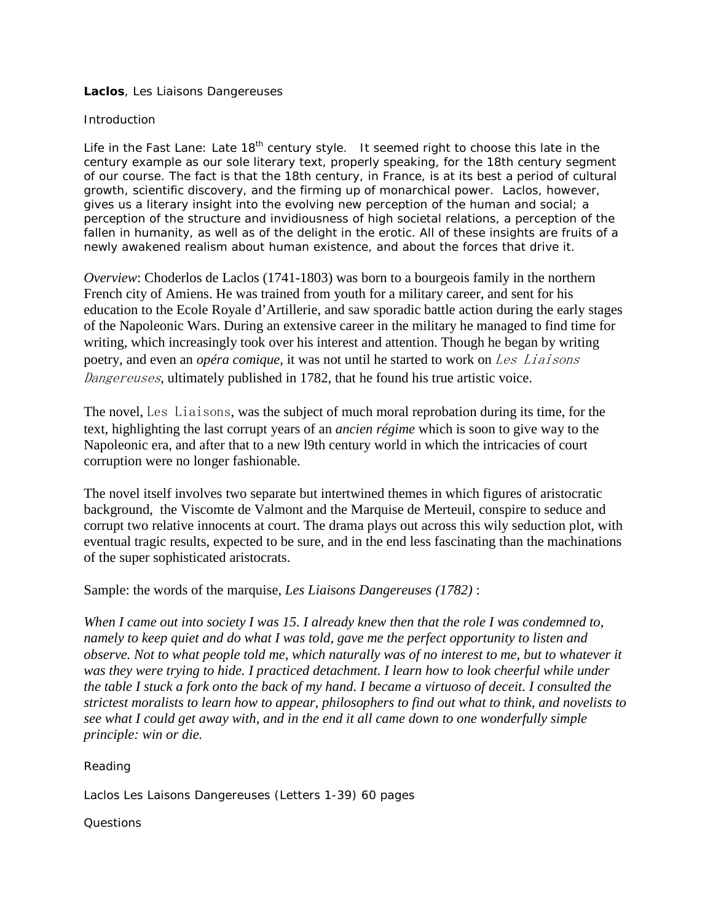#### **Laclos**, *Les Liaisons Dangereuses*

#### *Introduction*

*Life in the Fast Lane: Late 18th century style.* It seemed right to choose this late in the century example as our sole literary text, properly speaking, for the 18th century segment of our course. The fact is that the 18th century, in France, is at its best a period of cultural growth, scientific discovery, and the firming up of monarchical power. Laclos, however, gives us a literary insight into the evolving new perception of the human and social; a perception of the structure and invidiousness of high societal relations, a perception of the fallen in humanity, as well as of the delight in the erotic. All of these insights are fruits of a newly awakened realism about human existence, and about the forces that drive it.

*Overview*: Choderlos de Laclos (1741-1803) was born to a bourgeois family in the northern French city of Amiens. He was trained from youth for a military career, and sent for his education to the Ecole Royale d'Artillerie, and saw sporadic battle action during the early stages of the Napoleonic Wars. During an extensive career in the military he managed to find time for writing, which increasingly took over his interest and attention. Though he began by writing poetry, and even an *opéra comique,* it was not until he started to work on Les Liaisons Dangereuses, ultimately published in 1782, that he found his true artistic voice.

The novel, Les Liaisons, was the subject of much moral reprobation during its time, for the text, highlighting the last corrupt years of an *ancien régime* which is soon to give way to the Napoleonic era, and after that to a new l9th century world in which the intricacies of court corruption were no longer fashionable.

The novel itself involves two separate but intertwined themes in which figures of aristocratic background, the Viscomte de Valmont and the Marquise de Merteuil, conspire to seduce and corrupt two relative innocents at court. The drama plays out across this wily seduction plot, with eventual tragic results, expected to be sure, and in the end less fascinating than the machinations of the super sophisticated aristocrats.

Sample: the words of the marquise, *Les Liaisons Dangereuses (1782)* :

*When I came out into society I was 15. I already knew then that the role I was condemned to, namely to keep quiet and do what I was told, gave me the perfect opportunity to listen and observe. Not to what people told me, which naturally was of no interest to me, but to whatever it was they were trying to hide. I practiced detachment. I learn how to look cheerful while under the table I stuck a fork onto the back of my hand. I became a virtuoso of deceit. I consulted the strictest moralists to learn how to appear, philosophers to find out what to think, and novelists to see what I could get away with, and in the end it all came down to one wonderfully simple principle: win or die.*

## *Reading*

Laclos *Les Laisons Dangereuses* (Letters 1-39) 60 pages

*Questions*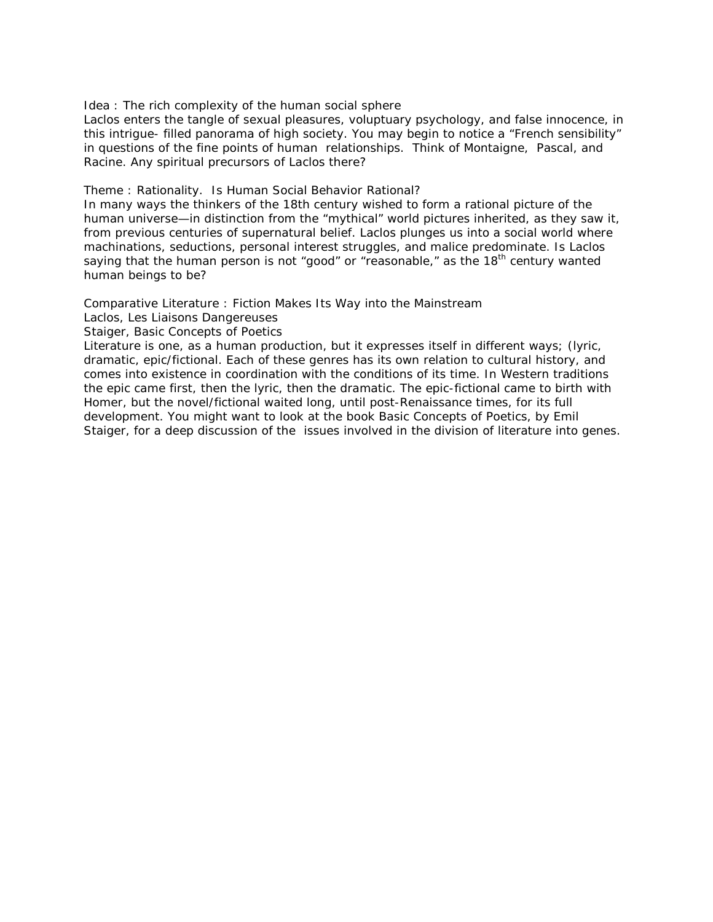#### *Idea : The rich complexity of the human social sphere*

Laclos enters the tangle of sexual pleasures, voluptuary psychology, and false innocence, in this intrigue- filled panorama of high society. You may begin to notice a "French sensibility" in questions of the fine points of human relationships. Think of Montaigne, Pascal, and Racine. Any spiritual precursors of Laclos there?

#### *Theme : Rationality. Is Human Social Behavior Rational?*

In many ways the thinkers of the 18th century wished to form a rational picture of the human universe—in distinction from the "mythical" world pictures inherited, as they saw it, from previous centuries of supernatural belief. Laclos plunges us into a social world where machinations, seductions, personal interest struggles, and malice predominate. Is Laclos saying that the human person is not "good" or "reasonable," as the  $18<sup>th</sup>$  century wanted human beings to be?

#### *Comparative Literature : Fiction Makes Its Way into the Mainstream*

Laclos, Les Liaisons Dangereuses

Staiger, Basic Concepts of Poetics

Literature is one, as a human production, but it expresses itself in different ways; (lyric, dramatic, epic/fictional. Each of these genres has its own relation to cultural history, and comes into existence in coordination with the conditions of its time. In Western traditions the epic came first, then the lyric, then the dramatic. The epic-fictional came to birth with Homer, but the novel/fictional waited long, until post-Renaissance times, for its full development. You might want to look at the book Basic Concepts of Poetics, by Emil Staiger, for a deep discussion of the issues involved in the division of literature into genes.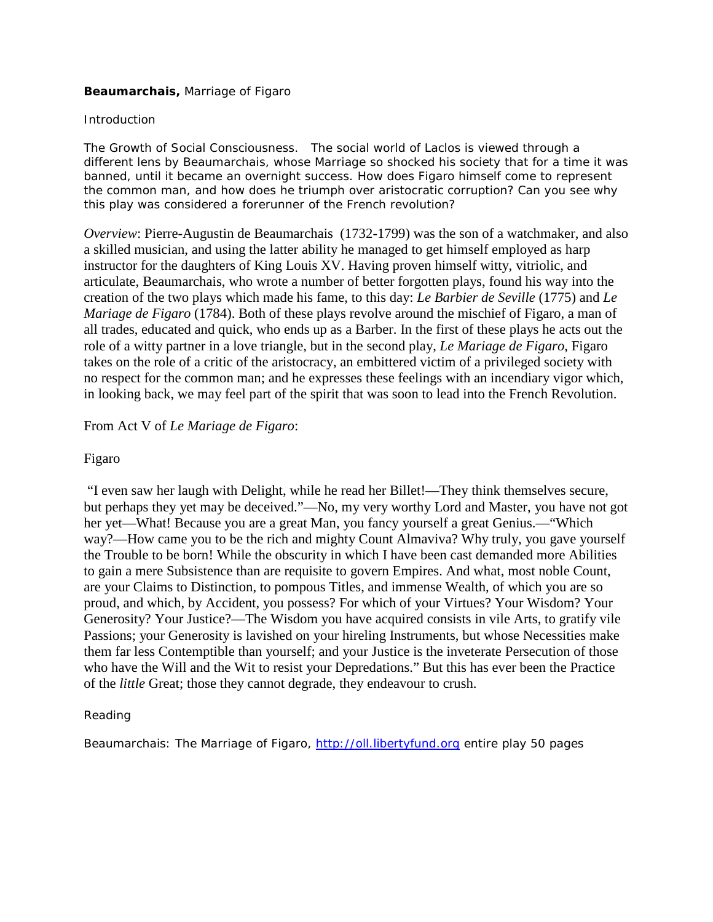## **Beaumarchais,** Marriage of Figaro

## *Introduction*

*The Growth of Social Consciousness.* The social world of Laclos is viewed through a different lens by Beaumarchais, whose Marriage so shocked his society that for a time it was banned, until it became an overnight success. How does Figaro himself come to represent the common man, and how does he triumph over aristocratic corruption? Can you see why this play was considered a forerunner of the French revolution?

*Overview*: Pierre-Augustin de Beaumarchais (1732-1799) was the son of a watchmaker, and also a skilled musician, and using the latter ability he managed to get himself employed as harp instructor for the daughters of King Louis XV. Having proven himself witty, vitriolic, and articulate, Beaumarchais, who wrote a number of better forgotten plays, found his way into the creation of the two plays which made his fame, to this day: *Le Barbier de Seville* (1775) and *Le Mariage de Figaro* (1784). Both of these plays revolve around the mischief of Figaro, a man of all trades, educated and quick, who ends up as a Barber. In the first of these plays he acts out the role of a witty partner in a love triangle, but in the second play, *Le Mariage de Figaro*, Figaro takes on the role of a critic of the aristocracy, an embittered victim of a privileged society with no respect for the common man; and he expresses these feelings with an incendiary vigor which, in looking back, we may feel part of the spirit that was soon to lead into the French Revolution.

## From Act V of *Le Mariage de Figaro*:

## Figaro

"I even saw her laugh with Delight, while he read her Billet!—They think themselves secure, but perhaps they yet may be deceived."—No, my very worthy Lord and Master, you have not got her yet—What! Because you are a great Man, you fancy yourself a great Genius.—"Which way?—How came you to be the rich and mighty Count Almaviva? Why truly, you gave yourself the Trouble to be born! While the obscurity in which I have been cast demanded more Abilities to gain a mere Subsistence than are requisite to govern Empires. And what, most noble Count, are your Claims to Distinction, to pompous Titles, and immense Wealth, of which you are so proud, and which, by Accident, you possess? For which of your Virtues? Your Wisdom? Your Generosity? Your Justice?—The Wisdom you have acquired consists in vile Arts, to gratify vile Passions; your Generosity is lavished on your hireling Instruments, but whose Necessities make them far less Contemptible than yourself; and your Justice is the inveterate Persecution of those who have the Will and the Wit to resist your Depredations." But this has ever been the Practice of the *little* Great; those they cannot degrade, they endeavour to crush.

## Reading

*Beaumarchais*: *The Marriage of Figaro, [http://oll.libertyfund.org](http://oll.libertyfund.org/)* entire play 50 pages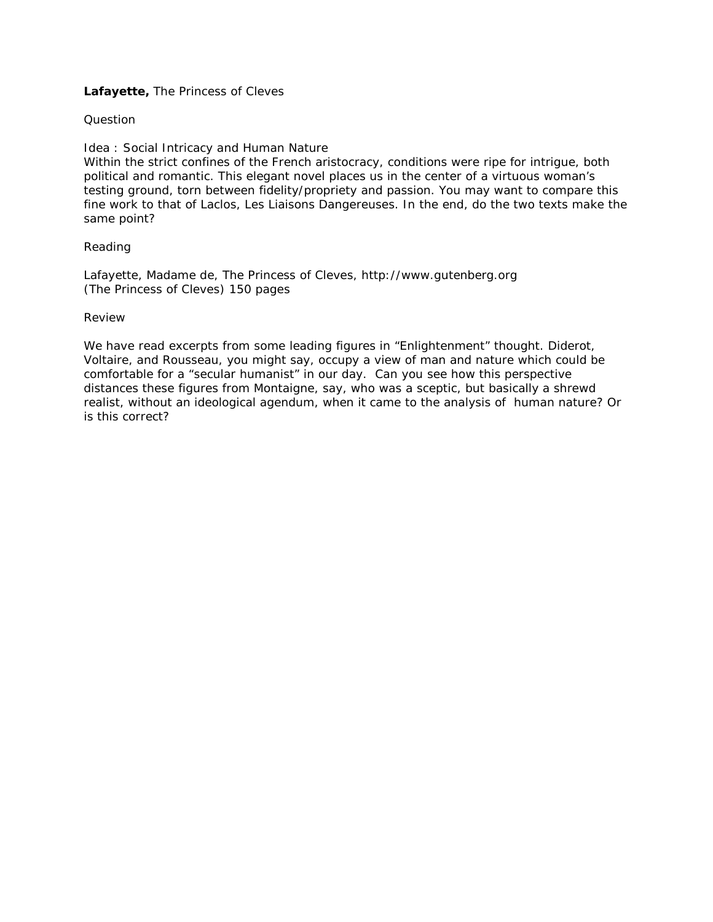## **Lafayette,** *The Princess of Cleves*

#### Question

Idea : Social Intricacy and Human Nature Within the strict confines of the French aristocracy, conditions were ripe for intrigue, both political and romantic. This elegant novel places us in the center of a virtuous woman's testing ground, torn between fidelity/propriety and passion. You may want to compare this fine work to that of Laclos, *Les Liaisons Dangereuses*. In the end, do the two texts make the same point?

#### Reading

*Lafayette, Madame de, The Princess of Cleves, http://www.gutenberg.org* (*The Princess of Cleves*) 150 pages

#### *Review*

We have read excerpts from some leading figures in "Enlightenment" thought. Diderot, Voltaire, and Rousseau, you might say, occupy a view of man and nature which could be comfortable for a "secular humanist" in our day. Can you see how this perspective distances these figures from Montaigne, say, who was a sceptic, but basically a shrewd realist, without an ideological agendum, when it came to the analysis of human nature? Or is this correct?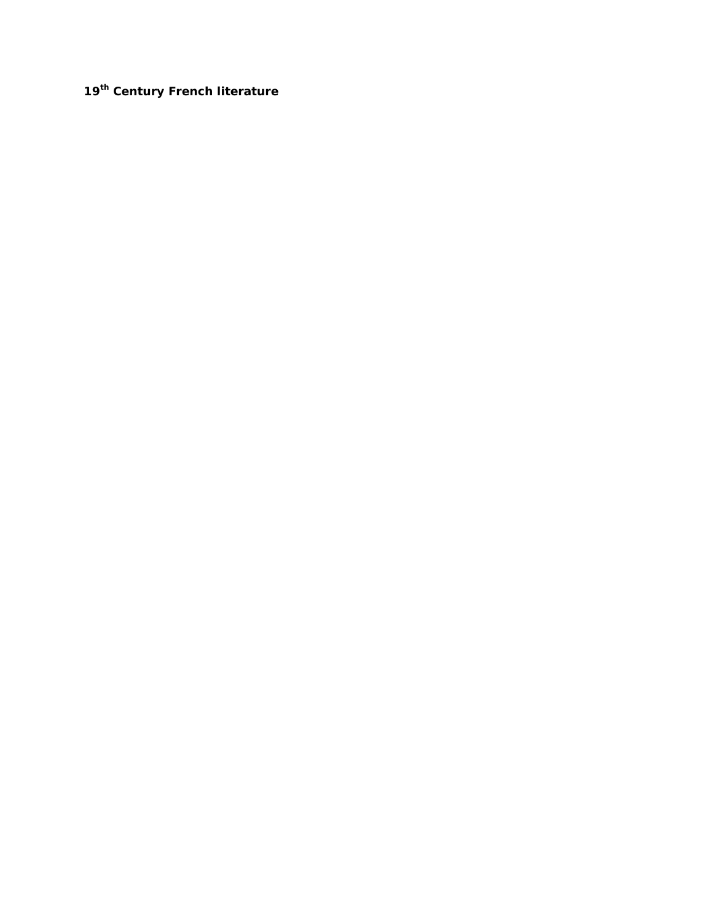# **19th Century French literature**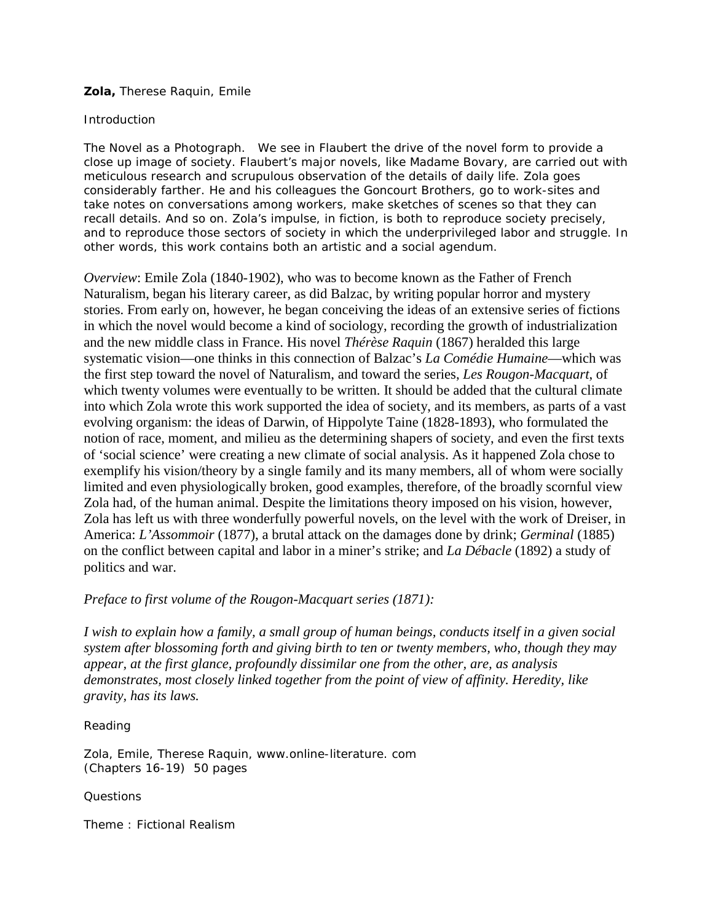#### *Zola, Therese Raquin, Emile*

#### *Introduction*

*The Novel as a Photograph.* We see in Flaubert the drive of the novel form to provide a close up image of society. Flaubert's major novels, like *Madame Bovary*, are carried out with meticulous research and scrupulous observation of the details of daily life. Zola goes considerably farther. He and his colleagues the Goncourt Brothers, go to work-sites and take notes on conversations among workers, make sketches of scenes so that they can recall details. And so on. Zola's impulse, in fiction, is both to reproduce society precisely, and to reproduce those sectors of society in which the underprivileged labor and struggle. In other words, this work contains both an artistic and a social agendum.

*Overview*: Emile Zola (1840-1902), who was to become known as the Father of French Naturalism, began his literary career, as did Balzac, by writing popular horror and mystery stories. From early on, however, he began conceiving the ideas of an extensive series of fictions in which the novel would become a kind of sociology, recording the growth of industrialization and the new middle class in France. His novel *Thérèse Raquin* (1867) heralded this large systematic vision—one thinks in this connection of Balzac's *La Comédie Humaine*—which was the first step toward the novel of Naturalism, and toward the series, *Les Rougon-Macquart*, of which twenty volumes were eventually to be written. It should be added that the cultural climate into which Zola wrote this work supported the idea of society, and its members, as parts of a vast evolving organism: the ideas of Darwin, of Hippolyte Taine (1828-1893), who formulated the notion of race, moment, and milieu as the determining shapers of society, and even the first texts of 'social science' were creating a new climate of social analysis. As it happened Zola chose to exemplify his vision/theory by a single family and its many members, all of whom were socially limited and even physiologically broken, good examples, therefore, of the broadly scornful view Zola had, of the human animal. Despite the limitations theory imposed on his vision, however, Zola has left us with three wonderfully powerful novels, on the level with the work of Dreiser, in America: *L'Assommoir* (1877), a brutal attack on the damages done by drink; *Germinal* (1885) on the conflict between capital and labor in a miner's strike; and *La Débacle* (1892) a study of politics and war.

# *Preface to first volume of the Rougon-Macquart series (1871):*

*I wish to explain how a family, a small group of human beings, conducts itself in a given social system after blossoming forth and giving birth to ten or twenty members, who, though they may appear, at the first glance, profoundly dissimilar one from the other, are, as analysis demonstrates, most closely linked together from the point of view of affinity. Heredity, like gravity, has its laws.*

## *Reading*

*Zola, Emile, Therese Raquin, www.online-literature. com* (Chapters 16-19) 50 pages

*Questions*

*Theme : Fictional Realism*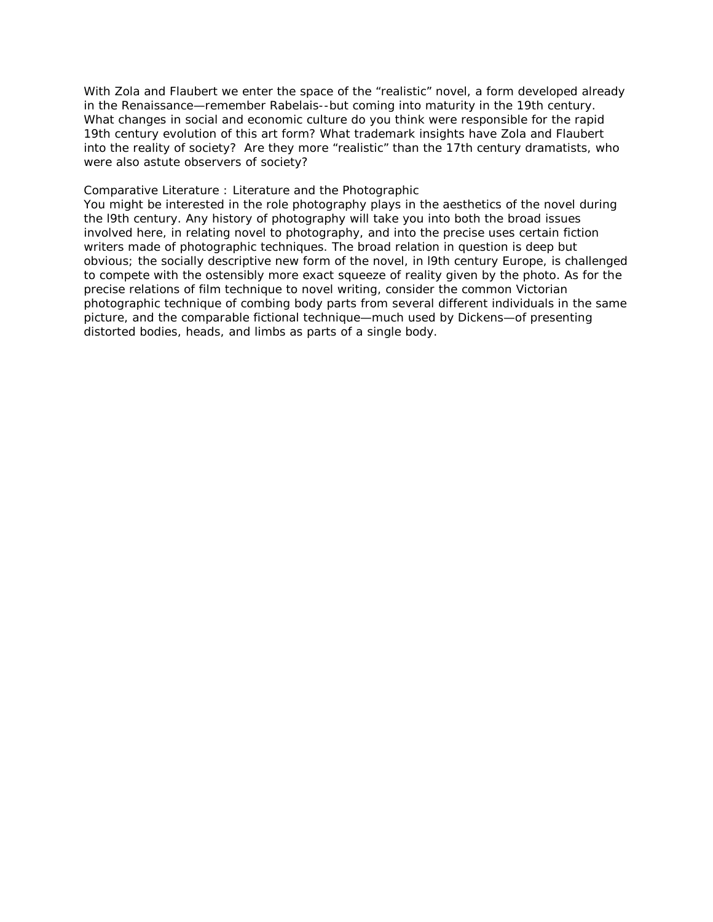With Zola and Flaubert we enter the space of the "realistic" novel, a form developed already in the Renaissance—remember Rabelais--but coming into maturity in the 19th century. What changes in social and economic culture do you think were responsible for the rapid 19th century evolution of this art form? What trademark insights have Zola and Flaubert into the reality of society? Are they more "realistic" than the 17th century dramatists, who were also astute observers of society?

*Comparative Literature :* Literature and the Photographic

You might be interested in the role photography plays in the aesthetics of the novel during the l9th century. Any history of photography will take you into both the broad issues involved here, in relating novel to photography, and into the precise uses certain fiction writers made of photographic techniques. The broad relation in question is deep but obvious; the socially descriptive new form of the novel, in l9th century Europe, is challenged to compete with the ostensibly more exact squeeze of reality given by the photo. As for the precise relations of film technique to novel writing, consider the common Victorian photographic technique of combing body parts from several different individuals in the same picture, and the comparable fictional technique—much used by Dickens—of presenting distorted bodies, heads, and limbs as parts of a single body.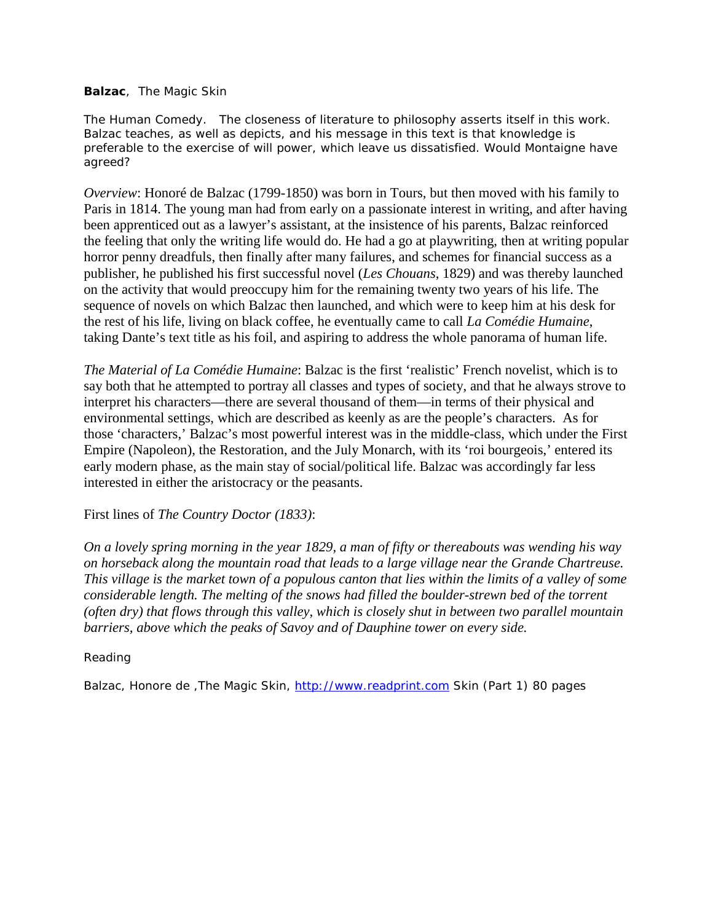**Balzac**, The Magic Skin

*The Human Comedy.* The closeness of literature to philosophy asserts itself in this work. Balzac teaches, as well as depicts, and his message in this text is that knowledge is preferable to the exercise of will power, which leave us dissatisfied. Would Montaigne have agreed?

*Overview*: Honoré de Balzac (1799-1850) was born in Tours, but then moved with his family to Paris in 1814. The young man had from early on a passionate interest in writing, and after having been apprenticed out as a lawyer's assistant, at the insistence of his parents, Balzac reinforced the feeling that only the writing life would do. He had a go at playwriting, then at writing popular horror penny dreadfuls, then finally after many failures, and schemes for financial success as a publisher, he published his first successful novel (*Les Chouans*, 1829) and was thereby launched on the activity that would preoccupy him for the remaining twenty two years of his life. The sequence of novels on which Balzac then launched, and which were to keep him at his desk for the rest of his life, living on black coffee, he eventually came to call *La Comédie Humaine*, taking Dante's text title as his foil, and aspiring to address the whole panorama of human life.

*The Material of La Comédie Humaine*: Balzac is the first 'realistic' French novelist, which is to say both that he attempted to portray all classes and types of society, and that he always strove to interpret his characters—there are several thousand of them—in terms of their physical and environmental settings, which are described as keenly as are the people's characters. As for those 'characters,' Balzac's most powerful interest was in the middle-class, which under the First Empire (Napoleon), the Restoration, and the July Monarch, with its 'roi bourgeois,' entered its early modern phase, as the main stay of social/political life. Balzac was accordingly far less interested in either the aristocracy or the peasants.

First lines of *The Country Doctor (1833)*:

*On a lovely spring morning in the year 1829, a man of fifty or thereabouts was wending his way on horseback along the mountain road that leads to a large village near the Grande Chartreuse. This village is the market town of a populous canton that lies within the limits of a valley of some considerable length. The melting of the snows had filled the boulder-strewn bed of the torrent (often dry) that flows through this valley, which is closely shut in between two parallel mountain barriers, above which the peaks of Savoy and of Dauphine tower on every side.* 

## Reading

*Balzac, Honore de ,The Magic Skin, [http://www.readprint.com](http://www.readprint.com/) Skin* (Part 1) 80 pages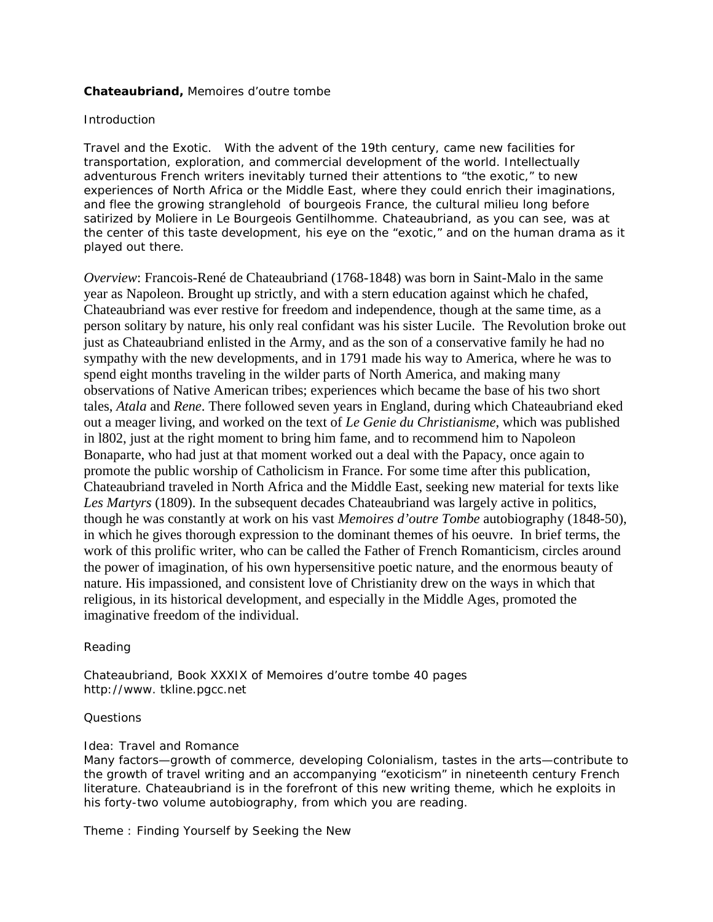#### **Chateaubriand,** *Memoires d'outre tombe*

#### *Introduction*

*Travel and the Exotic.* With the advent of the 19th century, came new facilities for transportation, exploration, and commercial development of the world. Intellectually adventurous French writers inevitably turned their attentions to "the exotic," to new experiences of North Africa or the Middle East, where they could enrich their imaginations, and flee the growing stranglehold of bourgeois France, the cultural milieu long before satirized by Moliere in *Le Bourgeois Gentilhomme*. Chateaubriand, as you can see, was at the center of this taste development, his eye on the "exotic," and on the human drama as it played out there.

*Overview*: Francois-René de Chateaubriand (1768-1848) was born in Saint-Malo in the same year as Napoleon. Brought up strictly, and with a stern education against which he chafed, Chateaubriand was ever restive for freedom and independence, though at the same time, as a person solitary by nature, his only real confidant was his sister Lucile. The Revolution broke out just as Chateaubriand enlisted in the Army, and as the son of a conservative family he had no sympathy with the new developments, and in 1791 made his way to America, where he was to spend eight months traveling in the wilder parts of North America, and making many observations of Native American tribes; experiences which became the base of his two short tales, *Atala* and *Rene*. There followed seven years in England, during which Chateaubriand eked out a meager living, and worked on the text of *Le Genie du Christianisme*, which was published in l802, just at the right moment to bring him fame, and to recommend him to Napoleon Bonaparte, who had just at that moment worked out a deal with the Papacy, once again to promote the public worship of Catholicism in France. For some time after this publication, Chateaubriand traveled in North Africa and the Middle East, seeking new material for texts like *Les Martyrs* (1809). In the subsequent decades Chateaubriand was largely active in politics, though he was constantly at work on his vast *Memoires d'outre Tombe* autobiography (1848-50), in which he gives thorough expression to the dominant themes of his oeuvre. In brief terms, the work of this prolific writer, who can be called the Father of French Romanticism, circles around the power of imagination, of his own hypersensitive poetic nature, and the enormous beauty of nature. His impassioned, and consistent love of Christianity drew on the ways in which that religious, in its historical development, and especially in the Middle Ages, promoted the imaginative freedom of the individual.

## *Reading*

Chateaubriand, Book XXXIX of *Memoires d'outre tombe* 40 pages *http://www. tkline.pgcc.net*

## *Questions*

#### *Idea: Travel and Romance*

Many factors—growth of commerce, developing Colonialism, tastes in the arts—contribute to the growth of travel writing and an accompanying "exoticism" in nineteenth century French literature. Chateaubriand is in the forefront of this new writing theme, which he exploits in his forty-two volume autobiography, from which you are reading.

*Theme : Finding Yourself by Seeking the New*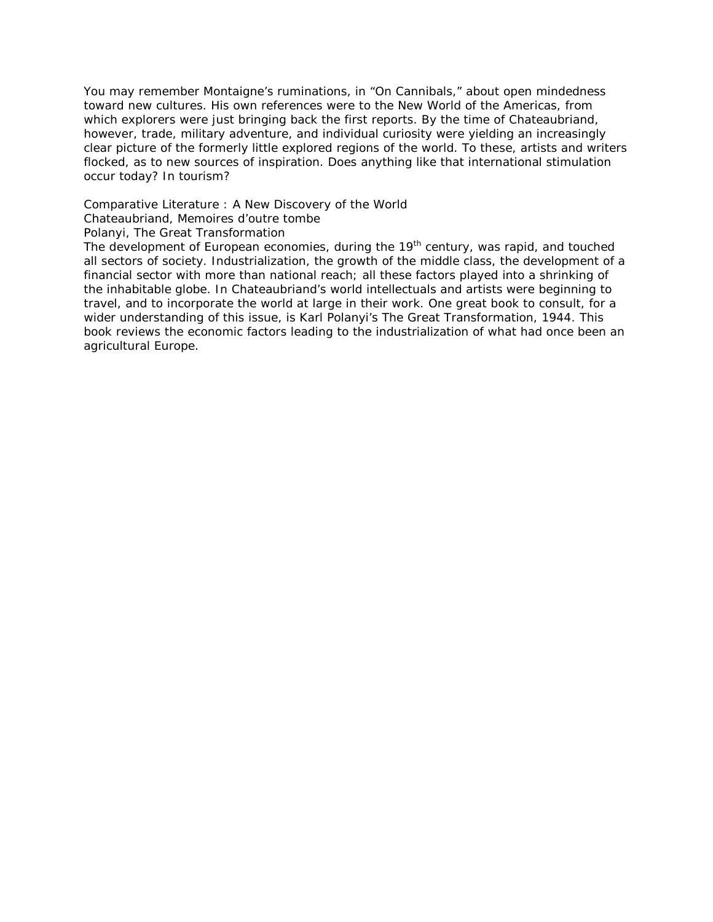You may remember Montaigne's ruminations, in "On Cannibals," about open mindedness toward new cultures. His own references were to the New World of the Americas, from which explorers were just bringing back the first reports. By the time of Chateaubriand, however, trade, military adventure, and individual curiosity were yielding an increasingly clear picture of the formerly little explored regions of the world. To these, artists and writers flocked, as to new sources of inspiration. Does anything like that international stimulation occur today? In tourism?

# *Comparative Literature : A New Discovery of the World* Chateaubriand, *Memoires d'outre tombe*

## Polanyi*, The Great Transformation*

The development of European economies, during the 19<sup>th</sup> century, was rapid, and touched all sectors of society. Industrialization, the growth of the middle class, the development of a financial sector with more than national reach; all these factors played into a shrinking of the inhabitable globe. In Chateaubriand's world intellectuals and artists were beginning to travel, and to incorporate the world at large in their work. One great book to consult, for a wider understanding of this issue, is Karl Polanyi's *The Great Transformation,* 1944. This book reviews the economic factors leading to the industrialization of what had once been an agricultural Europe.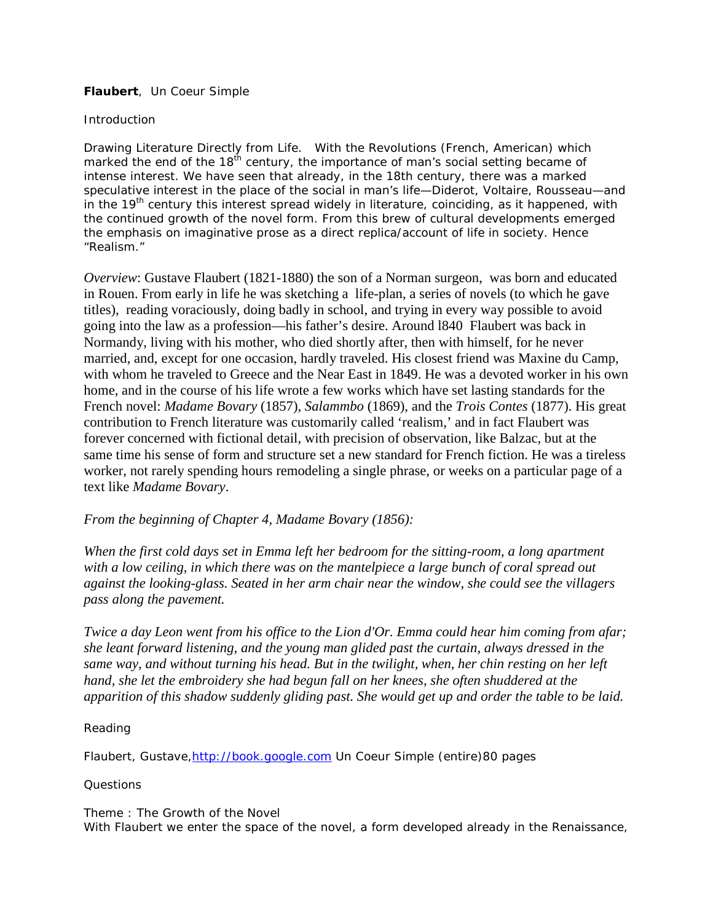## **Flaubert**, *Un Coeur Simple*

#### *Introduction*

*Drawing Literature Directly from Life.* With the Revolutions (French, American) which marked the end of the  $18<sup>th</sup>$  century, the importance of man's social setting became of intense interest. We have seen that already, in the 18th century, there was a marked speculative interest in the place of the social in man's life—Diderot, Voltaire, Rousseau—and in the 19<sup>th</sup> century this interest spread widely in literature, coinciding, as it happened, with the continued growth of the novel form. From this brew of cultural developments emerged the emphasis on imaginative prose as a direct replica/account of life in society. Hence "Realism."

*Overview*: Gustave Flaubert (1821-1880) the son of a Norman surgeon, was born and educated in Rouen. From early in life he was sketching a life-plan, a series of novels (to which he gave titles), reading voraciously, doing badly in school, and trying in every way possible to avoid going into the law as a profession—his father's desire. Around l840 Flaubert was back in Normandy, living with his mother, who died shortly after, then with himself, for he never married, and, except for one occasion, hardly traveled. His closest friend was Maxine du Camp, with whom he traveled to Greece and the Near East in 1849. He was a devoted worker in his own home, and in the course of his life wrote a few works which have set lasting standards for the French novel: *Madame Bovary* (1857), *Salammbo* (1869), and the *Trois Contes* (1877). His great contribution to French literature was customarily called 'realism,' and in fact Flaubert was forever concerned with fictional detail, with precision of observation, like Balzac, but at the same time his sense of form and structure set a new standard for French fiction. He was a tireless worker, not rarely spending hours remodeling a single phrase, or weeks on a particular page of a text like *Madame Bovary*.

## *From the beginning of Chapter 4, Madame Bovary (1856):*

*When the first cold days set in Emma left her bedroom for the sitting-room, a long apartment with a low ceiling, in which there was on the mantelpiece a large bunch of coral spread out against the looking-glass. Seated in her arm chair near the window, she could see the villagers pass along the pavement.*

*Twice a day Leon went from his office to the Lion d'Or. Emma could hear him coming from afar; she leant forward listening, and the young man glided past the curtain, always dressed in the same way, and without turning his head. But in the twilight, when, her chin resting on her left hand, she let the embroidery she had begun fall on her knees, she often shuddered at the apparition of this shadow suddenly gliding past. She would get up and order the table to be laid.*

## *Reading*

*Flaubert, Gustave[,http://book.google.com](http://book.google.com/) Un Coeur Simple (entire)*80 pages

## *Questions*

*Theme :* The Growth of the Novel With Flaubert we enter the space of the novel, a form developed already in the Renaissance,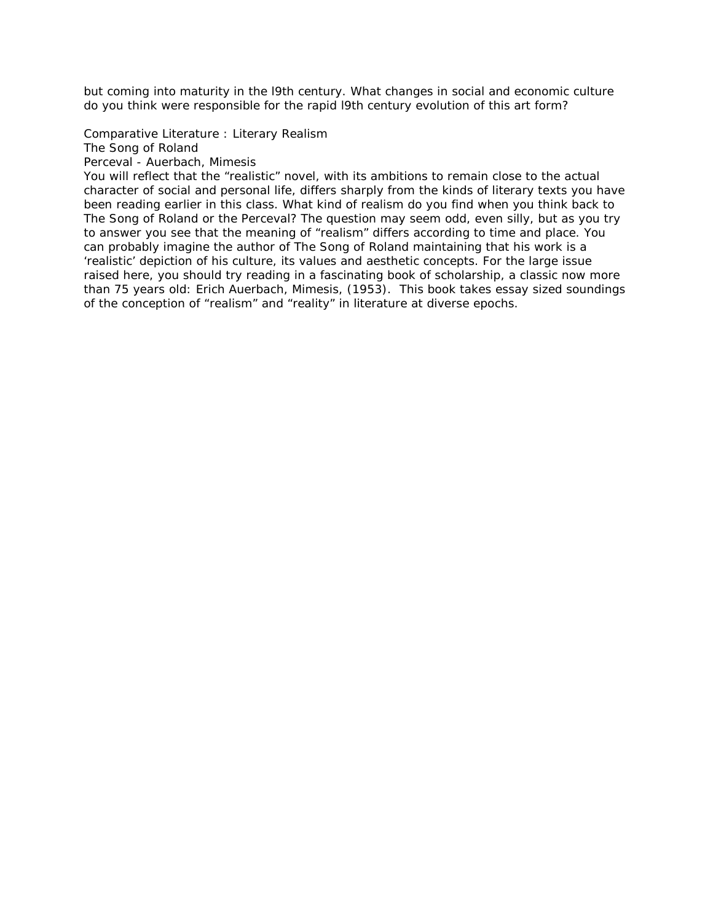but coming into maturity in the l9th century. What changes in social and economic culture do you think were responsible for the rapid l9th century evolution of this art form?

*Comparative Literature : Literary Realism*

The Song of Roland

Perceval - Auerbach, Mimesis

You will reflect that the "realistic" novel, with its ambitions to remain close to the actual character of social and personal life, differs sharply from the kinds of literary texts you have been reading earlier in this class. What kind of realism do you find when you think back to The Song of Roland or the Perceval? The question may seem odd, even silly, but as you try to answer you see that the meaning of "realism" differs according to time and place. You can probably imagine the author of The Song of Roland maintaining that his work is a 'realistic' depiction of his culture, its values and aesthetic concepts. For the large issue raised here, you should try reading in a fascinating book of scholarship, a classic now more than 75 years old: Erich Auerbach, Mimesis, (1953). This book takes essay sized soundings of the conception of "realism" and "reality" in literature at diverse epochs.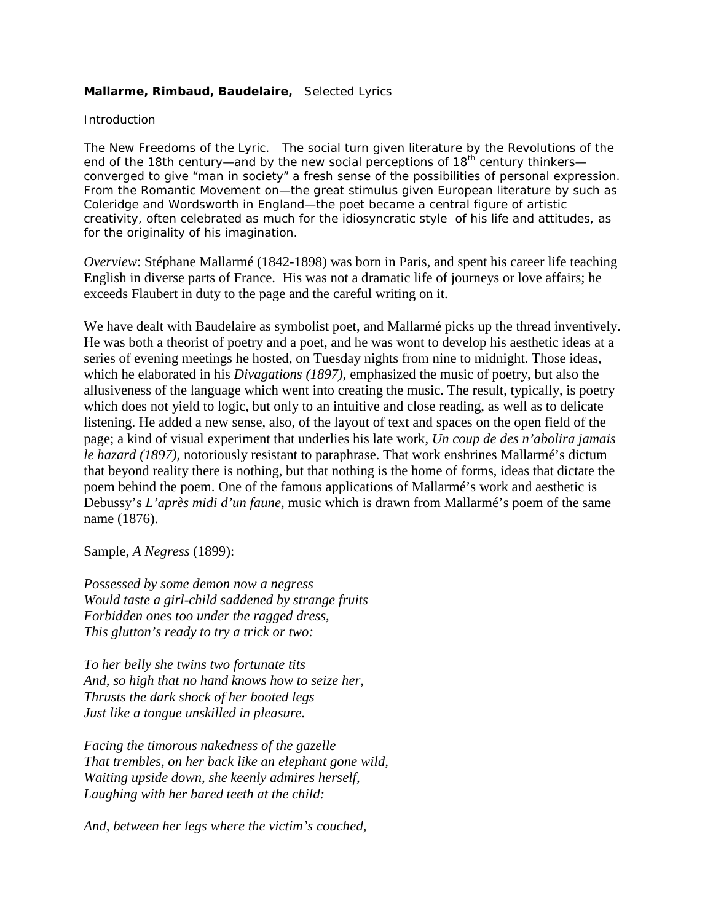## **Mallarme, Rimbaud, Baudelaire,** Selected Lyrics

#### *Introduction*

*The New Freedoms of the Lyric.* The social turn given literature by the Revolutions of the end of the 18th century—and by the new social perceptions of  $18<sup>th</sup>$  century thinkers converged to give "man in society" a fresh sense of the possibilities of personal expression. From the Romantic Movement on—the great stimulus given European literature by such as Coleridge and Wordsworth in England—the poet became a central figure of artistic creativity, often celebrated as much for the idiosyncratic style of his life and attitudes, as for the originality of his imagination.

*Overview*: Stéphane Mallarmé (1842-1898) was born in Paris, and spent his career life teaching English in diverse parts of France. His was not a dramatic life of journeys or love affairs; he exceeds Flaubert in duty to the page and the careful writing on it.

We have dealt with Baudelaire as symbolist poet, and Mallarmé picks up the thread inventively. He was both a theorist of poetry and a poet, and he was wont to develop his aesthetic ideas at a series of evening meetings he hosted, on Tuesday nights from nine to midnight. Those ideas, which he elaborated in his *Divagations (1897),* emphasized the music of poetry, but also the allusiveness of the language which went into creating the music. The result, typically, is poetry which does not yield to logic, but only to an intuitive and close reading, as well as to delicate listening. He added a new sense, also, of the layout of text and spaces on the open field of the page; a kind of visual experiment that underlies his late work, *Un coup de des n'abolira jamais le hazard (1897),* notoriously resistant to paraphrase. That work enshrines Mallarmé's dictum that beyond reality there is nothing, but that nothing is the home of forms, ideas that dictate the poem behind the poem. One of the famous applications of Mallarmé's work and aesthetic is Debussy's *L'après midi d'un faune*, music which is drawn from Mallarmé's poem of the same name (1876).

Sample, *A Negress* (1899):

*Possessed by some demon now a negress Would taste a girl-child saddened by strange fruits Forbidden ones too under the ragged dress, This glutton's ready to try a trick or two:*

*To her belly she twins two fortunate tits And, so high that no hand knows how to seize her, Thrusts the dark shock of her booted legs Just like a tongue unskilled in pleasure.*

*Facing the timorous nakedness of the gazelle That trembles, on her back like an elephant gone wild, Waiting upside down, she keenly admires herself, Laughing with her bared teeth at the child:*

*And, between her legs where the victim's couched,*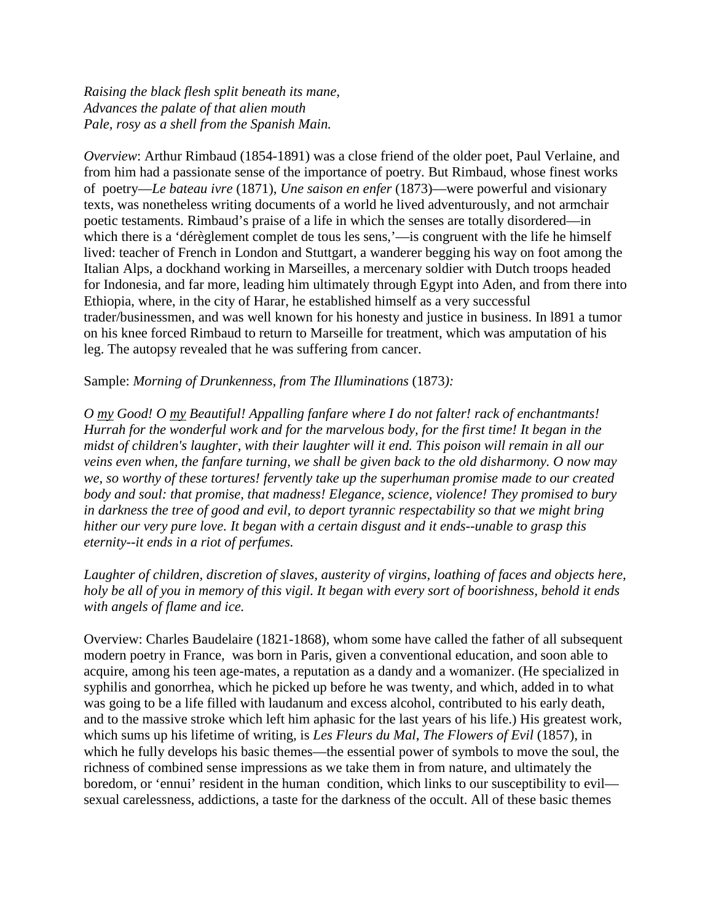# *Raising the black flesh split beneath its mane, Advances the palate of that alien mouth Pale, rosy as a shell from the Spanish Main.*

*Overview*: Arthur Rimbaud (1854-1891) was a close friend of the older poet, Paul Verlaine, and from him had a passionate sense of the importance of poetry. But Rimbaud, whose finest works of poetry—*Le bateau ivre* (1871), *Une saison en enfer* (1873)—were powerful and visionary texts, was nonetheless writing documents of a world he lived adventurously, and not armchair poetic testaments. Rimbaud's praise of a life in which the senses are totally disordered—in which there is a 'dérèglement complet de tous les sens,'—is congruent with the life he himself lived: teacher of French in London and Stuttgart, a wanderer begging his way on foot among the Italian Alps, a dockhand working in Marseilles, a mercenary soldier with Dutch troops headed for Indonesia, and far more, leading him ultimately through Egypt into Aden, and from there into Ethiopia, where, in the city of Harar, he established himself as a very successful trader/businessmen, and was well known for his honesty and justice in business. In l891 a tumor on his knee forced Rimbaud to return to Marseille for treatment, which was amputation of his leg. The autopsy revealed that he was suffering from cancer.

# Sample: *Morning of Drunkenness, from The Illuminations* (1873*):*

*O my Good! O my Beautiful! Appalling fanfare where I do not falter! rack of enchantmants! Hurrah for the wonderful work and for the marvelous body, for the first time! It began in the midst of children's laughter, with their laughter will it end. This poison will remain in all our veins even when, the fanfare turning, we shall be given back to the old disharmony. O now may we, so worthy of these tortures! fervently take up the superhuman promise made to our created body and soul: that promise, that madness! Elegance, science, violence! They promised to bury in darkness the tree of good and evil, to deport tyrannic respectability so that we might bring hither our very pure love. It began with a certain disgust and it ends--unable to grasp this eternity--it ends in a riot of perfumes.*

Laughter of children, discretion of slaves, austerity of virgins, loathing of faces and objects here, *holy be all of you in memory of this vigil. It began with every sort of boorishness, behold it ends with angels of flame and ice.*

Overview: Charles Baudelaire (1821-1868), whom some have called the father of all subsequent modern poetry in France, was born in Paris, given a conventional education, and soon able to acquire, among his teen age-mates, a reputation as a dandy and a womanizer. (He specialized in syphilis and gonorrhea, which he picked up before he was twenty, and which, added in to what was going to be a life filled with laudanum and excess alcohol, contributed to his early death, and to the massive stroke which left him aphasic for the last years of his life.) His greatest work, which sums up his lifetime of writing, is *Les Fleurs du Mal*, *The Flowers of Evil* (1857), in which he fully develops his basic themes—the essential power of symbols to move the soul, the richness of combined sense impressions as we take them in from nature, and ultimately the boredom, or 'ennui' resident in the human condition, which links to our susceptibility to evil sexual carelessness, addictions, a taste for the darkness of the occult. All of these basic themes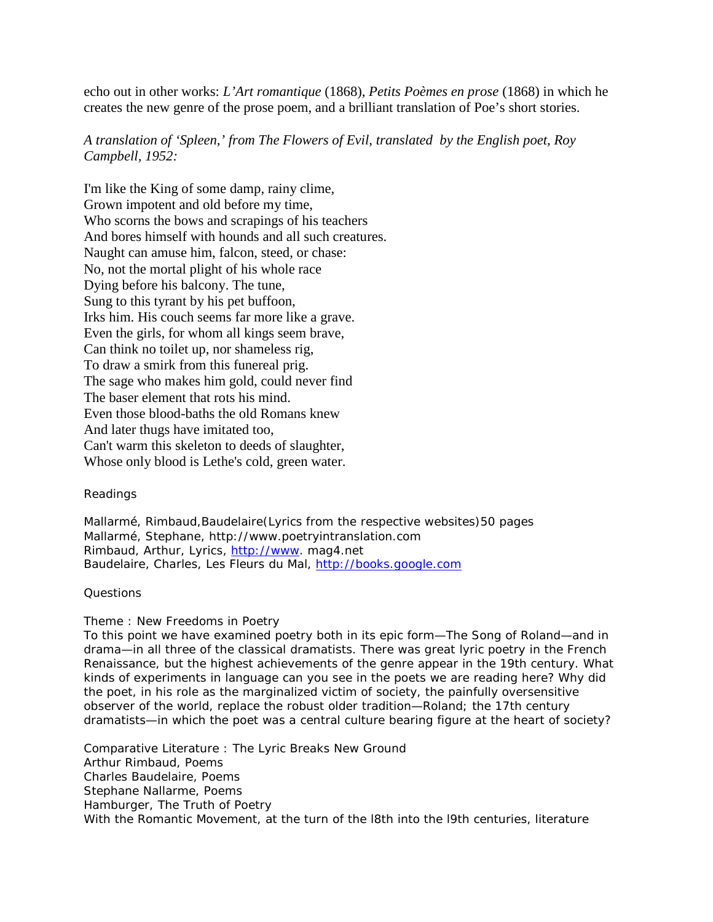echo out in other works: *L'Art romantique* (1868), *Petits Poèmes en prose* (1868) in which he creates the new genre of the prose poem, and a brilliant translation of Poe's short stories.

# *A translation of 'Spleen,' from The Flowers of Evil, translated by the English poet, Roy Campbell, 1952:*

I'm like the King of some damp, rainy clime, Grown impotent and old before my time, Who scorns the bows and scrapings of his teachers And bores himself with hounds and all such creatures. Naught can amuse him, falcon, steed, or chase: No, not the mortal plight of his whole race Dying before his balcony. The tune, Sung to this tyrant by his pet buffoon, Irks him. His couch seems far more like a grave. Even the girls, for whom all kings seem brave, Can think no toilet up, nor shameless rig, To draw a smirk from this funereal prig. The sage who makes him gold, could never find The baser element that rots his mind. Even those blood-baths the old Romans knew And later thugs have imitated too, Can't warm this skeleton to deeds of slaughter, Whose only blood is Lethe's cold, green water.

## *Readings*

Mallarmé, Rimbaud,Baudelaire(Lyrics from the respective websites)50 pages *Mallarmé, Stephane, http://www.poetryintranslation.com Rimbaud, Arthur, Lyrics, [http://www.](http://www/) mag4.net Baudelaire, Charles, Les Fleurs du Mal, [http://books.google.com](http://books.google.com/)*

## *Questions*

## *Theme : New Freedoms in Poetry*

To this point we have examined poetry both in its epic form—*The Song of Roland*—and in drama—in all three of the classical dramatists. There was great lyric poetry in the French Renaissance, but the highest achievements of the genre appear in the 19th century. What kinds of experiments in language can you see in the poets we are reading here? Why did the poet, in his role as the marginalized victim of society, the painfully oversensitive observer of the world, replace the robust older tradition—Roland; the 17th century dramatists—in which the poet was a central culture bearing figure at the heart of society?

*Comparative Literature :* The Lyric Breaks New Ground Arthur Rimbaud, Poems Charles Baudelaire, Poems Stephane Nallarme, Poems Hamburger, The Truth of Poetry With the Romantic Movement, at the turn of the l8th into the l9th centuries, literature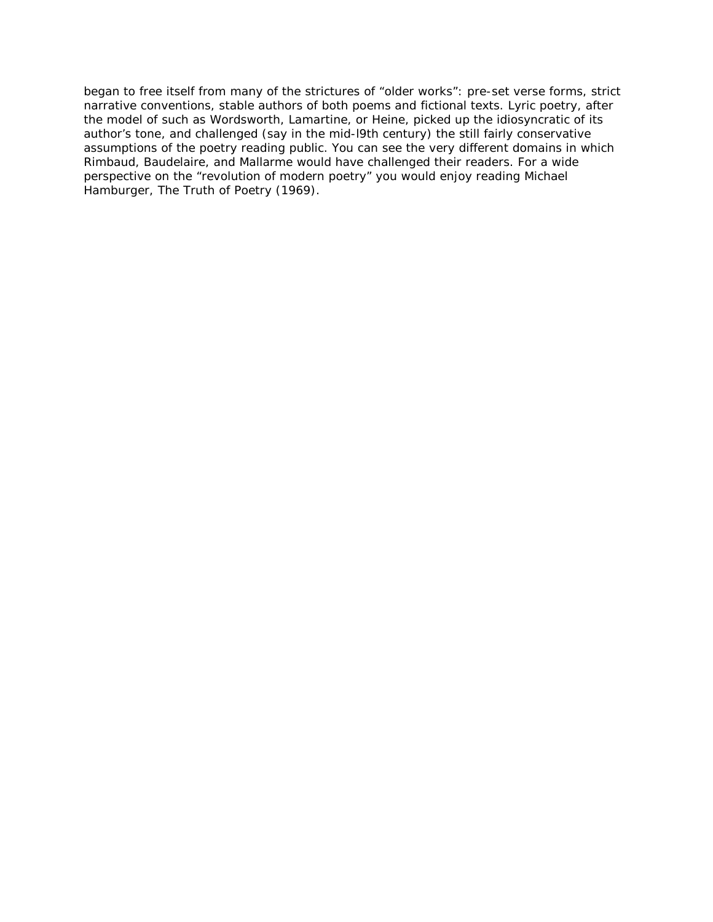began to free itself from many of the strictures of "older works": pre-set verse forms, strict narrative conventions, stable authors of both poems and fictional texts. Lyric poetry, after the model of such as Wordsworth, Lamartine, or Heine, picked up the idiosyncratic of its author's tone, and challenged (say in the mid-l9th century) the still fairly conservative assumptions of the poetry reading public. You can see the very different domains in which Rimbaud, Baudelaire, and Mallarme would have challenged their readers. For a wide perspective on the "revolution of modern poetry" you would enjoy reading Michael Hamburger, The Truth of Poetry (1969).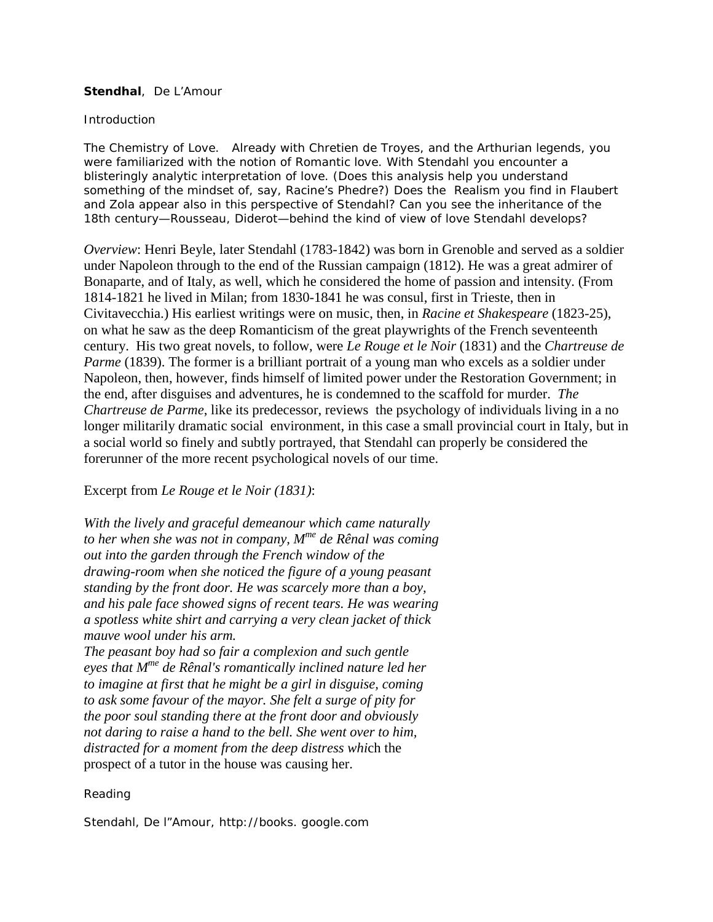#### *Stendhal, De L'Amour*

#### *Introduction*

*The Chemistry of Love.* Already with Chretien de Troyes, and the Arthurian legends, you were familiarized with the notion of Romantic love. With Stendahl you encounter a blisteringly analytic interpretation of love. (Does this analysis help you understand something of the mindset of, say, Racine's Phedre?) Does the Realism you find in Flaubert and Zola appear also in this perspective of Stendahl? Can you see the inheritance of the 18th century—Rousseau, Diderot—behind the kind of view of love Stendahl develops?

*Overview*: Henri Beyle, later Stendahl (1783-1842) was born in Grenoble and served as a soldier under Napoleon through to the end of the Russian campaign (1812). He was a great admirer of Bonaparte, and of Italy, as well, which he considered the home of passion and intensity. (From 1814-1821 he lived in Milan; from 1830-1841 he was consul, first in Trieste, then in Civitavecchia.) His earliest writings were on music, then, in *Racine et Shakespeare* (1823-25), on what he saw as the deep Romanticism of the great playwrights of the French seventeenth century. His two great novels, to follow, were *Le Rouge et le Noir* (1831) and the *Chartreuse de Parme* (1839). The former is a brilliant portrait of a young man who excels as a soldier under Napoleon, then, however, finds himself of limited power under the Restoration Government; in the end, after disguises and adventures, he is condemned to the scaffold for murder. *The Chartreuse de Parme*, like its predecessor, reviews the psychology of individuals living in a no longer militarily dramatic social environment, in this case a small provincial court in Italy, but in a social world so finely and subtly portrayed, that Stendahl can properly be considered the forerunner of the more recent psychological novels of our time.

## Excerpt from *Le Rouge et le Noir (1831)*:

*With the lively and graceful demeanour which came naturally to her when she was not in company, Mme de Rênal was coming out into the garden through the French window of the drawing-room when she noticed the figure of a young peasant standing by the front door. He was scarcely more than a boy, and his pale face showed signs of recent tears. He was wearing a spotless white shirt and carrying a very clean jacket of thick mauve wool under his arm.* 

*The peasant boy had so fair a complexion and such gentle eyes that Mme de Rênal's romantically inclined nature led her to imagine at first that he might be a girl in disguise, coming to ask some favour of the mayor. She felt a surge of pity for the poor soul standing there at the front door and obviously not daring to raise a hand to the bell. She went over to him, distracted for a moment from the deep distress whi*ch the prospect of a tutor in the house was causing her.

## *Reading*

*Stendahl, De l"Amour, http://books. google.com*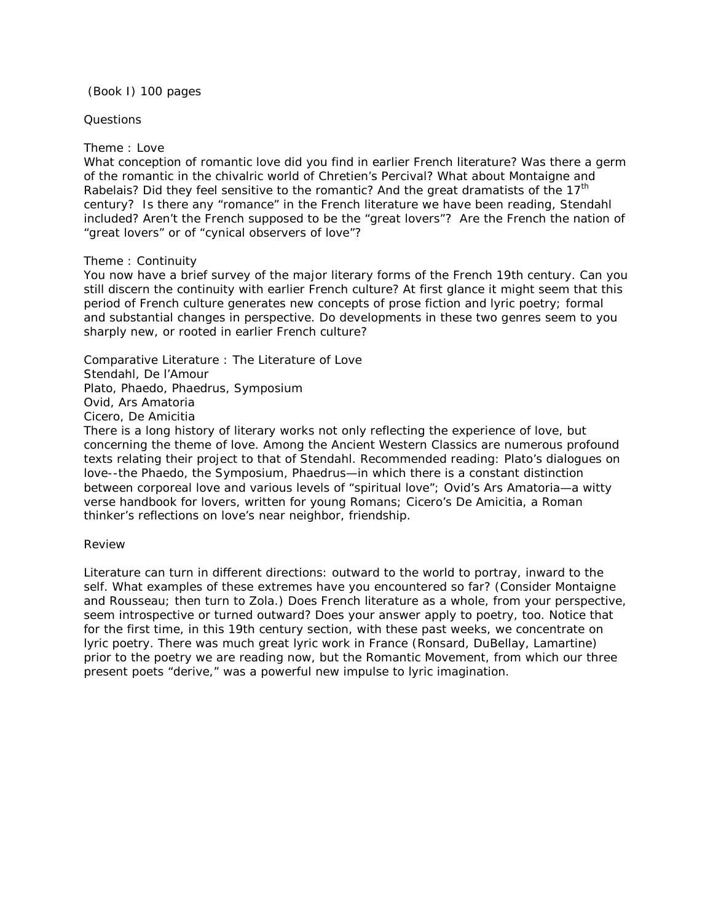#### (Book I) 100 pages

#### *Questions*

#### *Theme : Love*

What conception of romantic love did you find in earlier French literature? Was there a germ of the romantic in the chivalric world of Chretien's Percival? What about Montaigne and Rabelais? Did they feel sensitive to the romantic? And the great dramatists of the 17<sup>th</sup> century? Is there any "romance" in the French literature we have been reading, Stendahl included? Aren't the French supposed to be the "great lovers"? Are the French the nation of "great lovers" or of "cynical observers of love"?

#### *Theme : Continuity*

You now have a brief survey of the major literary forms of the French 19th century. Can you still discern the continuity with earlier French culture? At first glance it might seem that this period of French culture generates new concepts of prose fiction and lyric poetry; formal and substantial changes in perspective. Do developments in these two genres seem to you sharply new, or rooted in earlier French culture?

*Comparative Literature : The Literature of Love*

Stendahl, De l'Amour Plato, Phaedo, Phaedrus, Symposium Ovid, Ars Amatoria Cicero, De Amicitia

There is a long history of literary works not only reflecting the experience of love, but concerning the theme of love. Among the Ancient Western Classics are numerous profound texts relating their project to that of Stendahl. Recommended reading: Plato's dialogues on love--the Phaedo, the Symposium, Phaedrus—in which there is a constant distinction between corporeal love and various levels of "spiritual love"; Ovid's Ars Amatoria—a witty verse handbook for lovers, written for young Romans; Cicero's De Amicitia, a Roman thinker's reflections on love's near neighbor, friendship.

#### *Review*

Literature can turn in different directions: outward to the world to portray, inward to the self. What examples of these extremes have you encountered so far? (Consider Montaigne and Rousseau; then turn to Zola.) Does French literature as a whole, from your perspective, seem introspective or turned outward? Does your answer apply to poetry, too. Notice that for the first time, in this 19th century section, with these past weeks, we concentrate on lyric poetry. There was much great lyric work in France (Ronsard, DuBellay, Lamartine) prior to the poetry we are reading now, but the Romantic Movement, from which our three present poets "derive," was a powerful new impulse to lyric imagination.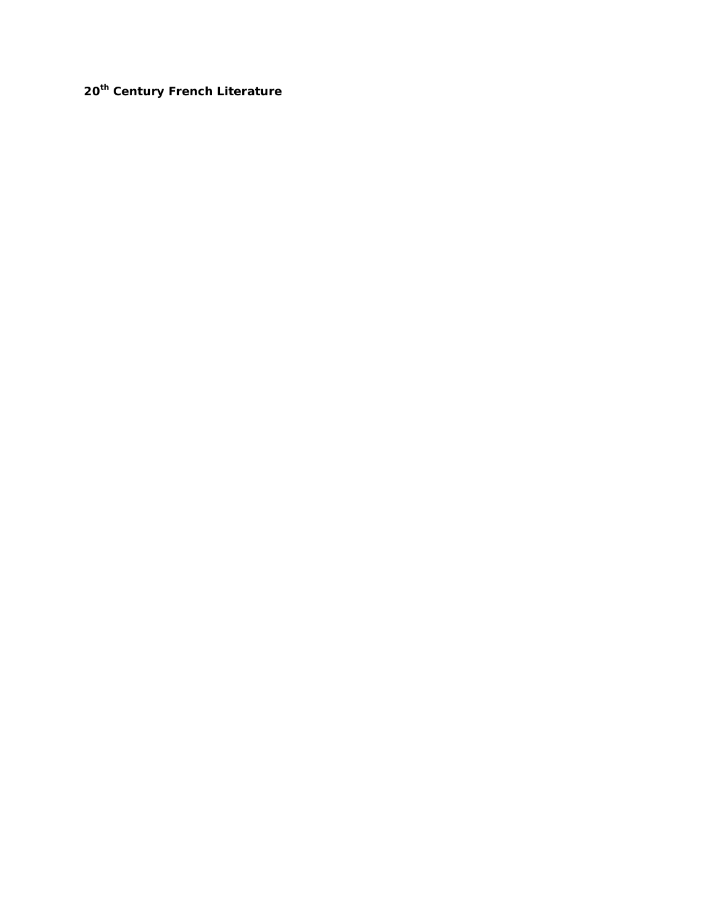# **20th Century French Literature**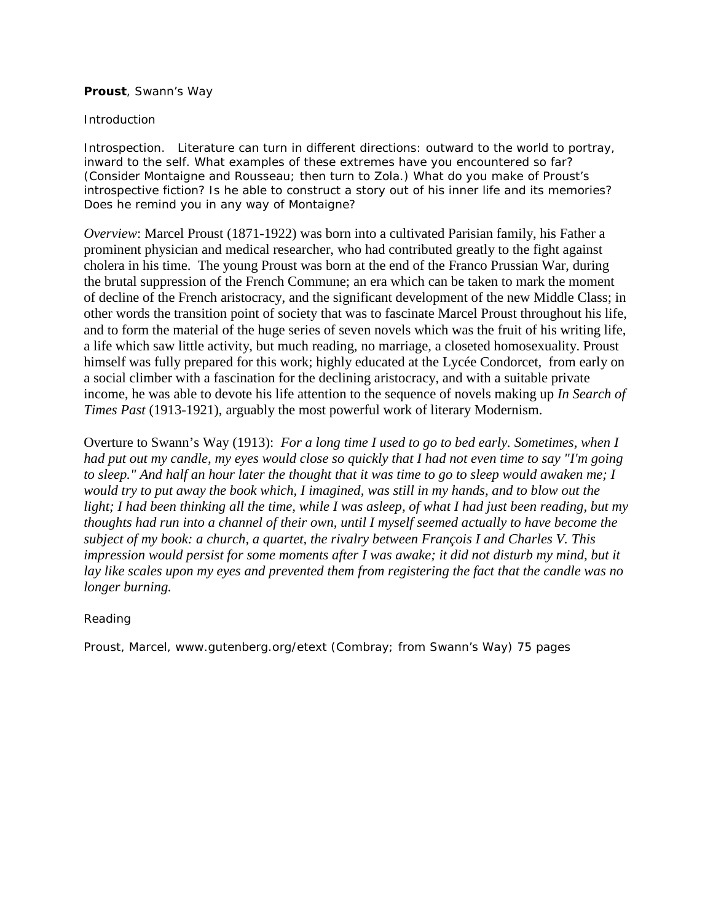#### **Proust**, Swann's Way

## *Introduction*

*Introspection.* Literature can turn in different directions: outward to the world to portray, inward to the self. What examples of these extremes have you encountered so far? (Consider Montaigne and Rousseau; then turn to Zola.) What do you make of Proust's introspective fiction? Is he able to construct a story out of his inner life and its memories? Does he remind you in any way of Montaigne?

*Overview*: Marcel Proust (1871-1922) was born into a cultivated Parisian family, his Father a prominent physician and medical researcher, who had contributed greatly to the fight against cholera in his time. The young Proust was born at the end of the Franco Prussian War, during the brutal suppression of the French Commune; an era which can be taken to mark the moment of decline of the French aristocracy, and the significant development of the new Middle Class; in other words the transition point of society that was to fascinate Marcel Proust throughout his life, and to form the material of the huge series of seven novels which was the fruit of his writing life, a life which saw little activity, but much reading, no marriage, a closeted homosexuality. Proust himself was fully prepared for this work; highly educated at the Lycée Condorcet, from early on a social climber with a fascination for the declining aristocracy, and with a suitable private income, he was able to devote his life attention to the sequence of novels making up *In Search of Times Past* (1913-1921), arguably the most powerful work of literary Modernism.

Overture to Swann's Way (1913): *For a long time I used to go to bed early. Sometimes, when I had put out my candle, my eyes would close so quickly that I had not even time to say "I'm going to sleep." And half an hour later the thought that it was time to go to sleep would awaken me; I would try to put away the book which, I imagined, was still in my hands, and to blow out the light; I had been thinking all the time, while I was asleep, of what I had just been reading, but my thoughts had run into a channel of their own, until I myself seemed actually to have become the subject of my book: a church, a quartet, the rivalry between François I and Charles V. This impression would persist for some moments after I was awake; it did not disturb my mind, but it lay like scales upon my eyes and prevented them from registering the fact that the candle was no longer burning.* 

# Reading

*Proust, Marcel, www.gutenberg.org/etext* (*Combray*; from *Swann's Way*) 75 pages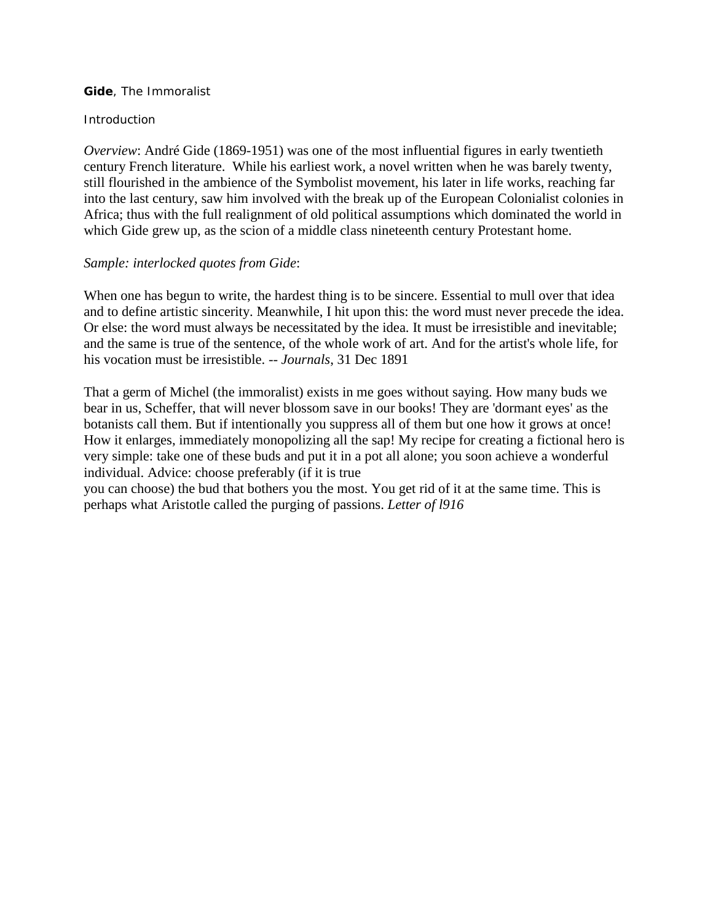## **Gide**, The Immoralist

## *Introduction*

*Overview*: André Gide (1869-1951) was one of the most influential figures in early twentieth century French literature. While his earliest work, a novel written when he was barely twenty, still flourished in the ambience of the Symbolist movement, his later in life works, reaching far into the last century, saw him involved with the break up of the European Colonialist colonies in Africa; thus with the full realignment of old political assumptions which dominated the world in which Gide grew up, as the scion of a middle class nineteenth century Protestant home.

## *Sample: interlocked quotes from Gide*:

When one has begun to write, the hardest thing is to be sincere. Essential to mull over that idea and to define artistic sincerity. Meanwhile, I hit upon this: the word must never precede the idea. Or else: the word must always be necessitated by the idea. It must be irresistible and inevitable; and the same is true of the sentence, of the whole work of art. And for the artist's whole life, for his vocation must be irresistible. -- *Journals*, 31 Dec 1891

That a germ of Michel (the immoralist) exists in me goes without saying. How many buds we bear in us, Scheffer, that will never blossom save in our books! They are 'dormant eyes' as the botanists call them. But if intentionally you suppress all of them but one how it grows at once! How it enlarges, immediately monopolizing all the sap! My recipe for creating a fictional hero is very simple: take one of these buds and put it in a pot all alone; you soon achieve a wonderful individual. Advice: choose preferably (if it is true

you can choose) the bud that bothers you the most. You get rid of it at the same time. This is perhaps what Aristotle called the purging of passions. *Letter of l916*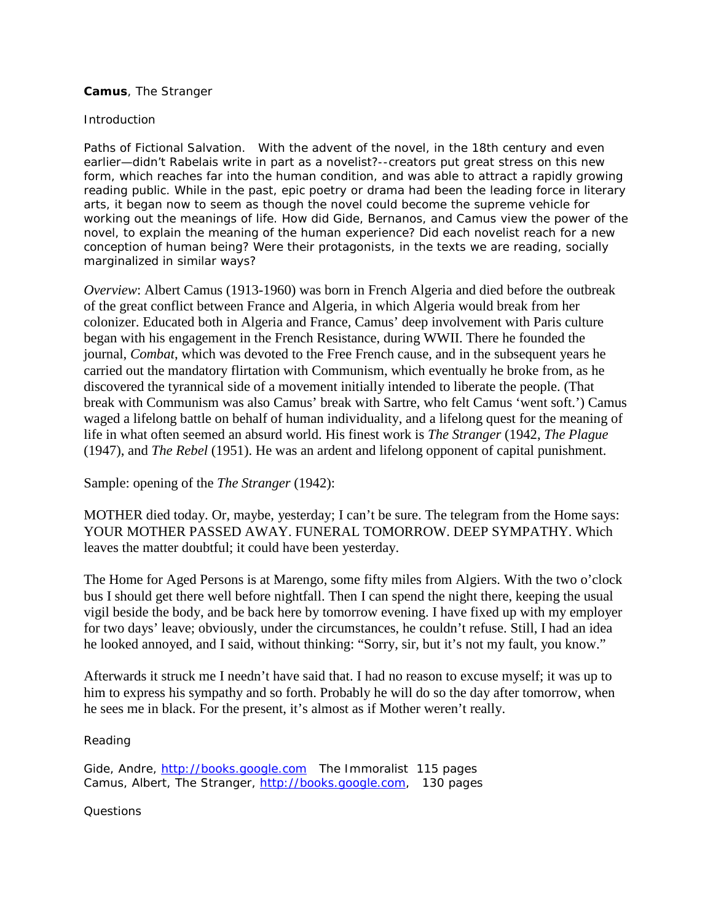## **Camus**, The Stranger

## *Introduction*

*Paths of Fictional Salvation.* With the advent of the novel, in the 18th century and even earlier—didn't Rabelais write in part as a novelist?--creators put great stress on this new form, which reaches far into the human condition, and was able to attract a rapidly growing reading public. While in the past, epic poetry or drama had been the leading force in literary arts, it began now to seem as though the novel could become the supreme vehicle for working out the meanings of life. How did Gide, Bernanos, and Camus view the power of the novel, to explain the meaning of the human experience? Did each novelist reach for a new conception of human being? Were their protagonists, in the texts we are reading, socially marginalized in similar ways?

*Overview*: Albert Camus (1913-1960) was born in French Algeria and died before the outbreak of the great conflict between France and Algeria, in which Algeria would break from her colonizer. Educated both in Algeria and France, Camus' deep involvement with Paris culture began with his engagement in the French Resistance, during WWII. There he founded the journal, *Combat*, which was devoted to the Free French cause, and in the subsequent years he carried out the mandatory flirtation with Communism, which eventually he broke from, as he discovered the tyrannical side of a movement initially intended to liberate the people. (That break with Communism was also Camus' break with Sartre, who felt Camus 'went soft.') Camus waged a lifelong battle on behalf of human individuality, and a lifelong quest for the meaning of life in what often seemed an absurd world. His finest work is *The Stranger* (1942, *The Plague* (1947), and *The Rebel* (1951). He was an ardent and lifelong opponent of capital punishment.

Sample: opening of the *The Stranger* (1942):

MOTHER died today. Or, maybe, yesterday; I can't be sure. The telegram from the Home says: YOUR MOTHER PASSED AWAY. FUNERAL TOMORROW. DEEP SYMPATHY. Which leaves the matter doubtful; it could have been yesterday.

The Home for Aged Persons is at Marengo, some fifty miles from Algiers. With the two o'clock bus I should get there well before nightfall. Then I can spend the night there, keeping the usual vigil beside the body, and be back here by tomorrow evening. I have fixed up with my employer for two days' leave; obviously, under the circumstances, he couldn't refuse. Still, I had an idea he looked annoyed, and I said, without thinking: "Sorry, sir, but it's not my fault, you know."

Afterwards it struck me I needn't have said that. I had no reason to excuse myself; it was up to him to express his sympathy and so forth. Probably he will do so the day after tomorrow, when he sees me in black. For the present, it's almost as if Mother weren't really.

## *Reading*

*Gide, Andre, [http://books.google.com](http://books.google.com/) The Immoralist* 115 pages *Camus, Albert, The Stranger, [http://books.google.com,](http://books.google.com/)* 130 pages

*Questions*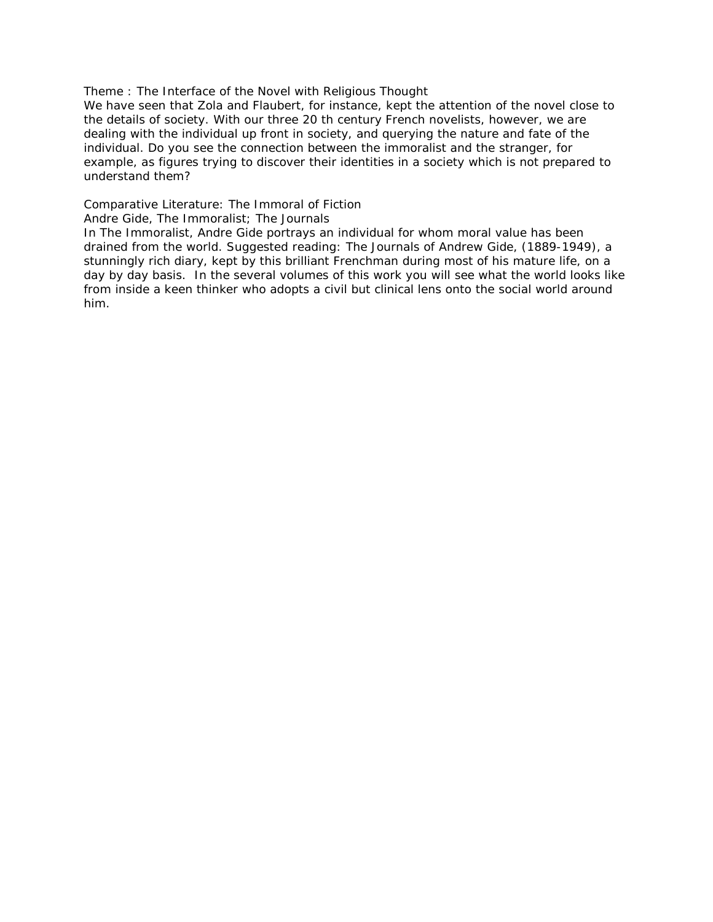#### *Theme : The Interface of the Novel with Religious Thought*

We have seen that Zola and Flaubert, for instance, kept the attention of the novel close to the details of society. With our three 20 th century French novelists, however, we are dealing with the individual up front in society, and querying the nature and fate of the individual. Do you see the connection between the immoralist and the stranger, for example, as figures trying to discover their identities in a society which is not prepared to understand them?

## *Comparative Literature: The Immoral of Fiction*

Andre Gide, The Immoralist; The Journals

In The Immoralist, Andre Gide portrays an individual for whom moral value has been drained from the world. Suggested reading: The Journals of Andrew Gide, (1889-1949), a stunningly rich diary, kept by this brilliant Frenchman during most of his mature life, on a day by day basis. In the several volumes of this work you will see what the world looks like from inside a keen thinker who adopts a civil but clinical lens onto the social world around him.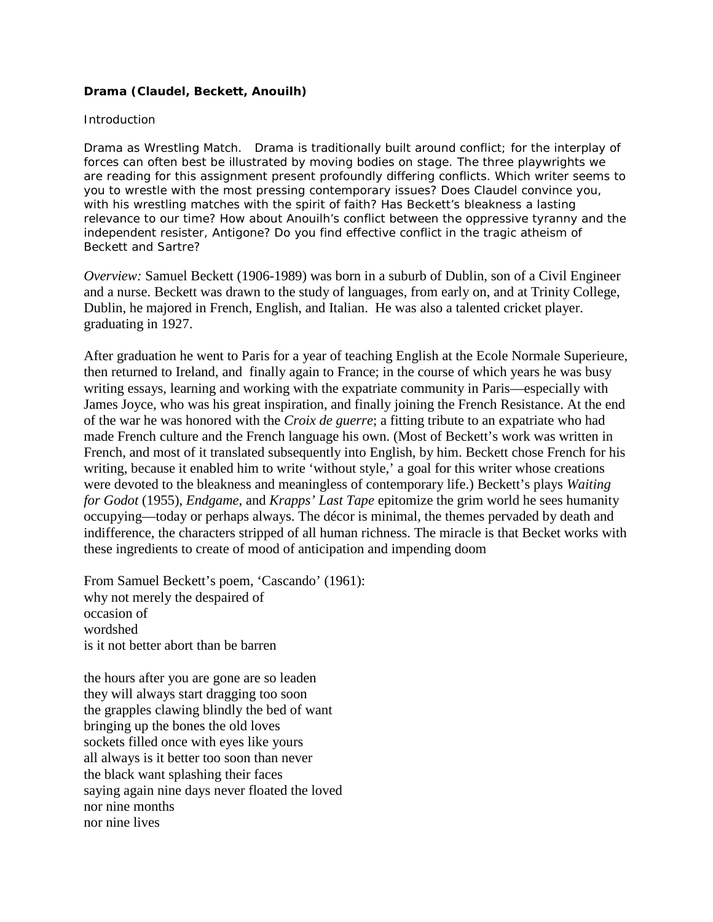## **Drama (Claudel, Beckett, Anouilh)**

### *Introduction*

*Drama as Wrestling Match.* Drama is traditionally built around conflict; for the interplay of forces can often best be illustrated by moving bodies on stage. The three playwrights we are reading for this assignment present profoundly differing conflicts. Which writer seems to you to wrestle with the most pressing contemporary issues? Does Claudel convince you, with his wrestling matches with the spirit of faith? Has Beckett's bleakness a lasting relevance to our time? How about Anouilh's conflict between the oppressive tyranny and the independent resister, Antigone? Do you find effective conflict in the tragic atheism of Beckett and Sartre?

*Overview:* Samuel Beckett (1906-1989) was born in a suburb of Dublin, son of a Civil Engineer and a nurse. Beckett was drawn to the study of languages, from early on, and at Trinity College, Dublin, he majored in French, English, and Italian. He was also a talented cricket player. graduating in 1927.

After graduation he went to Paris for a year of teaching English at the Ecole Normale Superieure, then returned to Ireland, and finally again to France; in the course of which years he was busy writing essays, learning and working with the expatriate community in Paris—especially with James Joyce, who was his great inspiration, and finally joining the French Resistance. At the end of the war he was honored with the *Croix de guerre*; a fitting tribute to an expatriate who had made French culture and the French language his own. (Most of Beckett's work was written in French, and most of it translated subsequently into English, by him. Beckett chose French for his writing, because it enabled him to write 'without style,' a goal for this writer whose creations were devoted to the bleakness and meaningless of contemporary life.) Beckett's plays *Waiting for Godot* (1955), *Endgame*, and *Krapps' Last Tape* epitomize the grim world he sees humanity occupying—today or perhaps always. The décor is minimal, the themes pervaded by death and indifference, the characters stripped of all human richness. The miracle is that Becket works with these ingredients to create of mood of anticipation and impending doom

From Samuel Beckett's poem, 'Cascando' (1961): why not merely the despaired of occasion of wordshed is it not better abort than be barren

the hours after you are gone are so leaden they will always start dragging too soon the grapples clawing blindly the bed of want bringing up the bones the old loves sockets filled once with eyes like yours all always is it better too soon than never the black want splashing their faces saying again nine days never floated the loved nor nine months nor nine lives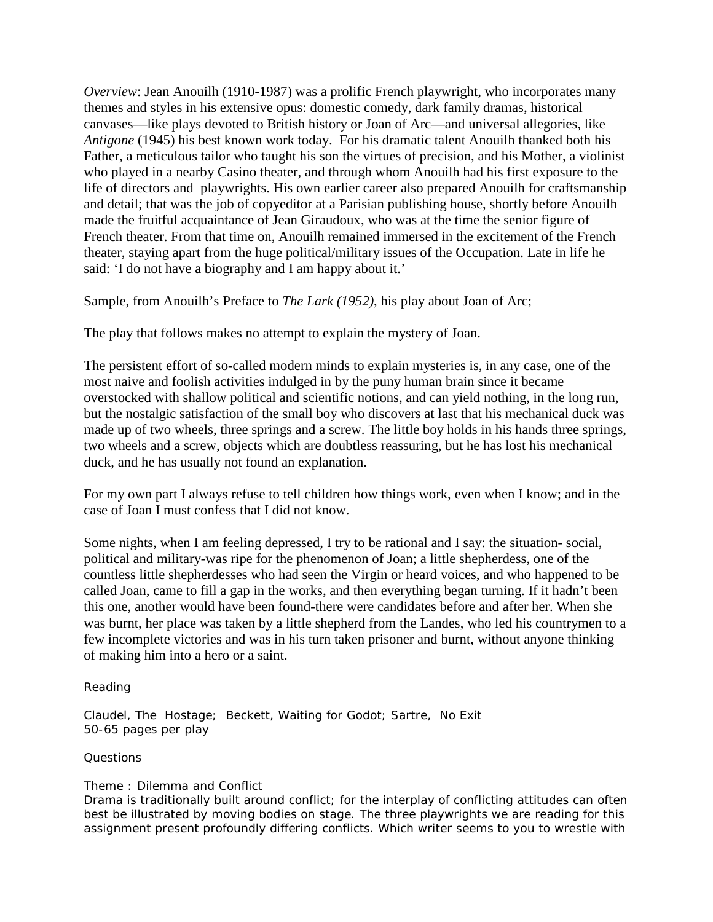*Overview*: Jean Anouilh (1910-1987) was a prolific French playwright, who incorporates many themes and styles in his extensive opus: domestic comedy, dark family dramas, historical canvases—like plays devoted to British history or Joan of Arc—and universal allegories, like *Antigone* (1945) his best known work today. For his dramatic talent Anouilh thanked both his Father, a meticulous tailor who taught his son the virtues of precision, and his Mother, a violinist who played in a nearby Casino theater, and through whom Anouilh had his first exposure to the life of directors and playwrights. His own earlier career also prepared Anouilh for craftsmanship and detail; that was the job of copyeditor at a Parisian publishing house, shortly before Anouilh made the fruitful acquaintance of Jean Giraudoux, who was at the time the senior figure of French theater. From that time on, Anouilh remained immersed in the excitement of the French theater, staying apart from the huge political/military issues of the Occupation. Late in life he said: 'I do not have a biography and I am happy about it.'

Sample, from Anouilh's Preface to *The Lark (1952)*, his play about Joan of Arc;

The play that follows makes no attempt to explain the mystery of Joan.

The persistent effort of so-called modern minds to explain mysteries is, in any case, one of the most naive and foolish activities indulged in by the puny human brain since it became overstocked with shallow political and scientific notions, and can yield nothing, in the long run, but the nostalgic satisfaction of the small boy who discovers at last that his mechanical duck was made up of two wheels, three springs and a screw. The little boy holds in his hands three springs, two wheels and a screw, objects which are doubtless reassuring, but he has lost his mechanical duck, and he has usually not found an explanation.

For my own part I always refuse to tell children how things work, even when I know; and in the case of Joan I must confess that I did not know.

Some nights, when I am feeling depressed, I try to be rational and I say: the situation- social, political and military-was ripe for the phenomenon of Joan; a little shepherdess, one of the countless little shepherdesses who had seen the Virgin or heard voices, and who happened to be called Joan, came to fill a gap in the works, and then everything began turning. If it hadn't been this one, another would have been found-there were candidates before and after her. When she was burnt, her place was taken by a little shepherd from the Landes, who led his countrymen to a few incomplete victories and was in his turn taken prisoner and burnt, without anyone thinking of making him into a hero or a saint.

## *Reading*

Claudel, *The Hostage*; Beckett, *Waiting for Godot*; Sartre, *No Exit* 50-65 pages per play

## *Questions*

# *Theme : Dilemma and Conflict*

Drama is traditionally built around conflict; for the interplay of conflicting attitudes can often best be illustrated by moving bodies on stage. The three playwrights we are reading for this assignment present profoundly differing conflicts. Which writer seems to you to wrestle with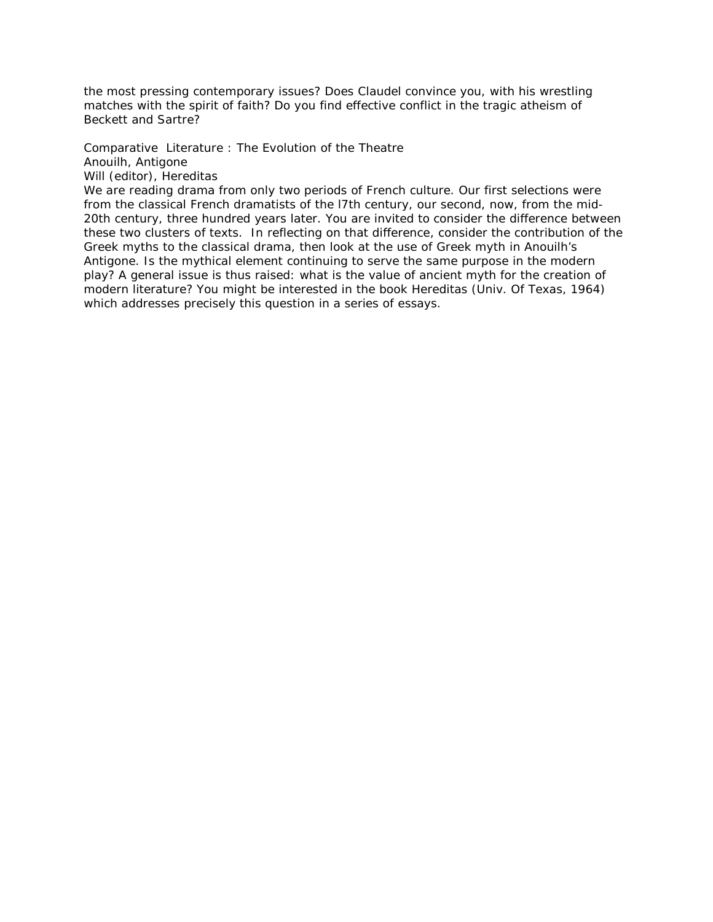the most pressing contemporary issues? Does Claudel convince you, with his wrestling matches with the spirit of faith? Do you find effective conflict in the tragic atheism of Beckett and Sartre?

## *Comparative Literature : The Evolution of the Theatre*

Anouilh, Antigone

Will (editor), Hereditas

We are reading drama from only two periods of French culture. Our first selections were from the classical French dramatists of the l7th century, our second, now, from the mid-20th century, three hundred years later. You are invited to consider the difference between these two clusters of texts. In reflecting on that difference, consider the contribution of the Greek myths to the classical drama, then look at the use of Greek myth in Anouilh's Antigone. Is the mythical element continuing to serve the same purpose in the modern play? A general issue is thus raised: what is the value of ancient myth for the creation of modern literature? You might be interested in the book Hereditas (Univ. Of Texas, 1964) which addresses precisely this question in a series of essays.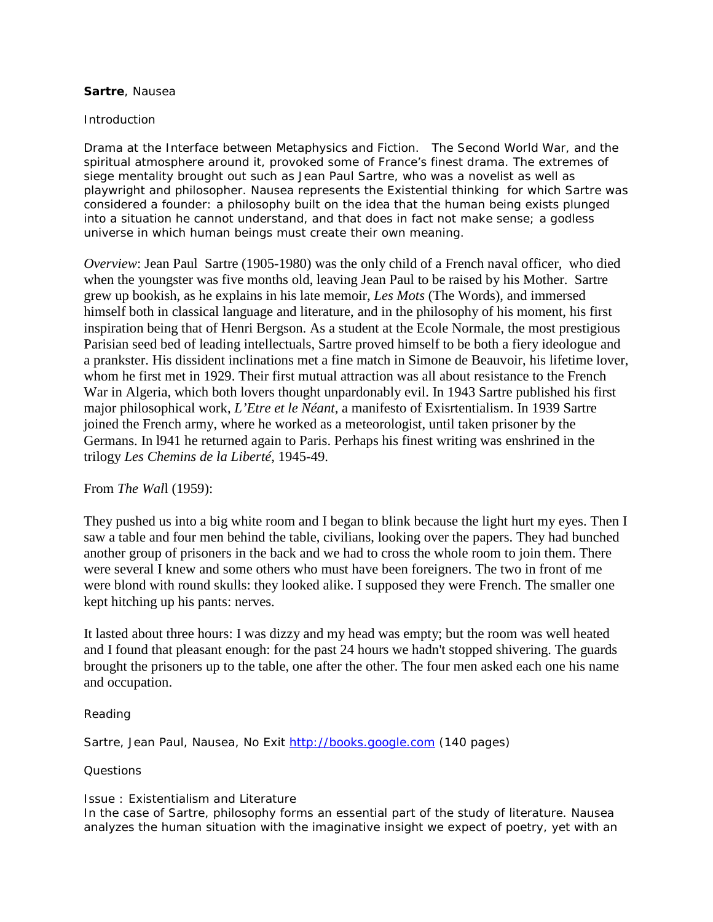#### **Sartre**, Nausea

#### *Introduction*

*Drama at the Interface between Metaphysics and Fiction.* The Second World War, and the spiritual atmosphere around it, provoked some of France's finest drama. The extremes of siege mentality brought out such as Jean Paul Sartre, who was a novelist as well as playwright and philosopher. *Nausea* represents the Existential thinking for which Sartre was considered a founder: a philosophy built on the idea that the human being exists plunged into a situation he cannot understand, and that does in fact not make sense; a godless universe in which human beings must create their own meaning.

*Overview*: Jean Paul Sartre (1905-1980) was the only child of a French naval officer, who died when the youngster was five months old, leaving Jean Paul to be raised by his Mother. Sartre grew up bookish, as he explains in his late memoir*, Les Mots* (The Words), and immersed himself both in classical language and literature, and in the philosophy of his moment, his first inspiration being that of Henri Bergson. As a student at the Ecole Normale, the most prestigious Parisian seed bed of leading intellectuals, Sartre proved himself to be both a fiery ideologue and a prankster. His dissident inclinations met a fine match in Simone de Beauvoir, his lifetime lover, whom he first met in 1929. Their first mutual attraction was all about resistance to the French War in Algeria, which both lovers thought unpardonably evil. In 1943 Sartre published his first major philosophical work, *L'Etre et le Néant,* a manifesto of Exisrtentialism. In 1939 Sartre joined the French army, where he worked as a meteorologist, until taken prisoner by the Germans. In l941 he returned again to Paris. Perhaps his finest writing was enshrined in the trilogy *Les Chemins de la Liberté*, 1945-49.

## From *The Wal*l (1959):

They pushed us into a big white room and I began to blink because the light hurt my eyes. Then I saw a table and four men behind the table, civilians, looking over the papers. They had bunched another group of prisoners in the back and we had to cross the whole room to join them. There were several I knew and some others who must have been foreigners. The two in front of me were blond with round skulls: they looked alike. I supposed they were French. The smaller one kept hitching up his pants: nerves.

It lasted about three hours: I was dizzy and my head was empty; but the room was well heated and I found that pleasant enough: for the past 24 hours we hadn't stopped shivering. The guards brought the prisoners up to the table, one after the other. The four men asked each one his name and occupation.

## *Reading*

*Sartre, Jean Paul, Nausea, No Exit [http://books.google.com](http://books.google.com/) (*140 pages)

## *Questions*

## *Issue : Existentialism and Literature*

In the case of Sartre, philosophy forms an essential part of the study of literature. Nausea analyzes the human situation with the imaginative insight we expect of poetry, yet with an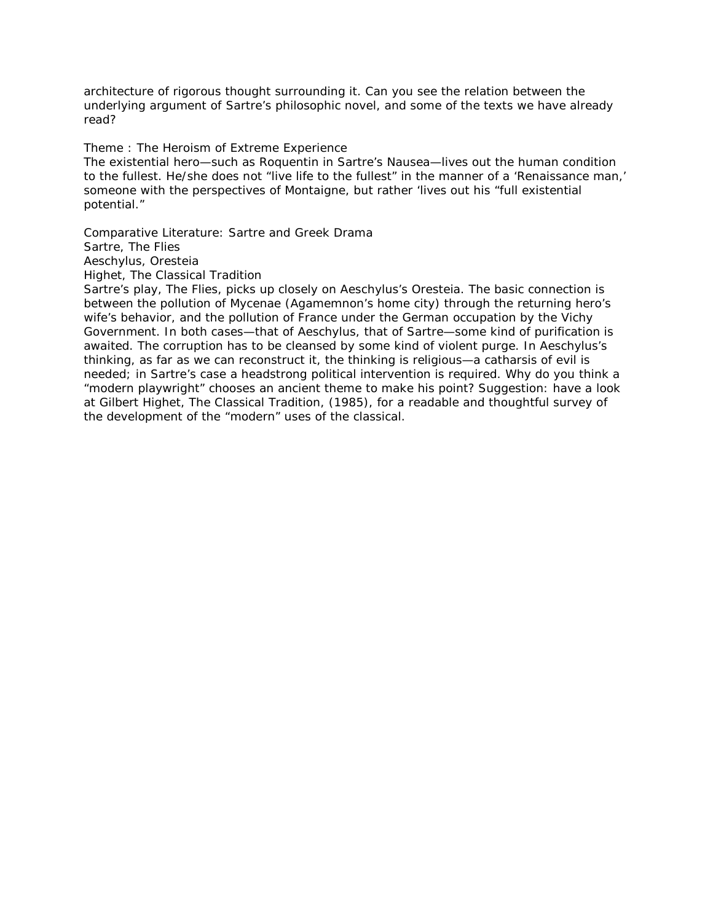architecture of rigorous thought surrounding it. Can you see the relation between the underlying argument of Sartre's philosophic novel, and some of the texts we have already read?

*Theme :* The Heroism of Extreme Experience

The existential hero—such as Roquentin in Sartre's *Nausea*—lives out the human condition to the fullest. He/she does not "live life to the fullest" in the manner of a 'Renaissance man,' someone with the perspectives of Montaigne, but rather 'lives out his "full existential potential."

*Comparative Literature:* Sartre and Greek Drama Sartre, *The Flies* Aeschylus, *Oresteia* Highet, *The Classical Tradition*

Sartre's play, *The Flies*, picks up closely on Aeschylus's *Oresteia.* The basic connection is between the pollution of Mycenae (Agamemnon's home city) through the returning hero's wife's behavior, and the pollution of France under the German occupation by the Vichy Government. In both cases—that of Aeschylus, that of Sartre—some kind of purification is awaited. The corruption has to be cleansed by some kind of violent purge. In Aeschylus's thinking, as far as we can reconstruct it, the thinking is religious—a catharsis of evil is needed; in Sartre's case a headstrong political intervention is required. Why do you think a "modern playwright" chooses an ancient theme to make his point? Suggestion: have a look at Gilbert Highet, *The Classical Tradition*, (1985), for a readable and thoughtful survey of the development of the "modern" uses of the classical.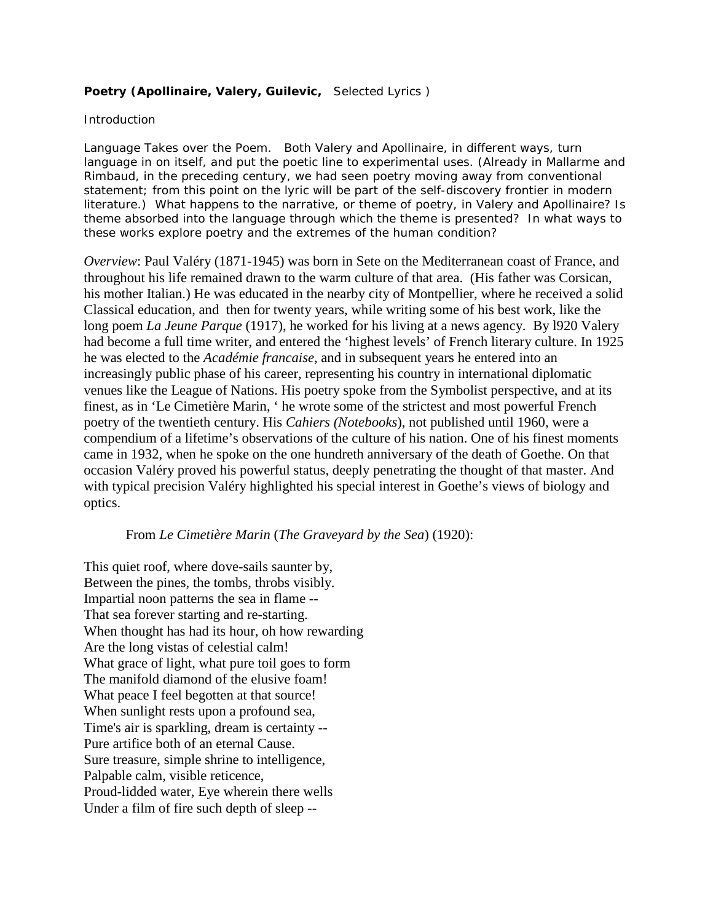## **Poetry (Apollinaire, Valery, Guilevic,** Selected Lyrics )

#### *Introduction*

*Language Takes over the Poem.* Both Valery and Apollinaire, in different ways, turn language in on itself, and put the poetic line to experimental uses. (Already in Mallarme and Rimbaud, in the preceding century, we had seen poetry moving away from conventional statement; from this point on the lyric will be part of the self-discovery frontier in modern literature.) What happens to the narrative, or theme of poetry, in Valery and Apollinaire? Is theme absorbed into the language through which the theme is presented? In what ways to these works explore poetry and the extremes of the human condition?

*Overview*: Paul Valéry (1871-1945) was born in Sete on the Mediterranean coast of France, and throughout his life remained drawn to the warm culture of that area. (His father was Corsican, his mother Italian.) He was educated in the nearby city of Montpellier, where he received a solid Classical education, and then for twenty years, while writing some of his best work, like the long poem *La Jeune Parque* (1917), he worked for his living at a news agency. By l920 Valery had become a full time writer, and entered the 'highest levels' of French literary culture. In 1925 he was elected to the *Académie francaise*, and in subsequent years he entered into an increasingly public phase of his career, representing his country in international diplomatic venues like the League of Nations. His poetry spoke from the Symbolist perspective, and at its finest, as in 'Le Cimetière Marin, ' he wrote some of the strictest and most powerful French poetry of the twentieth century. His *Cahiers (Notebooks*), not published until 1960, were a compendium of a lifetime's observations of the culture of his nation. One of his finest moments came in 1932, when he spoke on the one hundreth anniversary of the death of Goethe. On that occasion Valéry proved his powerful status, deeply penetrating the thought of that master. And with typical precision Valéry highlighted his special interest in Goethe's views of biology and optics.

## From *Le Cimetière Marin* (*The Graveyard by the Sea*) (1920):

This quiet roof, where dove-sails saunter by, Between the pines, the tombs, throbs visibly. Impartial noon patterns the sea in flame -- That sea forever starting and re-starting. When thought has had its hour, oh how rewarding Are the long vistas of celestial calm! What grace of light, what pure toil goes to form The manifold diamond of the elusive foam! What peace I feel begotten at that source! When sunlight rests upon a profound sea, Time's air is sparkling, dream is certainty -- Pure artifice both of an eternal Cause. Sure treasure, simple shrine to intelligence, Palpable calm, visible reticence, Proud-lidded water, Eye wherein there wells Under a film of fire such depth of sleep --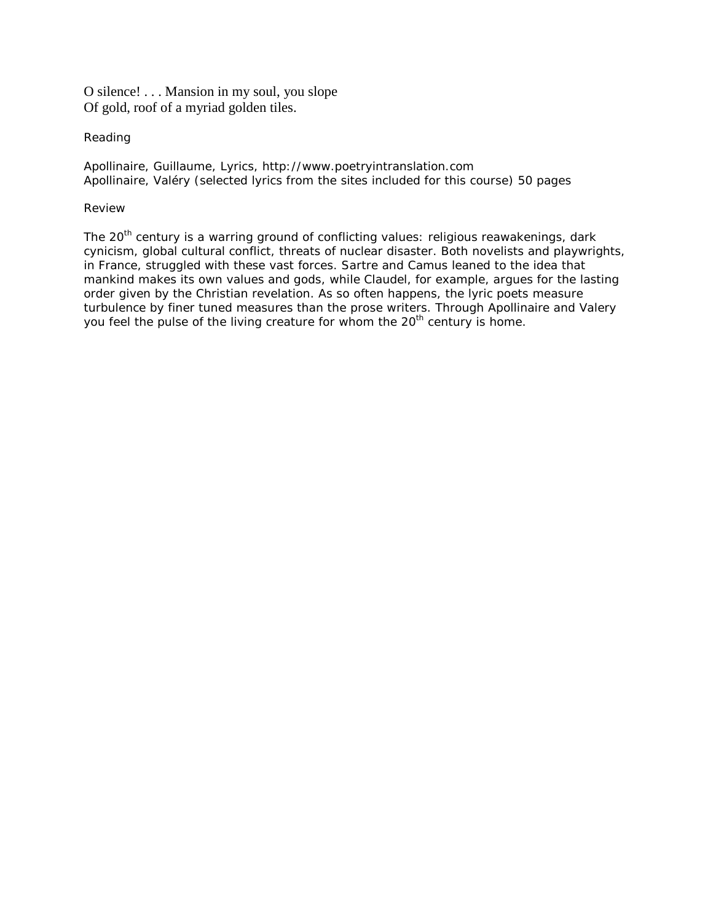O silence! . . . Mansion in my soul, you slope Of gold, roof of a myriad golden tiles.

## *Reading*

*Apollinaire, Guillaume, Lyrics, http://www.poetryintranslation.com* Apollinaire, Valéry (*selected lyrics from the sites included for this course*) 50 pages

## *Review*

The 20<sup>th</sup> century is a warring ground of conflicting values: religious reawakenings, dark cynicism, global cultural conflict, threats of nuclear disaster. Both novelists and playwrights, in France, struggled with these vast forces. Sartre and Camus leaned to the idea that mankind makes its own values and gods, while Claudel, for example, argues for the lasting order given by the Christian revelation. As so often happens, the lyric poets measure turbulence by finer tuned measures than the prose writers. Through Apollinaire and Valery you feel the pulse of the living creature for whom the 20<sup>th</sup> century is home.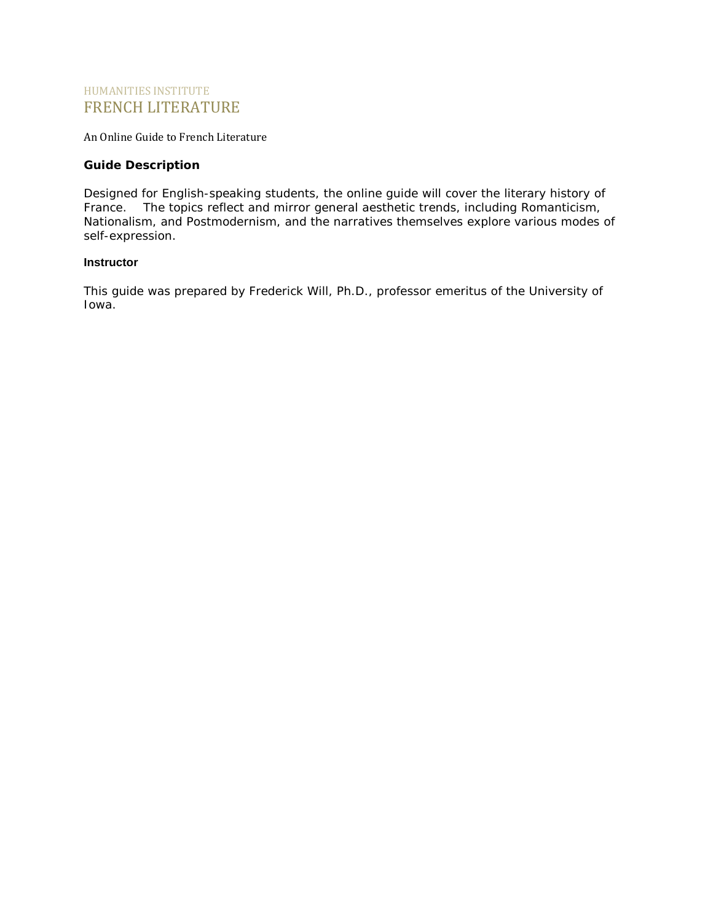# HUMANITIES INSTITUTE FRENCH LITERATURE

An Online Guide to French Literature

## **Guide Description**

Designed for English-speaking students, the online guide will cover the literary history of France. The topics reflect and mirror general aesthetic trends, including Romanticism, Nationalism, and Postmodernism, and the narratives themselves explore various modes of self-expression.

## **Instructor**

This guide was prepared by Frederick Will, Ph.D., professor emeritus of the University of Iowa.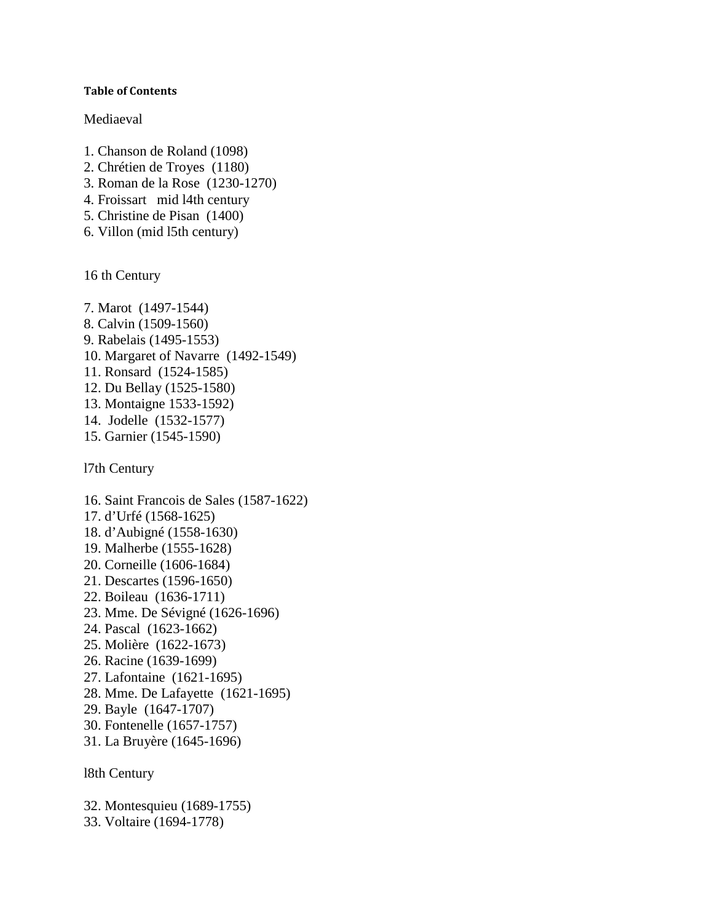#### **Table of Contents**

Mediaeval

- 1. Chanson de Roland (1098) 2. Chrétien de Troyes (1180) 3. Roman de la Rose (1230-1270) 4. Froissart mid l4th century 5. Christine de Pisan (1400)
- 6. Villon (mid l5th century)

16 th Century

7. Marot (1497-1544) 8. Calvin (1509-1560) 9. Rabelais (1495-1553) 10. Margaret of Navarre (1492-1549) 11. Ronsard (1524-1585) 12. Du Bellay (1525-1580) 13. Montaigne 1533-1592) 14. Jodelle (1532-1577) 15. Garnier (1545-1590)

l7th Century

16. Saint Francois de Sales (1587-1622) 17. d'Urfé (1568-1625) 18. d'Aubigné (1558-1630) 19. Malherbe (1555-1628) 20. Corneille (1606-1684) 21. Descartes (1596-1650) 22. Boileau (1636-1711) 23. Mme. De Sévigné (1626-1696) 24. Pascal (1623-1662) 25. Molière (1622-1673) 26. Racine (1639-1699) 27. Lafontaine (1621-1695) 28. Mme. De Lafayette (1621-1695) 29. Bayle (1647-1707) 30. Fontenelle (1657-1757) 31. La Bruyère (1645-1696) l8th Century

32. Montesquieu (1689-1755) 33. Voltaire (1694-1778)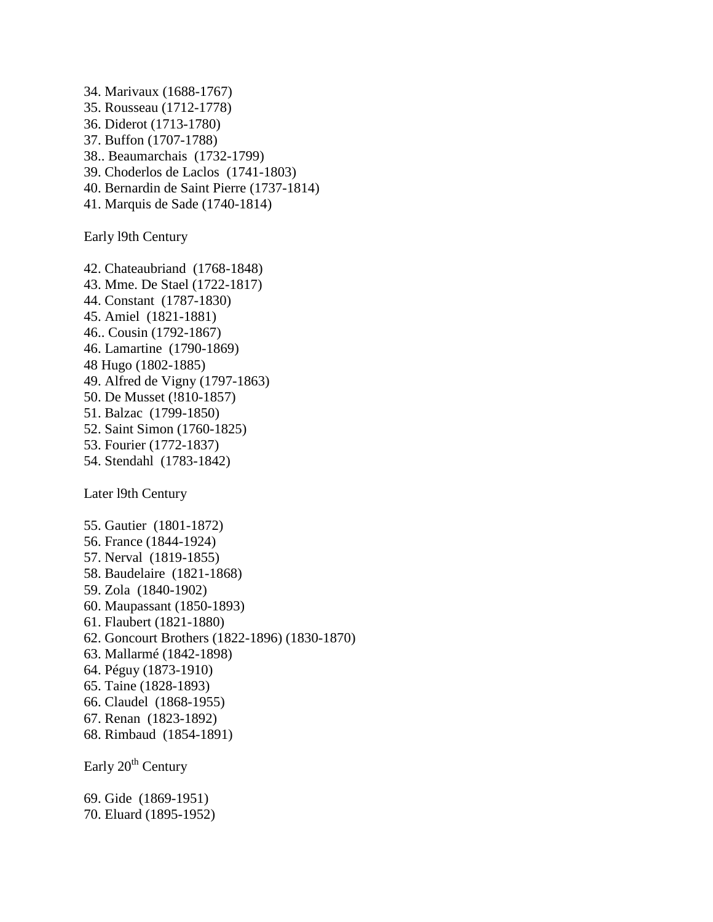34. Marivaux (1688-1767) 35. Rousseau (1712-1778) 36. Diderot (1713-1780) 37. Buffon (1707-1788) 38.. Beaumarchais (1732-1799) 39. Choderlos de Laclos (1741-1803) 40. Bernardin de Saint Pierre (1737-1814) 41. Marquis de Sade (1740-1814)

Early l9th Century

42. Chateaubriand (1768-1848) 43. Mme. De Stael (1722-1817) 44. Constant (1787-1830) 45. Amiel (1821-1881) 46.. Cousin (1792-1867) 46. Lamartine (1790-1869) 48 Hugo (1802-1885) 49. Alfred de Vigny (1797-1863) 50. De Musset (!810-1857) 51. Balzac (1799-1850) 52. Saint Simon (1760-1825) 53. Fourier (1772-1837) 54. Stendahl (1783-1842)

Later l9th Century

55. Gautier (1801-1872) 56. France (1844-1924) 57. Nerval (1819-1855) 58. Baudelaire (1821-1868) 59. Zola (1840-1902) 60. Maupassant (1850-1893) 61. Flaubert (1821-1880) 62. Goncourt Brothers (1822-1896) (1830-1870) 63. Mallarmé (1842-1898) 64. Péguy (1873-1910) 65. Taine (1828-1893) 66. Claudel (1868-1955) 67. Renan (1823-1892) 68. Rimbaud (1854-1891) Early 20<sup>th</sup> Century

69. Gide (1869-1951) 70. Eluard (1895-1952)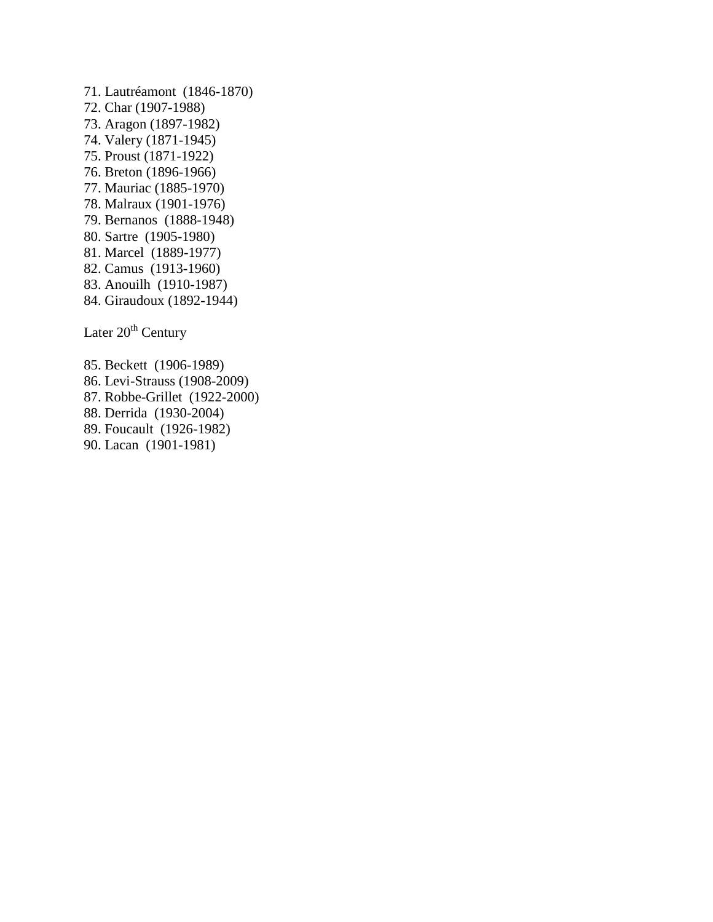- 71. Lautréamont (1846-1870)
- 72. Char (1907-1988)
- 73. Aragon (1897-1982)
- 74. Valery (1871-1945)
- 75. Proust (1871-1922)
- 76. Breton (1896-1966)
- 77. Mauriac (1885-1970)
- 78. Malraux (1901-1976)
- 79. Bernanos (1888-1948)
- 80. Sartre (1905-1980)
- 81. Marcel (1889-1977)
- 82. Camus (1913-1960)
- 83. Anouilh (1910-1987)
- 84. Giraudoux (1892-1944)

Later  $20<sup>th</sup>$  Century

- 85. Beckett (1906-1989) 86. Levi-Strauss (1908-2009) 87. Robbe-Grillet (1922-2000) 88. Derrida (1930-2004) 89. Foucault (1926-1982)
- 90. Lacan (1901-1981)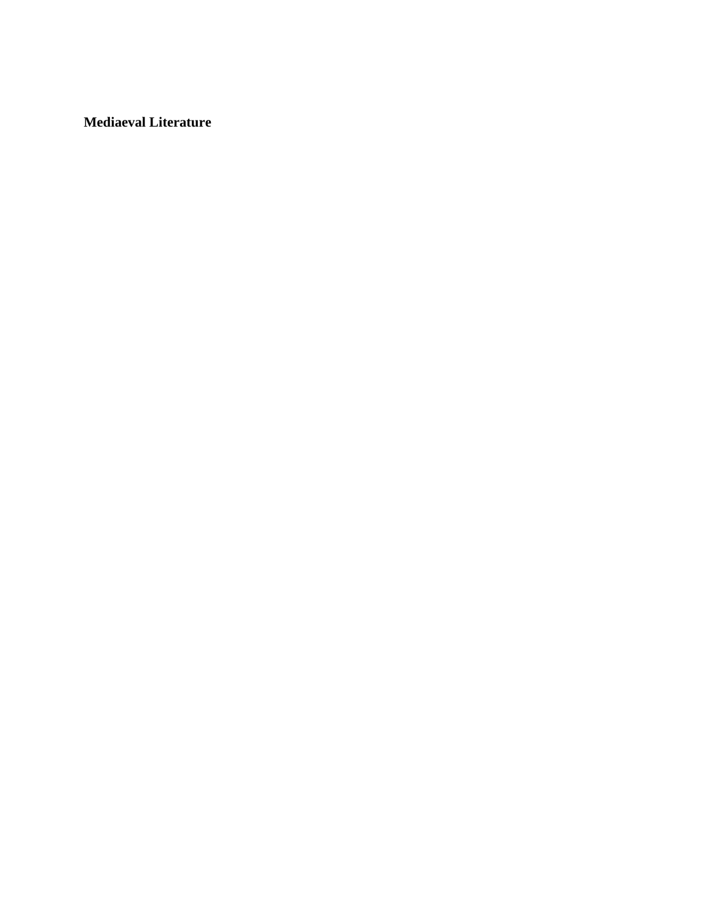**Mediaeval Literature**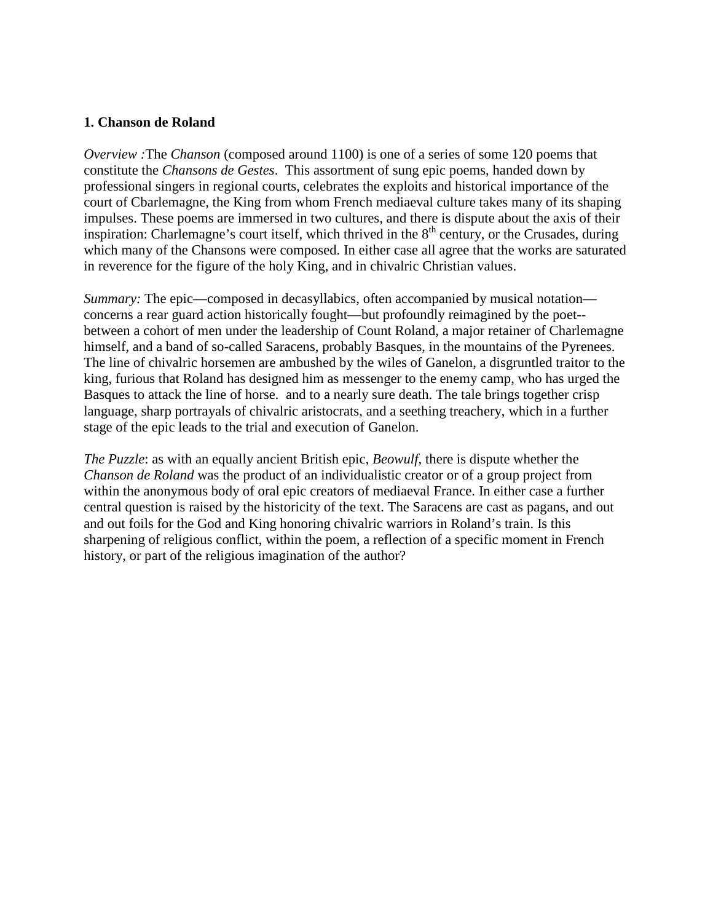# **1. Chanson de Roland**

*Overview :*The *Chanson* (composed around 1100) is one of a series of some 120 poems that constitute the *Chansons de Gestes*. This assortment of sung epic poems, handed down by professional singers in regional courts, celebrates the exploits and historical importance of the court of Cbarlemagne, the King from whom French mediaeval culture takes many of its shaping impulses. These poems are immersed in two cultures, and there is dispute about the axis of their inspiration: Charlemagne's court itself, which thrived in the  $8<sup>th</sup>$  century, or the Crusades, during which many of the Chansons were composed. In either case all agree that the works are saturated in reverence for the figure of the holy King, and in chivalric Christian values.

*Summary:* The epic—composed in decasyllabics, often accompanied by musical notation concerns a rear guard action historically fought—but profoundly reimagined by the poet- between a cohort of men under the leadership of Count Roland, a major retainer of Charlemagne himself, and a band of so-called Saracens, probably Basques, in the mountains of the Pyrenees. The line of chivalric horsemen are ambushed by the wiles of Ganelon, a disgruntled traitor to the king, furious that Roland has designed him as messenger to the enemy camp, who has urged the Basques to attack the line of horse. and to a nearly sure death. The tale brings together crisp language, sharp portrayals of chivalric aristocrats, and a seething treachery, which in a further stage of the epic leads to the trial and execution of Ganelon.

*The Puzzle*: as with an equally ancient British epic, *Beowulf,* there is dispute whether the *Chanson de Roland* was the product of an individualistic creator or of a group project from within the anonymous body of oral epic creators of mediaeval France. In either case a further central question is raised by the historicity of the text. The Saracens are cast as pagans, and out and out foils for the God and King honoring chivalric warriors in Roland's train. Is this sharpening of religious conflict, within the poem, a reflection of a specific moment in French history, or part of the religious imagination of the author?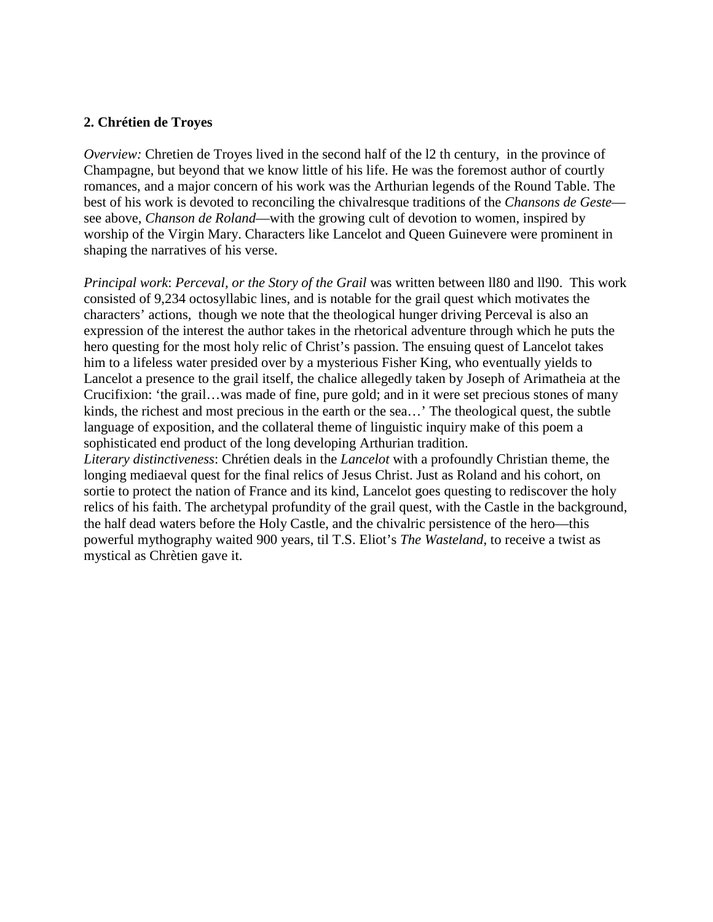# **2. Chrétien de Troyes**

*Overview:* Chretien de Troyes lived in the second half of the 12 th century, in the province of Champagne, but beyond that we know little of his life. He was the foremost author of courtly romances, and a major concern of his work was the Arthurian legends of the Round Table. The best of his work is devoted to reconciling the chivalresque traditions of the *Chansons de Geste* see above, *Chanson de Roland*—with the growing cult of devotion to women, inspired by worship of the Virgin Mary. Characters like Lancelot and Queen Guinevere were prominent in shaping the narratives of his verse.

*Principal work*: *Perceval, or the Story of the Grail* was written between ll80 and ll90. This work consisted of 9,234 octosyllabic lines, and is notable for the grail quest which motivates the characters' actions, though we note that the theological hunger driving Perceval is also an expression of the interest the author takes in the rhetorical adventure through which he puts the hero questing for the most holy relic of Christ's passion. The ensuing quest of Lancelot takes him to a lifeless water presided over by a mysterious Fisher King, who eventually yields to Lancelot a presence to the grail itself, the chalice allegedly taken by Joseph of Arimatheia at the Crucifixion: 'the grail…was made of fine, pure gold; and in it were set precious stones of many kinds, the richest and most precious in the earth or the sea...' The theological quest, the subtle language of exposition, and the collateral theme of linguistic inquiry make of this poem a sophisticated end product of the long developing Arthurian tradition.

*Literary distinctiveness*: Chrétien deals in the *Lancelot* with a profoundly Christian theme, the longing mediaeval quest for the final relics of Jesus Christ. Just as Roland and his cohort, on sortie to protect the nation of France and its kind, Lancelot goes questing to rediscover the holy relics of his faith. The archetypal profundity of the grail quest, with the Castle in the background, the half dead waters before the Holy Castle, and the chivalric persistence of the hero—this powerful mythography waited 900 years, til T.S. Eliot's *The Wasteland*, to receive a twist as mystical as Chrètien gave it.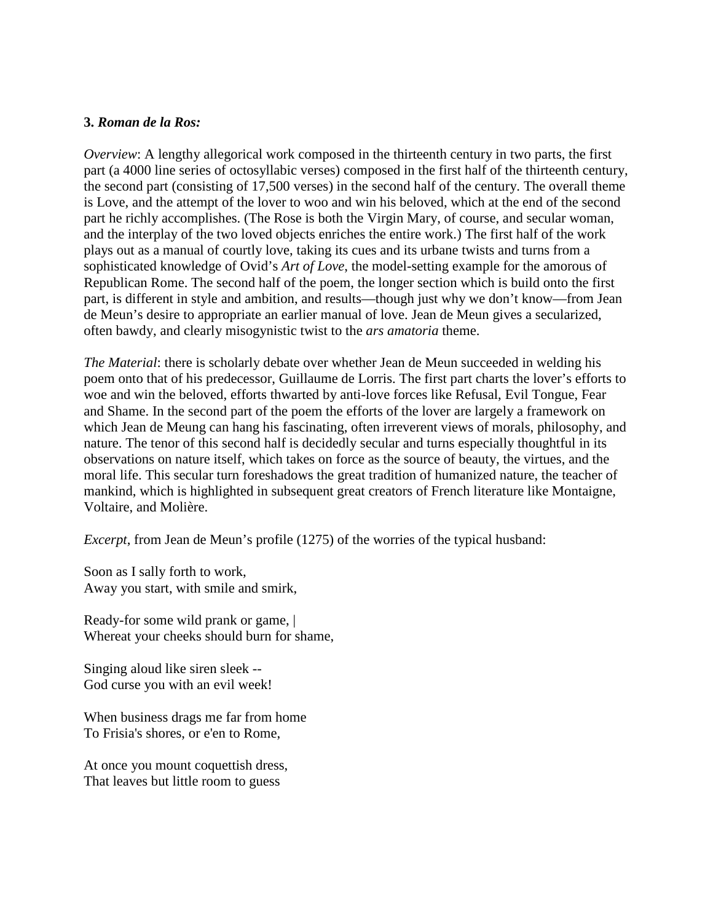### **3.** *Roman de la Ros:*

*Overview*: A lengthy allegorical work composed in the thirteenth century in two parts, the first part (a 4000 line series of octosyllabic verses) composed in the first half of the thirteenth century, the second part (consisting of 17,500 verses) in the second half of the century. The overall theme is Love, and the attempt of the lover to woo and win his beloved, which at the end of the second part he richly accomplishes. (The Rose is both the Virgin Mary, of course, and secular woman, and the interplay of the two loved objects enriches the entire work.) The first half of the work plays out as a manual of courtly love, taking its cues and its urbane twists and turns from a sophisticated knowledge of Ovid's *Art of Love*, the model-setting example for the amorous of Republican Rome. The second half of the poem, the longer section which is build onto the first part, is different in style and ambition, and results—though just why we don't know—from Jean de Meun's desire to appropriate an earlier manual of love. Jean de Meun gives a secularized, often bawdy, and clearly misogynistic twist to the *ars amatoria* theme.

*The Material*: there is scholarly debate over whether Jean de Meun succeeded in welding his poem onto that of his predecessor, Guillaume de Lorris. The first part charts the lover's efforts to woe and win the beloved, efforts thwarted by anti-love forces like Refusal, Evil Tongue, Fear and Shame. In the second part of the poem the efforts of the lover are largely a framework on which Jean de Meung can hang his fascinating, often irreverent views of morals, philosophy, and nature. The tenor of this second half is decidedly secular and turns especially thoughtful in its observations on nature itself, which takes on force as the source of beauty, the virtues, and the moral life. This secular turn foreshadows the great tradition of humanized nature, the teacher of mankind, which is highlighted in subsequent great creators of French literature like Montaigne, Voltaire, and Molière.

*Excerpt*, from Jean de Meun's profile (1275) of the worries of the typical husband:

Soon as I sally forth to work, Away you start, with smile and smirk,

Ready-for some wild prank or game, | Whereat your cheeks should burn for shame,

Singing aloud like siren sleek -- God curse you with an evil week!

When business drags me far from home To Frisia's shores, or e'en to Rome,

At once you mount coquettish dress, That leaves but little room to guess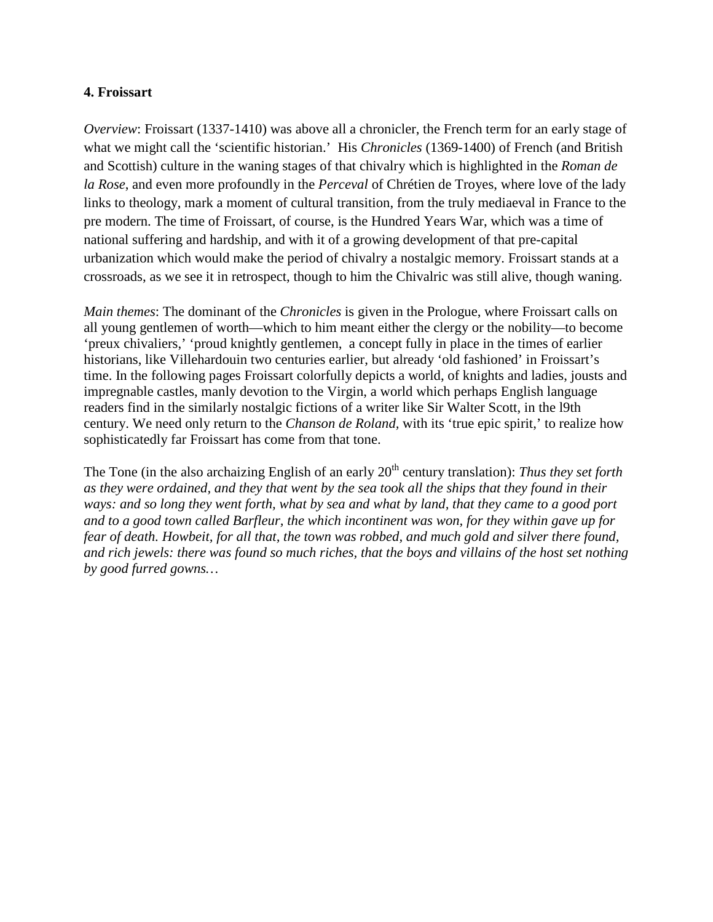# **4. Froissart**

*Overview*: Froissart (1337-1410) was above all a chronicler, the French term for an early stage of what we might call the 'scientific historian.' His *Chronicles* (1369-1400) of French (and British and Scottish) culture in the waning stages of that chivalry which is highlighted in the *Roman de la Rose*, and even more profoundly in the *Perceval* of Chrétien de Troyes, where love of the lady links to theology, mark a moment of cultural transition, from the truly mediaeval in France to the pre modern. The time of Froissart, of course, is the Hundred Years War, which was a time of national suffering and hardship, and with it of a growing development of that pre-capital urbanization which would make the period of chivalry a nostalgic memory. Froissart stands at a crossroads, as we see it in retrospect, though to him the Chivalric was still alive, though waning.

*Main themes*: The dominant of the *Chronicles* is given in the Prologue, where Froissart calls on all young gentlemen of worth—which to him meant either the clergy or the nobility—to become 'preux chivaliers,' 'proud knightly gentlemen, a concept fully in place in the times of earlier historians, like Villehardouin two centuries earlier, but already 'old fashioned' in Froissart's time. In the following pages Froissart colorfully depicts a world, of knights and ladies, jousts and impregnable castles, manly devotion to the Virgin, a world which perhaps English language readers find in the similarly nostalgic fictions of a writer like Sir Walter Scott, in the l9th century. We need only return to the *Chanson de Roland,* with its 'true epic spirit,' to realize how sophisticatedly far Froissart has come from that tone.

The Tone (in the also archaizing English of an early 20<sup>th</sup> century translation): *Thus they set forth as they were ordained, and they that went by the sea took all the ships that they found in their ways: and so long they went forth, what by sea and what by land, that they came to a good port and to a good town called Barfleur, the which incontinent was won, for they within gave up for fear of death. Howbeit, for all that, the town was robbed, and much gold and silver there found, and rich jewels: there was found so much riches, that the boys and villains of the host set nothing by good furred gowns…*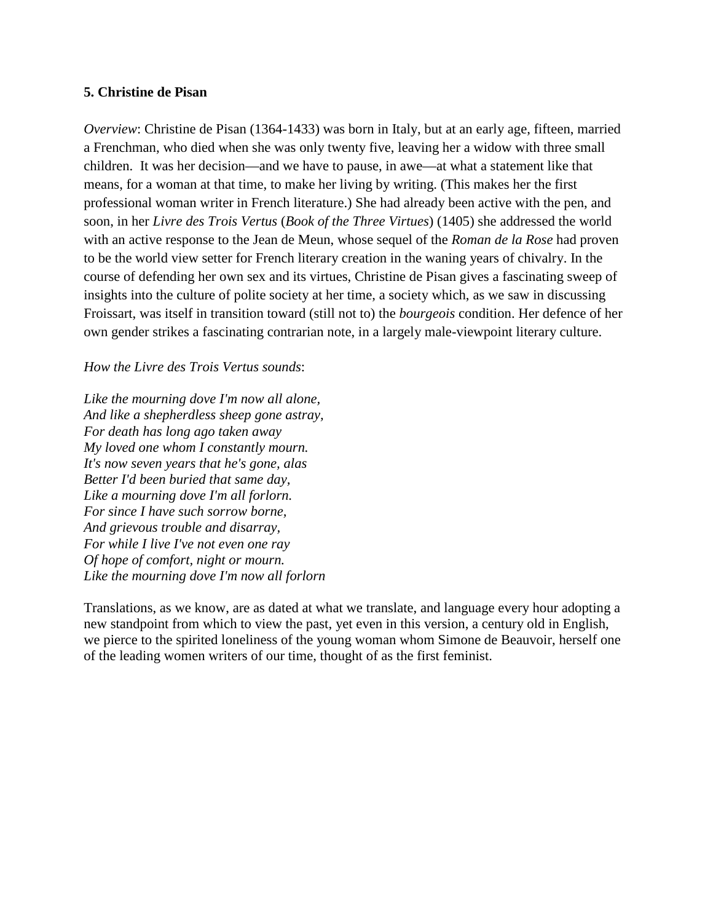## **5. Christine de Pisan**

*Overview*: Christine de Pisan (1364-1433) was born in Italy, but at an early age, fifteen, married a Frenchman, who died when she was only twenty five, leaving her a widow with three small children. It was her decision—and we have to pause, in awe—at what a statement like that means, for a woman at that time, to make her living by writing. (This makes her the first professional woman writer in French literature.) She had already been active with the pen, and soon, in her *Livre des Trois Vertus* (*Book of the Three Virtues*) (1405) she addressed the world with an active response to the Jean de Meun, whose sequel of the *Roman de la Rose* had proven to be the world view setter for French literary creation in the waning years of chivalry. In the course of defending her own sex and its virtues, Christine de Pisan gives a fascinating sweep of insights into the culture of polite society at her time, a society which, as we saw in discussing Froissart, was itself in transition toward (still not to) the *bourgeois* condition. Her defence of her own gender strikes a fascinating contrarian note, in a largely male-viewpoint literary culture.

## *How the Livre des Trois Vertus sounds*:

*Like the mourning dove I'm now all alone, And like a shepherdless sheep gone astray, For death has long ago taken away My loved one whom I constantly mourn. It's now seven years that he's gone, alas Better I'd been buried that same day, Like a mourning dove I'm all forlorn. For since I have such sorrow borne, And grievous trouble and disarray, For while I live I've not even one ray Of hope of comfort, night or mourn. Like the mourning dove I'm now all forlorn*

Translations, as we know, are as dated at what we translate, and language every hour adopting a new standpoint from which to view the past, yet even in this version, a century old in English, we pierce to the spirited loneliness of the young woman whom Simone de Beauvoir, herself one of the leading women writers of our time, thought of as the first feminist.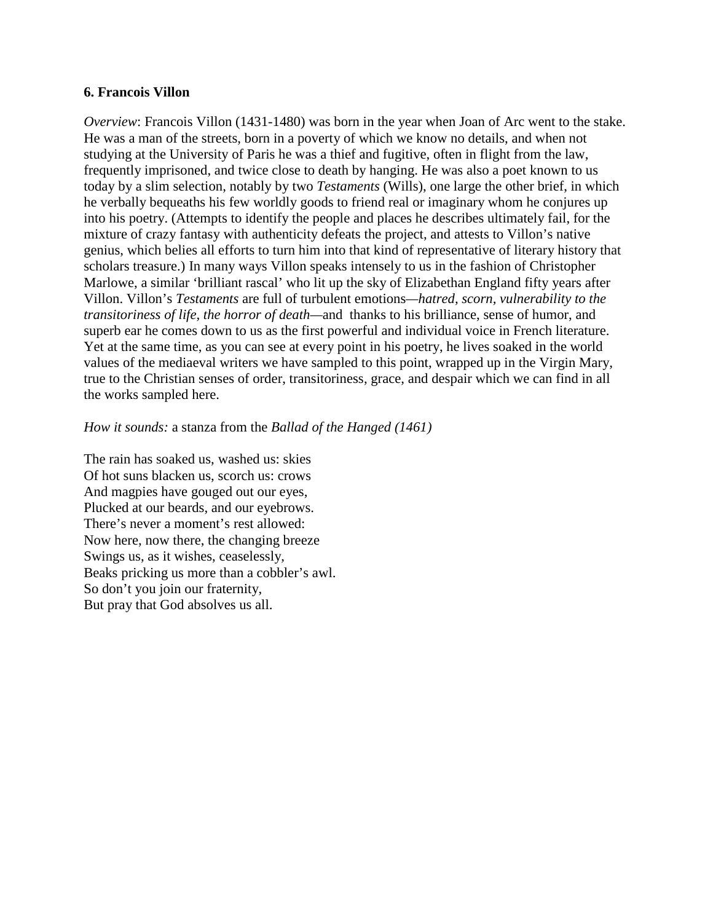### **6. Francois Villon**

*Overview*: Francois Villon (1431-1480) was born in the year when Joan of Arc went to the stake. He was a man of the streets, born in a poverty of which we know no details, and when not studying at the University of Paris he was a thief and fugitive, often in flight from the law, frequently imprisoned, and twice close to death by hanging. He was also a poet known to us today by a slim selection, notably by two *Testaments* (Wills), one large the other brief, in which he verbally bequeaths his few worldly goods to friend real or imaginary whom he conjures up into his poetry. (Attempts to identify the people and places he describes ultimately fail, for the mixture of crazy fantasy with authenticity defeats the project, and attests to Villon's native genius, which belies all efforts to turn him into that kind of representative of literary history that scholars treasure.) In many ways Villon speaks intensely to us in the fashion of Christopher Marlowe, a similar 'brilliant rascal' who lit up the sky of Elizabethan England fifty years after Villon. Villon's *Testaments* are full of turbulent emotions*—hatred, scorn, vulnerability to the transitoriness of life, the horror of death—*andthanks to his brilliance, sense of humor, and superb ear he comes down to us as the first powerful and individual voice in French literature. Yet at the same time, as you can see at every point in his poetry, he lives soaked in the world values of the mediaeval writers we have sampled to this point, wrapped up in the Virgin Mary, true to the Christian senses of order, transitoriness, grace, and despair which we can find in all the works sampled here.

### *How it sounds:* a stanza from the *Ballad of the Hanged (1461)*

The rain has soaked us, washed us: skies Of hot suns blacken us, scorch us: crows And magpies have gouged out our eyes, Plucked at our beards, and our eyebrows. There's never a moment's rest allowed: Now here, now there, the changing breeze Swings us, as it wishes, ceaselessly, Beaks pricking us more than a cobbler's awl. So don't you join our fraternity, But pray that God absolves us all.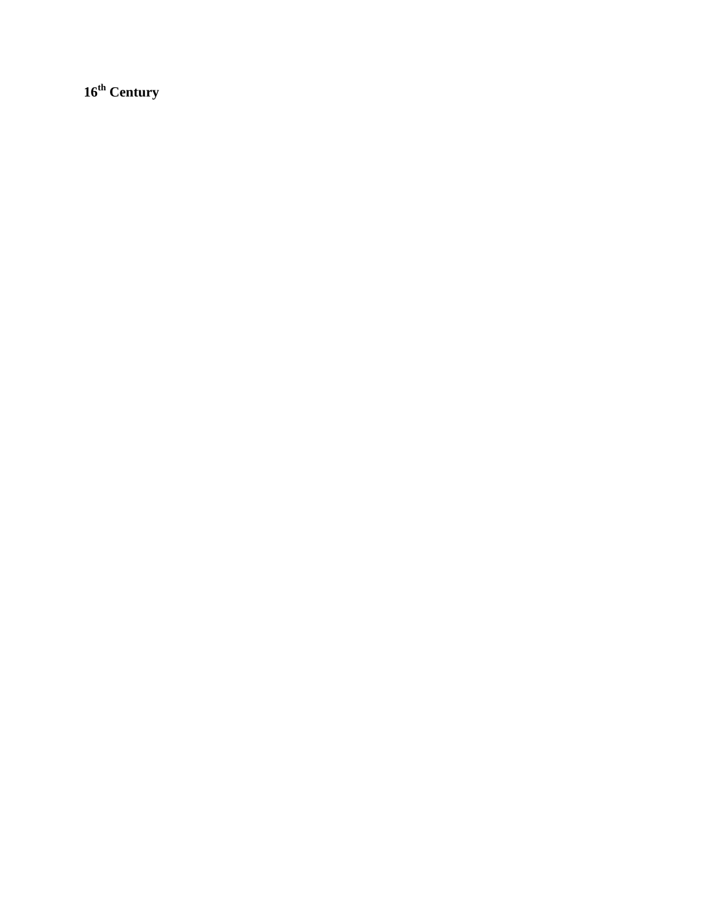**16th Century**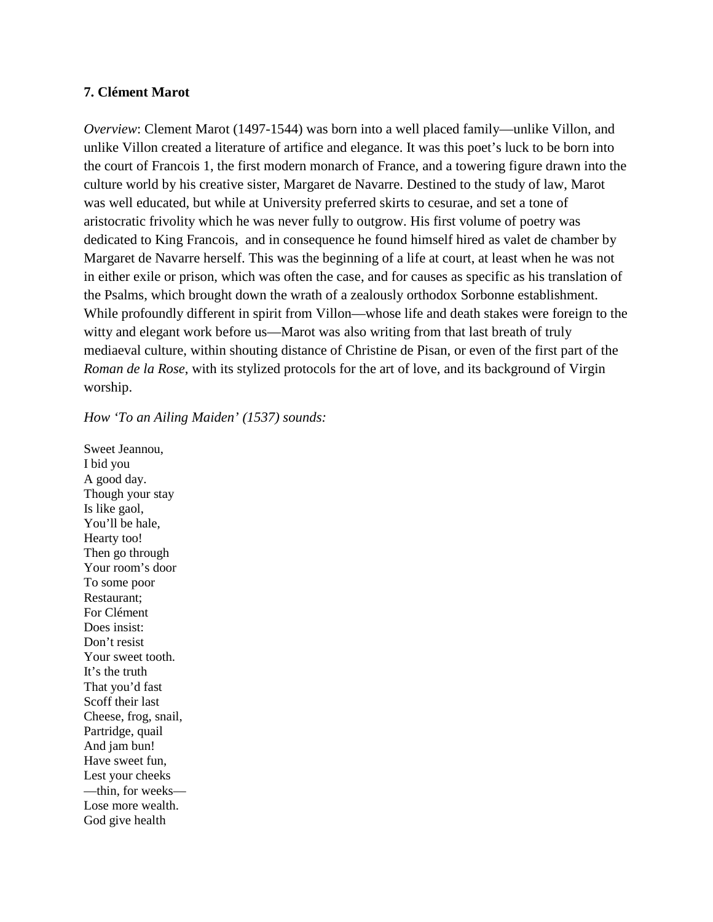### **7. Clément Marot**

*Overview*: Clement Marot (1497-1544) was born into a well placed family—unlike Villon, and unlike Villon created a literature of artifice and elegance. It was this poet's luck to be born into the court of Francois 1, the first modern monarch of France, and a towering figure drawn into the culture world by his creative sister, Margaret de Navarre. Destined to the study of law, Marot was well educated, but while at University preferred skirts to cesurae, and set a tone of aristocratic frivolity which he was never fully to outgrow. His first volume of poetry was dedicated to King Francois, and in consequence he found himself hired as valet de chamber by Margaret de Navarre herself. This was the beginning of a life at court, at least when he was not in either exile or prison, which was often the case, and for causes as specific as his translation of the Psalms, which brought down the wrath of a zealously orthodox Sorbonne establishment. While profoundly different in spirit from Villon—whose life and death stakes were foreign to the witty and elegant work before us—Marot was also writing from that last breath of truly mediaeval culture, within shouting distance of Christine de Pisan, or even of the first part of the *Roman de la Rose*, with its stylized protocols for the art of love, and its background of Virgin worship.

### *How 'To an Ailing Maiden' (1537) sounds:*

Sweet Jeannou, I bid you A good day. Though your stay Is like gaol, You'll be hale, Hearty too! Then go through Your room's door To some poor Restaurant; For Clément Does insist: Don't resist Your sweet tooth. It's the truth That you'd fast Scoff their last Cheese, frog, snail, Partridge, quail And jam bun! Have sweet fun, Lest your cheeks —thin, for weeks— Lose more wealth. God give health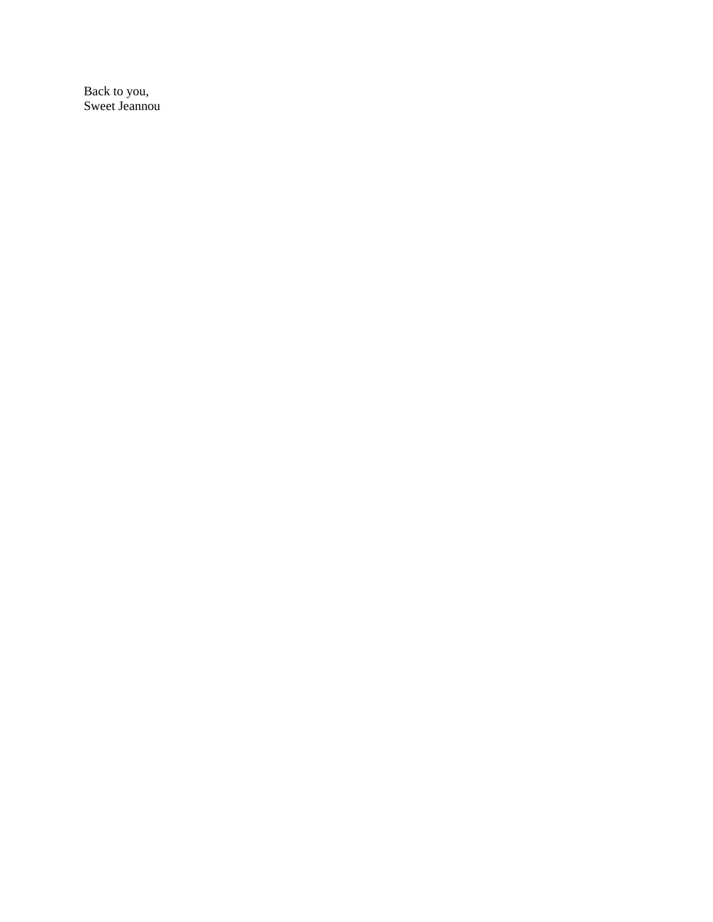Back to you, Sweet Jeannou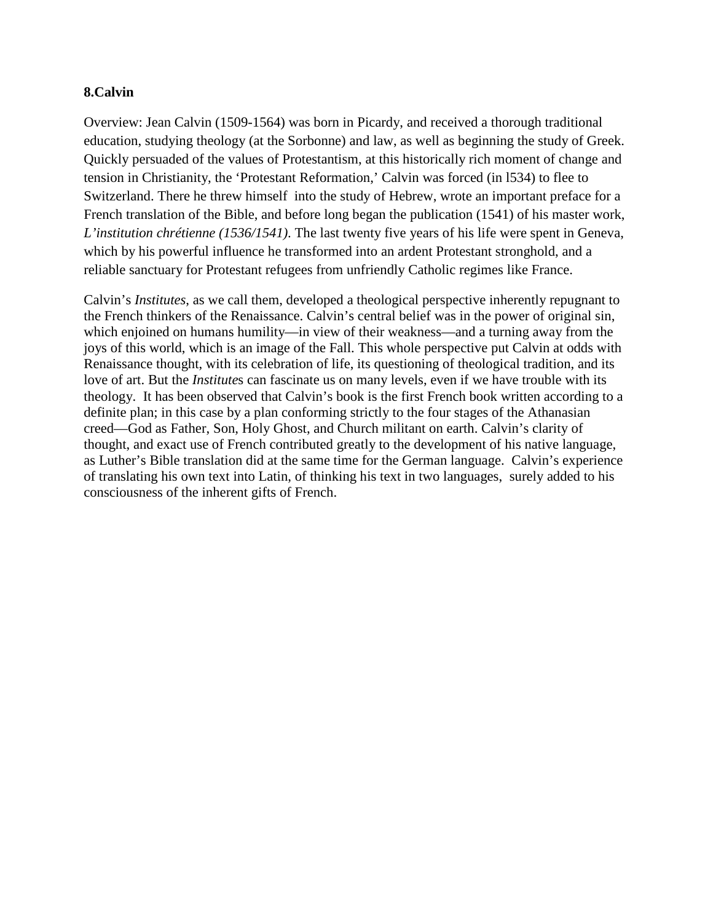## **8.Calvin**

Overview: Jean Calvin (1509-1564) was born in Picardy, and received a thorough traditional education, studying theology (at the Sorbonne) and law, as well as beginning the study of Greek. Quickly persuaded of the values of Protestantism, at this historically rich moment of change and tension in Christianity, the 'Protestant Reformation,' Calvin was forced (in l534) to flee to Switzerland. There he threw himself into the study of Hebrew, wrote an important preface for a French translation of the Bible, and before long began the publication (1541) of his master work, *L'institution chrétienne (1536/1541)*. The last twenty five years of his life were spent in Geneva, which by his powerful influence he transformed into an ardent Protestant stronghold, and a reliable sanctuary for Protestant refugees from unfriendly Catholic regimes like France.

Calvin's *Institutes*, as we call them, developed a theological perspective inherently repugnant to the French thinkers of the Renaissance. Calvin's central belief was in the power of original sin, which enjoined on humans humility—in view of their weakness—and a turning away from the joys of this world, which is an image of the Fall. This whole perspective put Calvin at odds with Renaissance thought, with its celebration of life, its questioning of theological tradition, and its love of art. But the *Institute*s can fascinate us on many levels, even if we have trouble with its theology. It has been observed that Calvin's book is the first French book written according to a definite plan; in this case by a plan conforming strictly to the four stages of the Athanasian creed—God as Father, Son, Holy Ghost, and Church militant on earth. Calvin's clarity of thought, and exact use of French contributed greatly to the development of his native language, as Luther's Bible translation did at the same time for the German language. Calvin's experience of translating his own text into Latin, of thinking his text in two languages, surely added to his consciousness of the inherent gifts of French.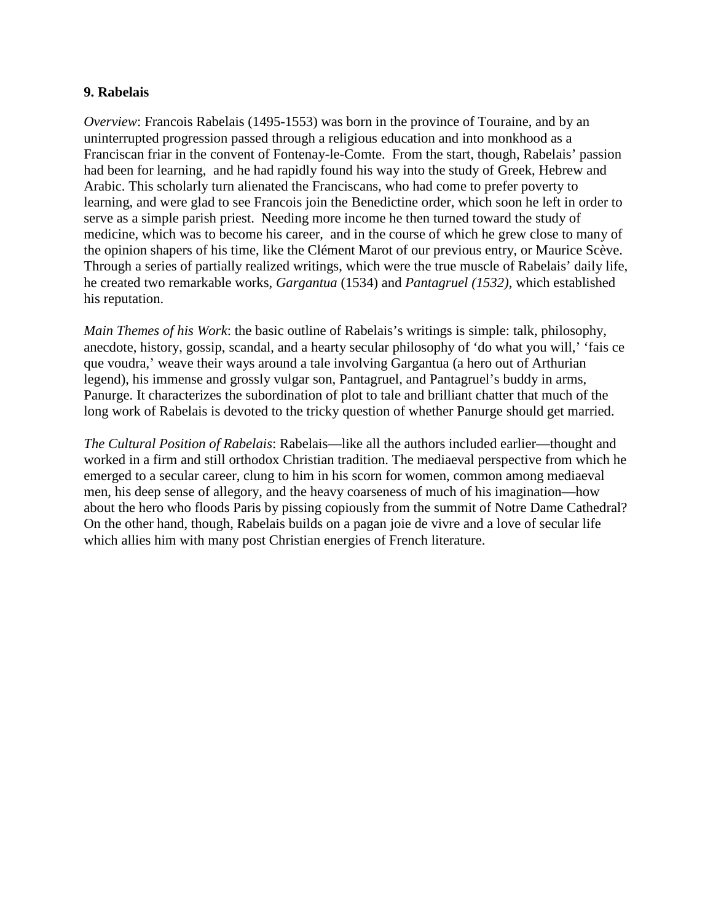### **9. Rabelais**

*Overview*: Francois Rabelais (1495-1553) was born in the province of Touraine, and by an uninterrupted progression passed through a religious education and into monkhood as a Franciscan friar in the convent of Fontenay-le-Comte. From the start, though, Rabelais' passion had been for learning, and he had rapidly found his way into the study of Greek, Hebrew and Arabic. This scholarly turn alienated the Franciscans, who had come to prefer poverty to learning, and were glad to see Francois join the Benedictine order, which soon he left in order to serve as a simple parish priest. Needing more income he then turned toward the study of medicine, which was to become his career, and in the course of which he grew close to many of the opinion shapers of his time, like the Clément Marot of our previous entry, or Maurice Scève. Through a series of partially realized writings, which were the true muscle of Rabelais' daily life, he created two remarkable works, *Gargantua* (1534) and *Pantagruel (1532)*, which established his reputation.

*Main Themes of his Work*: the basic outline of Rabelais's writings is simple: talk, philosophy, anecdote, history, gossip, scandal, and a hearty secular philosophy of 'do what you will,' 'fais ce que voudra,' weave their ways around a tale involving Gargantua (a hero out of Arthurian legend), his immense and grossly vulgar son, Pantagruel, and Pantagruel's buddy in arms, Panurge. It characterizes the subordination of plot to tale and brilliant chatter that much of the long work of Rabelais is devoted to the tricky question of whether Panurge should get married.

*The Cultural Position of Rabelais*: Rabelais—like all the authors included earlier—thought and worked in a firm and still orthodox Christian tradition. The mediaeval perspective from which he emerged to a secular career, clung to him in his scorn for women, common among mediaeval men, his deep sense of allegory, and the heavy coarseness of much of his imagination—how about the hero who floods Paris by pissing copiously from the summit of Notre Dame Cathedral? On the other hand, though, Rabelais builds on a pagan joie de vivre and a love of secular life which allies him with many post Christian energies of French literature.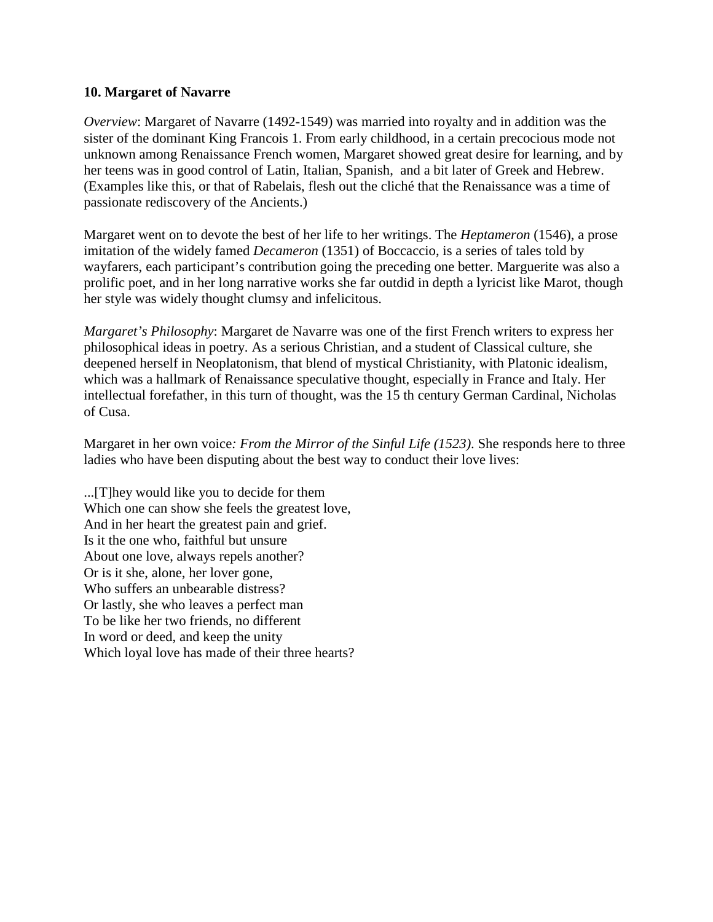## **10. Margaret of Navarre**

*Overview*: Margaret of Navarre (1492-1549) was married into royalty and in addition was the sister of the dominant King Francois 1. From early childhood, in a certain precocious mode not unknown among Renaissance French women, Margaret showed great desire for learning, and by her teens was in good control of Latin, Italian, Spanish, and a bit later of Greek and Hebrew. (Examples like this, or that of Rabelais, flesh out the cliché that the Renaissance was a time of passionate rediscovery of the Ancients.)

Margaret went on to devote the best of her life to her writings. The *Heptameron* (1546), a prose imitation of the widely famed *Decameron* (1351) of Boccaccio, is a series of tales told by wayfarers, each participant's contribution going the preceding one better. Marguerite was also a prolific poet, and in her long narrative works she far outdid in depth a lyricist like Marot, though her style was widely thought clumsy and infelicitous.

*Margaret's Philosophy*: Margaret de Navarre was one of the first French writers to express her philosophical ideas in poetry. As a serious Christian, and a student of Classical culture, she deepened herself in Neoplatonism, that blend of mystical Christianity, with Platonic idealism, which was a hallmark of Renaissance speculative thought, especially in France and Italy. Her intellectual forefather, in this turn of thought, was the 15 th century German Cardinal, Nicholas of Cusa.

Margaret in her own voice*: From the Mirror of the Sinful Life (1523)*. She responds here to three ladies who have been disputing about the best way to conduct their love lives:

...[T]hey would like you to decide for them Which one can show she feels the greatest love, And in her heart the greatest pain and grief. Is it the one who, faithful but unsure About one love, always repels another? Or is it she, alone, her lover gone, Who suffers an unbearable distress? Or lastly, she who leaves a perfect man To be like her two friends, no different In word or deed, and keep the unity Which loyal love has made of their three hearts?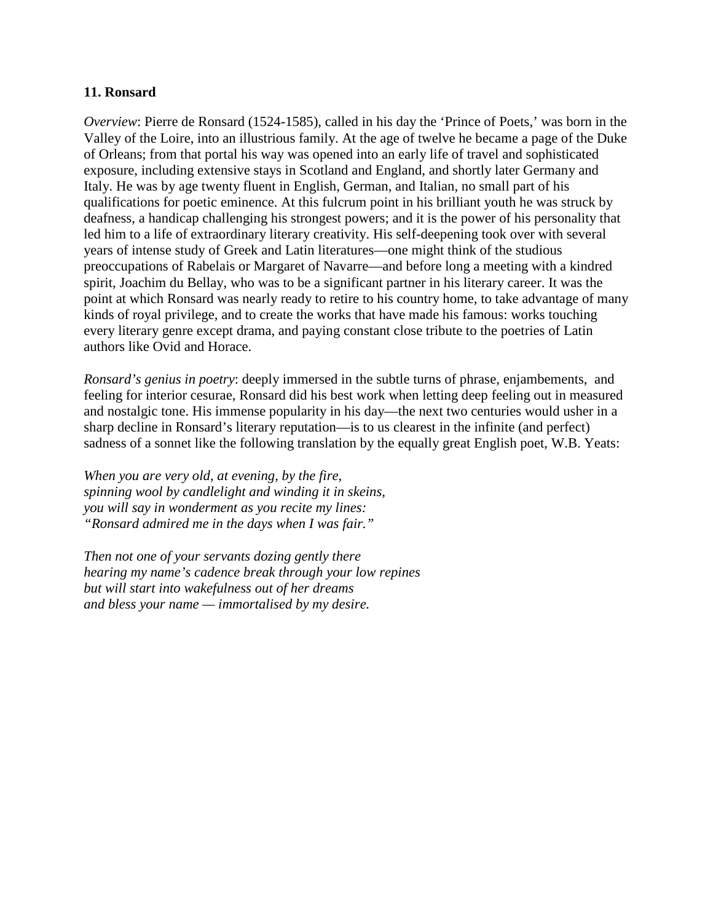## **11. Ronsard**

*Overview*: Pierre de Ronsard (1524-1585), called in his day the 'Prince of Poets,' was born in the Valley of the Loire, into an illustrious family. At the age of twelve he became a page of the Duke of Orleans; from that portal his way was opened into an early life of travel and sophisticated exposure, including extensive stays in Scotland and England, and shortly later Germany and Italy. He was by age twenty fluent in English, German, and Italian, no small part of his qualifications for poetic eminence. At this fulcrum point in his brilliant youth he was struck by deafness, a handicap challenging his strongest powers; and it is the power of his personality that led him to a life of extraordinary literary creativity. His self-deepening took over with several years of intense study of Greek and Latin literatures—one might think of the studious preoccupations of Rabelais or Margaret of Navarre—and before long a meeting with a kindred spirit, Joachim du Bellay, who was to be a significant partner in his literary career. It was the point at which Ronsard was nearly ready to retire to his country home, to take advantage of many kinds of royal privilege, and to create the works that have made his famous: works touching every literary genre except drama, and paying constant close tribute to the poetries of Latin authors like Ovid and Horace.

*Ronsard's genius in poetry*: deeply immersed in the subtle turns of phrase, enjambements, and feeling for interior cesurae, Ronsard did his best work when letting deep feeling out in measured and nostalgic tone. His immense popularity in his day—the next two centuries would usher in a sharp decline in Ronsard's literary reputation—is to us clearest in the infinite (and perfect) sadness of a sonnet like the following translation by the equally great English poet, W.B. Yeats:

*When you are very old, at evening, by the fire, spinning wool by candlelight and winding it in skeins, you will say in wonderment as you recite my lines: "Ronsard admired me in the days when I was fair."*

*Then not one of your servants dozing gently there hearing my name's cadence break through your low repines but will start into wakefulness out of her dreams and bless your name — immortalised by my desire.*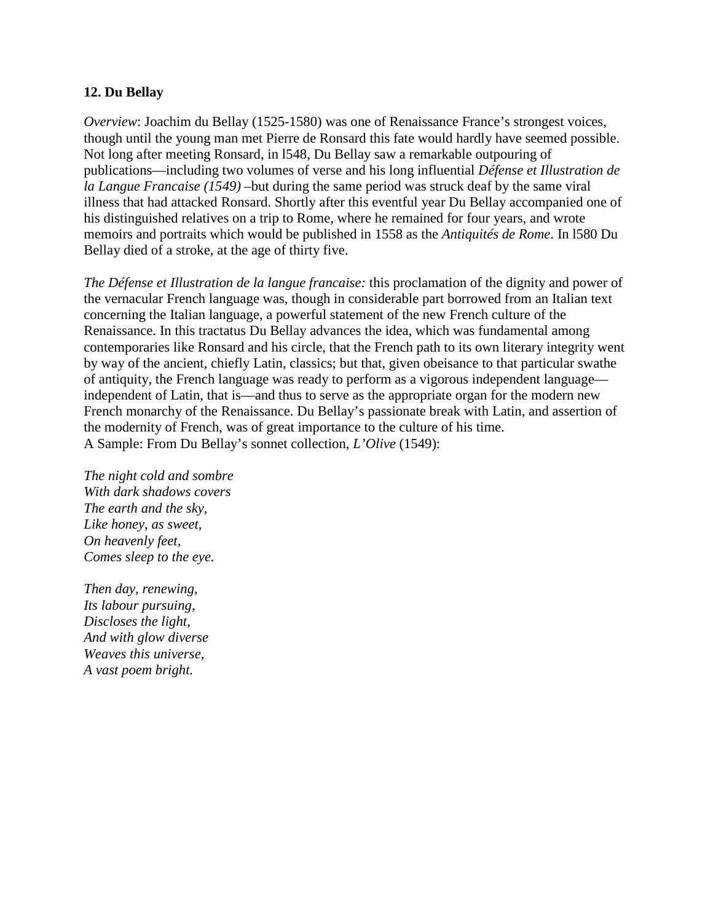# **12. Du Bellay**

*Overview*: Joachim du Bellay (1525-1580) was one of Renaissance France's strongest voices, though until the young man met Pierre de Ronsard this fate would hardly have seemed possible. Not long after meeting Ronsard, in l548, Du Bellay saw a remarkable outpouring of publications—including two volumes of verse and his long influential *Défense et Illustration de la Langue Francaise (1549)* –but during the same period was struck deaf by the same viral illness that had attacked Ronsard. Shortly after this eventful year Du Bellay accompanied one of his distinguished relatives on a trip to Rome, where he remained for four years, and wrote memoirs and portraits which would be published in 1558 as the *Antiquités de Rome*. In l580 Du Bellay died of a stroke, at the age of thirty five.

*The Défense et Illustration de la langue francaise:* this proclamation of the dignity and power of the vernacular French language was, though in considerable part borrowed from an Italian text concerning the Italian language, a powerful statement of the new French culture of the Renaissance. In this tractatus Du Bellay advances the idea, which was fundamental among contemporaries like Ronsard and his circle, that the French path to its own literary integrity went by way of the ancient, chiefly Latin, classics; but that, given obeisance to that particular swathe of antiquity, the French language was ready to perform as a vigorous independent language independent of Latin, that is—and thus to serve as the appropriate organ for the modern new French monarchy of the Renaissance. Du Bellay's passionate break with Latin, and assertion of the modernity of French, was of great importance to the culture of his time. A Sample: From Du Bellay's sonnet collection, *L'Olive* (1549):

*The night cold and sombre With dark shadows covers The earth and the sky, Like honey, as sweet, On heavenly feet, Comes sleep to the eye.*

*Then day, renewing, Its labour pursuing, Discloses the light, And with glow diverse Weaves this universe, A vast poem bright.*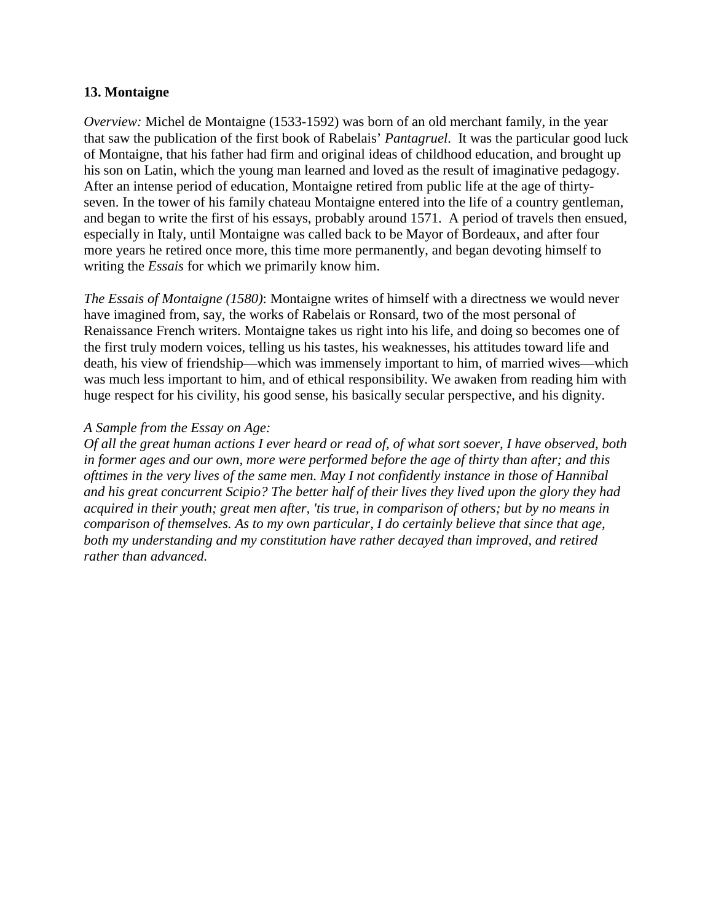## **13. Montaigne**

*Overview:* Michel de Montaigne (1533-1592) was born of an old merchant family, in the year that saw the publication of the first book of Rabelais' *Pantagruel*. It was the particular good luck of Montaigne, that his father had firm and original ideas of childhood education, and brought up his son on Latin, which the young man learned and loved as the result of imaginative pedagogy. After an intense period of education, Montaigne retired from public life at the age of thirtyseven. In the tower of his family chateau Montaigne entered into the life of a country gentleman, and began to write the first of his essays, probably around 1571. A period of travels then ensued, especially in Italy, until Montaigne was called back to be Mayor of Bordeaux, and after four more years he retired once more, this time more permanently, and began devoting himself to writing the *Essais* for which we primarily know him.

*The Essais of Montaigne (1580)*: Montaigne writes of himself with a directness we would never have imagined from, say, the works of Rabelais or Ronsard, two of the most personal of Renaissance French writers. Montaigne takes us right into his life, and doing so becomes one of the first truly modern voices, telling us his tastes, his weaknesses, his attitudes toward life and death, his view of friendship—which was immensely important to him, of married wives—which was much less important to him, and of ethical responsibility. We awaken from reading him with huge respect for his civility, his good sense, his basically secular perspective, and his dignity.

## *A Sample from the Essay on Age:*

*Of all the great human actions I ever heard or read of, of what sort soever, I have observed, both in former ages and our own, more were performed before the age of thirty than after; and this ofttimes in the very lives of the same men. May I not confidently instance in those of Hannibal and his great concurrent Scipio? The better half of their lives they lived upon the glory they had acquired in their youth; great men after, 'tis true, in comparison of others; but by no means in comparison of themselves. As to my own particular, I do certainly believe that since that age, both my understanding and my constitution have rather decayed than improved, and retired rather than advanced.*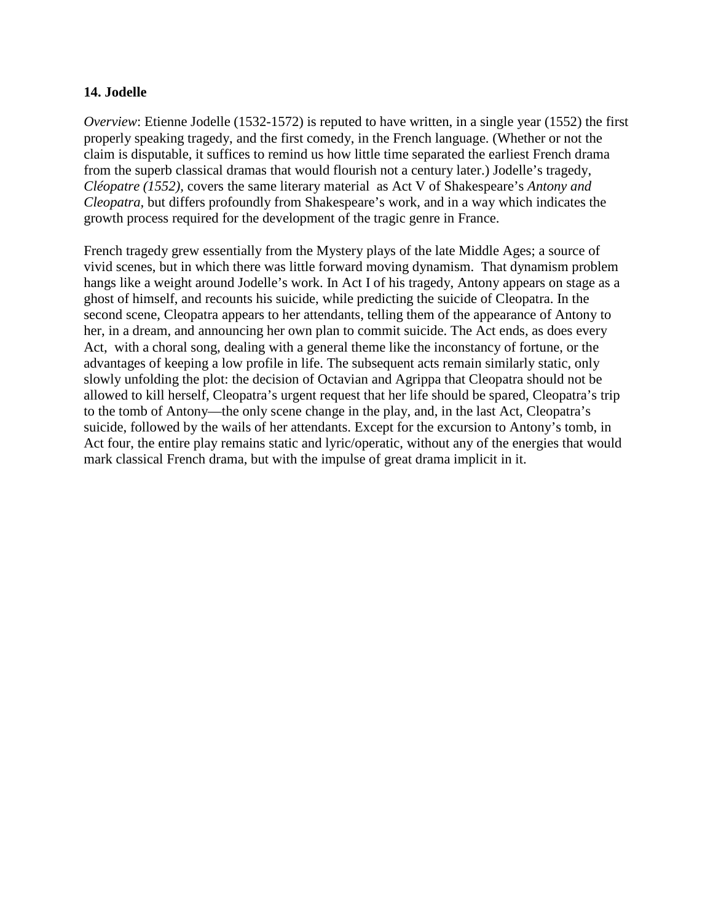# **14. Jodelle**

*Overview*: Etienne Jodelle (1532-1572) is reputed to have written, in a single year (1552) the first properly speaking tragedy, and the first comedy, in the French language. (Whether or not the claim is disputable, it suffices to remind us how little time separated the earliest French drama from the superb classical dramas that would flourish not a century later.) Jodelle's tragedy, *Cléopatre (1552),* covers the same literary material as Act V of Shakespeare's *Antony and Cleopatra,* but differs profoundly from Shakespeare's work, and in a way which indicates the growth process required for the development of the tragic genre in France.

French tragedy grew essentially from the Mystery plays of the late Middle Ages; a source of vivid scenes, but in which there was little forward moving dynamism. That dynamism problem hangs like a weight around Jodelle's work. In Act I of his tragedy, Antony appears on stage as a ghost of himself, and recounts his suicide, while predicting the suicide of Cleopatra. In the second scene, Cleopatra appears to her attendants, telling them of the appearance of Antony to her, in a dream, and announcing her own plan to commit suicide. The Act ends, as does every Act, with a choral song, dealing with a general theme like the inconstancy of fortune, or the advantages of keeping a low profile in life. The subsequent acts remain similarly static, only slowly unfolding the plot: the decision of Octavian and Agrippa that Cleopatra should not be allowed to kill herself, Cleopatra's urgent request that her life should be spared, Cleopatra's trip to the tomb of Antony—the only scene change in the play, and, in the last Act, Cleopatra's suicide, followed by the wails of her attendants. Except for the excursion to Antony's tomb, in Act four, the entire play remains static and lyric/operatic, without any of the energies that would mark classical French drama, but with the impulse of great drama implicit in it.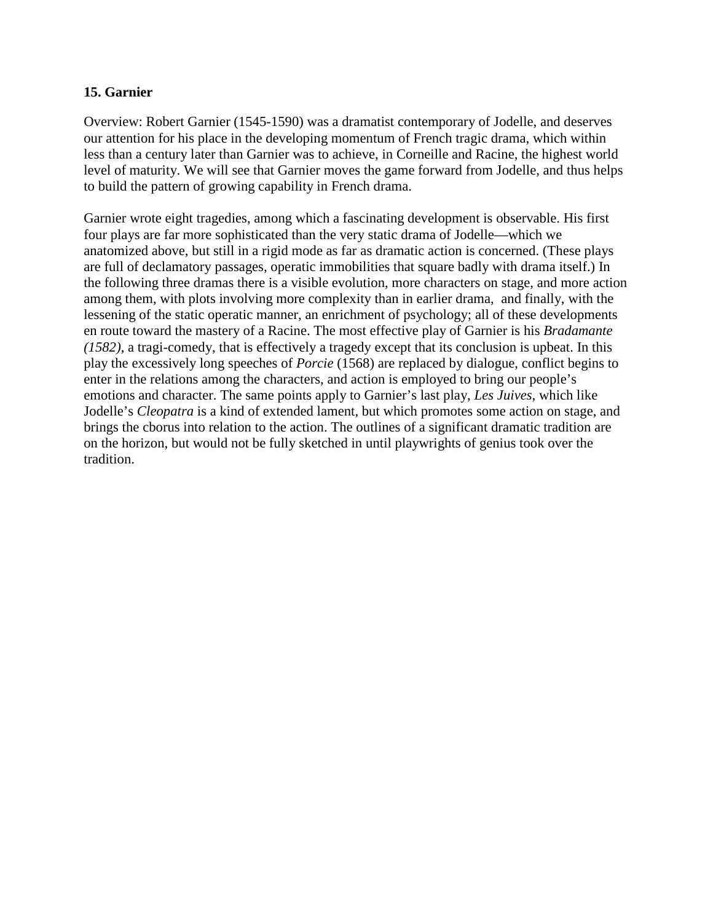# **15. Garnier**

Overview: Robert Garnier (1545-1590) was a dramatist contemporary of Jodelle, and deserves our attention for his place in the developing momentum of French tragic drama, which within less than a century later than Garnier was to achieve, in Corneille and Racine, the highest world level of maturity. We will see that Garnier moves the game forward from Jodelle, and thus helps to build the pattern of growing capability in French drama.

Garnier wrote eight tragedies, among which a fascinating development is observable. His first four plays are far more sophisticated than the very static drama of Jodelle—which we anatomized above, but still in a rigid mode as far as dramatic action is concerned. (These plays are full of declamatory passages, operatic immobilities that square badly with drama itself.) In the following three dramas there is a visible evolution, more characters on stage, and more action among them, with plots involving more complexity than in earlier drama, and finally, with the lessening of the static operatic manner, an enrichment of psychology; all of these developments en route toward the mastery of a Racine. The most effective play of Garnier is his *Bradamante (1582)*, a tragi-comedy, that is effectively a tragedy except that its conclusion is upbeat. In this play the excessively long speeches of *Porcie* (1568) are replaced by dialogue, conflict begins to enter in the relations among the characters, and action is employed to bring our people's emotions and character. The same points apply to Garnier's last play, *Les Juives*, which like Jodelle's *Cleopatra* is a kind of extended lament, but which promotes some action on stage, and brings the cborus into relation to the action. The outlines of a significant dramatic tradition are on the horizon, but would not be fully sketched in until playwrights of genius took over the tradition.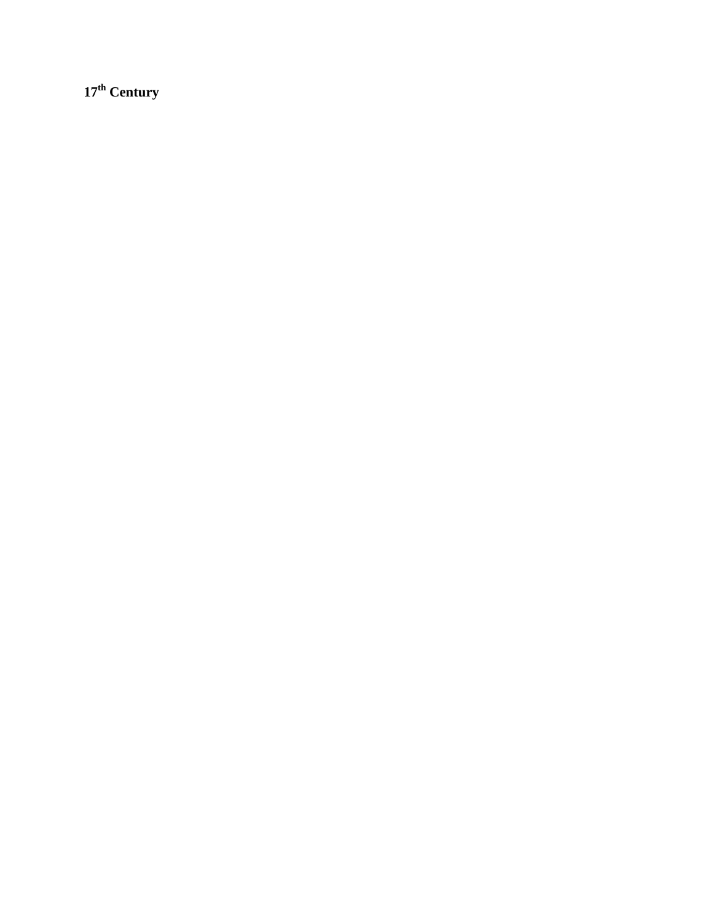**17th Century**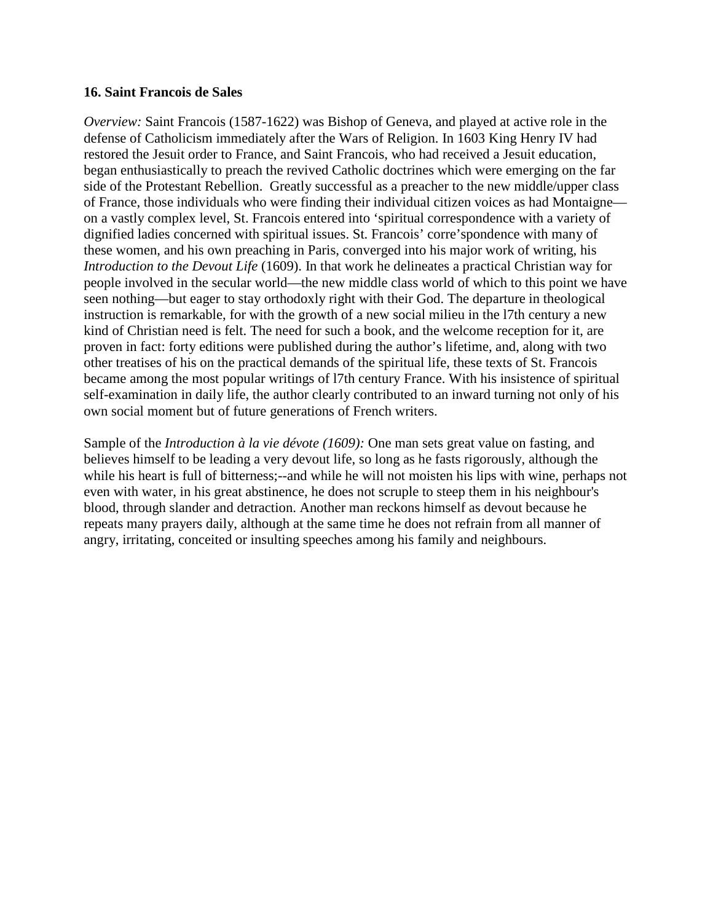### **16. Saint Francois de Sales**

*Overview:* Saint Francois (1587-1622) was Bishop of Geneva, and played at active role in the defense of Catholicism immediately after the Wars of Religion. In 1603 King Henry IV had restored the Jesuit order to France, and Saint Francois, who had received a Jesuit education, began enthusiastically to preach the revived Catholic doctrines which were emerging on the far side of the Protestant Rebellion. Greatly successful as a preacher to the new middle/upper class of France, those individuals who were finding their individual citizen voices as had Montaigne on a vastly complex level, St. Francois entered into 'spiritual correspondence with a variety of dignified ladies concerned with spiritual issues. St. Francois' corre'spondence with many of these women, and his own preaching in Paris, converged into his major work of writing, his *Introduction to the Devout Life* (1609). In that work he delineates a practical Christian way for people involved in the secular world—the new middle class world of which to this point we have seen nothing—but eager to stay orthodoxly right with their God. The departure in theological instruction is remarkable, for with the growth of a new social milieu in the l7th century a new kind of Christian need is felt. The need for such a book, and the welcome reception for it, are proven in fact: forty editions were published during the author's lifetime, and, along with two other treatises of his on the practical demands of the spiritual life, these texts of St. Francois became among the most popular writings of l7th century France. With his insistence of spiritual self-examination in daily life, the author clearly contributed to an inward turning not only of his own social moment but of future generations of French writers.

Sample of the *Introduction à la vie dévote (1609):* One man sets great value on fasting, and believes himself to be leading a very devout life, so long as he fasts rigorously, although the while his heart is full of bitterness;--and while he will not moisten his lips with wine, perhaps not even with water, in his great abstinence, he does not scruple to steep them in his neighbour's blood, through slander and detraction. Another man reckons himself as devout because he repeats many prayers daily, although at the same time he does not refrain from all manner of angry, irritating, conceited or insulting speeches among his family and neighbours.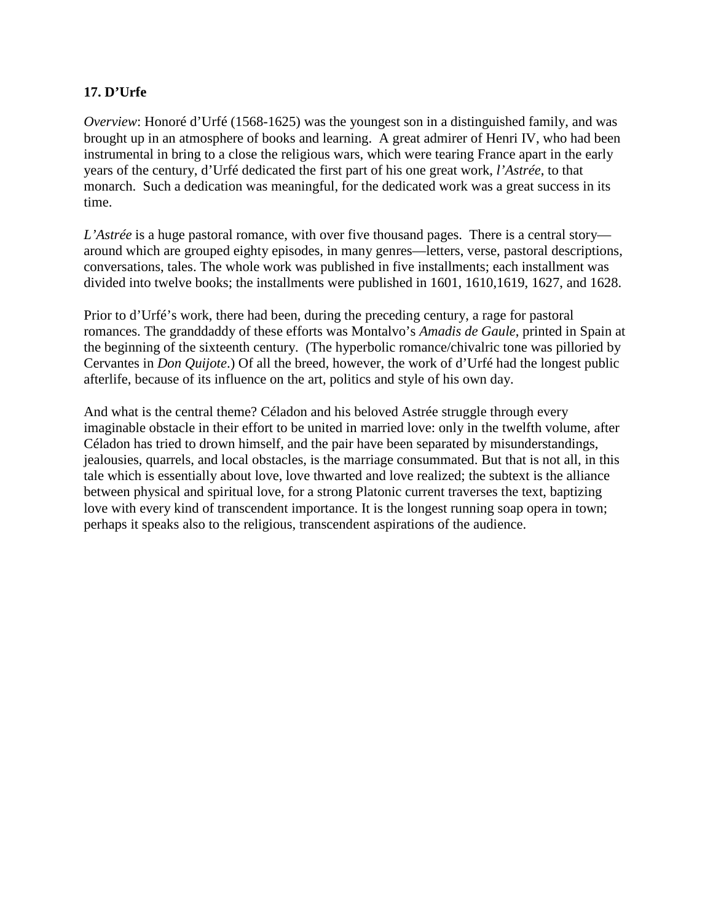# **17. D'Urfe**

*Overview*: Honoré d'Urfé (1568-1625) was the youngest son in a distinguished family, and was brought up in an atmosphere of books and learning. A great admirer of Henri IV, who had been instrumental in bring to a close the religious wars, which were tearing France apart in the early years of the century, d'Urfé dedicated the first part of his one great work, *l'Astrée*, to that monarch. Such a dedication was meaningful, for the dedicated work was a great success in its time.

*L'Astrée* is a huge pastoral romance, with over five thousand pages. There is a central story around which are grouped eighty episodes, in many genres—letters, verse, pastoral descriptions, conversations, tales. The whole work was published in five installments; each installment was divided into twelve books; the installments were published in 1601, 1610,1619, 1627, and 1628.

Prior to d'Urfé's work, there had been, during the preceding century, a rage for pastoral romances. The granddaddy of these efforts was Montalvo's *Amadis de Gaule*, printed in Spain at the beginning of the sixteenth century. (The hyperbolic romance/chivalric tone was pilloried by Cervantes in *Don Quijote*.) Of all the breed, however, the work of d'Urfé had the longest public afterlife, because of its influence on the art, politics and style of his own day.

And what is the central theme? Céladon and his beloved Astrée struggle through every imaginable obstacle in their effort to be united in married love: only in the twelfth volume, after Céladon has tried to drown himself, and the pair have been separated by misunderstandings, jealousies, quarrels, and local obstacles, is the marriage consummated. But that is not all, in this tale which is essentially about love, love thwarted and love realized; the subtext is the alliance between physical and spiritual love, for a strong Platonic current traverses the text, baptizing love with every kind of transcendent importance. It is the longest running soap opera in town; perhaps it speaks also to the religious, transcendent aspirations of the audience.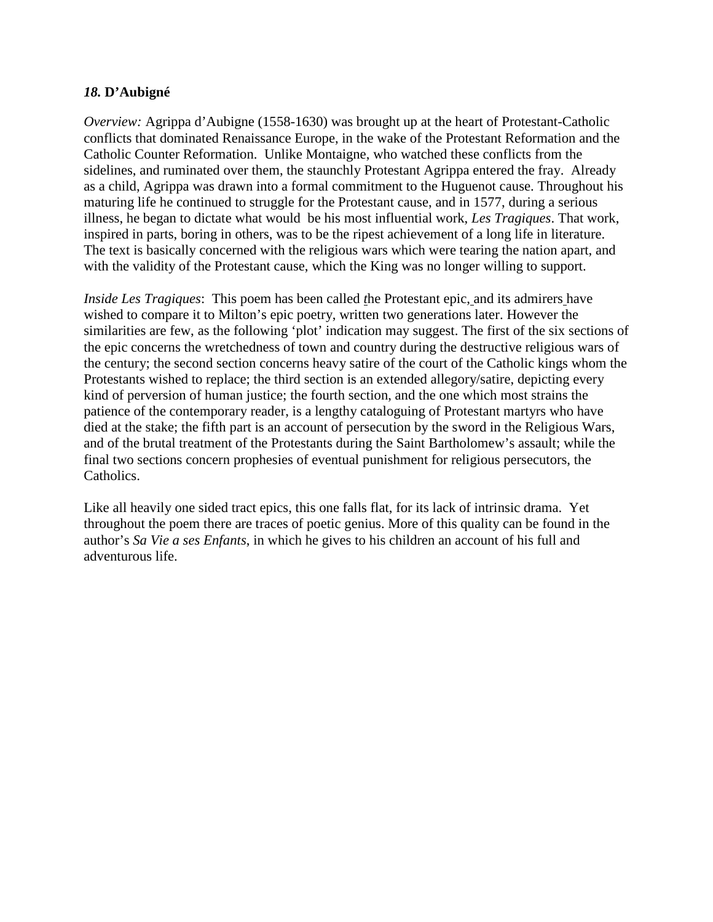# *18.* **D'Aubigné**

*Overview:* Agrippa d'Aubigne (1558-1630) was brought up at the heart of Protestant-Catholic conflicts that dominated Renaissance Europe, in the wake of the Protestant Reformation and the Catholic Counter Reformation. Unlike Montaigne, who watched these conflicts from the sidelines, and ruminated over them, the staunchly Protestant Agrippa entered the fray. Already as a child, Agrippa was drawn into a formal commitment to the Huguenot cause. Throughout his maturing life he continued to struggle for the Protestant cause, and in 1577, during a serious illness, he began to dictate what would be his most influential work, *Les Tragiques*. That work, inspired in parts, boring in others, was to be the ripest achievement of a long life in literature. The text is basically concerned with the religious wars which were tearing the nation apart, and with the validity of the Protestant cause, which the King was no longer willing to support.

*Inside Les Tragiques*: This poem has been called *t*he Protestant epic, and its admirers have wished to compare it to Milton's epic poetry, written two generations later. However the similarities are few, as the following 'plot' indication may suggest. The first of the six sections of the epic concerns the wretchedness of town and country during the destructive religious wars of the century; the second section concerns heavy satire of the court of the Catholic kings whom the Protestants wished to replace; the third section is an extended allegory/satire, depicting every kind of perversion of human justice; the fourth section, and the one which most strains the patience of the contemporary reader, is a lengthy cataloguing of Protestant martyrs who have died at the stake; the fifth part is an account of persecution by the sword in the Religious Wars, and of the brutal treatment of the Protestants during the Saint Bartholomew's assault; while the final two sections concern prophesies of eventual punishment for religious persecutors, the Catholics.

Like all heavily one sided tract epics, this one falls flat, for its lack of intrinsic drama. Yet throughout the poem there are traces of poetic genius. More of this quality can be found in the author's *Sa Vie a ses Enfants*, in which he gives to his children an account of his full and adventurous life.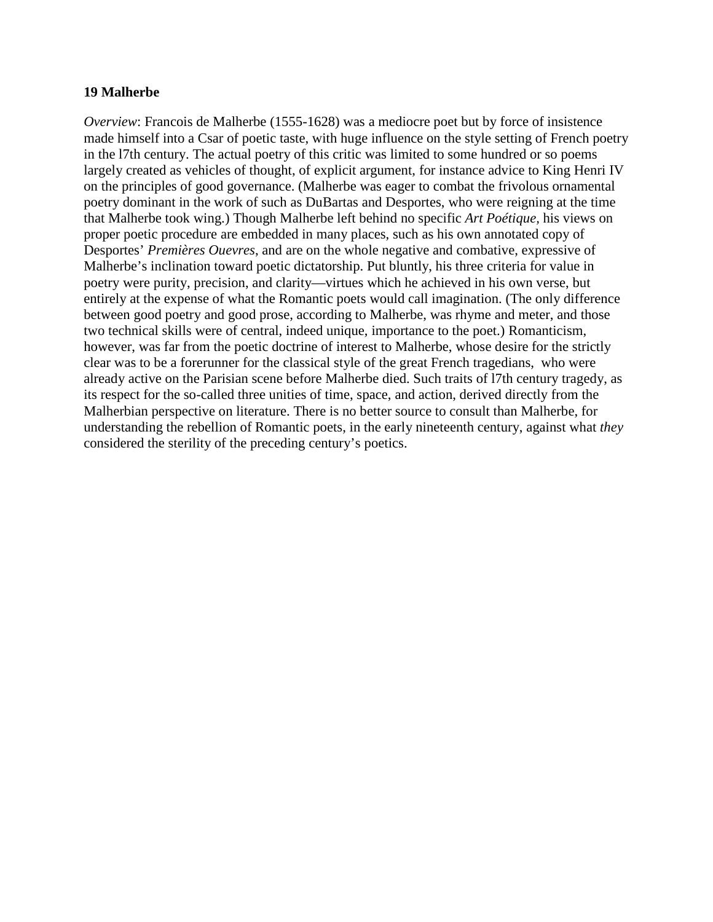### **19 Malherbe**

*Overview*: Francois de Malherbe (1555-1628) was a mediocre poet but by force of insistence made himself into a Csar of poetic taste, with huge influence on the style setting of French poetry in the l7th century. The actual poetry of this critic was limited to some hundred or so poems largely created as vehicles of thought, of explicit argument, for instance advice to King Henri IV on the principles of good governance. (Malherbe was eager to combat the frivolous ornamental poetry dominant in the work of such as DuBartas and Desportes, who were reigning at the time that Malherbe took wing.) Though Malherbe left behind no specific *Art Poétique,* his views on proper poetic procedure are embedded in many places, such as his own annotated copy of Desportes' *Premières Ouevres*, and are on the whole negative and combative, expressive of Malherbe's inclination toward poetic dictatorship. Put bluntly, his three criteria for value in poetry were purity, precision, and clarity—virtues which he achieved in his own verse, but entirely at the expense of what the Romantic poets would call imagination. (The only difference between good poetry and good prose, according to Malherbe, was rhyme and meter, and those two technical skills were of central, indeed unique, importance to the poet.) Romanticism, however, was far from the poetic doctrine of interest to Malherbe, whose desire for the strictly clear was to be a forerunner for the classical style of the great French tragedians, who were already active on the Parisian scene before Malherbe died. Such traits of l7th century tragedy, as its respect for the so-called three unities of time, space, and action, derived directly from the Malherbian perspective on literature. There is no better source to consult than Malherbe, for understanding the rebellion of Romantic poets, in the early nineteenth century, against what *they* considered the sterility of the preceding century's poetics.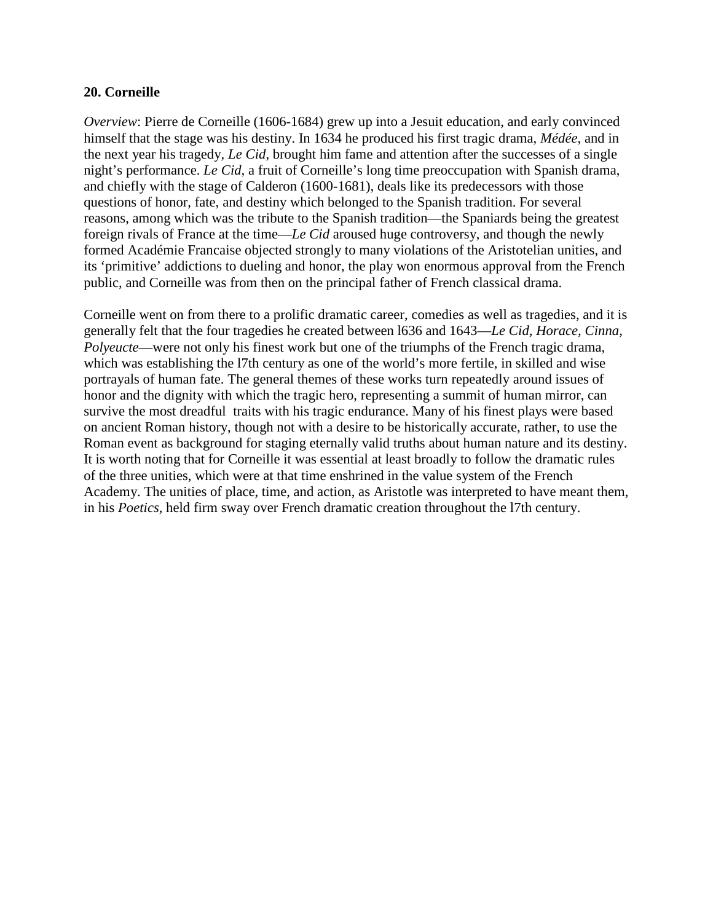# **20. Corneille**

*Overview*: Pierre de Corneille (1606-1684) grew up into a Jesuit education, and early convinced himself that the stage was his destiny. In 1634 he produced his first tragic drama, *Médée*, and in the next year his tragedy*, Le Cid*, brought him fame and attention after the successes of a single night's performance. *Le Cid*, a fruit of Corneille's long time preoccupation with Spanish drama, and chiefly with the stage of Calderon (1600-1681), deals like its predecessors with those questions of honor, fate, and destiny which belonged to the Spanish tradition. For several reasons, among which was the tribute to the Spanish tradition—the Spaniards being the greatest foreign rivals of France at the time—*Le Cid* aroused huge controversy, and though the newly formed Académie Francaise objected strongly to many violations of the Aristotelian unities, and its 'primitive' addictions to dueling and honor, the play won enormous approval from the French public, and Corneille was from then on the principal father of French classical drama.

Corneille went on from there to a prolific dramatic career, comedies as well as tragedies, and it is generally felt that the four tragedies he created between l636 and 1643—*Le Cid, Horace, Cinna, Polyeucte*—were not only his finest work but one of the triumphs of the French tragic drama, which was establishing the l7th century as one of the world's more fertile, in skilled and wise portrayals of human fate. The general themes of these works turn repeatedly around issues of honor and the dignity with which the tragic hero, representing a summit of human mirror, can survive the most dreadful traits with his tragic endurance. Many of his finest plays were based on ancient Roman history, though not with a desire to be historically accurate, rather, to use the Roman event as background for staging eternally valid truths about human nature and its destiny. It is worth noting that for Corneille it was essential at least broadly to follow the dramatic rules of the three unities, which were at that time enshrined in the value system of the French Academy. The unities of place, time, and action, as Aristotle was interpreted to have meant them, in his *Poetics*, held firm sway over French dramatic creation throughout the l7th century.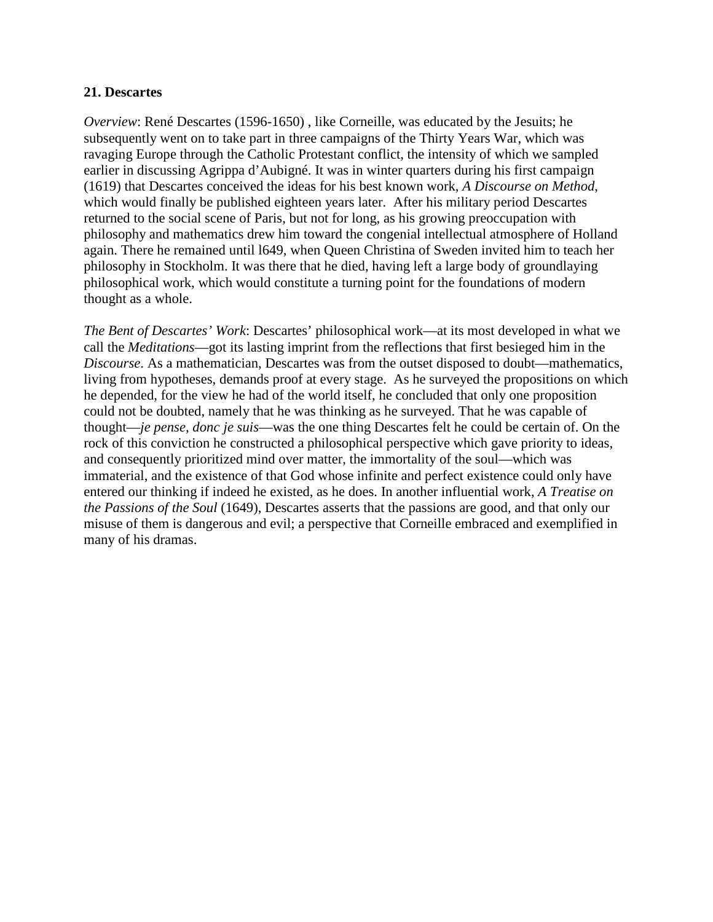## **21. Descartes**

*Overview*: René Descartes (1596-1650) , like Corneille, was educated by the Jesuits; he subsequently went on to take part in three campaigns of the Thirty Years War, which was ravaging Europe through the Catholic Protestant conflict, the intensity of which we sampled earlier in discussing Agrippa d'Aubigné. It was in winter quarters during his first campaign (1619) that Descartes conceived the ideas for his best known work, *A Discourse on Method*, which would finally be published eighteen years later. After his military period Descartes returned to the social scene of Paris, but not for long, as his growing preoccupation with philosophy and mathematics drew him toward the congenial intellectual atmosphere of Holland again. There he remained until l649, when Queen Christina of Sweden invited him to teach her philosophy in Stockholm. It was there that he died, having left a large body of groundlaying philosophical work, which would constitute a turning point for the foundations of modern thought as a whole.

*The Bent of Descartes' Work*: Descartes' philosophical work—at its most developed in what we call the *Meditations*—got its lasting imprint from the reflections that first besieged him in the *Discourse*. As a mathematician, Descartes was from the outset disposed to doubt—mathematics, living from hypotheses, demands proof at every stage. As he surveyed the propositions on which he depended, for the view he had of the world itself, he concluded that only one proposition could not be doubted, namely that he was thinking as he surveyed. That he was capable of thought—*je pense, donc je suis*—was the one thing Descartes felt he could be certain of. On the rock of this conviction he constructed a philosophical perspective which gave priority to ideas, and consequently prioritized mind over matter, the immortality of the soul—which was immaterial, and the existence of that God whose infinite and perfect existence could only have entered our thinking if indeed he existed, as he does. In another influential work, *A Treatise on the Passions of the Soul* (1649), Descartes asserts that the passions are good, and that only our misuse of them is dangerous and evil; a perspective that Corneille embraced and exemplified in many of his dramas.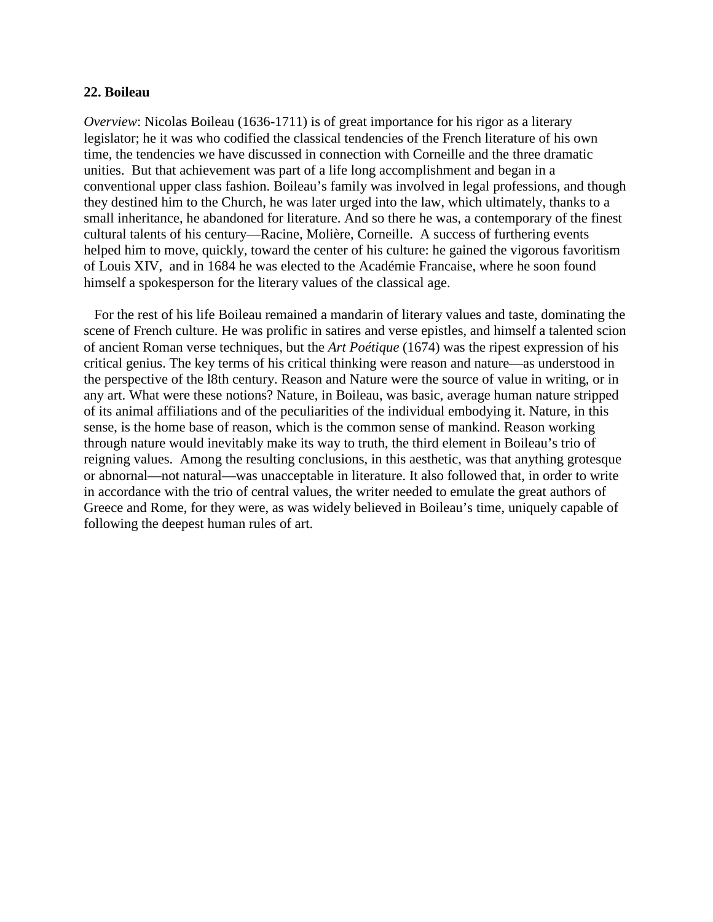#### **22. Boileau**

*Overview*: Nicolas Boileau (1636-1711) is of great importance for his rigor as a literary legislator; he it was who codified the classical tendencies of the French literature of his own time, the tendencies we have discussed in connection with Corneille and the three dramatic unities. But that achievement was part of a life long accomplishment and began in a conventional upper class fashion. Boileau's family was involved in legal professions, and though they destined him to the Church, he was later urged into the law, which ultimately, thanks to a small inheritance, he abandoned for literature. And so there he was, a contemporary of the finest cultural talents of his century—Racine, Molière, Corneille. A success of furthering events helped him to move, quickly, toward the center of his culture: he gained the vigorous favoritism of Louis XIV, and in 1684 he was elected to the Académie Francaise, where he soon found himself a spokesperson for the literary values of the classical age.

 For the rest of his life Boileau remained a mandarin of literary values and taste, dominating the scene of French culture. He was prolific in satires and verse epistles, and himself a talented scion of ancient Roman verse techniques, but the *Art Poétique* (1674) was the ripest expression of his critical genius. The key terms of his critical thinking were reason and nature—as understood in the perspective of the l8th century. Reason and Nature were the source of value in writing, or in any art. What were these notions? Nature, in Boileau, was basic, average human nature stripped of its animal affiliations and of the peculiarities of the individual embodying it. Nature, in this sense, is the home base of reason, which is the common sense of mankind. Reason working through nature would inevitably make its way to truth, the third element in Boileau's trio of reigning values. Among the resulting conclusions, in this aesthetic, was that anything grotesque or abnornal—not natural—was unacceptable in literature. It also followed that, in order to write in accordance with the trio of central values, the writer needed to emulate the great authors of Greece and Rome, for they were, as was widely believed in Boileau's time, uniquely capable of following the deepest human rules of art.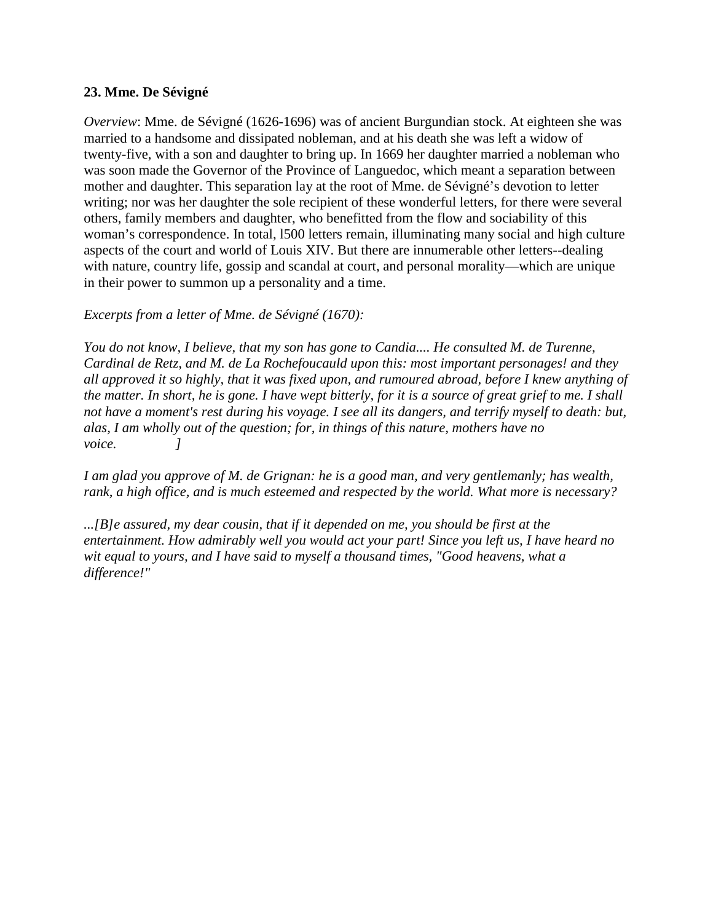# **23. Mme. De Sévigné**

*Overview*: Mme. de Sévigné (1626-1696) was of ancient Burgundian stock. At eighteen she was married to a handsome and dissipated nobleman, and at his death she was left a widow of twenty-five, with a son and daughter to bring up. In 1669 her daughter married a nobleman who was soon made the Governor of the Province of Languedoc, which meant a separation between mother and daughter. This separation lay at the root of Mme. de Sévigné's devotion to letter writing; nor was her daughter the sole recipient of these wonderful letters, for there were several others, family members and daughter, who benefitted from the flow and sociability of this woman's correspondence. In total, l500 letters remain, illuminating many social and high culture aspects of the court and world of Louis XIV. But there are innumerable other letters--dealing with nature, country life, gossip and scandal at court, and personal morality—which are unique in their power to summon up a personality and a time.

# *Excerpts from a letter of Mme. de Sévigné (1670):*

*You do not know, I believe, that my son has gone to Candia.... He consulted M. de Turenne, Cardinal de Retz, and M. de La Rochefoucauld upon this: most important personages! and they all approved it so highly, that it was fixed upon, and rumoured abroad, before I knew anything of the matter. In short, he is gone. I have wept bitterly, for it is a source of great grief to me. I shall not have a moment's rest during his voyage. I see all its dangers, and terrify myself to death: but, alas, I am wholly out of the question; for, in things of this nature, mothers have no voice. ]* 

*I am glad you approve of M. de Grignan: he is a good man, and very gentlemanly; has wealth, rank, a high office, and is much esteemed and respected by the world. What more is necessary?*

*...[B]e assured, my dear cousin, that if it depended on me, you should be first at the entertainment. How admirably well you would act your part! Since you left us, I have heard no wit equal to yours, and I have said to myself a thousand times, "Good heavens, what a difference!"*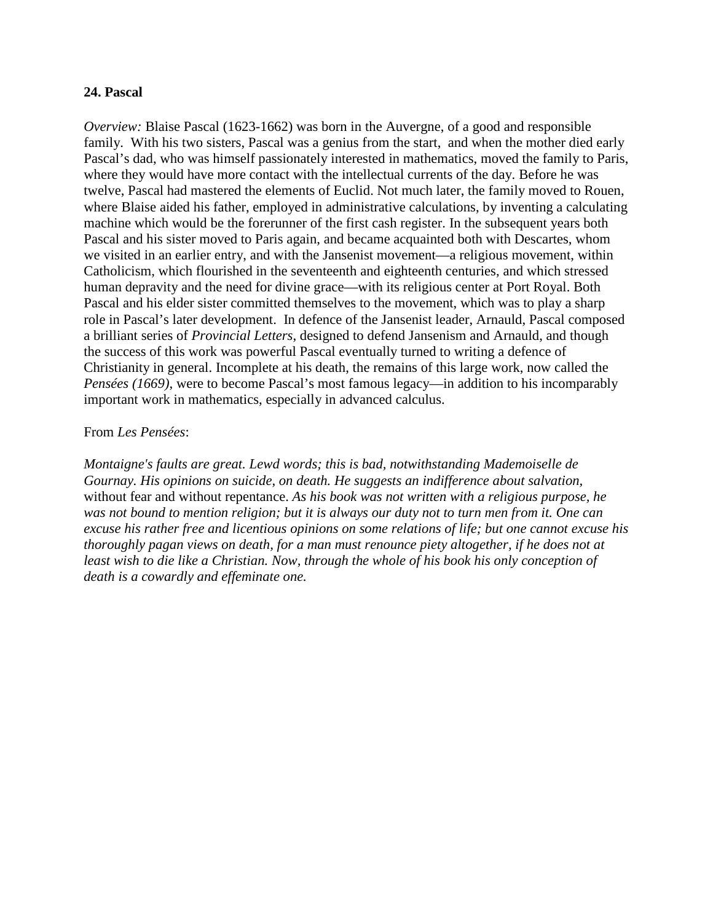## **24. Pascal**

*Overview:* Blaise Pascal (1623-1662) was born in the Auvergne, of a good and responsible family. With his two sisters, Pascal was a genius from the start, and when the mother died early Pascal's dad, who was himself passionately interested in mathematics, moved the family to Paris, where they would have more contact with the intellectual currents of the day. Before he was twelve, Pascal had mastered the elements of Euclid. Not much later, the family moved to Rouen, where Blaise aided his father, employed in administrative calculations, by inventing a calculating machine which would be the forerunner of the first cash register. In the subsequent years both Pascal and his sister moved to Paris again, and became acquainted both with Descartes, whom we visited in an earlier entry, and with the Jansenist movement—a religious movement, within Catholicism, which flourished in the seventeenth and eighteenth centuries, and which stressed human depravity and the need for divine grace—with its religious center at Port Royal. Both Pascal and his elder sister committed themselves to the movement, which was to play a sharp role in Pascal's later development. In defence of the Jansenist leader, Arnauld, Pascal composed a brilliant series of *Provincial Letters*, designed to defend Jansenism and Arnauld, and though the success of this work was powerful Pascal eventually turned to writing a defence of Christianity in general. Incomplete at his death, the remains of this large work, now called the *Pensées (1669)*, were to become Pascal's most famous legacy—in addition to his incomparably important work in mathematics, especially in advanced calculus.

## From *Les Pensées*:

*Montaigne's faults are great. Lewd words; this is bad, notwithstanding Mademoiselle de Gournay. His opinions on suicide, on death. He suggests an indifference about salvation,*  without fear and without repentance. *As his book was not written with a religious purpose, he was not bound to mention religion; but it is always our duty not to turn men from it. One can excuse his rather free and licentious opinions on some relations of life; but one cannot excuse his thoroughly pagan views on death, for a man must renounce piety altogether, if he does not at least wish to die like a Christian. Now, through the whole of his book his only conception of death is a cowardly and effeminate one.*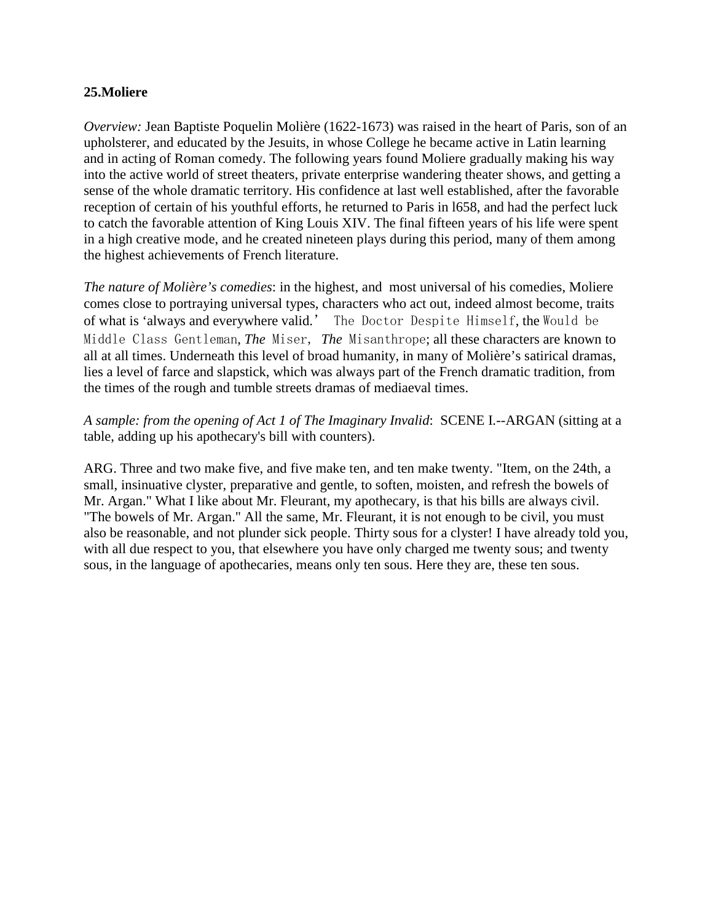# **25.Moliere**

*Overview:* Jean Baptiste Poquelin Molière (1622-1673) was raised in the heart of Paris, son of an upholsterer, and educated by the Jesuits, in whose College he became active in Latin learning and in acting of Roman comedy. The following years found Moliere gradually making his way into the active world of street theaters, private enterprise wandering theater shows, and getting a sense of the whole dramatic territory. His confidence at last well established, after the favorable reception of certain of his youthful efforts, he returned to Paris in l658, and had the perfect luck to catch the favorable attention of King Louis XIV. The final fifteen years of his life were spent in a high creative mode, and he created nineteen plays during this period, many of them among the highest achievements of French literature.

*The nature of Molière's comedies*: in the highest, and most universal of his comedies, Moliere comes close to portraying universal types, characters who act out, indeed almost become, traits of what is 'always and everywhere valid.' The Doctor Despite Himself, the Would be Middle Class Gentleman, *The* Miser, *The* Misanthrope; all these characters are known to all at all times. Underneath this level of broad humanity, in many of Molière's satirical dramas, lies a level of farce and slapstick, which was always part of the French dramatic tradition, from the times of the rough and tumble streets dramas of mediaeval times.

*A sample: from the opening of Act 1 of The Imaginary Invalid*: SCENE I.--ARGAN (sitting at a table, adding up his apothecary's bill with counters).

ARG. Three and two make five, and five make ten, and ten make twenty. "Item, on the 24th, a small, insinuative clyster, preparative and gentle, to soften, moisten, and refresh the bowels of Mr. Argan." What I like about Mr. Fleurant, my apothecary, is that his bills are always civil. "The bowels of Mr. Argan." All the same, Mr. Fleurant, it is not enough to be civil, you must also be reasonable, and not plunder sick people. Thirty sous for a clyster! I have already told you, with all due respect to you, that elsewhere you have only charged me twenty sous; and twenty sous, in the language of apothecaries, means only ten sous. Here they are, these ten sous.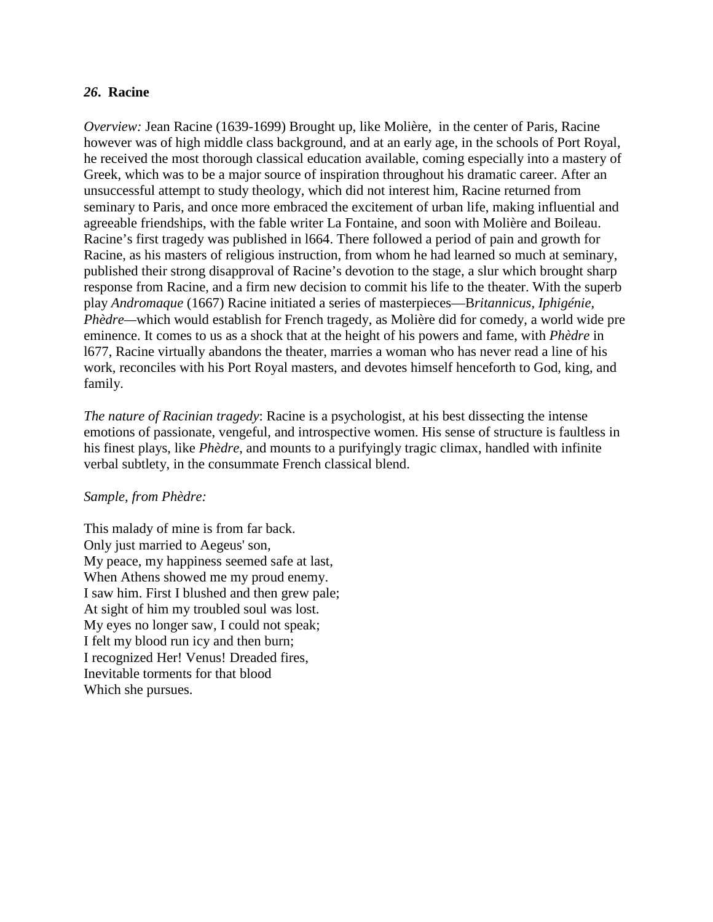# *26***. Racine**

*Overview:* Jean Racine (1639-1699) Brought up, like Molière, in the center of Paris, Racine however was of high middle class background, and at an early age, in the schools of Port Royal, he received the most thorough classical education available, coming especially into a mastery of Greek, which was to be a major source of inspiration throughout his dramatic career. After an unsuccessful attempt to study theology, which did not interest him, Racine returned from seminary to Paris, and once more embraced the excitement of urban life, making influential and agreeable friendships, with the fable writer La Fontaine, and soon with Molière and Boileau. Racine's first tragedy was published in l664. There followed a period of pain and growth for Racine, as his masters of religious instruction, from whom he had learned so much at seminary, published their strong disapproval of Racine's devotion to the stage, a slur which brought sharp response from Racine, and a firm new decision to commit his life to the theater. With the superb play *Andromaque* (1667) Racine initiated a series of masterpieces—B*ritannicus, Iphigénie, Phèdre—*which would establish for French tragedy, as Molière did for comedy, a world wide pre eminence. It comes to us as a shock that at the height of his powers and fame, with *Phèdre* in l677, Racine virtually abandons the theater, marries a woman who has never read a line of his work, reconciles with his Port Royal masters, and devotes himself henceforth to God, king, and family.

*The nature of Racinian tragedy*: Racine is a psychologist, at his best dissecting the intense emotions of passionate, vengeful, and introspective women. His sense of structure is faultless in his finest plays, like *Phèdre*, and mounts to a purifyingly tragic climax, handled with infinite verbal subtlety, in the consummate French classical blend.

## *Sample, from Phèdre:*

This malady of mine is from far back. Only just married to Aegeus' son, My peace, my happiness seemed safe at last, When Athens showed me my proud enemy. I saw him. First I blushed and then grew pale; At sight of him my troubled soul was lost. My eyes no longer saw, I could not speak; I felt my blood run icy and then burn; I recognized Her! Venus! Dreaded fires, Inevitable torments for that blood Which she pursues.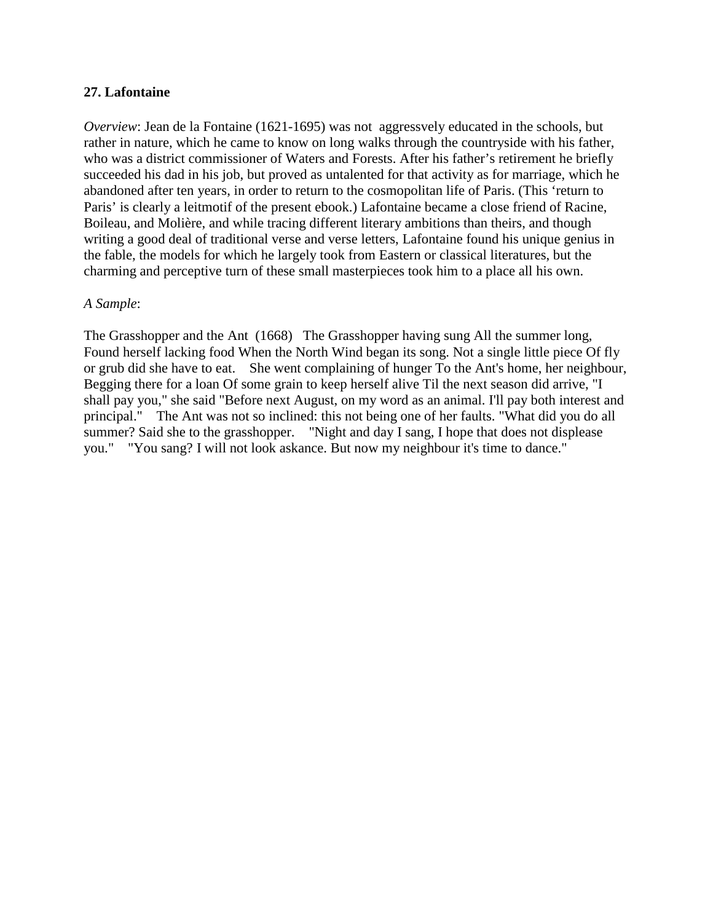# **27. Lafontaine**

*Overview*: Jean de la Fontaine (1621-1695) was not aggressvely educated in the schools, but rather in nature, which he came to know on long walks through the countryside with his father, who was a district commissioner of Waters and Forests. After his father's retirement he briefly succeeded his dad in his job, but proved as untalented for that activity as for marriage, which he abandoned after ten years, in order to return to the cosmopolitan life of Paris. (This 'return to Paris' is clearly a leitmotif of the present ebook.) Lafontaine became a close friend of Racine, Boileau, and Molière, and while tracing different literary ambitions than theirs, and though writing a good deal of traditional verse and verse letters, Lafontaine found his unique genius in the fable, the models for which he largely took from Eastern or classical literatures, but the charming and perceptive turn of these small masterpieces took him to a place all his own.

## *A Sample*:

The Grasshopper and the Ant (1668) The Grasshopper having sung All the summer long, Found herself lacking food When the North Wind began its song. Not a single little piece Of fly or grub did she have to eat. She went complaining of hunger To the Ant's home, her neighbour, Begging there for a loan Of some grain to keep herself alive Til the next season did arrive, "I shall pay you," she said "Before next August, on my word as an animal. I'll pay both interest and principal." The Ant was not so inclined: this not being one of her faults. "What did you do all summer? Said she to the grasshopper. "Night and day I sang, I hope that does not displease you." "You sang? I will not look askance. But now my neighbour it's time to dance."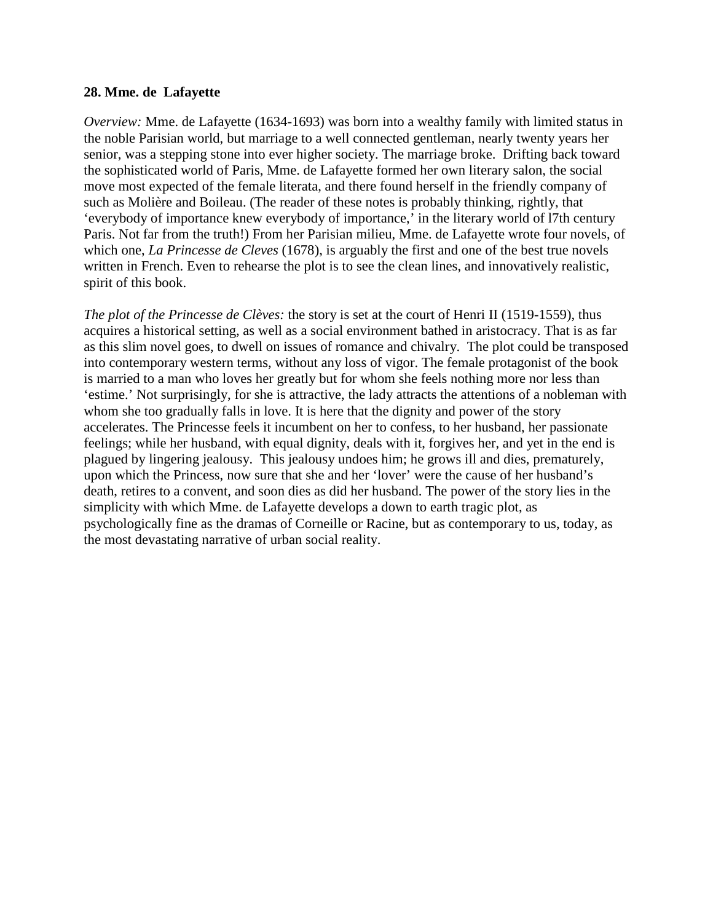### **28. Mme. de Lafayette**

*Overview:* Mme. de Lafayette (1634-1693) was born into a wealthy family with limited status in the noble Parisian world, but marriage to a well connected gentleman, nearly twenty years her senior, was a stepping stone into ever higher society. The marriage broke. Drifting back toward the sophisticated world of Paris, Mme. de Lafayette formed her own literary salon, the social move most expected of the female literata, and there found herself in the friendly company of such as Molière and Boileau. (The reader of these notes is probably thinking, rightly, that 'everybody of importance knew everybody of importance,' in the literary world of l7th century Paris. Not far from the truth!) From her Parisian milieu, Mme. de Lafayette wrote four novels, of which one, *La Princesse de Cleves* (1678), is arguably the first and one of the best true novels written in French. Even to rehearse the plot is to see the clean lines, and innovatively realistic, spirit of this book.

*The plot of the Princesse de Clèves:* the story is set at the court of Henri II (1519-1559), thus acquires a historical setting, as well as a social environment bathed in aristocracy. That is as far as this slim novel goes, to dwell on issues of romance and chivalry. The plot could be transposed into contemporary western terms, without any loss of vigor. The female protagonist of the book is married to a man who loves her greatly but for whom she feels nothing more nor less than 'estime.' Not surprisingly, for she is attractive, the lady attracts the attentions of a nobleman with whom she too gradually falls in love. It is here that the dignity and power of the story accelerates. The Princesse feels it incumbent on her to confess, to her husband, her passionate feelings; while her husband, with equal dignity, deals with it, forgives her, and yet in the end is plagued by lingering jealousy. This jealousy undoes him; he grows ill and dies, prematurely, upon which the Princess, now sure that she and her 'lover' were the cause of her husband's death, retires to a convent, and soon dies as did her husband. The power of the story lies in the simplicity with which Mme. de Lafayette develops a down to earth tragic plot, as psychologically fine as the dramas of Corneille or Racine, but as contemporary to us, today, as the most devastating narrative of urban social reality.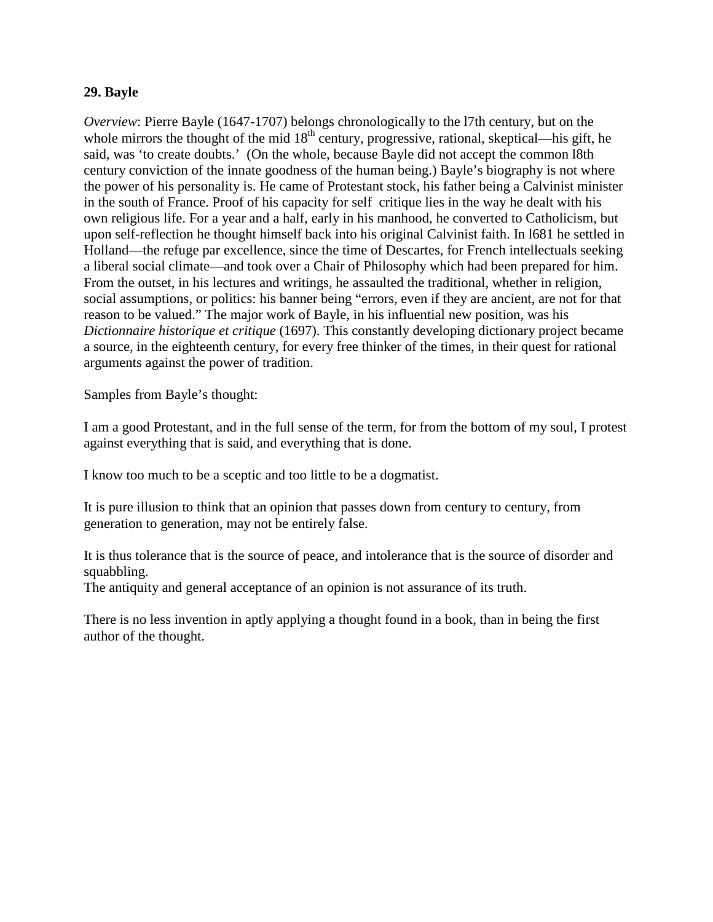# **29. Bayle**

*Overview*: Pierre Bayle (1647-1707) belongs chronologically to the 17th century, but on the whole mirrors the thought of the mid  $18<sup>th</sup>$  century, progressive, rational, skeptical—his gift, he said, was 'to create doubts.' (On the whole, because Bayle did not accept the common l8th century conviction of the innate goodness of the human being.) Bayle's biography is not where the power of his personality is. He came of Protestant stock, his father being a Calvinist minister in the south of France. Proof of his capacity for self critique lies in the way he dealt with his own religious life. For a year and a half, early in his manhood, he converted to Catholicism, but upon self-reflection he thought himself back into his original Calvinist faith. In l681 he settled in Holland—the refuge par excellence, since the time of Descartes, for French intellectuals seeking a liberal social climate—and took over a Chair of Philosophy which had been prepared for him. From the outset, in his lectures and writings, he assaulted the traditional, whether in religion, social assumptions, or politics: his banner being "errors, even if they are ancient, are not for that reason to be valued." The major work of Bayle, in his influential new position, was his *Dictionnaire historique et critique* (1697). This constantly developing dictionary project became a source, in the eighteenth century, for every free thinker of the times, in their quest for rational arguments against the power of tradition.

Samples from Bayle's thought:

I am a good Protestant, and in the full sense of the term, for from the bottom of my soul, I protest against everything that is said, and everything that is done.

I know too much to be a sceptic and too little to be a dogmatist.

It is pure illusion to think that an opinion that passes down from century to century, from generation to generation, may not be entirely false.

It is thus tolerance that is the source of peace, and intolerance that is the source of disorder and squabbling.

The antiquity and general acceptance of an opinion is not assurance of its truth.

There is no less invention in aptly applying a thought found in a book, than in being the first author of the thought.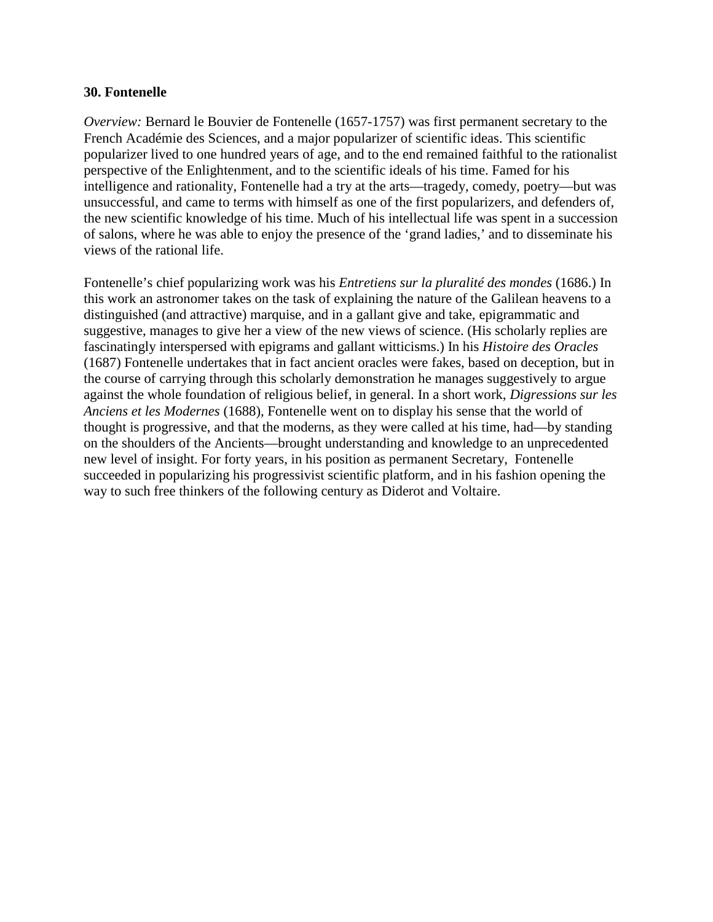### **30. Fontenelle**

*Overview:* Bernard le Bouvier de Fontenelle (1657-1757) was first permanent secretary to the French Académie des Sciences, and a major popularizer of scientific ideas. This scientific popularizer lived to one hundred years of age, and to the end remained faithful to the rationalist perspective of the Enlightenment, and to the scientific ideals of his time. Famed for his intelligence and rationality, Fontenelle had a try at the arts—tragedy, comedy, poetry—but was unsuccessful, and came to terms with himself as one of the first popularizers, and defenders of, the new scientific knowledge of his time. Much of his intellectual life was spent in a succession of salons, where he was able to enjoy the presence of the 'grand ladies,' and to disseminate his views of the rational life.

Fontenelle's chief popularizing work was his *Entretiens sur la pluralité des mondes* (1686.) In this work an astronomer takes on the task of explaining the nature of the Galilean heavens to a distinguished (and attractive) marquise, and in a gallant give and take, epigrammatic and suggestive, manages to give her a view of the new views of science. (His scholarly replies are fascinatingly interspersed with epigrams and gallant witticisms.) In his *Histoire des Oracles* (1687) Fontenelle undertakes that in fact ancient oracles were fakes, based on deception, but in the course of carrying through this scholarly demonstration he manages suggestively to argue against the whole foundation of religious belief, in general. In a short work, *Digressions sur les Anciens et les Modernes* (1688), Fontenelle went on to display his sense that the world of thought is progressive, and that the moderns, as they were called at his time, had—by standing on the shoulders of the Ancients—brought understanding and knowledge to an unprecedented new level of insight. For forty years, in his position as permanent Secretary, Fontenelle succeeded in popularizing his progressivist scientific platform, and in his fashion opening the way to such free thinkers of the following century as Diderot and Voltaire.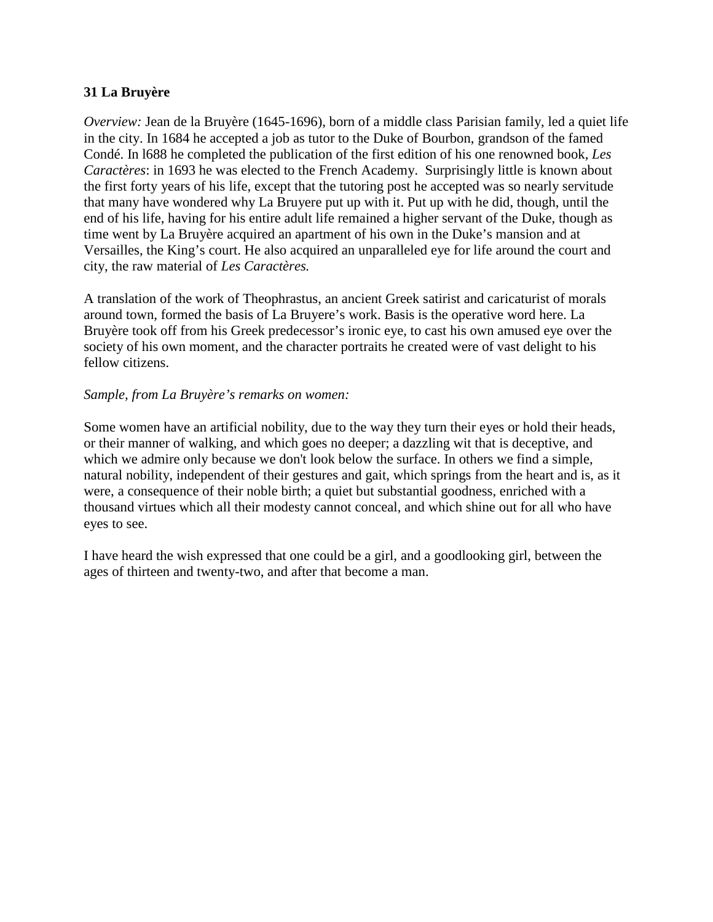# **31 La Bruyère**

*Overview:* Jean de la Bruyère (1645-1696), born of a middle class Parisian family, led a quiet life in the city. In 1684 he accepted a job as tutor to the Duke of Bourbon, grandson of the famed Condé. In l688 he completed the publication of the first edition of his one renowned book, *Les Caractères*: in 1693 he was elected to the French Academy. Surprisingly little is known about the first forty years of his life, except that the tutoring post he accepted was so nearly servitude that many have wondered why La Bruyere put up with it. Put up with he did, though, until the end of his life, having for his entire adult life remained a higher servant of the Duke, though as time went by La Bruyère acquired an apartment of his own in the Duke's mansion and at Versailles, the King's court. He also acquired an unparalleled eye for life around the court and city, the raw material of *Les Caractères.*

A translation of the work of Theophrastus, an ancient Greek satirist and caricaturist of morals around town, formed the basis of La Bruyere's work. Basis is the operative word here. La Bruyère took off from his Greek predecessor's ironic eye, to cast his own amused eye over the society of his own moment, and the character portraits he created were of vast delight to his fellow citizens.

# *Sample, from La Bruyère's remarks on women:*

Some women have an artificial nobility, due to the way they turn their eyes or hold their heads, or their manner of walking, and which goes no deeper; a dazzling wit that is deceptive, and which we admire only because we don't look below the surface. In others we find a simple, natural nobility, independent of their gestures and gait, which springs from the heart and is, as it were, a consequence of their noble birth; a quiet but substantial goodness, enriched with a thousand virtues which all their modesty cannot conceal, and which shine out for all who have eyes to see.

I have heard the wish expressed that one could be a girl, and a goodlooking girl, between the ages of thirteen and twenty-two, and after that become a man.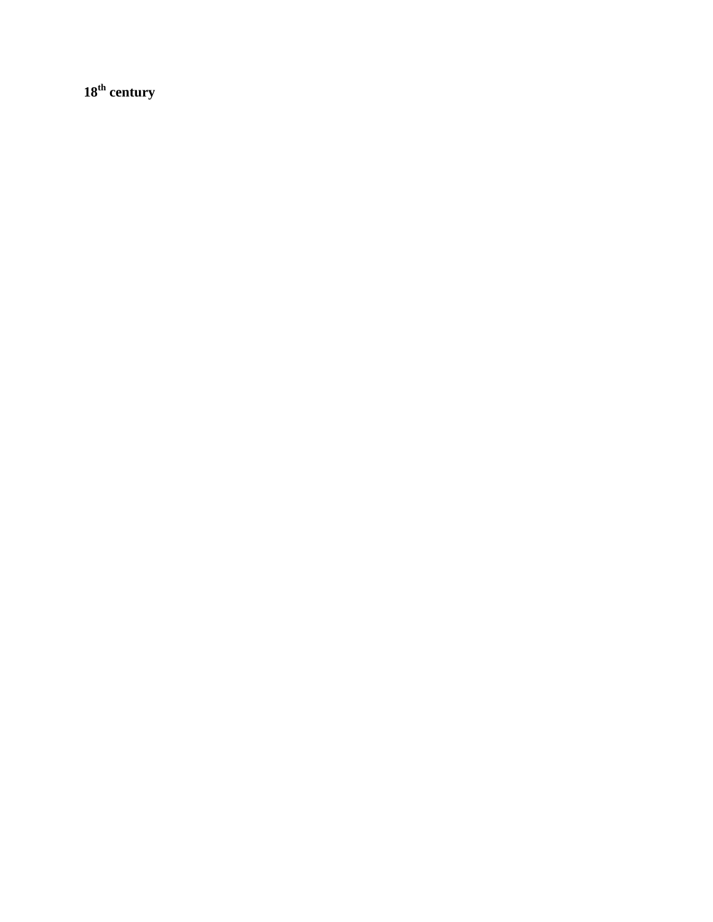**18th century**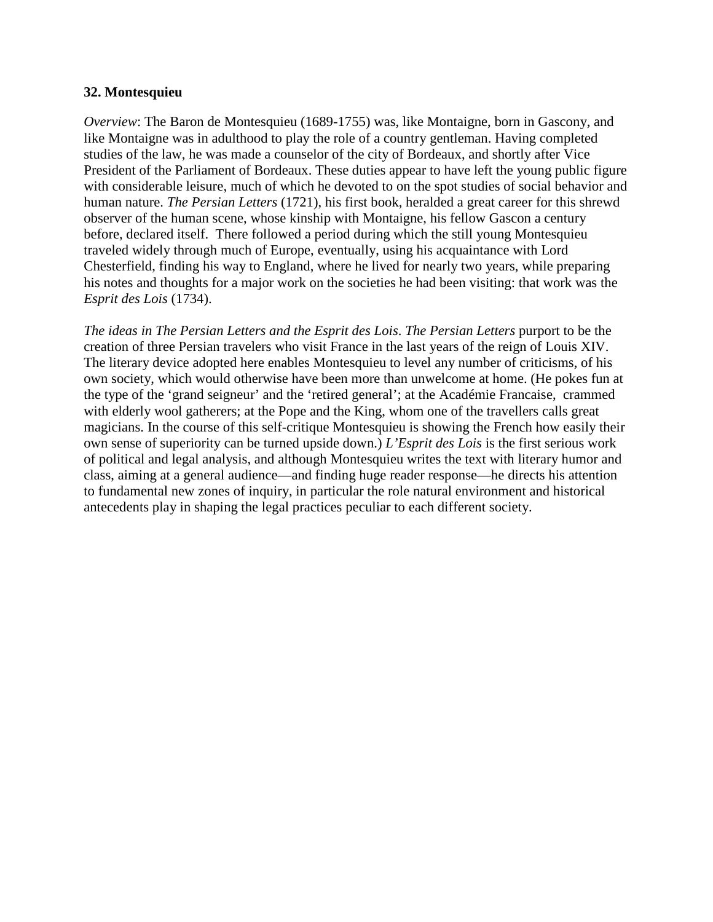## **32. Montesquieu**

*Overview*: The Baron de Montesquieu (1689-1755) was, like Montaigne, born in Gascony, and like Montaigne was in adulthood to play the role of a country gentleman. Having completed studies of the law, he was made a counselor of the city of Bordeaux, and shortly after Vice President of the Parliament of Bordeaux. These duties appear to have left the young public figure with considerable leisure, much of which he devoted to on the spot studies of social behavior and human nature. *The Persian Letters* (1721), his first book, heralded a great career for this shrewd observer of the human scene, whose kinship with Montaigne, his fellow Gascon a century before, declared itself. There followed a period during which the still young Montesquieu traveled widely through much of Europe, eventually, using his acquaintance with Lord Chesterfield, finding his way to England, where he lived for nearly two years, while preparing his notes and thoughts for a major work on the societies he had been visiting: that work was the *Esprit des Lois* (1734).

*The ideas in The Persian Letters and the Esprit des Lois*. *The Persian Letters* purport to be the creation of three Persian travelers who visit France in the last years of the reign of Louis XIV. The literary device adopted here enables Montesquieu to level any number of criticisms, of his own society, which would otherwise have been more than unwelcome at home. (He pokes fun at the type of the 'grand seigneur' and the 'retired general'; at the Académie Francaise, crammed with elderly wool gatherers; at the Pope and the King, whom one of the travellers calls great magicians. In the course of this self-critique Montesquieu is showing the French how easily their own sense of superiority can be turned upside down.) *L'Esprit des Lois* is the first serious work of political and legal analysis, and although Montesquieu writes the text with literary humor and class, aiming at a general audience—and finding huge reader response—he directs his attention to fundamental new zones of inquiry, in particular the role natural environment and historical antecedents play in shaping the legal practices peculiar to each different society.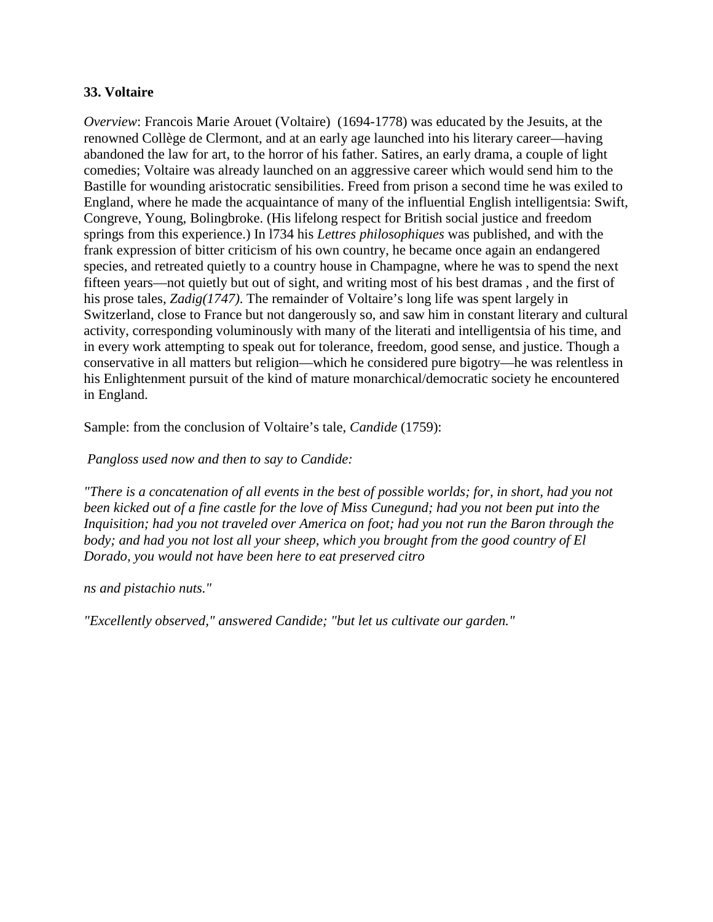# **33. Voltaire**

*Overview*: Francois Marie Arouet (Voltaire) (1694-1778) was educated by the Jesuits, at the renowned Collège de Clermont, and at an early age launched into his literary career—having abandoned the law for art, to the horror of his father. Satires, an early drama, a couple of light comedies; Voltaire was already launched on an aggressive career which would send him to the Bastille for wounding aristocratic sensibilities. Freed from prison a second time he was exiled to England, where he made the acquaintance of many of the influential English intelligentsia: Swift, Congreve, Young, Bolingbroke. (His lifelong respect for British social justice and freedom springs from this experience.) In l734 his *Lettres philosophiques* was published, and with the frank expression of bitter criticism of his own country, he became once again an endangered species, and retreated quietly to a country house in Champagne, where he was to spend the next fifteen years—not quietly but out of sight, and writing most of his best dramas , and the first of his prose tales, *Zadig(1747)*. The remainder of Voltaire's long life was spent largely in Switzerland, close to France but not dangerously so, and saw him in constant literary and cultural activity, corresponding voluminously with many of the literati and intelligentsia of his time, and in every work attempting to speak out for tolerance, freedom, good sense, and justice. Though a conservative in all matters but religion—which he considered pure bigotry—he was relentless in his Enlightenment pursuit of the kind of mature monarchical/democratic society he encountered in England.

Sample: from the conclusion of Voltaire's tale, *Candide* (1759):

*Pangloss used now and then to say to Candide:* 

*"There is a concatenation of all events in the best of possible worlds; for, in short, had you not been kicked out of a fine castle for the love of Miss Cunegund; had you not been put into the Inquisition; had you not traveled over America on foot; had you not run the Baron through the body; and had you not lost all your sheep, which you brought from the good country of El Dorado, you would not have been here to eat preserved citro*

*ns and pistachio nuts."* 

*"Excellently observed," answered Candide; "but let us cultivate our garden."*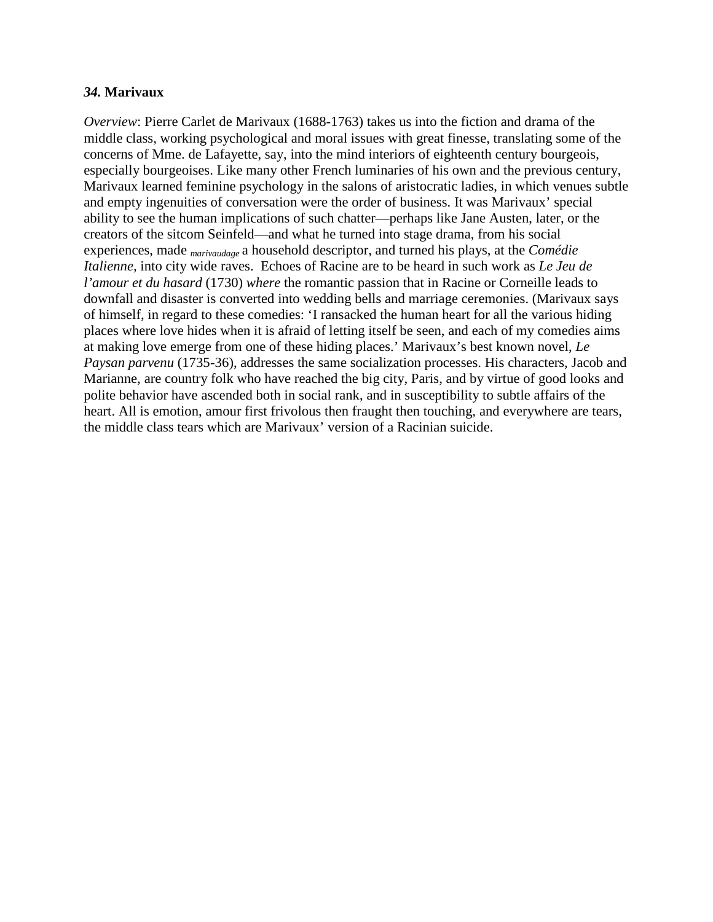## *34.* **Marivaux**

*Overview*: Pierre Carlet de Marivaux (1688-1763) takes us into the fiction and drama of the middle class, working psychological and moral issues with great finesse, translating some of the concerns of Mme. de Lafayette, say, into the mind interiors of eighteenth century bourgeois, especially bourgeoises. Like many other French luminaries of his own and the previous century, Marivaux learned feminine psychology in the salons of aristocratic ladies, in which venues subtle and empty ingenuities of conversation were the order of business. It was Marivaux' special ability to see the human implications of such chatter—perhaps like Jane Austen, later, or the creators of the sitcom Seinfeld—and what he turned into stage drama, from his social experiences, made *marivaudage* a household descriptor, and turned his plays, at the *Comédie Italienne,* into city wide raves. Echoes of Racine are to be heard in such work as *Le Jeu de l'amour et du hasard* (1730) *where* the romantic passion that in Racine or Corneille leads to downfall and disaster is converted into wedding bells and marriage ceremonies. (Marivaux says of himself, in regard to these comedies: 'I ransacked the human heart for all the various hiding places where love hides when it is afraid of letting itself be seen, and each of my comedies aims at making love emerge from one of these hiding places.' Marivaux's best known novel, *Le Paysan parvenu* (1735-36), addresses the same socialization processes. His characters, Jacob and Marianne, are country folk who have reached the big city, Paris, and by virtue of good looks and polite behavior have ascended both in social rank, and in susceptibility to subtle affairs of the heart. All is emotion, amour first frivolous then fraught then touching, and everywhere are tears, the middle class tears which are Marivaux' version of a Racinian suicide.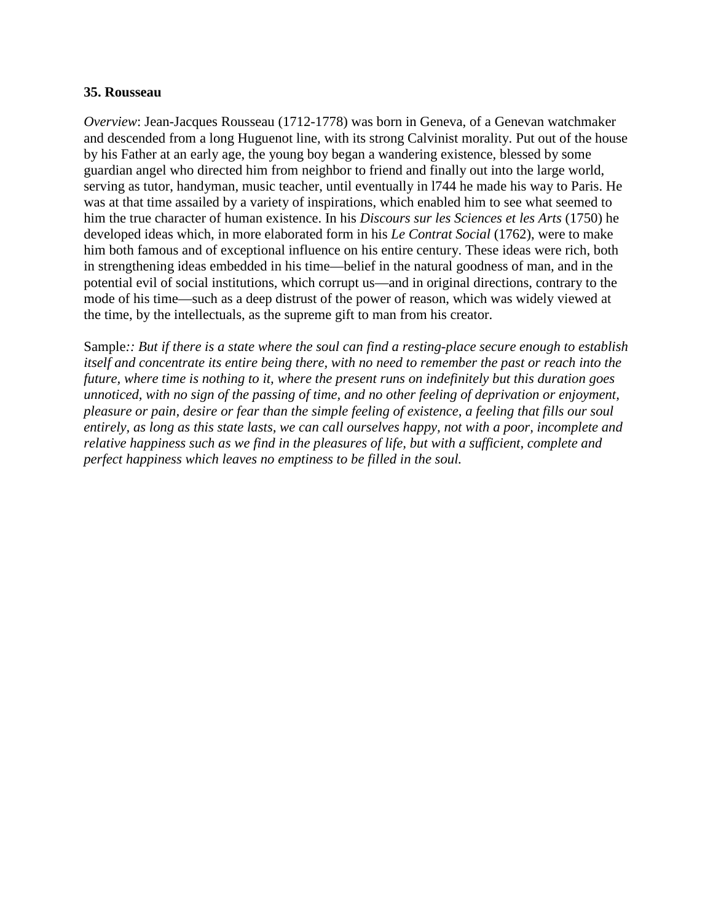#### **35. Rousseau**

*Overview*: Jean-Jacques Rousseau (1712-1778) was born in Geneva, of a Genevan watchmaker and descended from a long Huguenot line, with its strong Calvinist morality. Put out of the house by his Father at an early age, the young boy began a wandering existence, blessed by some guardian angel who directed him from neighbor to friend and finally out into the large world, serving as tutor, handyman, music teacher, until eventually in l744 he made his way to Paris. He was at that time assailed by a variety of inspirations, which enabled him to see what seemed to him the true character of human existence. In his *Discours sur les Sciences et les Arts* (1750) he developed ideas which, in more elaborated form in his *Le Contrat Social* (1762), were to make him both famous and of exceptional influence on his entire century. These ideas were rich, both in strengthening ideas embedded in his time—belief in the natural goodness of man, and in the potential evil of social institutions, which corrupt us—and in original directions, contrary to the mode of his time—such as a deep distrust of the power of reason, which was widely viewed at the time, by the intellectuals, as the supreme gift to man from his creator.

Sample*:: But if there is a state where the soul can find a resting-place secure enough to establish itself and concentrate its entire being there, with no need to remember the past or reach into the future, where time is nothing to it, where the present runs on indefinitely but this duration goes unnoticed, with no sign of the passing of time, and no other feeling of deprivation or enjoyment, pleasure or pain, desire or fear than the simple feeling of existence, a feeling that fills our soul entirely, as long as this state lasts, we can call ourselves happy, not with a poor, incomplete and relative happiness such as we find in the pleasures of life, but with a sufficient, complete and perfect happiness which leaves no emptiness to be filled in the soul.*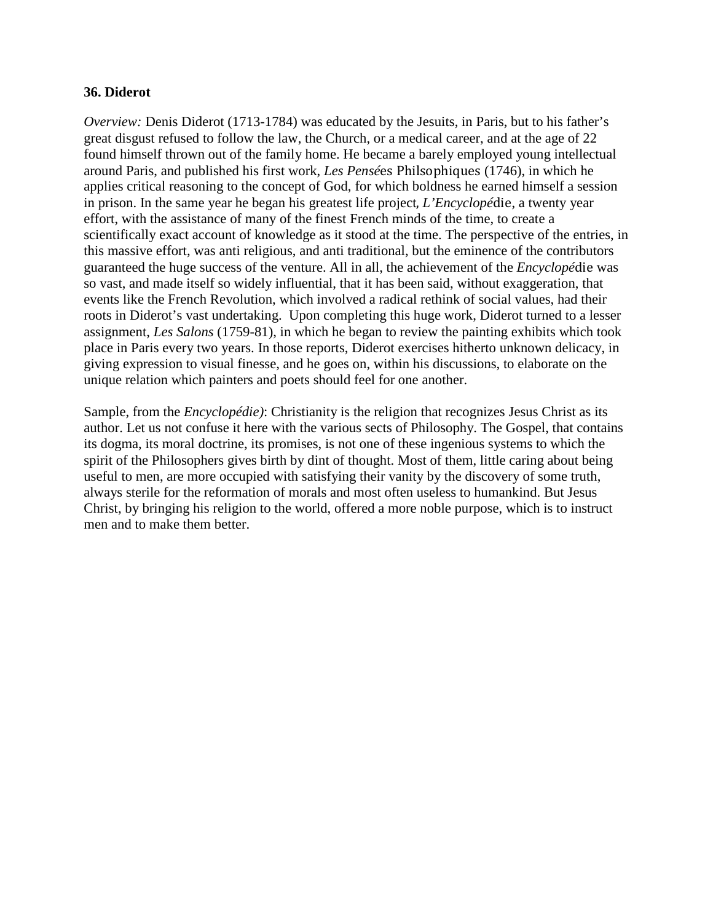### **36. Diderot**

*Overview:* Denis Diderot (1713-1784) was educated by the Jesuits, in Paris, but to his father's great disgust refused to follow the law, the Church, or a medical career, and at the age of 22 found himself thrown out of the family home. He became a barely employed young intellectual around Paris, and published his first work, *Les Pensé*es Philsophiques (1746), in which he applies critical reasoning to the concept of God, for which boldness he earned himself a session in prison. In the same year he began his greatest life project, *L'Encyclopé*die, a twenty year effort, with the assistance of many of the finest French minds of the time, to create a scientifically exact account of knowledge as it stood at the time. The perspective of the entries, in this massive effort, was anti religious, and anti traditional, but the eminence of the contributors guaranteed the huge success of the venture. All in all, the achievement of the *Encyclopé*die was so vast, and made itself so widely influential, that it has been said, without exaggeration, that events like the French Revolution, which involved a radical rethink of social values, had their roots in Diderot's vast undertaking. Upon completing this huge work, Diderot turned to a lesser assignment, *Les Salons* (1759-81), in which he began to review the painting exhibits which took place in Paris every two years. In those reports, Diderot exercises hitherto unknown delicacy, in giving expression to visual finesse, and he goes on, within his discussions, to elaborate on the unique relation which painters and poets should feel for one another.

Sample, from the *Encyclopédie)*: Christianity is the religion that recognizes Jesus Christ as its author. Let us not confuse it here with the various sects of Philosophy. The Gospel, that contains its dogma, its moral doctrine, its promises, is not one of these ingenious systems to which the spirit of the Philosophers gives birth by dint of thought. Most of them, little caring about being useful to men, are more occupied with satisfying their vanity by the discovery of some truth, always sterile for the reformation of morals and most often useless to humankind. But Jesus Christ, by bringing his religion to the world, offered a more noble purpose, which is to instruct men and to make them better.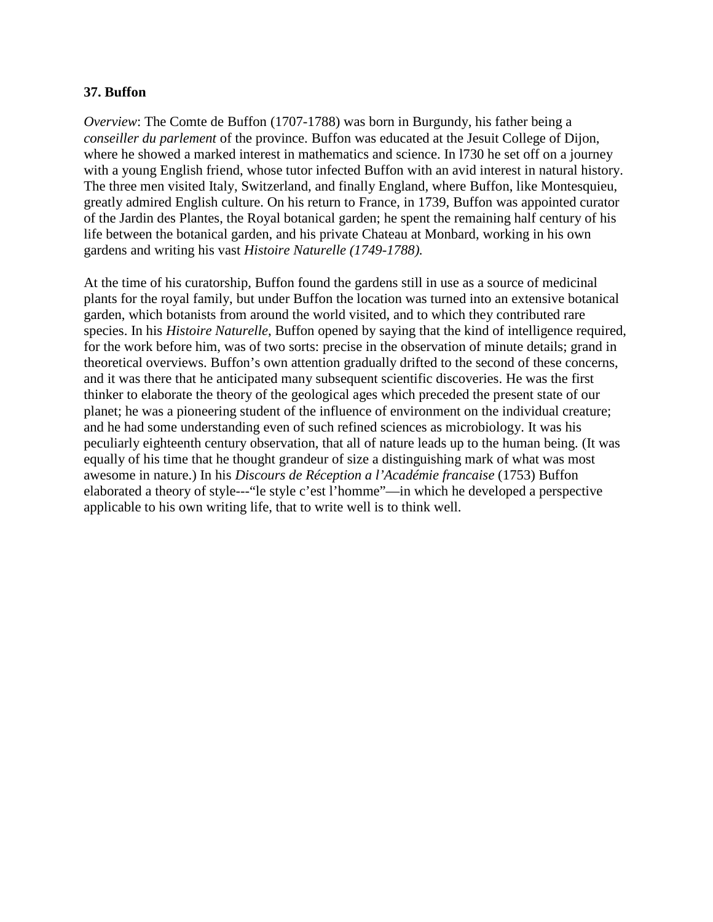## **37. Buffon**

*Overview*: The Comte de Buffon (1707-1788) was born in Burgundy, his father being a *conseiller du parlement* of the province. Buffon was educated at the Jesuit College of Dijon, where he showed a marked interest in mathematics and science. In l730 he set off on a journey with a young English friend, whose tutor infected Buffon with an avid interest in natural history. The three men visited Italy, Switzerland, and finally England, where Buffon, like Montesquieu, greatly admired English culture. On his return to France, in 1739, Buffon was appointed curator of the Jardin des Plantes, the Royal botanical garden; he spent the remaining half century of his life between the botanical garden, and his private Chateau at Monbard, working in his own gardens and writing his vast *Histoire Naturelle (1749-1788).*

At the time of his curatorship, Buffon found the gardens still in use as a source of medicinal plants for the royal family, but under Buffon the location was turned into an extensive botanical garden, which botanists from around the world visited, and to which they contributed rare species. In his *Histoire Naturelle*, Buffon opened by saying that the kind of intelligence required, for the work before him, was of two sorts: precise in the observation of minute details; grand in theoretical overviews. Buffon's own attention gradually drifted to the second of these concerns, and it was there that he anticipated many subsequent scientific discoveries. He was the first thinker to elaborate the theory of the geological ages which preceded the present state of our planet; he was a pioneering student of the influence of environment on the individual creature; and he had some understanding even of such refined sciences as microbiology. It was his peculiarly eighteenth century observation, that all of nature leads up to the human being. (It was equally of his time that he thought grandeur of size a distinguishing mark of what was most awesome in nature.) In his *Discours de Réception a l'Académie francaise* (1753) Buffon elaborated a theory of style---"le style c'est l'homme"—in which he developed a perspective applicable to his own writing life, that to write well is to think well.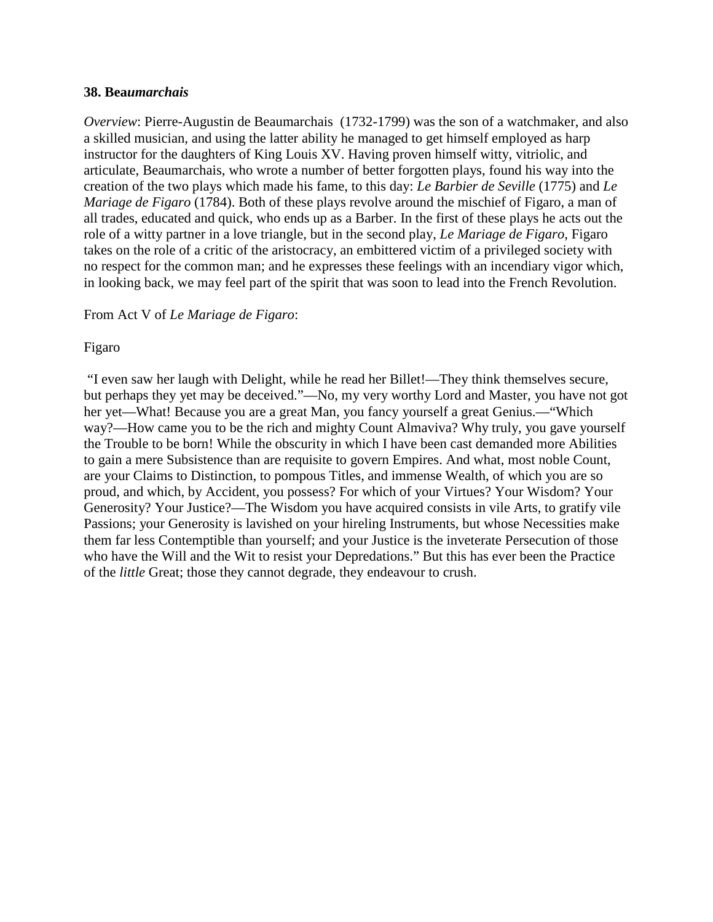#### **38. Bea***umarchais*

*Overview*: Pierre-Augustin de Beaumarchais (1732-1799) was the son of a watchmaker, and also a skilled musician, and using the latter ability he managed to get himself employed as harp instructor for the daughters of King Louis XV. Having proven himself witty, vitriolic, and articulate, Beaumarchais, who wrote a number of better forgotten plays, found his way into the creation of the two plays which made his fame, to this day: *Le Barbier de Seville* (1775) and *Le Mariage de Figaro* (1784). Both of these plays revolve around the mischief of Figaro, a man of all trades, educated and quick, who ends up as a Barber. In the first of these plays he acts out the role of a witty partner in a love triangle, but in the second play, *Le Mariage de Figaro*, Figaro takes on the role of a critic of the aristocracy, an embittered victim of a privileged society with no respect for the common man; and he expresses these feelings with an incendiary vigor which, in looking back, we may feel part of the spirit that was soon to lead into the French Revolution.

### From Act V of *Le Mariage de Figaro*:

### Figaro

"I even saw her laugh with Delight, while he read her Billet!—They think themselves secure, but perhaps they yet may be deceived."—No, my very worthy Lord and Master, you have not got her yet—What! Because you are a great Man, you fancy yourself a great Genius.—"Which way?—How came you to be the rich and mighty Count Almaviva? Why truly, you gave yourself the Trouble to be born! While the obscurity in which I have been cast demanded more Abilities to gain a mere Subsistence than are requisite to govern Empires. And what, most noble Count, are your Claims to Distinction, to pompous Titles, and immense Wealth, of which you are so proud, and which, by Accident, you possess? For which of your Virtues? Your Wisdom? Your Generosity? Your Justice?—The Wisdom you have acquired consists in vile Arts, to gratify vile Passions; your Generosity is lavished on your hireling Instruments, but whose Necessities make them far less Contemptible than yourself; and your Justice is the inveterate Persecution of those who have the Will and the Wit to resist your Depredations." But this has ever been the Practice of the *little* Great; those they cannot degrade, they endeavour to crush.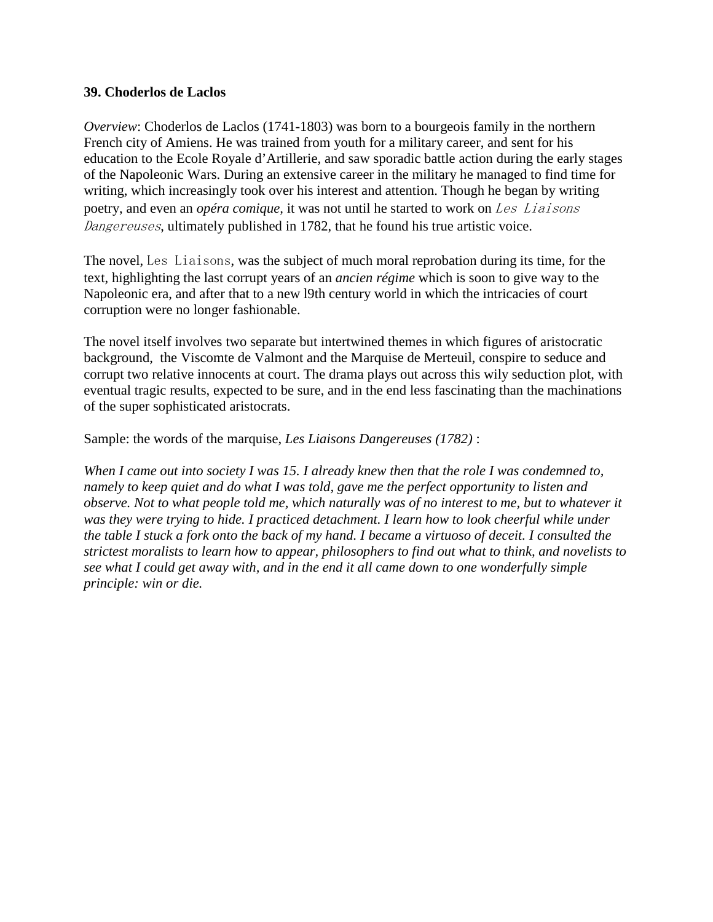## **39. Choderlos de Laclos**

*Overview*: Choderlos de Laclos (1741-1803) was born to a bourgeois family in the northern French city of Amiens. He was trained from youth for a military career, and sent for his education to the Ecole Royale d'Artillerie, and saw sporadic battle action during the early stages of the Napoleonic Wars. During an extensive career in the military he managed to find time for writing, which increasingly took over his interest and attention. Though he began by writing poetry, and even an *opéra comique,* it was not until he started to work on Les Liaisons Dangereuses, ultimately published in 1782, that he found his true artistic voice.

The novel, Les Liaisons, was the subject of much moral reprobation during its time, for the text, highlighting the last corrupt years of an *ancien régime* which is soon to give way to the Napoleonic era, and after that to a new l9th century world in which the intricacies of court corruption were no longer fashionable.

The novel itself involves two separate but intertwined themes in which figures of aristocratic background, the Viscomte de Valmont and the Marquise de Merteuil, conspire to seduce and corrupt two relative innocents at court. The drama plays out across this wily seduction plot, with eventual tragic results, expected to be sure, and in the end less fascinating than the machinations of the super sophisticated aristocrats.

Sample: the words of the marquise, *Les Liaisons Dangereuses (1782)* :

*When I came out into society I was 15. I already knew then that the role I was condemned to, namely to keep quiet and do what I was told, gave me the perfect opportunity to listen and observe. Not to what people told me, which naturally was of no interest to me, but to whatever it was they were trying to hide. I practiced detachment. I learn how to look cheerful while under the table I stuck a fork onto the back of my hand. I became a virtuoso of deceit. I consulted the strictest moralists to learn how to appear, philosophers to find out what to think, and novelists to see what I could get away with, and in the end it all came down to one wonderfully simple principle: win or die.*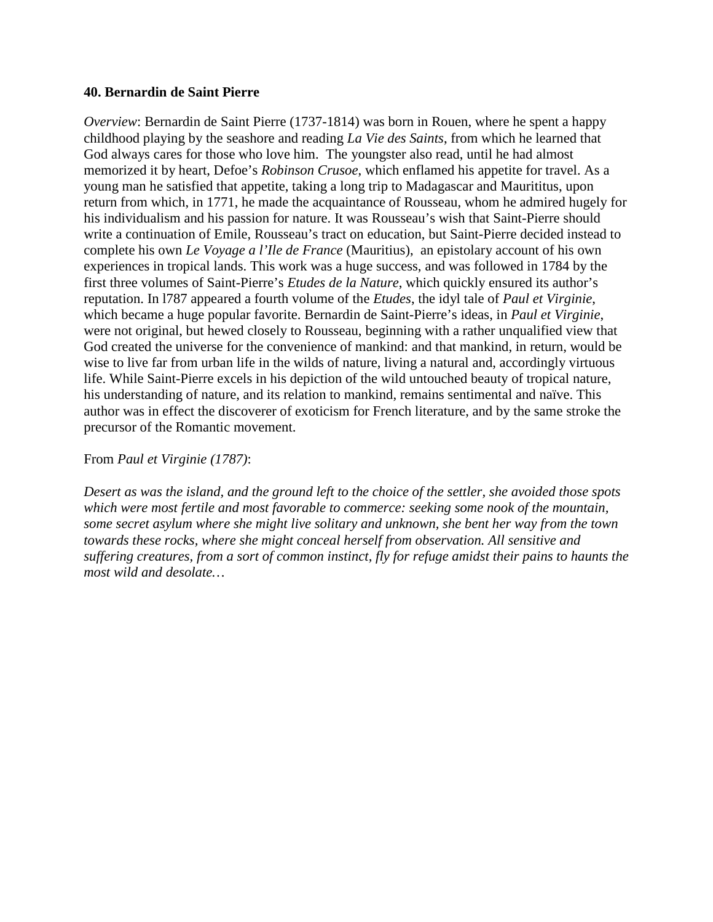### **40. Bernardin de Saint Pierre**

*Overview*: Bernardin de Saint Pierre (1737-1814) was born in Rouen, where he spent a happy childhood playing by the seashore and reading *La Vie des Saints*, from which he learned that God always cares for those who love him. The youngster also read, until he had almost memorized it by heart, Defoe's *Robinson Crusoe*, which enflamed his appetite for travel. As a young man he satisfied that appetite, taking a long trip to Madagascar and Maurititus, upon return from which, in 1771, he made the acquaintance of Rousseau, whom he admired hugely for his individualism and his passion for nature. It was Rousseau's wish that Saint-Pierre should write a continuation of Emile, Rousseau's tract on education, but Saint-Pierre decided instead to complete his own *Le Voyage a l'Ile de France* (Mauritius), an epistolary account of his own experiences in tropical lands. This work was a huge success, and was followed in 1784 by the first three volumes of Saint-Pierre's *Etudes de la Nature*, which quickly ensured its author's reputation. In l787 appeared a fourth volume of the *Etudes*, the idyl tale of *Paul et Virginie*, which became a huge popular favorite. Bernardin de Saint-Pierre's ideas, in *Paul et Virginie*, were not original, but hewed closely to Rousseau, beginning with a rather unqualified view that God created the universe for the convenience of mankind: and that mankind, in return, would be wise to live far from urban life in the wilds of nature, living a natural and, accordingly virtuous life. While Saint-Pierre excels in his depiction of the wild untouched beauty of tropical nature, his understanding of nature, and its relation to mankind, remains sentimental and naïve. This author was in effect the discoverer of exoticism for French literature, and by the same stroke the precursor of the Romantic movement.

## From *Paul et Virginie (1787)*:

*Desert as was the island, and the ground left to the choice of the settler, she avoided those spots which were most fertile and most favorable to commerce: seeking some nook of the mountain, some secret asylum where she might live solitary and unknown, she bent her way from the town towards these rocks, where she might conceal herself from observation. All sensitive and suffering creatures, from a sort of common instinct, fly for refuge amidst their pains to haunts the most wild and desolate…*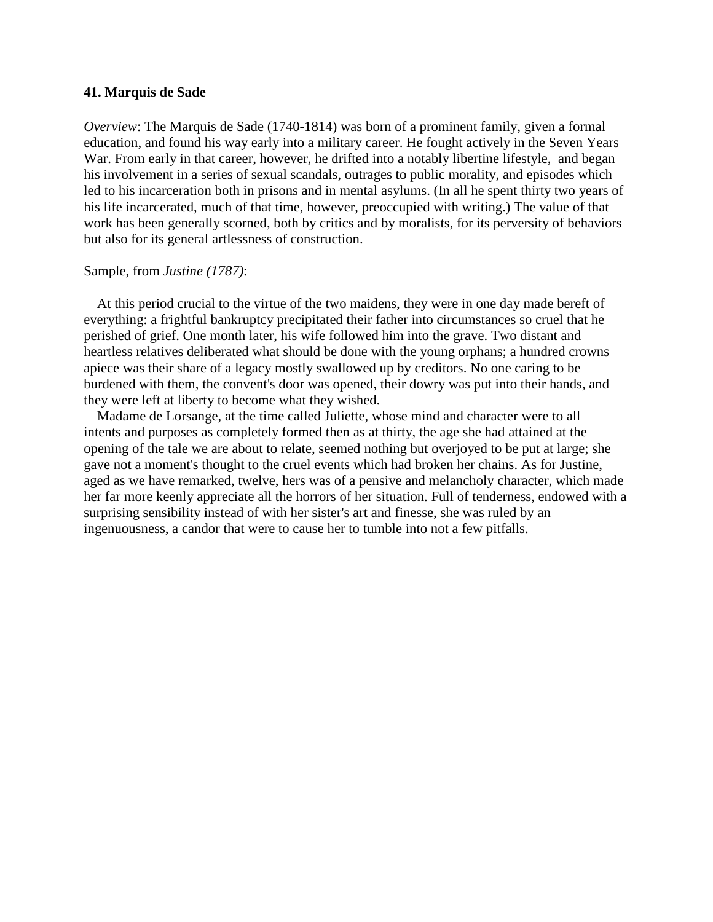#### **41. Marquis de Sade**

*Overview*: The Marquis de Sade (1740-1814) was born of a prominent family, given a formal education, and found his way early into a military career. He fought actively in the Seven Years War. From early in that career, however, he drifted into a notably libertine lifestyle, and began his involvement in a series of sexual scandals, outrages to public morality, and episodes which led to his incarceration both in prisons and in mental asylums. (In all he spent thirty two years of his life incarcerated, much of that time, however, preoccupied with writing.) The value of that work has been generally scorned, both by critics and by moralists, for its perversity of behaviors but also for its general artlessness of construction.

#### Sample, from *Justine (1787)*:

At this period crucial to the virtue of the two maidens, they were in one day made bereft of everything: a frightful bankruptcy precipitated their father into circumstances so cruel that he perished of grief. One month later, his wife followed him into the grave. Two distant and heartless relatives deliberated what should be done with the young orphans; a hundred crowns apiece was their share of a legacy mostly swallowed up by creditors. No one caring to be burdened with them, the convent's door was opened, their dowry was put into their hands, and they were left at liberty to become what they wished.

Madame de Lorsange, at the time called Juliette, whose mind and character were to all intents and purposes as completely formed then as at thirty, the age she had attained at the opening of the tale we are about to relate, seemed nothing but overjoyed to be put at large; she gave not a moment's thought to the cruel events which had broken her chains. As for Justine, aged as we have remarked, twelve, hers was of a pensive and melancholy character, which made her far more keenly appreciate all the horrors of her situation. Full of tenderness, endowed with a surprising sensibility instead of with her sister's art and finesse, she was ruled by an ingenuousness, a candor that were to cause her to tumble into not a few pitfalls.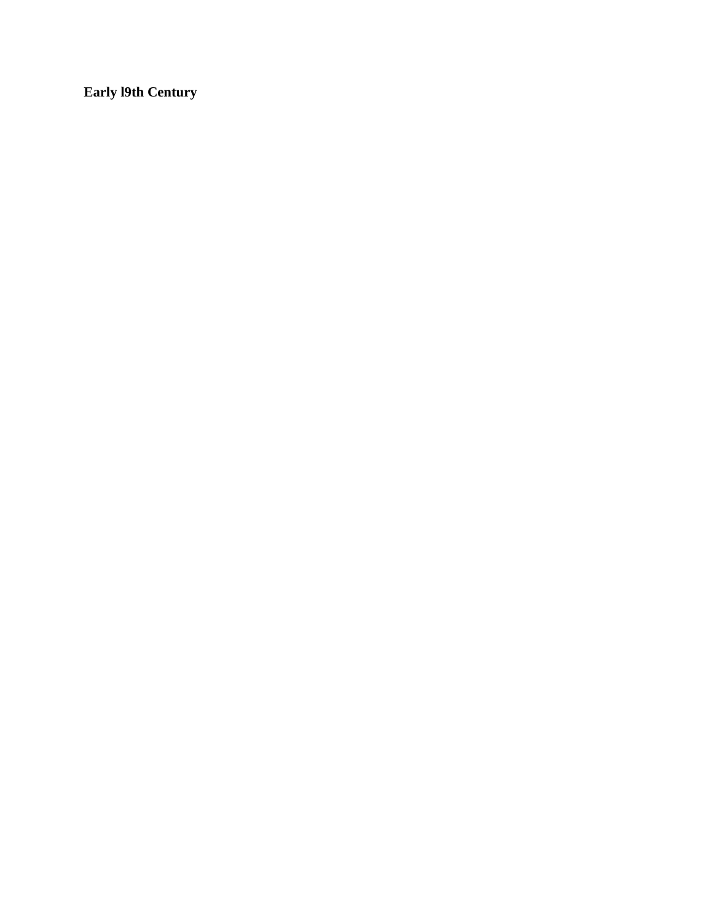**Early l9th Century**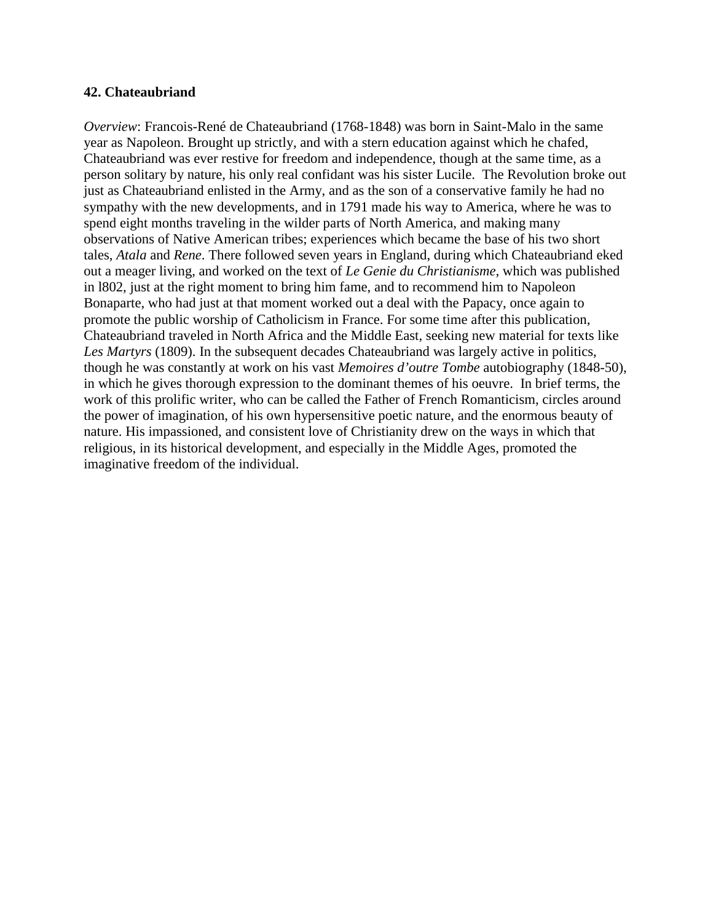### **42. Chateaubriand**

*Overview*: Francois-René de Chateaubriand (1768-1848) was born in Saint-Malo in the same year as Napoleon. Brought up strictly, and with a stern education against which he chafed, Chateaubriand was ever restive for freedom and independence, though at the same time, as a person solitary by nature, his only real confidant was his sister Lucile. The Revolution broke out just as Chateaubriand enlisted in the Army, and as the son of a conservative family he had no sympathy with the new developments, and in 1791 made his way to America, where he was to spend eight months traveling in the wilder parts of North America, and making many observations of Native American tribes; experiences which became the base of his two short tales, *Atala* and *Rene*. There followed seven years in England, during which Chateaubriand eked out a meager living, and worked on the text of *Le Genie du Christianisme*, which was published in l802, just at the right moment to bring him fame, and to recommend him to Napoleon Bonaparte, who had just at that moment worked out a deal with the Papacy, once again to promote the public worship of Catholicism in France. For some time after this publication, Chateaubriand traveled in North Africa and the Middle East, seeking new material for texts like *Les Martyrs* (1809). In the subsequent decades Chateaubriand was largely active in politics, though he was constantly at work on his vast *Memoires d'outre Tombe* autobiography (1848-50), in which he gives thorough expression to the dominant themes of his oeuvre. In brief terms, the work of this prolific writer, who can be called the Father of French Romanticism, circles around the power of imagination, of his own hypersensitive poetic nature, and the enormous beauty of nature. His impassioned, and consistent love of Christianity drew on the ways in which that religious, in its historical development, and especially in the Middle Ages, promoted the imaginative freedom of the individual.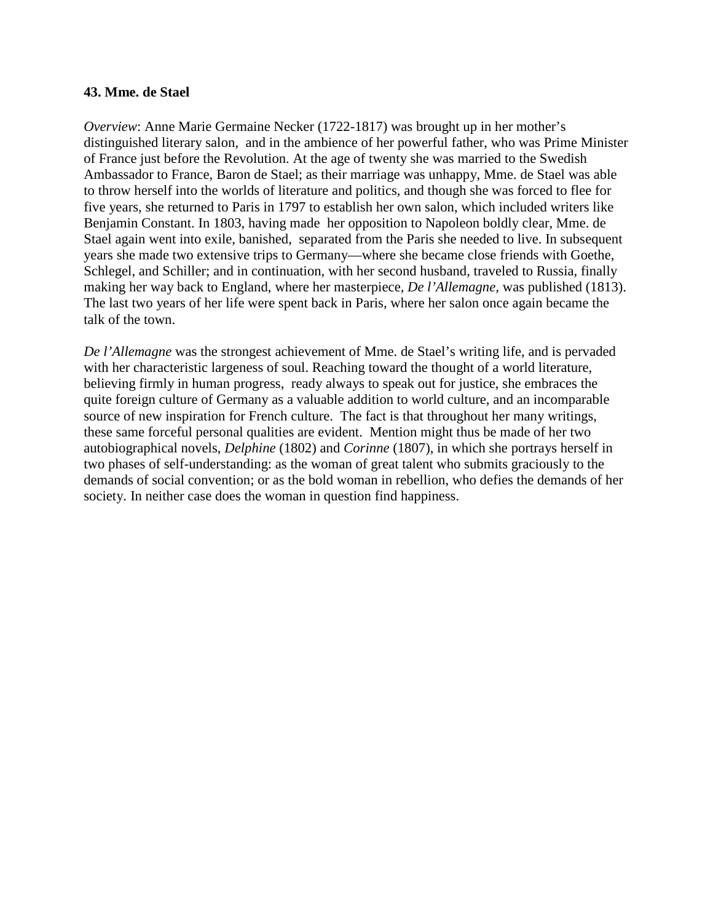#### **43. Mme. de Stael**

*Overview*: Anne Marie Germaine Necker (1722-1817) was brought up in her mother's distinguished literary salon, and in the ambience of her powerful father, who was Prime Minister of France just before the Revolution. At the age of twenty she was married to the Swedish Ambassador to France, Baron de Stael; as their marriage was unhappy, Mme. de Stael was able to throw herself into the worlds of literature and politics, and though she was forced to flee for five years, she returned to Paris in 1797 to establish her own salon, which included writers like Benjamin Constant. In 1803, having made her opposition to Napoleon boldly clear, Mme. de Stael again went into exile, banished, separated from the Paris she needed to live. In subsequent years she made two extensive trips to Germany—where she became close friends with Goethe, Schlegel, and Schiller; and in continuation, with her second husband, traveled to Russia, finally making her way back to England, where her masterpiece, *De l'Allemagne,* was published (1813). The last two years of her life were spent back in Paris, where her salon once again became the talk of the town.

*De l'Allemagne* was the strongest achievement of Mme. de Stael's writing life, and is pervaded with her characteristic largeness of soul. Reaching toward the thought of a world literature, believing firmly in human progress, ready always to speak out for justice, she embraces the quite foreign culture of Germany as a valuable addition to world culture, and an incomparable source of new inspiration for French culture. The fact is that throughout her many writings, these same forceful personal qualities are evident. Mention might thus be made of her two autobiographical novels, *Delphine* (1802) and *Corinne* (1807), in which she portrays herself in two phases of self-understanding: as the woman of great talent who submits graciously to the demands of social convention; or as the bold woman in rebellion, who defies the demands of her society. In neither case does the woman in question find happiness.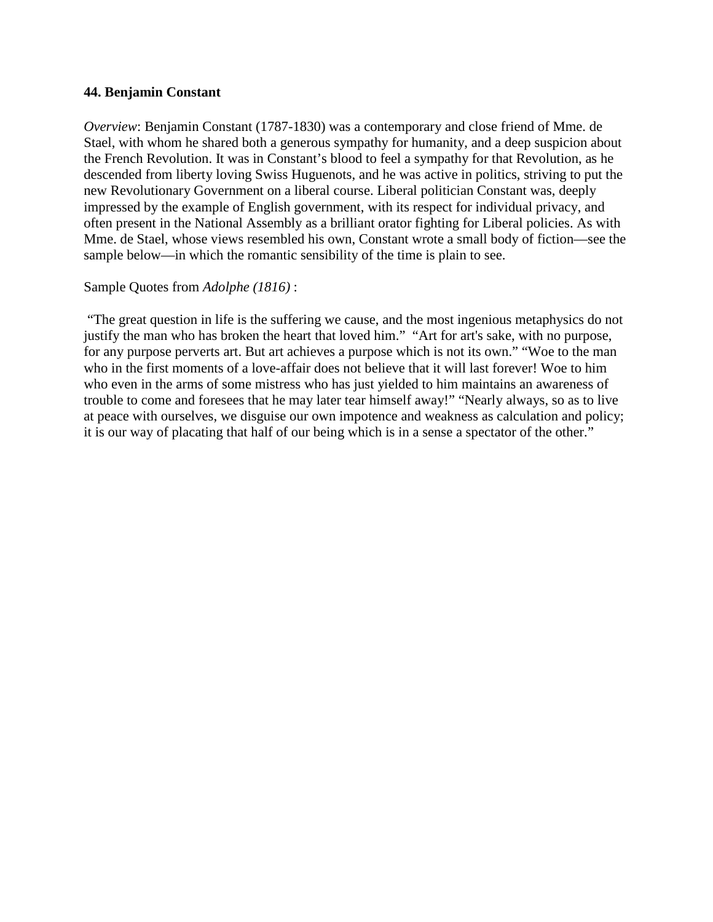### **44. Benjamin Constant**

*Overview*: Benjamin Constant (1787-1830) was a contemporary and close friend of Mme. de Stael, with whom he shared both a generous sympathy for humanity, and a deep suspicion about the French Revolution. It was in Constant's blood to feel a sympathy for that Revolution, as he descended from liberty loving Swiss Huguenots, and he was active in politics, striving to put the new Revolutionary Government on a liberal course. Liberal politician Constant was, deeply impressed by the example of English government, with its respect for individual privacy, and often present in the National Assembly as a brilliant orator fighting for Liberal policies. As with Mme. de Stael, whose views resembled his own, Constant wrote a small body of fiction—see the sample below—in which the romantic sensibility of the time is plain to see.

## Sample Quotes from *Adolphe (1816)* :

"The great question in life is the suffering we cause, and the most ingenious metaphysics do not justify the man who has broken the heart that loved him." "Art for art's sake, with no purpose, for any purpose perverts art. But art achieves a purpose which is not its own." "Woe to the man who in the first moments of a love-affair does not believe that it will last forever! Woe to him who even in the arms of some mistress who has just yielded to him maintains an awareness of trouble to come and foresees that he may later tear himself away!" "Nearly always, so as to live at peace with ourselves, we disguise our own impotence and weakness as calculation and policy; it is our way of placating that half of our being which is in a sense a spectator of the other."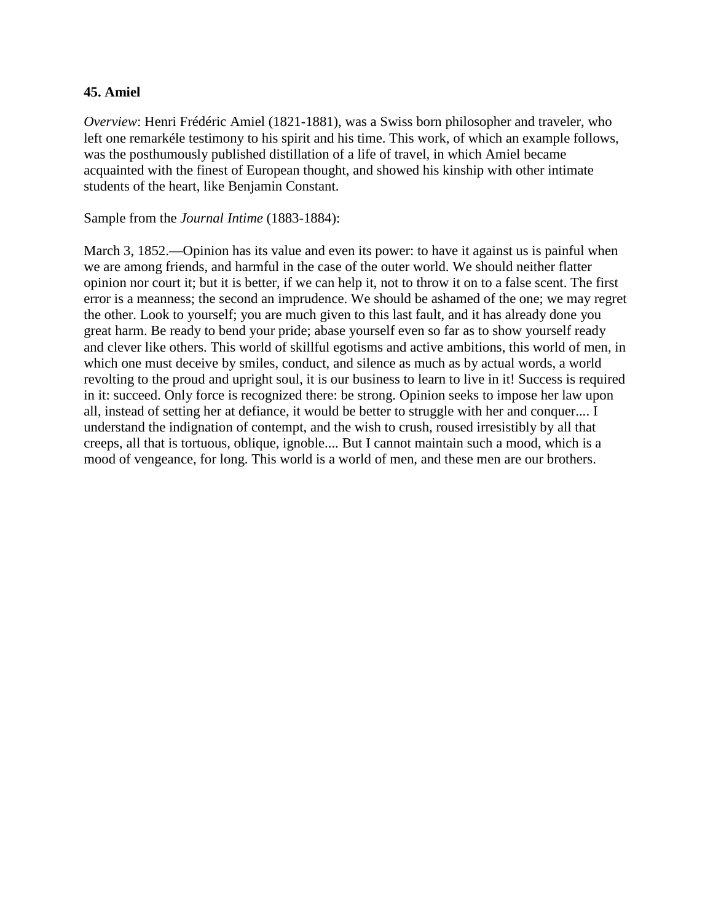## **45. Amiel**

*Overview*: Henri Frédéric Amiel (1821-1881), was a Swiss born philosopher and traveler, who left one remarkéle testimony to his spirit and his time. This work, of which an example follows, was the posthumously published distillation of a life of travel, in which Amiel became acquainted with the finest of European thought, and showed his kinship with other intimate students of the heart, like Benjamin Constant.

Sample from the *Journal Intime* (1883-1884):

March 3, 1852.—Opinion has its value and even its power: to have it against us is painful when we are among friends, and harmful in the case of the outer world. We should neither flatter opinion nor court it; but it is better, if we can help it, not to throw it on to a false scent. The first error is a meanness; the second an imprudence. We should be ashamed of the one; we may regret the other. Look to yourself; you are much given to this last fault, and it has already done you great harm. Be ready to bend your pride; abase yourself even so far as to show yourself ready and clever like others. This world of skillful egotisms and active ambitions, this world of men, in which one must deceive by smiles, conduct, and silence as much as by actual words, a world revolting to the proud and upright soul, it is our business to learn to live in it! Success is required in it: succeed. Only force is recognized there: be strong. Opinion seeks to impose her law upon all, instead of setting her at defiance, it would be better to struggle with her and conquer.... I understand the indignation of contempt, and the wish to crush, roused irresistibly by all that creeps, all that is tortuous, oblique, ignoble.... But I cannot maintain such a mood, which is a mood of vengeance, for long. This world is a world of men, and these men are our brothers.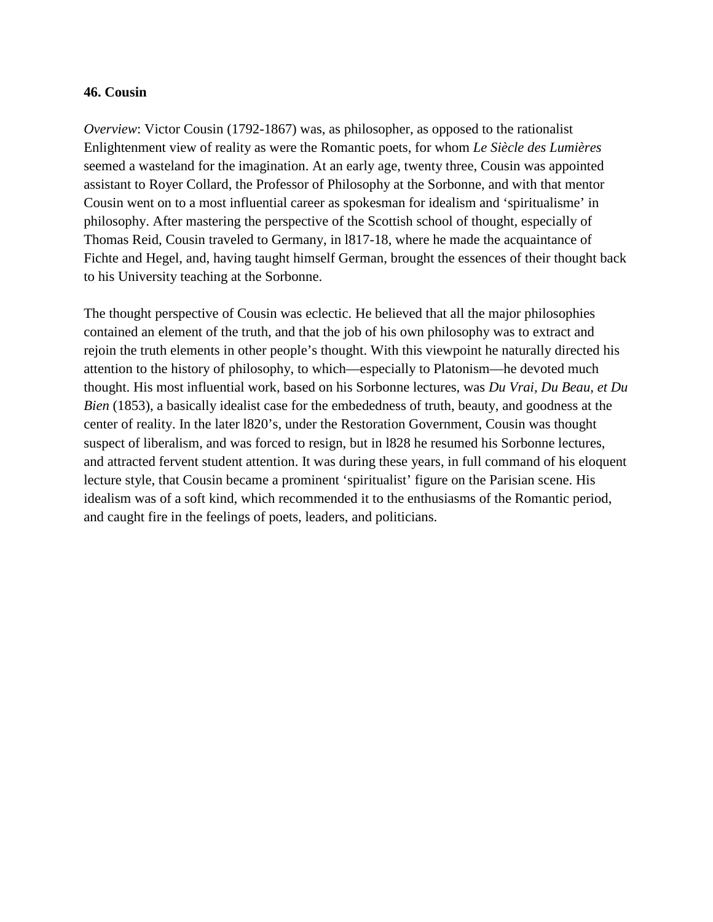### **46. Cousin**

*Overview*: Victor Cousin (1792-1867) was, as philosopher, as opposed to the rationalist Enlightenment view of reality as were the Romantic poets, for whom *Le Siècle des Lumières* seemed a wasteland for the imagination. At an early age, twenty three, Cousin was appointed assistant to Royer Collard, the Professor of Philosophy at the Sorbonne, and with that mentor Cousin went on to a most influential career as spokesman for idealism and 'spiritualisme' in philosophy. After mastering the perspective of the Scottish school of thought, especially of Thomas Reid, Cousin traveled to Germany, in l817-18, where he made the acquaintance of Fichte and Hegel, and, having taught himself German, brought the essences of their thought back to his University teaching at the Sorbonne.

The thought perspective of Cousin was eclectic. He believed that all the major philosophies contained an element of the truth, and that the job of his own philosophy was to extract and rejoin the truth elements in other people's thought. With this viewpoint he naturally directed his attention to the history of philosophy, to which—especially to Platonism—he devoted much thought. His most influential work, based on his Sorbonne lectures, was *Du Vrai, Du Beau, et Du Bien* (1853), a basically idealist case for the embededness of truth, beauty, and goodness at the center of reality. In the later l820's, under the Restoration Government, Cousin was thought suspect of liberalism, and was forced to resign, but in l828 he resumed his Sorbonne lectures, and attracted fervent student attention. It was during these years, in full command of his eloquent lecture style, that Cousin became a prominent 'spiritualist' figure on the Parisian scene. His idealism was of a soft kind, which recommended it to the enthusiasms of the Romantic period, and caught fire in the feelings of poets, leaders, and politicians.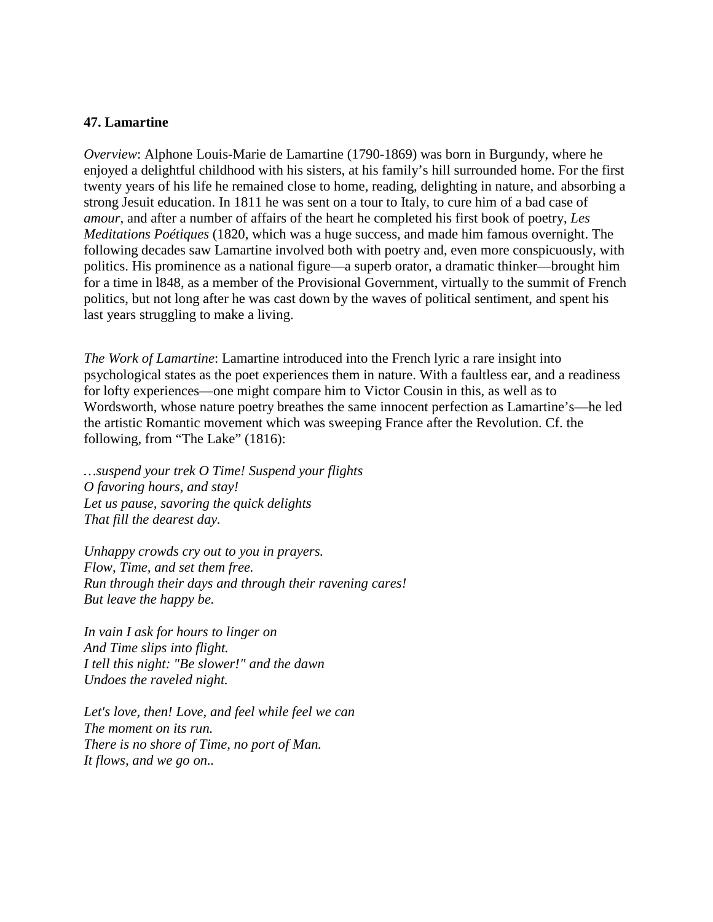## **47. Lamartine**

*Overview*: Alphone Louis-Marie de Lamartine (1790-1869) was born in Burgundy, where he enjoyed a delightful childhood with his sisters, at his family's hill surrounded home. For the first twenty years of his life he remained close to home, reading, delighting in nature, and absorbing a strong Jesuit education. In 1811 he was sent on a tour to Italy, to cure him of a bad case of *amour*, and after a number of affairs of the heart he completed his first book of poetry, *Les Meditations Poétiques* (1820, which was a huge success, and made him famous overnight. The following decades saw Lamartine involved both with poetry and, even more conspicuously, with politics. His prominence as a national figure—a superb orator, a dramatic thinker—brought him for a time in l848, as a member of the Provisional Government, virtually to the summit of French politics, but not long after he was cast down by the waves of political sentiment, and spent his last years struggling to make a living.

*The Work of Lamartine*: Lamartine introduced into the French lyric a rare insight into psychological states as the poet experiences them in nature. With a faultless ear, and a readiness for lofty experiences—one might compare him to Victor Cousin in this, as well as to Wordsworth, whose nature poetry breathes the same innocent perfection as Lamartine's—he led the artistic Romantic movement which was sweeping France after the Revolution. Cf. the following, from "The Lake" (1816):

*…suspend your trek O Time! Suspend your flights O favoring hours, and stay! Let us pause, savoring the quick delights That fill the dearest day.* 

*Unhappy crowds cry out to you in prayers. Flow, Time, and set them free. Run through their days and through their ravening cares! But leave the happy be.*

*In vain I ask for hours to linger on And Time slips into flight. I tell this night: "Be slower!" and the dawn Undoes the raveled night.* 

*Let's love, then! Love, and feel while feel we can The moment on its run. There is no shore of Time, no port of Man. It flows, and we go on..*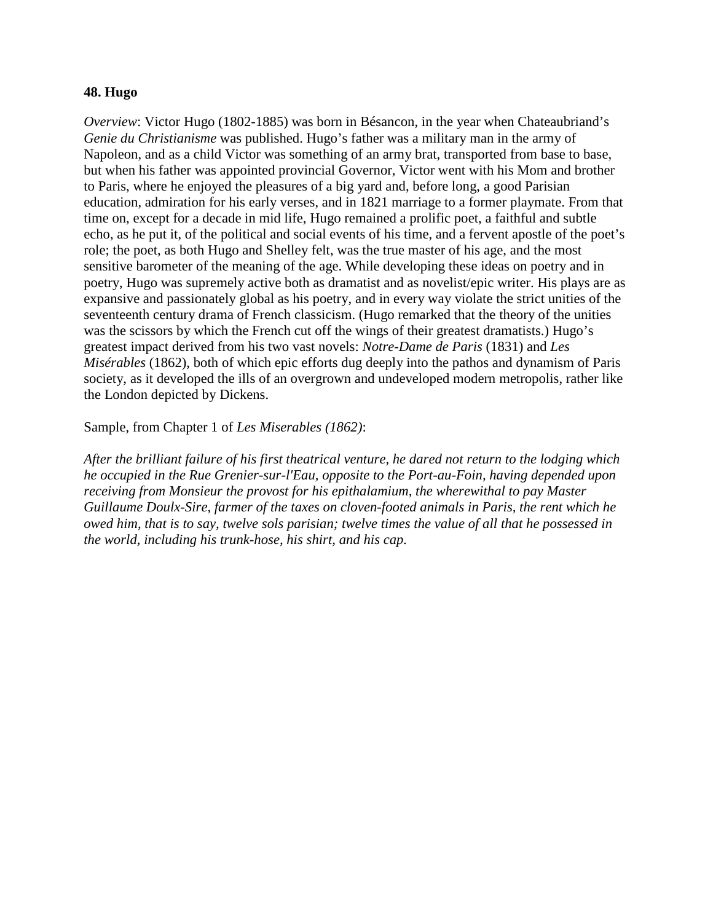### **48. Hugo**

*Overview*: Victor Hugo (1802-1885) was born in Bésancon, in the year when Chateaubriand's *Genie du Christianisme* was published. Hugo's father was a military man in the army of Napoleon, and as a child Victor was something of an army brat, transported from base to base, but when his father was appointed provincial Governor, Victor went with his Mom and brother to Paris, where he enjoyed the pleasures of a big yard and, before long, a good Parisian education, admiration for his early verses, and in 1821 marriage to a former playmate. From that time on, except for a decade in mid life, Hugo remained a prolific poet, a faithful and subtle echo, as he put it, of the political and social events of his time, and a fervent apostle of the poet's role; the poet, as both Hugo and Shelley felt, was the true master of his age, and the most sensitive barometer of the meaning of the age. While developing these ideas on poetry and in poetry, Hugo was supremely active both as dramatist and as novelist/epic writer. His plays are as expansive and passionately global as his poetry, and in every way violate the strict unities of the seventeenth century drama of French classicism. (Hugo remarked that the theory of the unities was the scissors by which the French cut off the wings of their greatest dramatists.) Hugo's greatest impact derived from his two vast novels: *Notre-Dame de Paris* (1831) and *Les Misérables* (1862), both of which epic efforts dug deeply into the pathos and dynamism of Paris society, as it developed the ills of an overgrown and undeveloped modern metropolis, rather like the London depicted by Dickens.

Sample, from Chapter 1 of *Les Miserables (1862)*:

*After the brilliant failure of his first theatrical venture, he dared not return to the lodging which he occupied in the Rue Grenier-sur-l'Eau, opposite to the Port-au-Foin, having depended upon receiving from Monsieur the provost for his epithalamium, the wherewithal to pay Master Guillaume Doulx-Sire, farmer of the taxes on cloven-footed animals in Paris, the rent which he owed him, that is to say, twelve sols parisian; twelve times the value of all that he possessed in the world, including his trunk-hose, his shirt, and his cap.*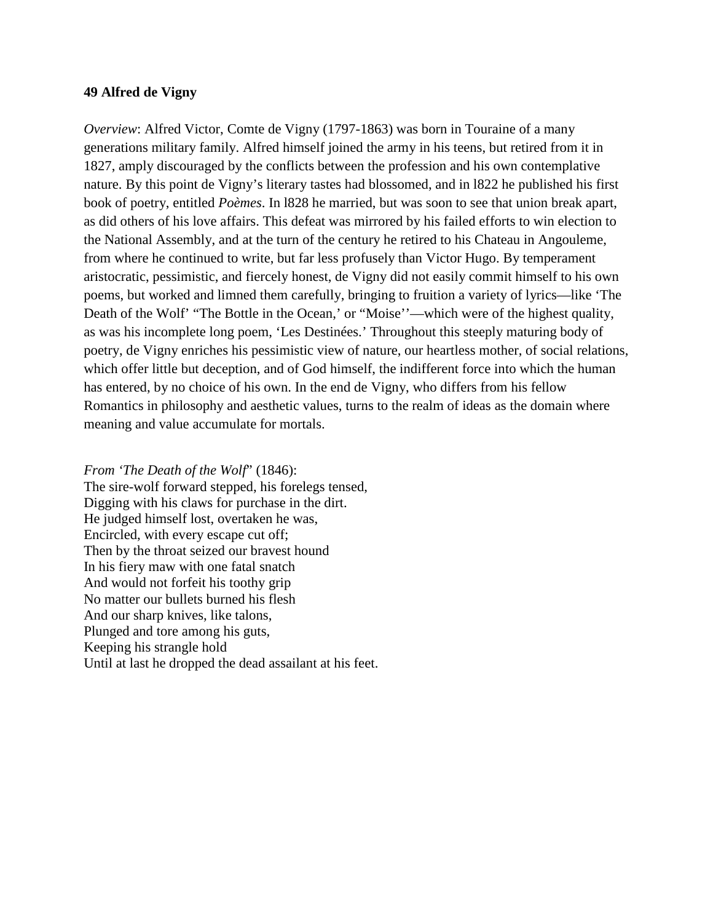#### **49 Alfred de Vigny**

*Overview*: Alfred Victor, Comte de Vigny (1797-1863) was born in Touraine of a many generations military family. Alfred himself joined the army in his teens, but retired from it in 1827, amply discouraged by the conflicts between the profession and his own contemplative nature. By this point de Vigny's literary tastes had blossomed, and in l822 he published his first book of poetry, entitled *Poèmes*. In l828 he married, but was soon to see that union break apart, as did others of his love affairs. This defeat was mirrored by his failed efforts to win election to the National Assembly, and at the turn of the century he retired to his Chateau in Angouleme, from where he continued to write, but far less profusely than Victor Hugo. By temperament aristocratic, pessimistic, and fiercely honest, de Vigny did not easily commit himself to his own poems, but worked and limned them carefully, bringing to fruition a variety of lyrics—like 'The Death of the Wolf' "The Bottle in the Ocean,' or "Moise''—which were of the highest quality, as was his incomplete long poem, 'Les Destinées.' Throughout this steeply maturing body of poetry, de Vigny enriches his pessimistic view of nature, our heartless mother, of social relations, which offer little but deception, and of God himself, the indifferent force into which the human has entered, by no choice of his own. In the end de Vigny, who differs from his fellow Romantics in philosophy and aesthetic values, turns to the realm of ideas as the domain where meaning and value accumulate for mortals.

*From 'The Death of the Wolf*" (1846): The sire-wolf forward stepped, his forelegs tensed, Digging with his claws for purchase in the dirt. He judged himself lost, overtaken he was, Encircled, with every escape cut off; Then by the throat seized our bravest hound In his fiery maw with one fatal snatch And would not forfeit his toothy grip No matter our bullets burned his flesh And our sharp knives, like talons, Plunged and tore among his guts, Keeping his strangle hold Until at last he dropped the dead assailant at his feet.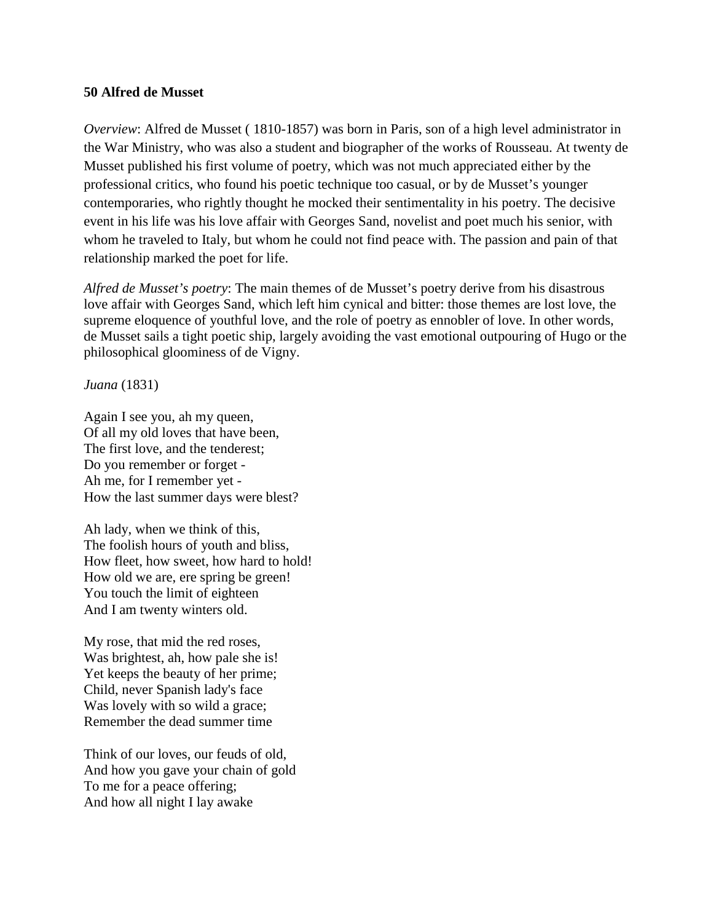### **50 Alfred de Musset**

*Overview*: Alfred de Musset ( 1810-1857) was born in Paris, son of a high level administrator in the War Ministry, who was also a student and biographer of the works of Rousseau. At twenty de Musset published his first volume of poetry, which was not much appreciated either by the professional critics, who found his poetic technique too casual, or by de Musset's younger contemporaries, who rightly thought he mocked their sentimentality in his poetry. The decisive event in his life was his love affair with Georges Sand, novelist and poet much his senior, with whom he traveled to Italy, but whom he could not find peace with. The passion and pain of that relationship marked the poet for life.

*Alfred de Musset's poetry*: The main themes of de Musset's poetry derive from his disastrous love affair with Georges Sand, which left him cynical and bitter: those themes are lost love, the supreme eloquence of youthful love, and the role of poetry as ennobler of love. In other words, de Musset sails a tight poetic ship, largely avoiding the vast emotional outpouring of Hugo or the philosophical gloominess of de Vigny.

*Juana* (1831)

Again I see you, ah my queen, Of all my old loves that have been, The first love, and the tenderest; Do you remember or forget - Ah me, for I remember yet - How the last summer days were blest?

Ah lady, when we think of this, The foolish hours of youth and bliss, How fleet, how sweet, how hard to hold! How old we are, ere spring be green! You touch the limit of eighteen And I am twenty winters old.

My rose, that mid the red roses, Was brightest, ah, how pale she is! Yet keeps the beauty of her prime; Child, never Spanish lady's face Was lovely with so wild a grace; Remember the dead summer time

Think of our loves, our feuds of old, And how you gave your chain of gold To me for a peace offering; And how all night I lay awake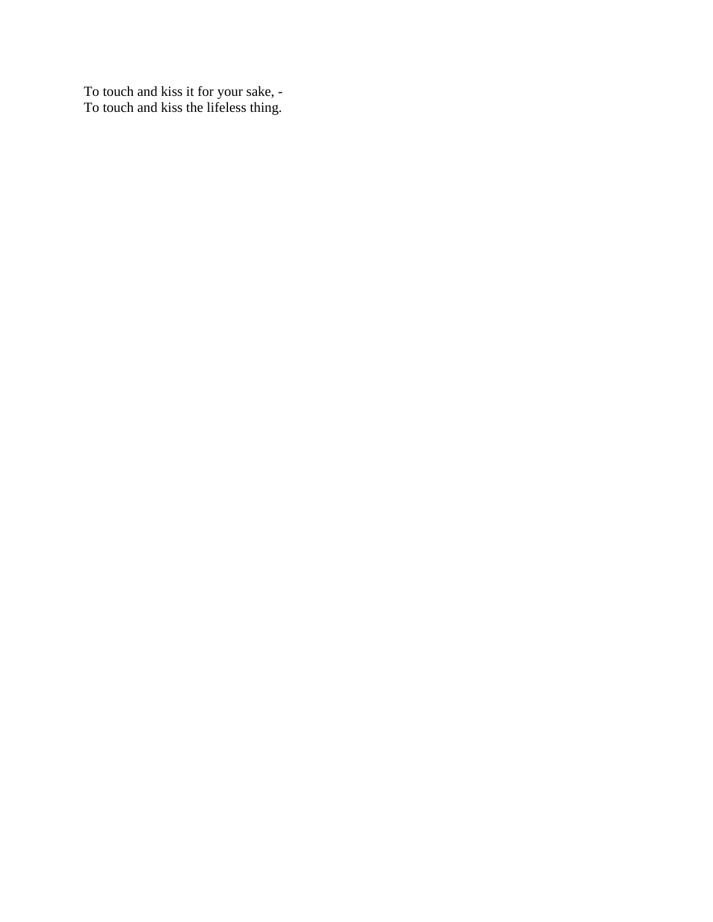To touch and kiss it for your sake, - To touch and kiss the lifeless thing.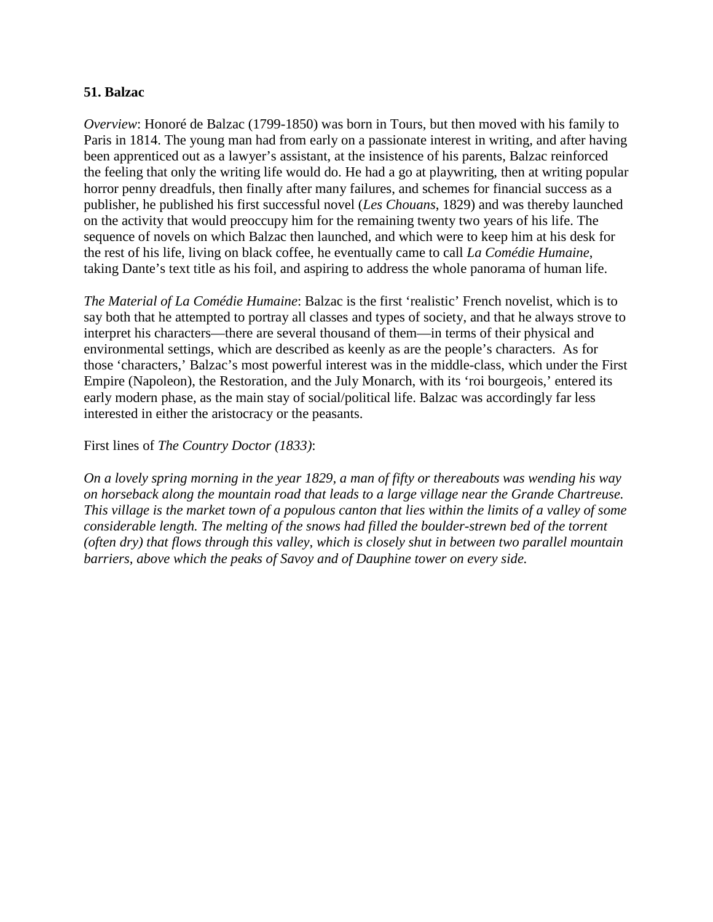## **51. Balzac**

*Overview*: Honoré de Balzac (1799-1850) was born in Tours, but then moved with his family to Paris in 1814. The young man had from early on a passionate interest in writing, and after having been apprenticed out as a lawyer's assistant, at the insistence of his parents, Balzac reinforced the feeling that only the writing life would do. He had a go at playwriting, then at writing popular horror penny dreadfuls, then finally after many failures, and schemes for financial success as a publisher, he published his first successful novel (*Les Chouans*, 1829) and was thereby launched on the activity that would preoccupy him for the remaining twenty two years of his life. The sequence of novels on which Balzac then launched, and which were to keep him at his desk for the rest of his life, living on black coffee, he eventually came to call *La Comédie Humaine*, taking Dante's text title as his foil, and aspiring to address the whole panorama of human life.

*The Material of La Comédie Humaine*: Balzac is the first 'realistic' French novelist, which is to say both that he attempted to portray all classes and types of society, and that he always strove to interpret his characters—there are several thousand of them—in terms of their physical and environmental settings, which are described as keenly as are the people's characters. As for those 'characters,' Balzac's most powerful interest was in the middle-class, which under the First Empire (Napoleon), the Restoration, and the July Monarch, with its 'roi bourgeois,' entered its early modern phase, as the main stay of social/political life. Balzac was accordingly far less interested in either the aristocracy or the peasants.

First lines of *The Country Doctor (1833)*:

*On a lovely spring morning in the year 1829, a man of fifty or thereabouts was wending his way on horseback along the mountain road that leads to a large village near the Grande Chartreuse. This village is the market town of a populous canton that lies within the limits of a valley of some considerable length. The melting of the snows had filled the boulder-strewn bed of the torrent (often dry) that flows through this valley, which is closely shut in between two parallel mountain barriers, above which the peaks of Savoy and of Dauphine tower on every side.*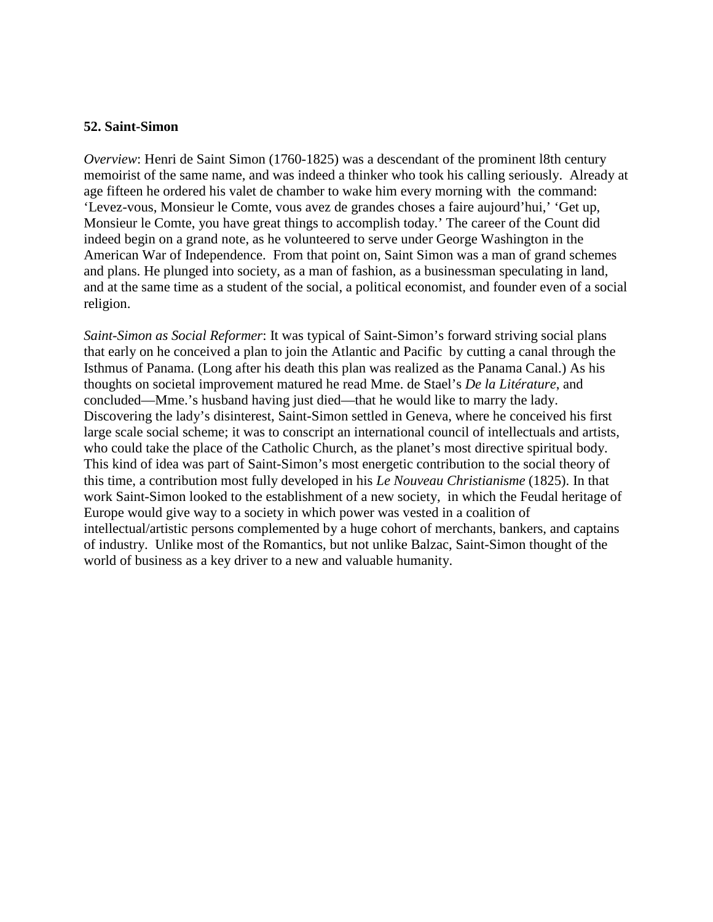#### **52. Saint-Simon**

*Overview*: Henri de Saint Simon (1760-1825) was a descendant of the prominent 18th century memoirist of the same name, and was indeed a thinker who took his calling seriously. Already at age fifteen he ordered his valet de chamber to wake him every morning with the command: 'Levez-vous, Monsieur le Comte, vous avez de grandes choses a faire aujourd'hui,' 'Get up, Monsieur le Comte, you have great things to accomplish today.' The career of the Count did indeed begin on a grand note, as he volunteered to serve under George Washington in the American War of Independence. From that point on, Saint Simon was a man of grand schemes and plans. He plunged into society, as a man of fashion, as a businessman speculating in land, and at the same time as a student of the social, a political economist, and founder even of a social religion.

*Saint-Simon as Social Reformer*: It was typical of Saint-Simon's forward striving social plans that early on he conceived a plan to join the Atlantic and Pacific by cutting a canal through the Isthmus of Panama. (Long after his death this plan was realized as the Panama Canal.) As his thoughts on societal improvement matured he read Mme. de Stael's *De la Litérature*, and concluded—Mme.'s husband having just died—that he would like to marry the lady. Discovering the lady's disinterest, Saint-Simon settled in Geneva, where he conceived his first large scale social scheme; it was to conscript an international council of intellectuals and artists, who could take the place of the Catholic Church, as the planet's most directive spiritual body. This kind of idea was part of Saint-Simon's most energetic contribution to the social theory of this time, a contribution most fully developed in his *Le Nouveau Christianisme* (1825). In that work Saint-Simon looked to the establishment of a new society, in which the Feudal heritage of Europe would give way to a society in which power was vested in a coalition of intellectual/artistic persons complemented by a huge cohort of merchants, bankers, and captains of industry. Unlike most of the Romantics, but not unlike Balzac, Saint-Simon thought of the world of business as a key driver to a new and valuable humanity.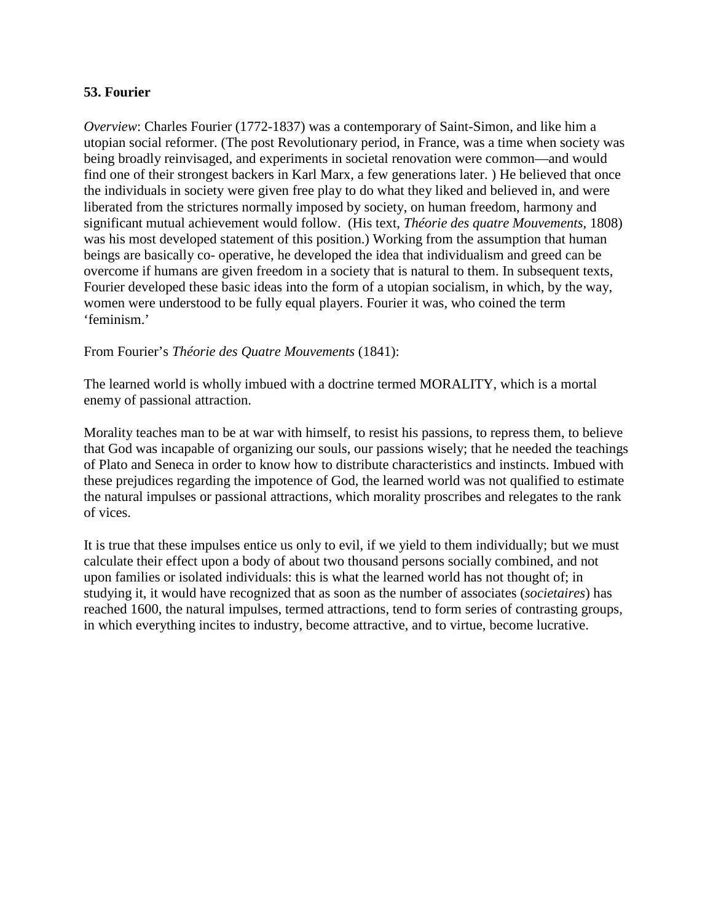# **53. Fourier**

*Overview*: Charles Fourier (1772-1837) was a contemporary of Saint-Simon, and like him a utopian social reformer. (The post Revolutionary period, in France, was a time when society was being broadly reinvisaged, and experiments in societal renovation were common—and would find one of their strongest backers in Karl Marx, a few generations later. ) He believed that once the individuals in society were given free play to do what they liked and believed in, and were liberated from the strictures normally imposed by society, on human freedom, harmony and significant mutual achievement would follow. (His text, *Théorie des quatre Mouvements*, 1808) was his most developed statement of this position.) Working from the assumption that human beings are basically co- operative, he developed the idea that individualism and greed can be overcome if humans are given freedom in a society that is natural to them. In subsequent texts, Fourier developed these basic ideas into the form of a utopian socialism, in which, by the way, women were understood to be fully equal players. Fourier it was, who coined the term 'feminism.'

From Fourier's *Théorie des Quatre Mouvements* (1841):

The learned world is wholly imbued with a doctrine termed MORALITY, which is a mortal enemy of passional attraction.

Morality teaches man to be at war with himself, to resist his passions, to repress them, to believe that God was incapable of organizing our souls, our passions wisely; that he needed the teachings of Plato and Seneca in order to know how to distribute characteristics and instincts. Imbued with these prejudices regarding the impotence of God, the learned world was not qualified to estimate the natural impulses or passional attractions, which morality proscribes and relegates to the rank of vices.

It is true that these impulses entice us only to evil, if we yield to them individually; but we must calculate their effect upon a body of about two thousand persons socially combined, and not upon families or isolated individuals: this is what the learned world has not thought of; in studying it, it would have recognized that as soon as the number of associates (*societaires*) has reached 1600, the natural impulses, termed attractions, tend to form series of contrasting groups, in which everything incites to industry, become attractive, and to virtue, become lucrative.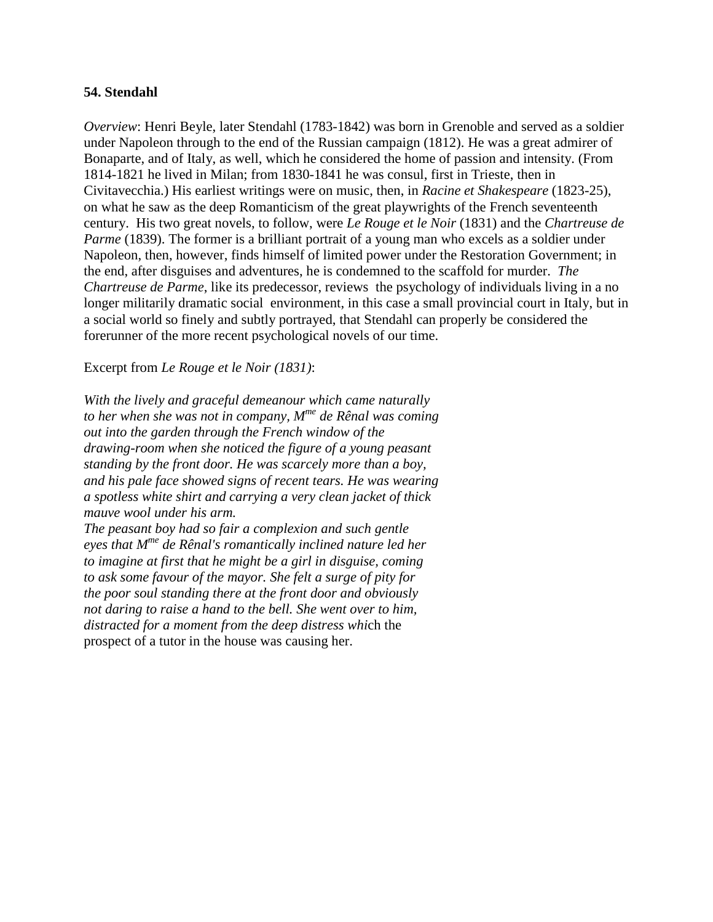#### **54. Stendahl**

*Overview*: Henri Beyle, later Stendahl (1783-1842) was born in Grenoble and served as a soldier under Napoleon through to the end of the Russian campaign (1812). He was a great admirer of Bonaparte, and of Italy, as well, which he considered the home of passion and intensity. (From 1814-1821 he lived in Milan; from 1830-1841 he was consul, first in Trieste, then in Civitavecchia.) His earliest writings were on music, then, in *Racine et Shakespeare* (1823-25), on what he saw as the deep Romanticism of the great playwrights of the French seventeenth century. His two great novels, to follow, were *Le Rouge et le Noir* (1831) and the *Chartreuse de Parme* (1839). The former is a brilliant portrait of a young man who excels as a soldier under Napoleon, then, however, finds himself of limited power under the Restoration Government; in the end, after disguises and adventures, he is condemned to the scaffold for murder. *The Chartreuse de Parme*, like its predecessor, reviews the psychology of individuals living in a no longer militarily dramatic social environment, in this case a small provincial court in Italy, but in a social world so finely and subtly portrayed, that Stendahl can properly be considered the forerunner of the more recent psychological novels of our time.

Excerpt from *Le Rouge et le Noir (1831)*:

*With the lively and graceful demeanour which came naturally to her when she was not in company, Mme de Rênal was coming out into the garden through the French window of the drawing-room when she noticed the figure of a young peasant standing by the front door. He was scarcely more than a boy, and his pale face showed signs of recent tears. He was wearing a spotless white shirt and carrying a very clean jacket of thick mauve wool under his arm.* 

*The peasant boy had so fair a complexion and such gentle eyes that Mme de Rênal's romantically inclined nature led her to imagine at first that he might be a girl in disguise, coming to ask some favour of the mayor. She felt a surge of pity for the poor soul standing there at the front door and obviously not daring to raise a hand to the bell. She went over to him, distracted for a moment from the deep distress whi*ch the prospect of a tutor in the house was causing her.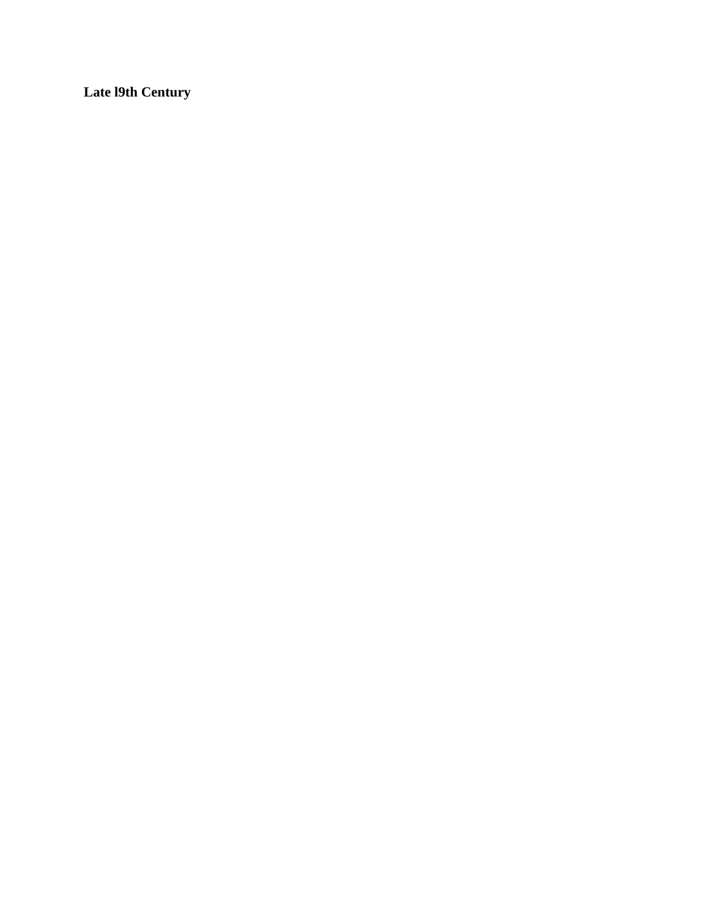**Late l9th Century**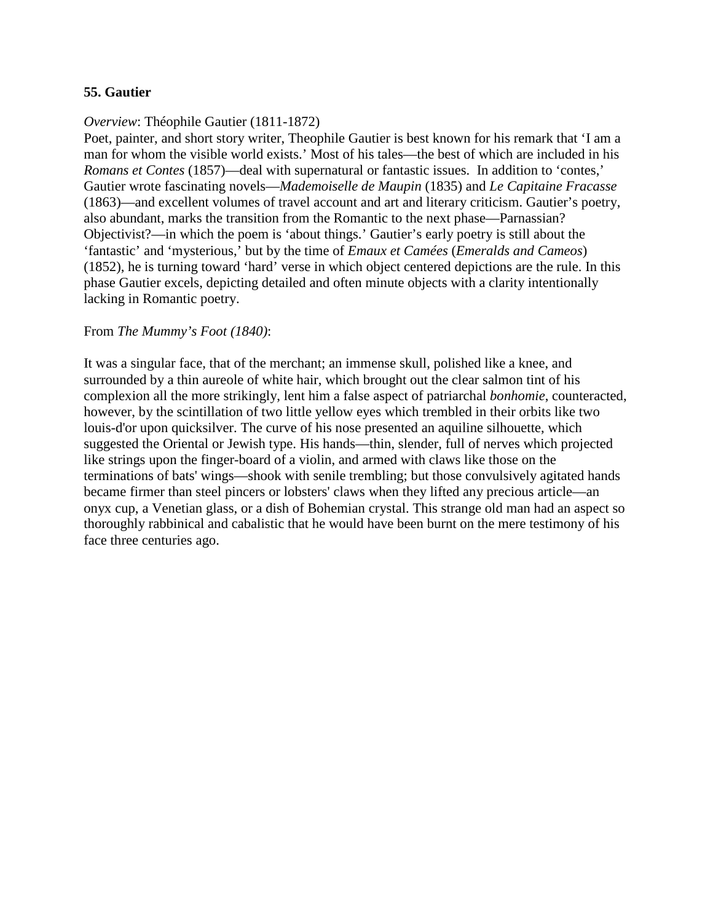## **55. Gautier**

#### *Overview*: Théophile Gautier (1811-1872)

Poet, painter, and short story writer, Theophile Gautier is best known for his remark that 'I am a man for whom the visible world exists.' Most of his tales—the best of which are included in his *Romans et Contes* (1857)—deal with supernatural or fantastic issues. In addition to 'contes,' Gautier wrote fascinating novels—*Mademoiselle de Maupin* (1835) and *Le Capitaine Fracasse*  (1863)—and excellent volumes of travel account and art and literary criticism. Gautier's poetry, also abundant, marks the transition from the Romantic to the next phase—Parnassian? Objectivist?—in which the poem is 'about things.' Gautier's early poetry is still about the 'fantastic' and 'mysterious,' but by the time of *Emaux et Camées* (*Emeralds and Cameos*) (1852), he is turning toward 'hard' verse in which object centered depictions are the rule. In this phase Gautier excels, depicting detailed and often minute objects with a clarity intentionally lacking in Romantic poetry.

### From *The Mummy's Foot (1840)*:

It was a singular face, that of the merchant; an immense skull, polished like a knee, and surrounded by a thin aureole of white hair, which brought out the clear salmon tint of his complexion all the more strikingly, lent him a false aspect of patriarchal *bonhomie*, counteracted, however, by the scintillation of two little yellow eyes which trembled in their orbits like two louis-d'or upon quicksilver. The curve of his nose presented an aquiline silhouette, which suggested the Oriental or Jewish type. His hands—thin, slender, full of nerves which projected like strings upon the finger-board of a violin, and armed with claws like those on the terminations of bats' wings—shook with senile trembling; but those convulsively agitated hands became firmer than steel pincers or lobsters' claws when they lifted any precious article—an onyx cup, a Venetian glass, or a dish of Bohemian crystal. This strange old man had an aspect so thoroughly rabbinical and cabalistic that he would have been burnt on the mere testimony of his face three centuries ago.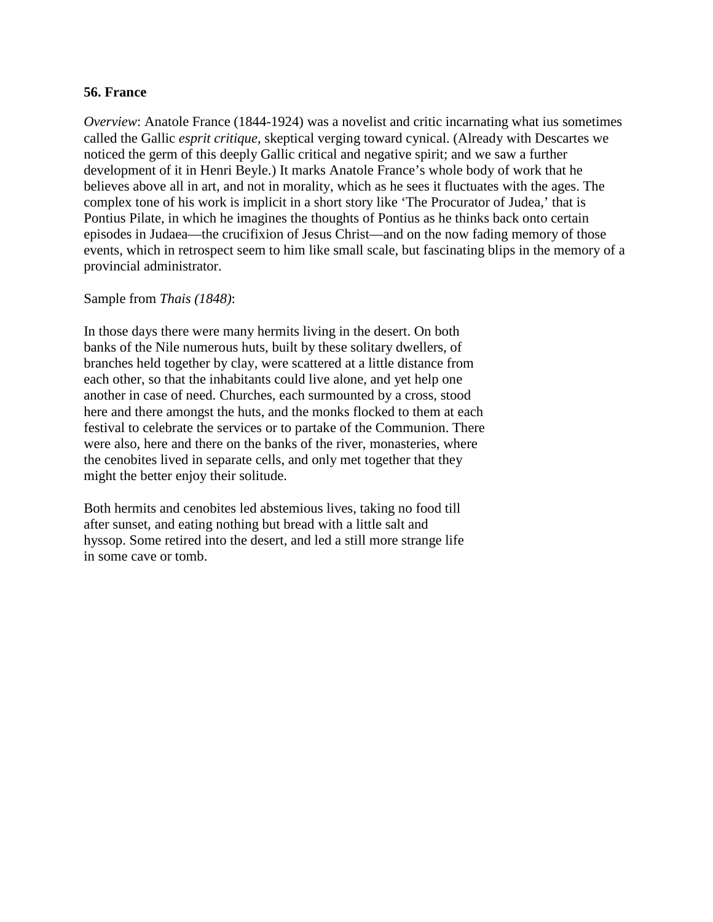## **56. France**

*Overview*: Anatole France (1844-1924) was a novelist and critic incarnating what ius sometimes called the Gallic *esprit critique*, skeptical verging toward cynical. (Already with Descartes we noticed the germ of this deeply Gallic critical and negative spirit; and we saw a further development of it in Henri Beyle.) It marks Anatole France's whole body of work that he believes above all in art, and not in morality, which as he sees it fluctuates with the ages. The complex tone of his work is implicit in a short story like 'The Procurator of Judea,' that is Pontius Pilate, in which he imagines the thoughts of Pontius as he thinks back onto certain episodes in Judaea—the crucifixion of Jesus Christ—and on the now fading memory of those events, which in retrospect seem to him like small scale, but fascinating blips in the memory of a provincial administrator.

#### Sample from *Thais (1848)*:

In those days there were many hermits living in the desert. On both banks of the Nile numerous huts, built by these solitary dwellers, of branches held together by clay, were scattered at a little distance from each other, so that the inhabitants could live alone, and yet help one another in case of need. Churches, each surmounted by a cross, stood here and there amongst the huts, and the monks flocked to them at each festival to celebrate the services or to partake of the Communion. There were also, here and there on the banks of the river, monasteries, where the cenobites lived in separate cells, and only met together that they might the better enjoy their solitude.

Both hermits and cenobites led abstemious lives, taking no food till after sunset, and eating nothing but bread with a little salt and hyssop. Some retired into the desert, and led a still more strange life in some cave or tomb.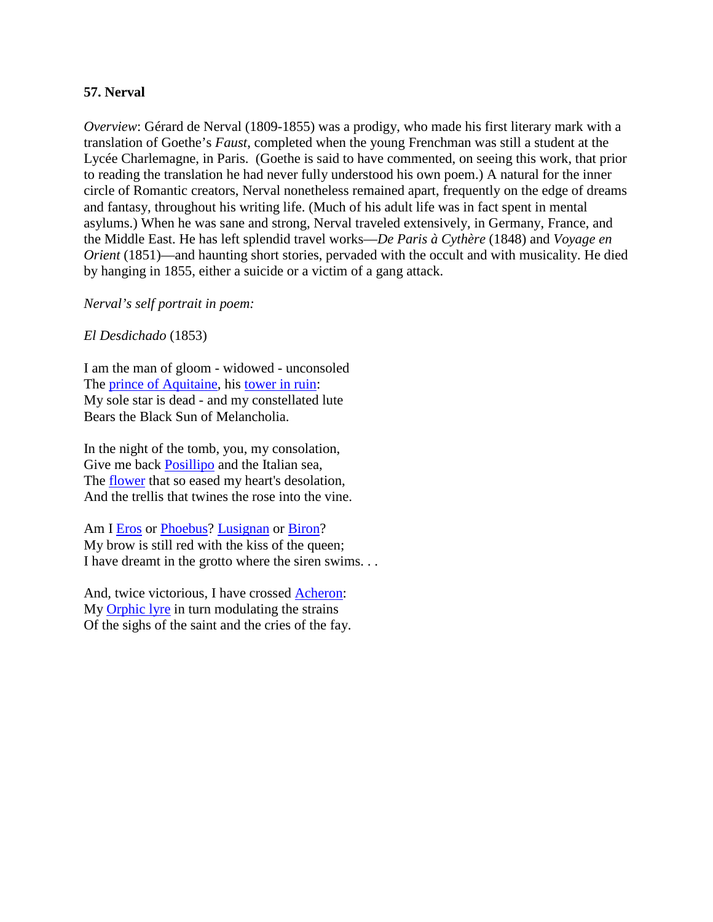## **57. Nerval**

*Overview*: Gérard de Nerval (1809-1855) was a prodigy, who made his first literary mark with a translation of Goethe's *Faust*, completed when the young Frenchman was still a student at the Lycée Charlemagne, in Paris. (Goethe is said to have commented, on seeing this work, that prior to reading the translation he had never fully understood his own poem.) A natural for the inner circle of Romantic creators, Nerval nonetheless remained apart, frequently on the edge of dreams and fantasy, throughout his writing life. (Much of his adult life was in fact spent in mental asylums.) When he was sane and strong, Nerval traveled extensively, in Germany, France, and the Middle East. He has left splendid travel works—*De Paris à Cythère* (1848) and *Voyage en Orient* (1851)—and haunting short stories, pervaded with the occult and with musicality. He died by hanging in 1855, either a suicide or a victim of a gang attack.

## *Nerval's self portrait in poem:*

*El Desdichado* (1853)

I am the man of gloom - widowed - unconsoled The [prince of Aquitaine,](http://en.wikipedia.org/wiki/Edward%2C_the_Black_Prince) his [tower in ruin:](http://en.wikipedia.org/wiki/The_Tower_%28Tarot_card%29) My sole star is dead - and my constellated lute Bears the Black Sun of Melancholia.

In the night of the tomb, you, my consolation, Give me back [Posillipo](http://en.wikipedia.org/wiki/Posillipo) and the Italian sea, The [flower](http://en.wikipedia.org/wiki/Aquilegia) that so eased my heart's desolation, And the trellis that twines the rose into the vine.

Am I **Eros** or **Phoebus**? [Lusignan](http://en.wikipedia.org/wiki/Lusignan) or **Biron**? My brow is still red with the kiss of the queen; I have dreamt in the grotto where the siren swims. . .

And, twice victorious, I have crossed [Acheron:](http://en.wikipedia.org/wiki/Acheron) My [Orphic lyre](http://en.wikipedia.org/wiki/Orpheus) in turn modulating the strains Of the sighs of the saint and the cries of the fay.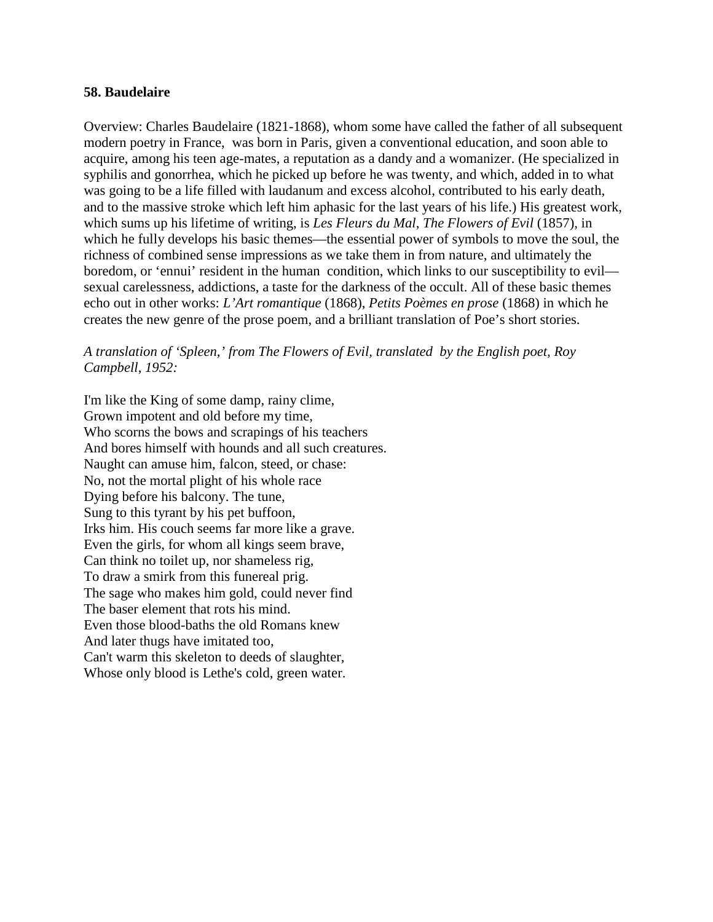#### **58. Baudelaire**

Overview: Charles Baudelaire (1821-1868), whom some have called the father of all subsequent modern poetry in France, was born in Paris, given a conventional education, and soon able to acquire, among his teen age-mates, a reputation as a dandy and a womanizer. (He specialized in syphilis and gonorrhea, which he picked up before he was twenty, and which, added in to what was going to be a life filled with laudanum and excess alcohol, contributed to his early death, and to the massive stroke which left him aphasic for the last years of his life.) His greatest work, which sums up his lifetime of writing, is *Les Fleurs du Mal*, *The Flowers of Evil* (1857), in which he fully develops his basic themes—the essential power of symbols to move the soul, the richness of combined sense impressions as we take them in from nature, and ultimately the boredom, or 'ennui' resident in the human condition, which links to our susceptibility to evil sexual carelessness, addictions, a taste for the darkness of the occult. All of these basic themes echo out in other works: *L'Art romantique* (1868), *Petits Poèmes en prose* (1868) in which he creates the new genre of the prose poem, and a brilliant translation of Poe's short stories.

## *A translation of 'Spleen,' from The Flowers of Evil, translated by the English poet, Roy Campbell, 1952:*

I'm like the King of some damp, rainy clime, Grown impotent and old before my time, Who scorns the bows and scrapings of his teachers And bores himself with hounds and all such creatures. Naught can amuse him, falcon, steed, or chase: No, not the mortal plight of his whole race Dying before his balcony. The tune, Sung to this tyrant by his pet buffoon, Irks him. His couch seems far more like a grave. Even the girls, for whom all kings seem brave, Can think no toilet up, nor shameless rig, To draw a smirk from this funereal prig. The sage who makes him gold, could never find The baser element that rots his mind. Even those blood-baths the old Romans knew And later thugs have imitated too, Can't warm this skeleton to deeds of slaughter, Whose only blood is Lethe's cold, green water.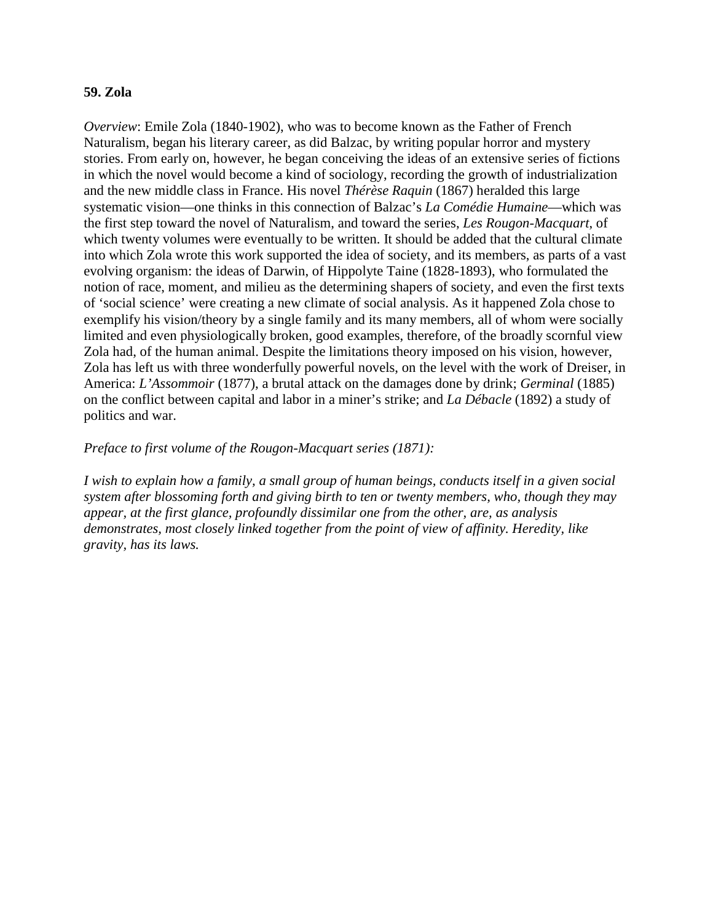### **59. Zola**

*Overview*: Emile Zola (1840-1902), who was to become known as the Father of French Naturalism, began his literary career, as did Balzac, by writing popular horror and mystery stories. From early on, however, he began conceiving the ideas of an extensive series of fictions in which the novel would become a kind of sociology, recording the growth of industrialization and the new middle class in France. His novel *Thérèse Raquin* (1867) heralded this large systematic vision—one thinks in this connection of Balzac's *La Comédie Humaine*—which was the first step toward the novel of Naturalism, and toward the series, *Les Rougon-Macquart*, of which twenty volumes were eventually to be written. It should be added that the cultural climate into which Zola wrote this work supported the idea of society, and its members, as parts of a vast evolving organism: the ideas of Darwin, of Hippolyte Taine (1828-1893), who formulated the notion of race, moment, and milieu as the determining shapers of society, and even the first texts of 'social science' were creating a new climate of social analysis. As it happened Zola chose to exemplify his vision/theory by a single family and its many members, all of whom were socially limited and even physiologically broken, good examples, therefore, of the broadly scornful view Zola had, of the human animal. Despite the limitations theory imposed on his vision, however, Zola has left us with three wonderfully powerful novels, on the level with the work of Dreiser, in America: *L'Assommoir* (1877), a brutal attack on the damages done by drink; *Germinal* (1885) on the conflict between capital and labor in a miner's strike; and *La Débacle* (1892) a study of politics and war.

### *Preface to first volume of the Rougon-Macquart series (1871):*

*I wish to explain how a family, a small group of human beings, conducts itself in a given social system after blossoming forth and giving birth to ten or twenty members, who, though they may appear, at the first glance, profoundly dissimilar one from the other, are, as analysis demonstrates, most closely linked together from the point of view of affinity. Heredity, like gravity, has its laws.*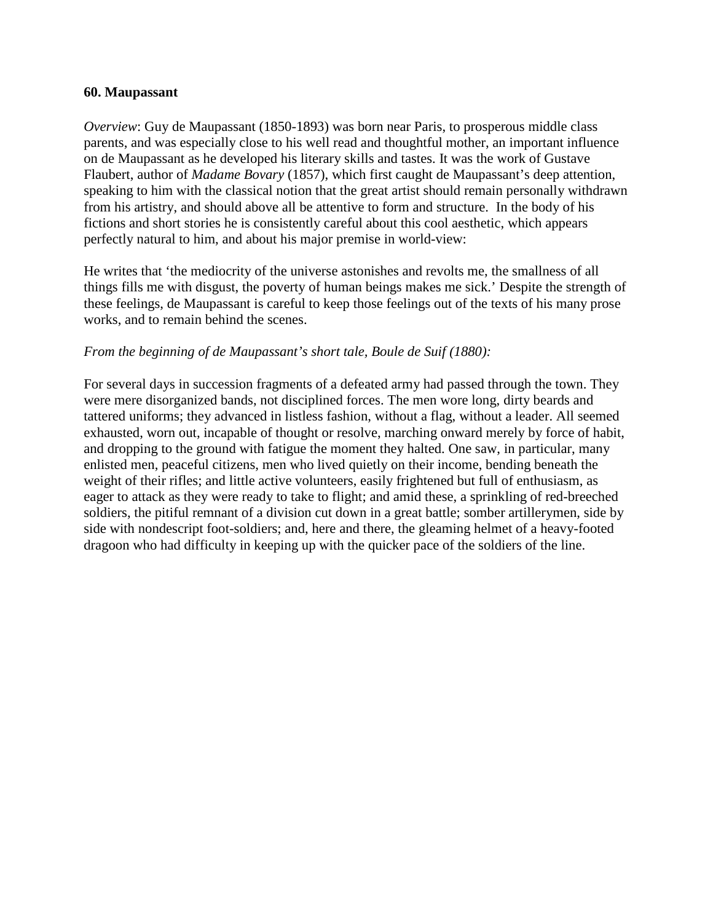#### **60. Maupassant**

*Overview*: Guy de Maupassant (1850-1893) was born near Paris, to prosperous middle class parents, and was especially close to his well read and thoughtful mother, an important influence on de Maupassant as he developed his literary skills and tastes. It was the work of Gustave Flaubert, author of *Madame Bovary* (1857), which first caught de Maupassant's deep attention, speaking to him with the classical notion that the great artist should remain personally withdrawn from his artistry, and should above all be attentive to form and structure. In the body of his fictions and short stories he is consistently careful about this cool aesthetic, which appears perfectly natural to him, and about his major premise in world-view:

He writes that 'the mediocrity of the universe astonishes and revolts me, the smallness of all things fills me with disgust, the poverty of human beings makes me sick.' Despite the strength of these feelings, de Maupassant is careful to keep those feelings out of the texts of his many prose works, and to remain behind the scenes.

## *From the beginning of de Maupassant's short tale, Boule de Suif (1880):*

For several days in succession fragments of a defeated army had passed through the town. They were mere disorganized bands, not disciplined forces. The men wore long, dirty beards and tattered uniforms; they advanced in listless fashion, without a flag, without a leader. All seemed exhausted, worn out, incapable of thought or resolve, marching onward merely by force of habit, and dropping to the ground with fatigue the moment they halted. One saw, in particular, many enlisted men, peaceful citizens, men who lived quietly on their income, bending beneath the weight of their rifles; and little active volunteers, easily frightened but full of enthusiasm, as eager to attack as they were ready to take to flight; and amid these, a sprinkling of red-breeched soldiers, the pitiful remnant of a division cut down in a great battle; somber artillerymen, side by side with nondescript foot-soldiers; and, here and there, the gleaming helmet of a heavy-footed dragoon who had difficulty in keeping up with the quicker pace of the soldiers of the line.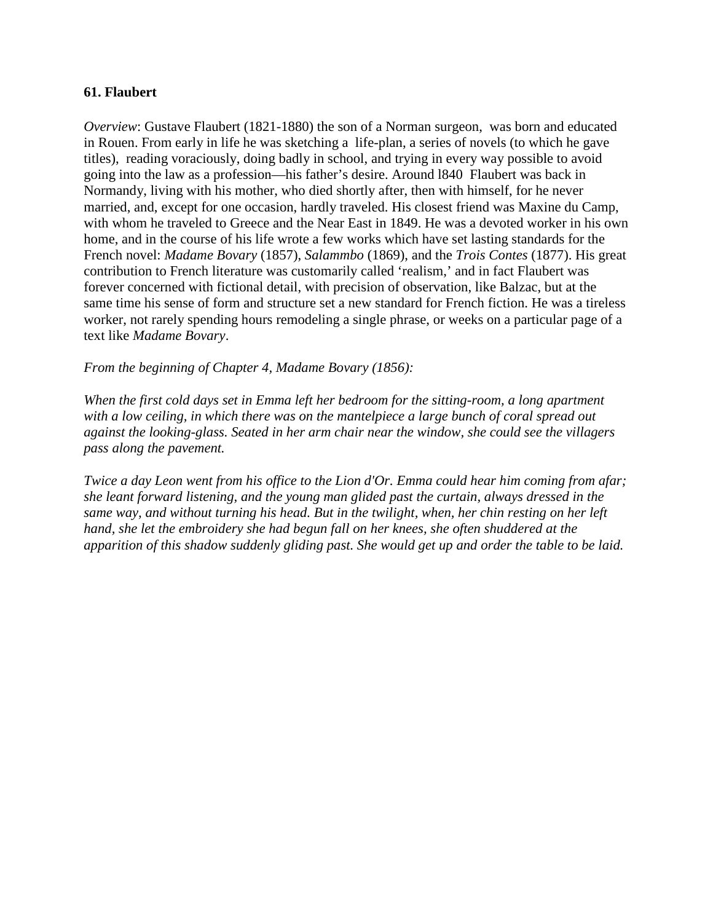### **61. Flaubert**

*Overview*: Gustave Flaubert (1821-1880) the son of a Norman surgeon, was born and educated in Rouen. From early in life he was sketching a life-plan, a series of novels (to which he gave titles), reading voraciously, doing badly in school, and trying in every way possible to avoid going into the law as a profession—his father's desire. Around l840 Flaubert was back in Normandy, living with his mother, who died shortly after, then with himself, for he never married, and, except for one occasion, hardly traveled. His closest friend was Maxine du Camp, with whom he traveled to Greece and the Near East in 1849. He was a devoted worker in his own home, and in the course of his life wrote a few works which have set lasting standards for the French novel: *Madame Bovary* (1857), *Salammbo* (1869), and the *Trois Contes* (1877). His great contribution to French literature was customarily called 'realism,' and in fact Flaubert was forever concerned with fictional detail, with precision of observation, like Balzac, but at the same time his sense of form and structure set a new standard for French fiction. He was a tireless worker, not rarely spending hours remodeling a single phrase, or weeks on a particular page of a text like *Madame Bovary*.

### *From the beginning of Chapter 4, Madame Bovary (1856):*

*When the first cold days set in Emma left her bedroom for the sitting-room, a long apartment with a low ceiling, in which there was on the mantelpiece a large bunch of coral spread out against the looking-glass. Seated in her arm chair near the window, she could see the villagers pass along the pavement.*

*Twice a day Leon went from his office to the Lion d'Or. Emma could hear him coming from afar; she leant forward listening, and the young man glided past the curtain, always dressed in the same way, and without turning his head. But in the twilight, when, her chin resting on her left hand, she let the embroidery she had begun fall on her knees, she often shuddered at the apparition of this shadow suddenly gliding past. She would get up and order the table to be laid.*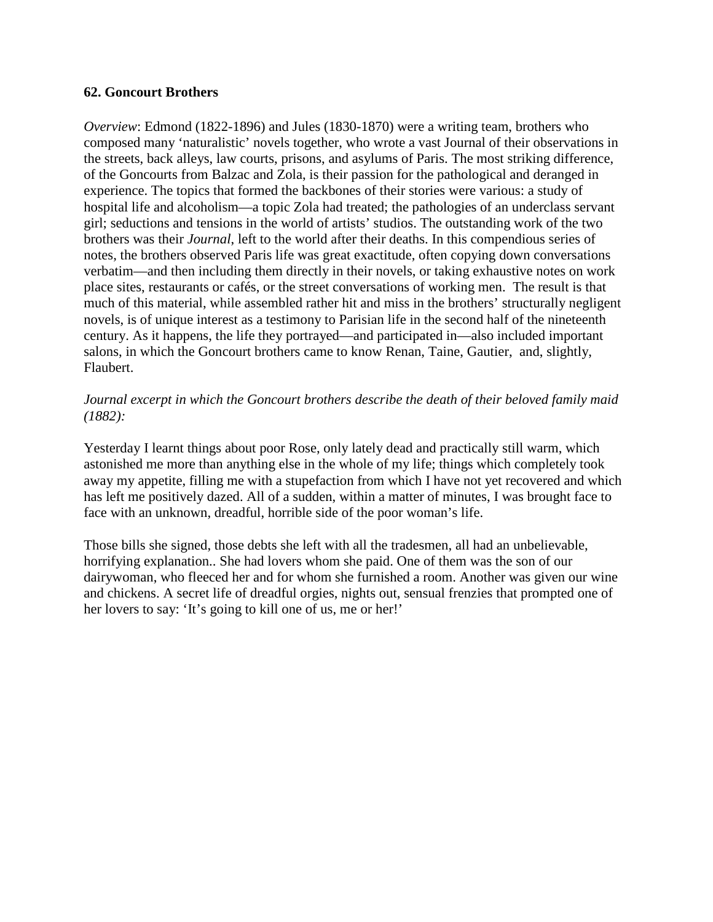## **62. Goncourt Brothers**

*Overview*: Edmond (1822-1896) and Jules (1830-1870) were a writing team, brothers who composed many 'naturalistic' novels together, who wrote a vast Journal of their observations in the streets, back alleys, law courts, prisons, and asylums of Paris. The most striking difference, of the Goncourts from Balzac and Zola, is their passion for the pathological and deranged in experience. The topics that formed the backbones of their stories were various: a study of hospital life and alcoholism—a topic Zola had treated; the pathologies of an underclass servant girl; seductions and tensions in the world of artists' studios. The outstanding work of the two brothers was their *Journal*, left to the world after their deaths. In this compendious series of notes, the brothers observed Paris life was great exactitude, often copying down conversations verbatim—and then including them directly in their novels, or taking exhaustive notes on work place sites, restaurants or cafés, or the street conversations of working men. The result is that much of this material, while assembled rather hit and miss in the brothers' structurally negligent novels, is of unique interest as a testimony to Parisian life in the second half of the nineteenth century. As it happens, the life they portrayed—and participated in—also included important salons, in which the Goncourt brothers came to know Renan, Taine, Gautier, and, slightly, Flaubert.

# *Journal excerpt in which the Goncourt brothers describe the death of their beloved family maid (1882):*

Yesterday I learnt things about poor Rose, only lately dead and practically still warm, which astonished me more than anything else in the whole of my life; things which completely took away my appetite, filling me with a stupefaction from which I have not yet recovered and which has left me positively dazed. All of a sudden, within a matter of minutes, I was brought face to face with an unknown, dreadful, horrible side of the poor woman's life.

Those bills she signed, those debts she left with all the tradesmen, all had an unbelievable, horrifying explanation.. She had lovers whom she paid. One of them was the son of our dairywoman, who fleeced her and for whom she furnished a room. Another was given our wine and chickens. A secret life of dreadful orgies, nights out, sensual frenzies that prompted one of her lovers to say: 'It's going to kill one of us, me or her!'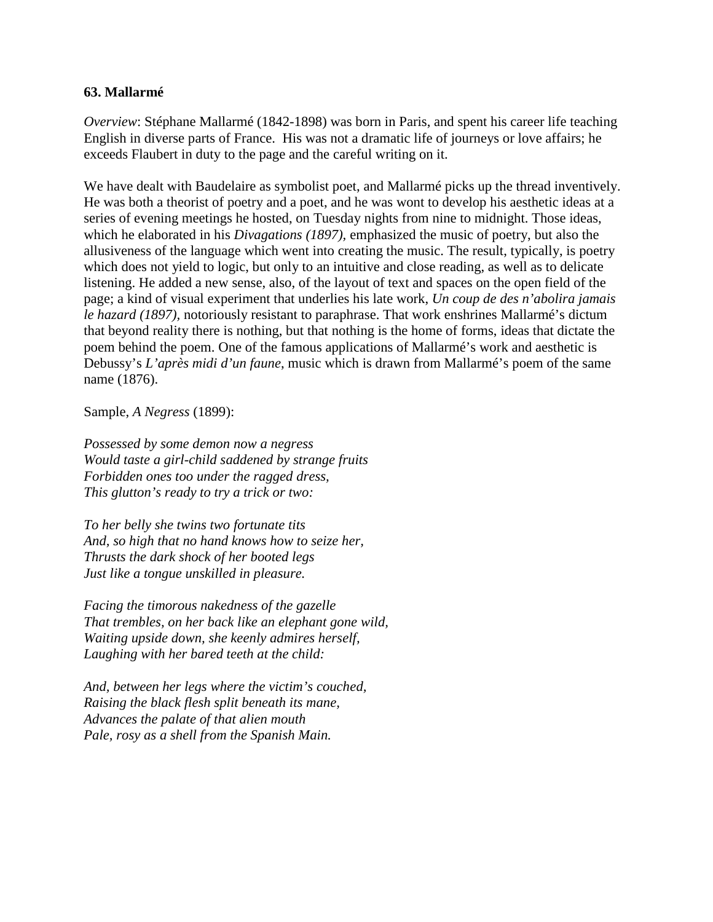# **63. Mallarmé**

*Overview*: Stéphane Mallarmé (1842-1898) was born in Paris, and spent his career life teaching English in diverse parts of France. His was not a dramatic life of journeys or love affairs; he exceeds Flaubert in duty to the page and the careful writing on it.

We have dealt with Baudelaire as symbolist poet, and Mallarmé picks up the thread inventively. He was both a theorist of poetry and a poet, and he was wont to develop his aesthetic ideas at a series of evening meetings he hosted, on Tuesday nights from nine to midnight. Those ideas, which he elaborated in his *Divagations (1897),* emphasized the music of poetry, but also the allusiveness of the language which went into creating the music. The result, typically, is poetry which does not yield to logic, but only to an intuitive and close reading, as well as to delicate listening. He added a new sense, also, of the layout of text and spaces on the open field of the page; a kind of visual experiment that underlies his late work, *Un coup de des n'abolira jamais le hazard (1897),* notoriously resistant to paraphrase. That work enshrines Mallarmé's dictum that beyond reality there is nothing, but that nothing is the home of forms, ideas that dictate the poem behind the poem. One of the famous applications of Mallarmé's work and aesthetic is Debussy's *L'après midi d'un faune*, music which is drawn from Mallarmé's poem of the same name (1876).

Sample, *A Negress* (1899):

*Possessed by some demon now a negress Would taste a girl-child saddened by strange fruits Forbidden ones too under the ragged dress, This glutton's ready to try a trick or two:*

*To her belly she twins two fortunate tits And, so high that no hand knows how to seize her, Thrusts the dark shock of her booted legs Just like a tongue unskilled in pleasure.*

*Facing the timorous nakedness of the gazelle That trembles, on her back like an elephant gone wild, Waiting upside down, she keenly admires herself, Laughing with her bared teeth at the child:*

*And, between her legs where the victim's couched, Raising the black flesh split beneath its mane, Advances the palate of that alien mouth Pale, rosy as a shell from the Spanish Main.*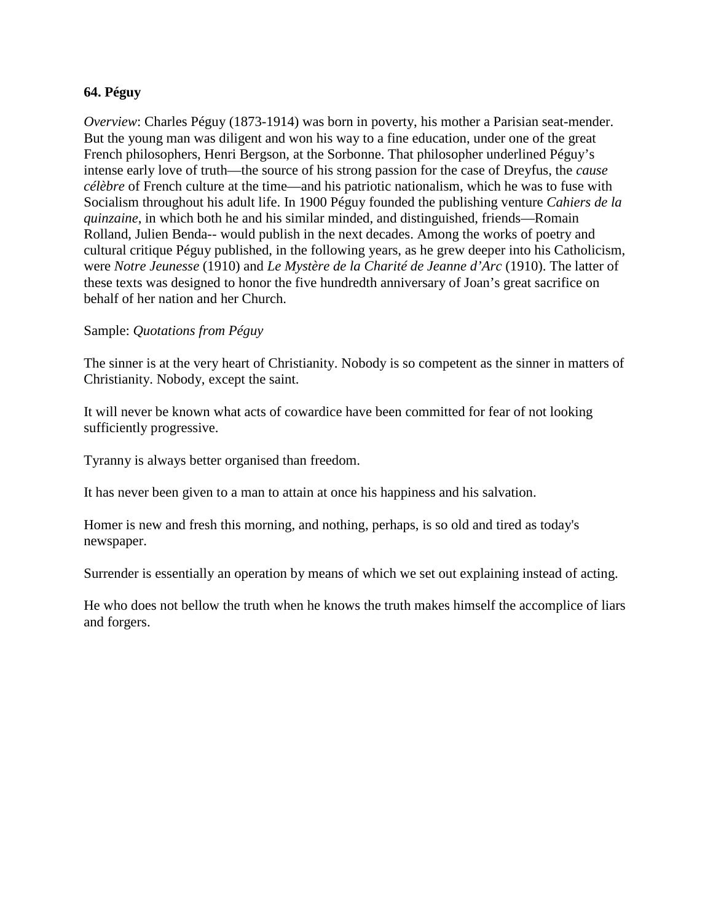# **64. Péguy**

*Overview*: Charles Péguy (1873-1914) was born in poverty, his mother a Parisian seat-mender. But the young man was diligent and won his way to a fine education, under one of the great French philosophers, Henri Bergson, at the Sorbonne. That philosopher underlined Péguy's intense early love of truth—the source of his strong passion for the case of Dreyfus, the *cause célèbre* of French culture at the time—and his patriotic nationalism, which he was to fuse with Socialism throughout his adult life. In 1900 Péguy founded the publishing venture *Cahiers de la quinzaine*, in which both he and his similar minded, and distinguished, friends—Romain Rolland, Julien Benda-- would publish in the next decades. Among the works of poetry and cultural critique Péguy published, in the following years, as he grew deeper into his Catholicism, were *Notre Jeunesse* (1910) and *Le Mystère de la Charité de Jeanne d'Arc* (1910). The latter of these texts was designed to honor the five hundredth anniversary of Joan's great sacrifice on behalf of her nation and her Church.

## Sample: *Quotations from Péguy*

The sinner is at the very heart of Christianity. Nobody is so competent as the sinner in matters of Christianity. Nobody, except the saint.

It will never be known what acts of cowardice have been committed for fear of not looking sufficiently progressive.

Tyranny is always better organised than freedom.

It has never been given to a man to attain at once his happiness and his salvation.

Homer is new and fresh this morning, and nothing, perhaps, is so old and tired as today's newspaper.

Surrender is essentially an operation by means of which we set out explaining instead of acting.

He who does not bellow the truth when he knows the truth makes himself the accomplice of liars and forgers.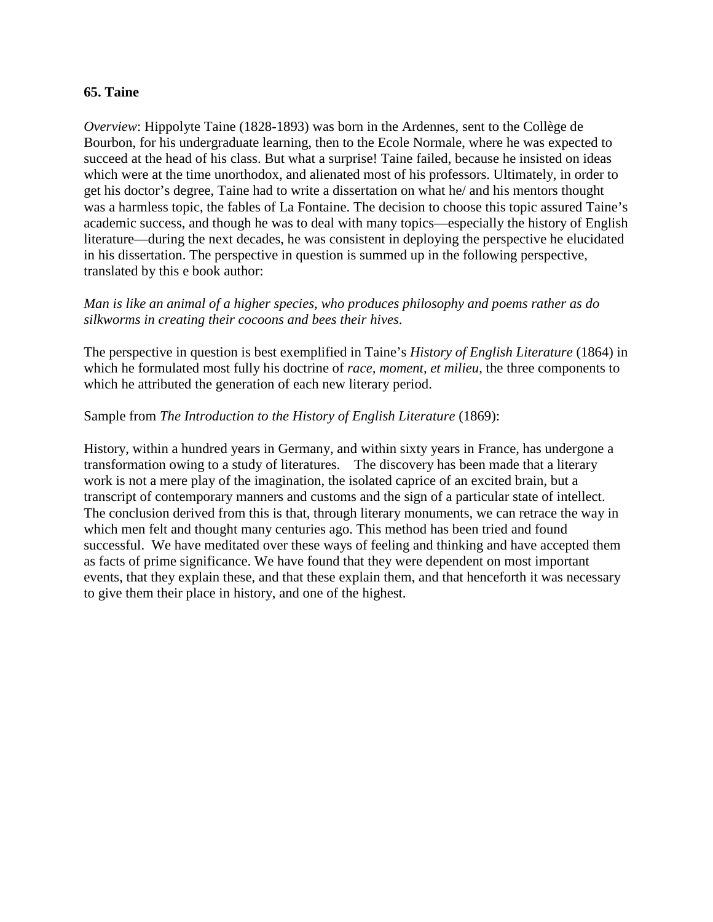## **65. Taine**

*Overview*: Hippolyte Taine (1828-1893) was born in the Ardennes, sent to the Collège de Bourbon, for his undergraduate learning, then to the Ecole Normale, where he was expected to succeed at the head of his class. But what a surprise! Taine failed, because he insisted on ideas which were at the time unorthodox, and alienated most of his professors. Ultimately, in order to get his doctor's degree, Taine had to write a dissertation on what he/ and his mentors thought was a harmless topic, the fables of La Fontaine. The decision to choose this topic assured Taine's academic success, and though he was to deal with many topics—especially the history of English literature—during the next decades, he was consistent in deploying the perspective he elucidated in his dissertation. The perspective in question is summed up in the following perspective, translated by this e book author:

# *Man is like an animal of a higher species, who produces philosophy and poems rather as do silkworms in creating their cocoons and bees their hives*.

The perspective in question is best exemplified in Taine's *History of English Literature* (1864) in which he formulated most fully his doctrine of *race, moment, et milieu,* the three components to which he attributed the generation of each new literary period.

# Sample from *The Introduction to the History of English Literature* (1869):

History, within a hundred years in Germany, and within sixty years in France, has undergone a transformation owing to a study of literatures. The discovery has been made that a literary work is not a mere play of the imagination, the isolated caprice of an excited brain, but a transcript of contemporary manners and customs and the sign of a particular state of intellect. The conclusion derived from this is that, through literary monuments, we can retrace the way in which men felt and thought many centuries ago. This method has been tried and found successful. We have meditated over these ways of feeling and thinking and have accepted them as facts of prime significance. We have found that they were dependent on most important events, that they explain these, and that these explain them, and that henceforth it was necessary to give them their place in history, and one of the highest.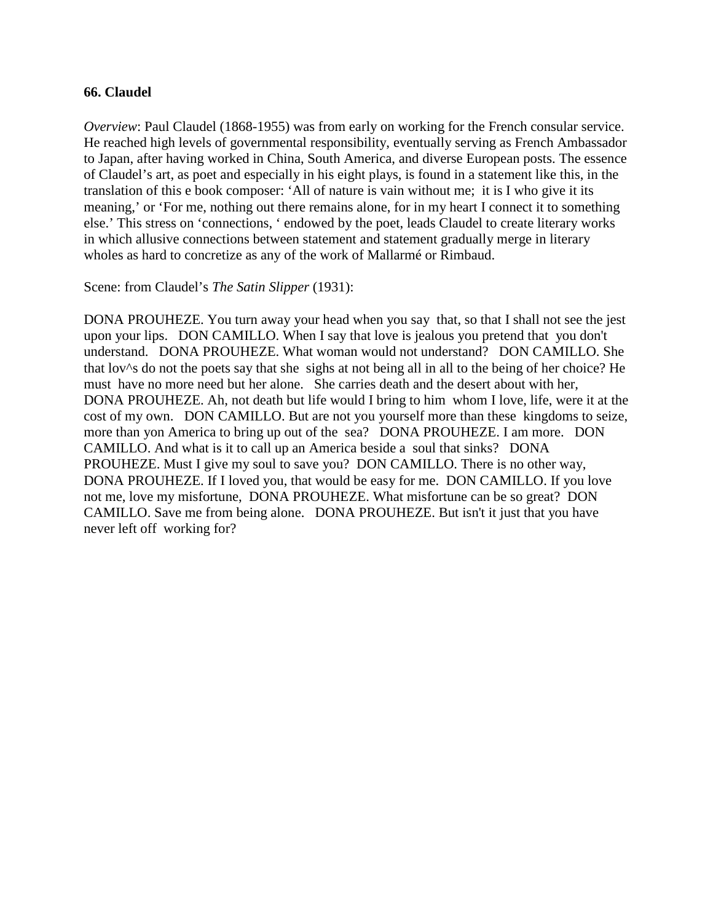## **66. Claudel**

*Overview*: Paul Claudel (1868-1955) was from early on working for the French consular service. He reached high levels of governmental responsibility, eventually serving as French Ambassador to Japan, after having worked in China, South America, and diverse European posts. The essence of Claudel's art, as poet and especially in his eight plays, is found in a statement like this, in the translation of this e book composer: 'All of nature is vain without me; it is I who give it its meaning,' or 'For me, nothing out there remains alone, for in my heart I connect it to something else.' This stress on 'connections, ' endowed by the poet, leads Claudel to create literary works in which allusive connections between statement and statement gradually merge in literary wholes as hard to concretize as any of the work of Mallarmé or Rimbaud.

### Scene: from Claudel's *The Satin Slipper* (1931):

DONA PROUHEZE. You turn away your head when you say that, so that I shall not see the jest upon your lips. DON CAMILLO. When I say that love is jealous you pretend that you don't understand. DONA PROUHEZE. What woman would not understand? DON CAMILLO. She that lov^s do not the poets say that she sighs at not being all in all to the being of her choice? He must have no more need but her alone. She carries death and the desert about with her, DONA PROUHEZE. Ah, not death but life would I bring to him whom I love, life, were it at the cost of my own. DON CAMILLO. But are not you yourself more than these kingdoms to seize, more than yon America to bring up out of the sea? DONA PROUHEZE. I am more. DON CAMILLO. And what is it to call up an America beside a soul that sinks? DONA PROUHEZE. Must I give my soul to save you? DON CAMILLO. There is no other way, DONA PROUHEZE. If I loved you, that would be easy for me. DON CAMILLO. If you love not me, love my misfortune, DONA PROUHEZE. What misfortune can be so great? DON CAMILLO. Save me from being alone. DONA PROUHEZE. But isn't it just that you have never left off working for?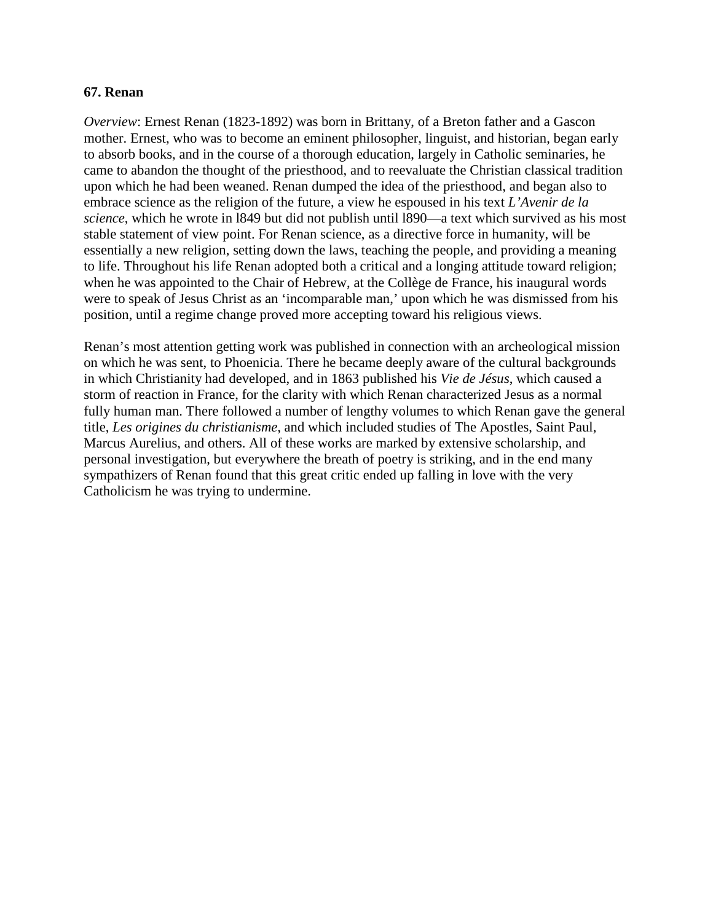### **67. Renan**

*Overview*: Ernest Renan (1823-1892) was born in Brittany, of a Breton father and a Gascon mother. Ernest, who was to become an eminent philosopher, linguist, and historian, began early to absorb books, and in the course of a thorough education, largely in Catholic seminaries, he came to abandon the thought of the priesthood, and to reevaluate the Christian classical tradition upon which he had been weaned. Renan dumped the idea of the priesthood, and began also to embrace science as the religion of the future, a view he espoused in his text *L'Avenir de la science*, which he wrote in l849 but did not publish until l890—a text which survived as his most stable statement of view point. For Renan science, as a directive force in humanity, will be essentially a new religion, setting down the laws, teaching the people, and providing a meaning to life. Throughout his life Renan adopted both a critical and a longing attitude toward religion; when he was appointed to the Chair of Hebrew, at the Collège de France, his inaugural words were to speak of Jesus Christ as an 'incomparable man,' upon which he was dismissed from his position, until a regime change proved more accepting toward his religious views.

Renan's most attention getting work was published in connection with an archeological mission on which he was sent, to Phoenicia. There he became deeply aware of the cultural backgrounds in which Christianity had developed, and in 1863 published his *Vie de Jésus*, which caused a storm of reaction in France, for the clarity with which Renan characterized Jesus as a normal fully human man. There followed a number of lengthy volumes to which Renan gave the general title, *Les origines du christianisme,* and which included studies of The Apostles, Saint Paul, Marcus Aurelius, and others. All of these works are marked by extensive scholarship, and personal investigation, but everywhere the breath of poetry is striking, and in the end many sympathizers of Renan found that this great critic ended up falling in love with the very Catholicism he was trying to undermine.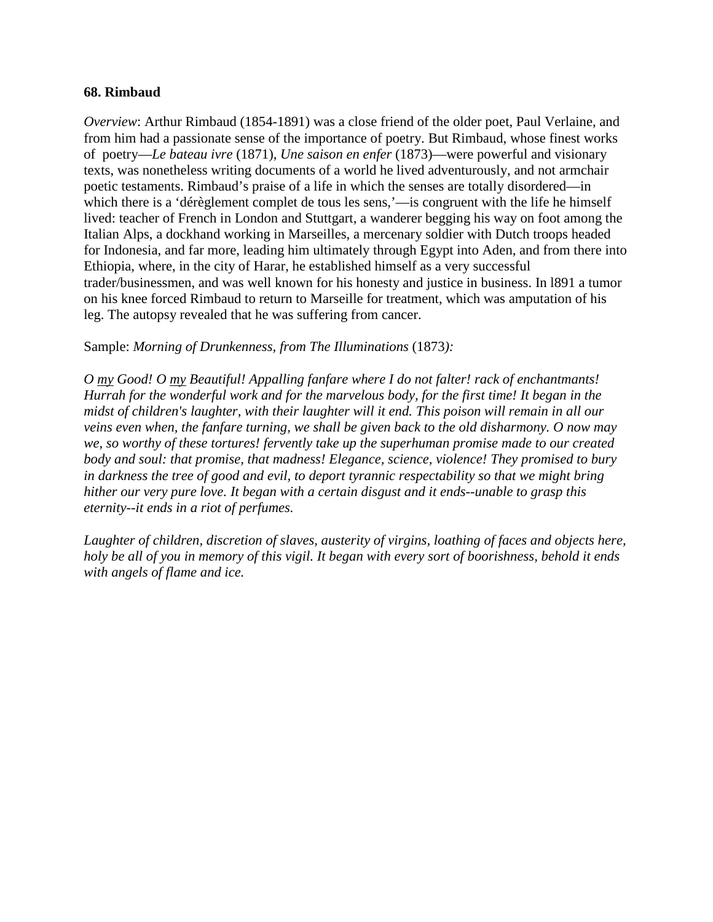### **68. Rimbaud**

*Overview*: Arthur Rimbaud (1854-1891) was a close friend of the older poet, Paul Verlaine, and from him had a passionate sense of the importance of poetry. But Rimbaud, whose finest works of poetry—*Le bateau ivre* (1871), *Une saison en enfer* (1873)—were powerful and visionary texts, was nonetheless writing documents of a world he lived adventurously, and not armchair poetic testaments. Rimbaud's praise of a life in which the senses are totally disordered—in which there is a 'dérèglement complet de tous les sens,'—is congruent with the life he himself lived: teacher of French in London and Stuttgart, a wanderer begging his way on foot among the Italian Alps, a dockhand working in Marseilles, a mercenary soldier with Dutch troops headed for Indonesia, and far more, leading him ultimately through Egypt into Aden, and from there into Ethiopia, where, in the city of Harar, he established himself as a very successful trader/businessmen, and was well known for his honesty and justice in business. In l891 a tumor on his knee forced Rimbaud to return to Marseille for treatment, which was amputation of his leg. The autopsy revealed that he was suffering from cancer.

Sample: *Morning of Drunkenness, from The Illuminations* (1873*):*

*O my Good! O my Beautiful! Appalling fanfare where I do not falter! rack of enchantmants! Hurrah for the wonderful work and for the marvelous body, for the first time! It began in the midst of children's laughter, with their laughter will it end. This poison will remain in all our veins even when, the fanfare turning, we shall be given back to the old disharmony. O now may we, so worthy of these tortures! fervently take up the superhuman promise made to our created body and soul: that promise, that madness! Elegance, science, violence! They promised to bury in darkness the tree of good and evil, to deport tyrannic respectability so that we might bring hither our very pure love. It began with a certain disgust and it ends--unable to grasp this eternity--it ends in a riot of perfumes.*

*Laughter of children, discretion of slaves, austerity of virgins, loathing of faces and objects here, holy be all of you in memory of this vigil. It began with every sort of boorishness, behold it ends with angels of flame and ice.*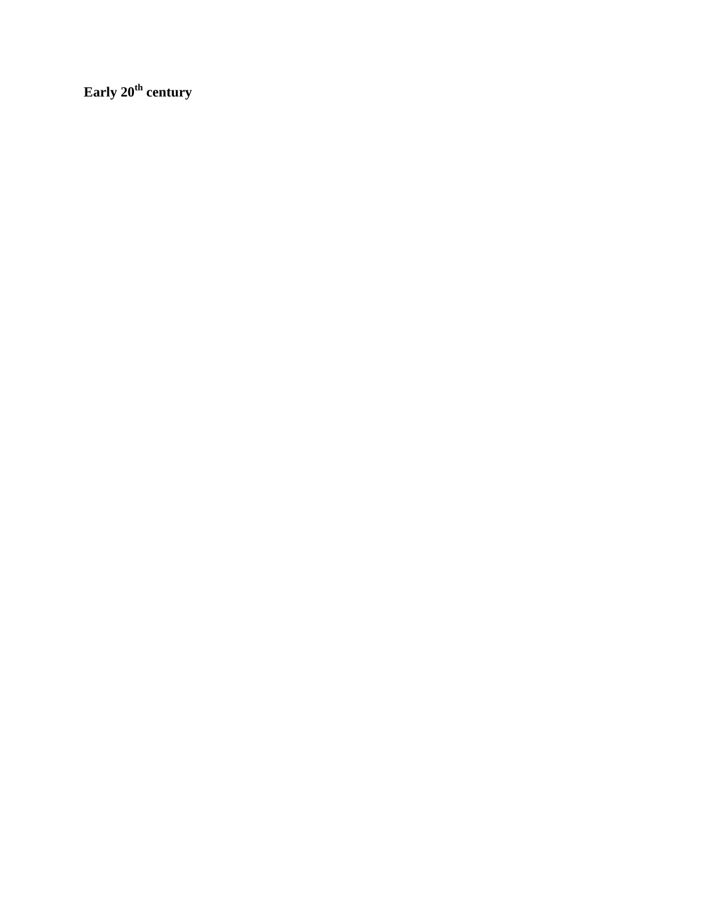Early 20<sup>th</sup> century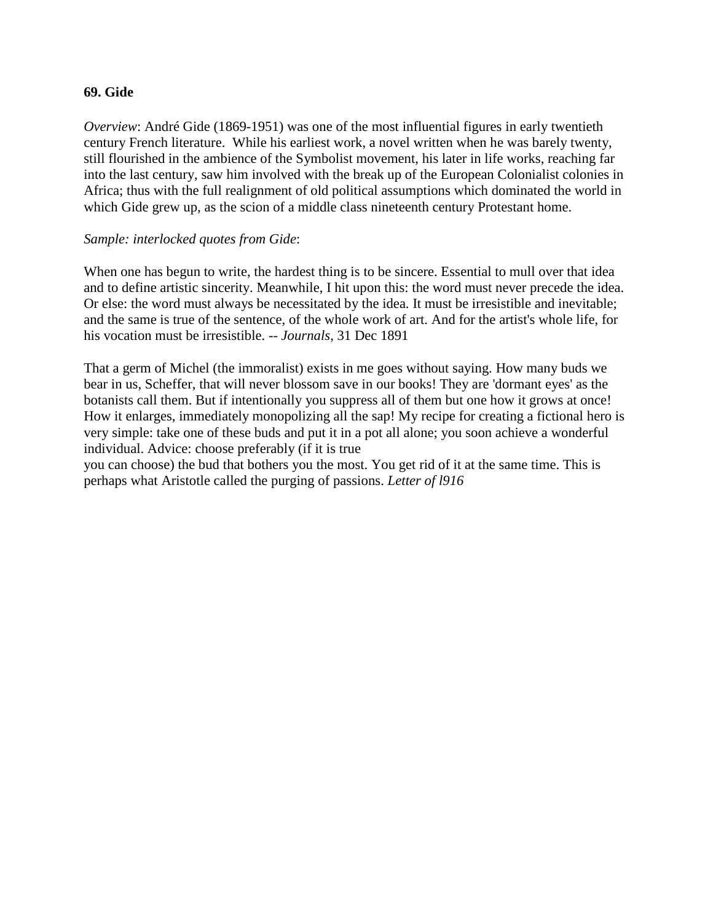### **69. Gide**

*Overview*: André Gide (1869-1951) was one of the most influential figures in early twentieth century French literature. While his earliest work, a novel written when he was barely twenty, still flourished in the ambience of the Symbolist movement, his later in life works, reaching far into the last century, saw him involved with the break up of the European Colonialist colonies in Africa; thus with the full realignment of old political assumptions which dominated the world in which Gide grew up, as the scion of a middle class nineteenth century Protestant home.

## *Sample: interlocked quotes from Gide*:

When one has begun to write, the hardest thing is to be sincere. Essential to mull over that idea and to define artistic sincerity. Meanwhile, I hit upon this: the word must never precede the idea. Or else: the word must always be necessitated by the idea. It must be irresistible and inevitable; and the same is true of the sentence, of the whole work of art. And for the artist's whole life, for his vocation must be irresistible. -- *Journals*, 31 Dec 1891

That a germ of Michel (the immoralist) exists in me goes without saying. How many buds we bear in us, Scheffer, that will never blossom save in our books! They are 'dormant eyes' as the botanists call them. But if intentionally you suppress all of them but one how it grows at once! How it enlarges, immediately monopolizing all the sap! My recipe for creating a fictional hero is very simple: take one of these buds and put it in a pot all alone; you soon achieve a wonderful individual. Advice: choose preferably (if it is true

you can choose) the bud that bothers you the most. You get rid of it at the same time. This is perhaps what Aristotle called the purging of passions. *Letter of l916*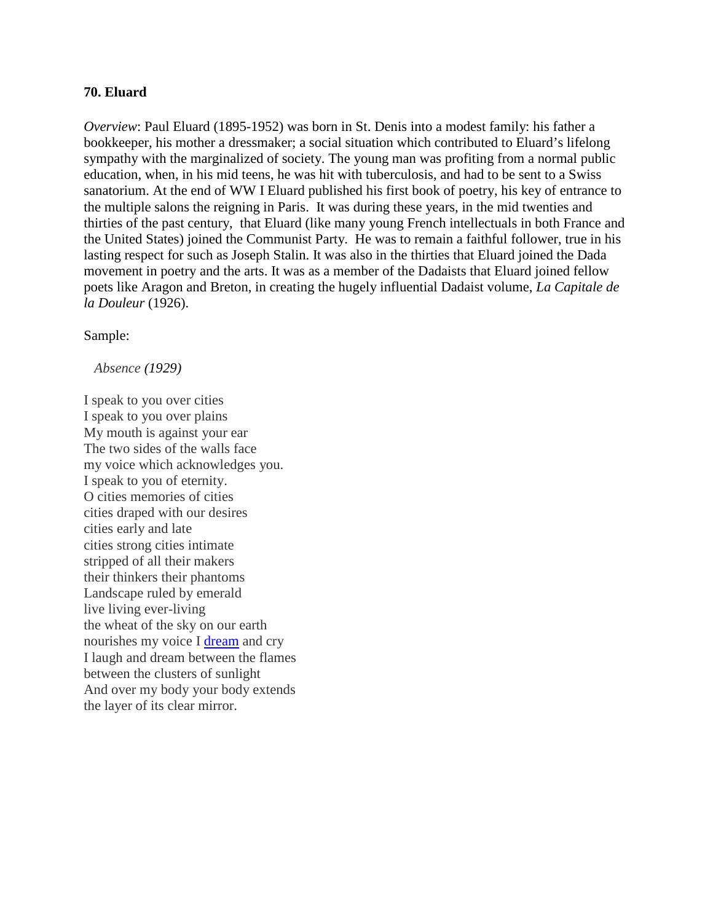### **70. Eluard**

*Overview*: Paul Eluard (1895-1952) was born in St. Denis into a modest family: his father a bookkeeper, his mother a dressmaker; a social situation which contributed to Eluard's lifelong sympathy with the marginalized of society. The young man was profiting from a normal public education, when, in his mid teens, he was hit with tuberculosis, and had to be sent to a Swiss sanatorium. At the end of WW I Eluard published his first book of poetry, his key of entrance to the multiple salons the reigning in Paris. It was during these years, in the mid twenties and thirties of the past century, that Eluard (like many young French intellectuals in both France and the United States) joined the Communist Party. He was to remain a faithful follower, true in his lasting respect for such as Joseph Stalin. It was also in the thirties that Eluard joined the Dada movement in poetry and the arts. It was as a member of the Dadaists that Eluard joined fellow poets like Aragon and Breton, in creating the hugely influential Dadaist volume, *La Capitale de la Douleur* (1926).

Sample:

*Absence (1929)*

I speak to you over cities I speak to you over plains My mouth is against your ear The two sides of the walls face my voice which acknowledges you. I speak to you of eternity. O cities memories of cities cities draped with our desires cities early and late cities strong cities intimate stripped of all their makers their thinkers their phantoms Landscape ruled by emerald live living ever-living the wheat of the sky on our earth nourishes my voice I [dream](http://www.poemhunter.com/poem/absence-60/) and cry I laugh and dream between the flames between the clusters of sunlight And over my body your body extends the layer of its clear mirror.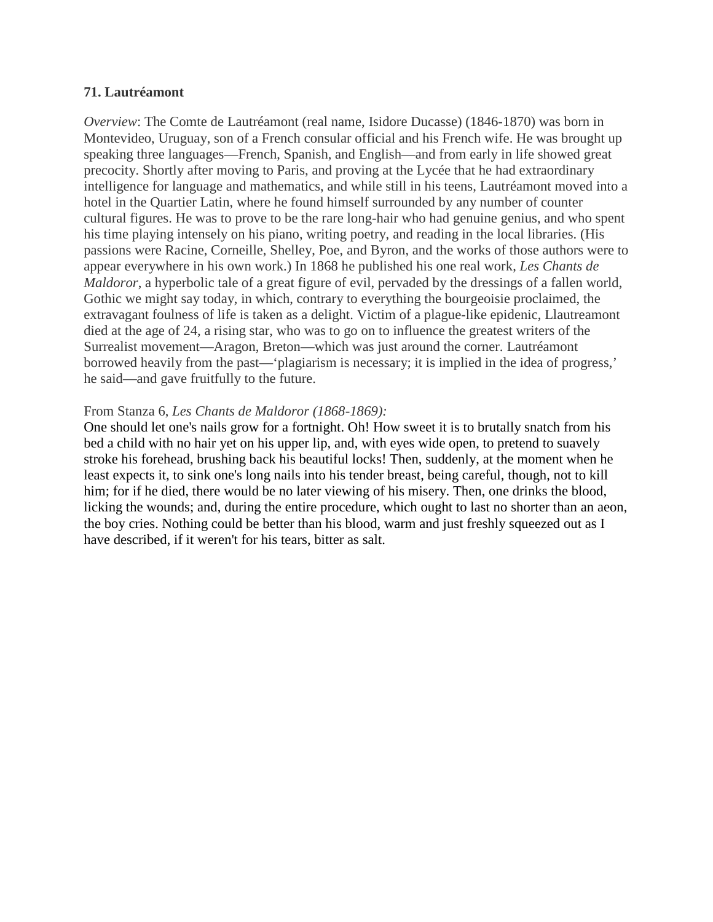## **71. Lautréamont**

*Overview*: The Comte de Lautréamont (real name, Isidore Ducasse) (1846-1870) was born in Montevideo, Uruguay, son of a French consular official and his French wife. He was brought up speaking three languages—French, Spanish, and English—and from early in life showed great precocity. Shortly after moving to Paris, and proving at the Lycée that he had extraordinary intelligence for language and mathematics, and while still in his teens, Lautréamont moved into a hotel in the Quartier Latin, where he found himself surrounded by any number of counter cultural figures. He was to prove to be the rare long-hair who had genuine genius, and who spent his time playing intensely on his piano, writing poetry, and reading in the local libraries. (His passions were Racine, Corneille, Shelley, Poe, and Byron, and the works of those authors were to appear everywhere in his own work.) In 1868 he published his one real work, *Les Chants de Maldoror*, a hyperbolic tale of a great figure of evil, pervaded by the dressings of a fallen world, Gothic we might say today, in which, contrary to everything the bourgeoisie proclaimed, the extravagant foulness of life is taken as a delight. Victim of a plague-like epidenic, Llautreamont died at the age of 24, a rising star, who was to go on to influence the greatest writers of the Surrealist movement—Aragon, Breton—which was just around the corner. Lautréamont borrowed heavily from the past—'plagiarism is necessary; it is implied in the idea of progress,' he said—and gave fruitfully to the future.

### From Stanza 6, *Les Chants de Maldoror (1868-1869):*

One should let one's nails grow for a fortnight. Oh! How sweet it is to brutally snatch from his bed a child with no hair yet on his upper lip, and, with eyes wide open, to pretend to suavely stroke his forehead, brushing back his beautiful locks! Then, suddenly, at the moment when he least expects it, to sink one's long nails into his tender breast, being careful, though, not to kill him; for if he died, there would be no later viewing of his misery. Then, one drinks the blood, licking the wounds; and, during the entire procedure, which ought to last no shorter than an aeon, the boy cries. Nothing could be better than his blood, warm and just freshly squeezed out as I have described, if it weren't for his tears, bitter as salt.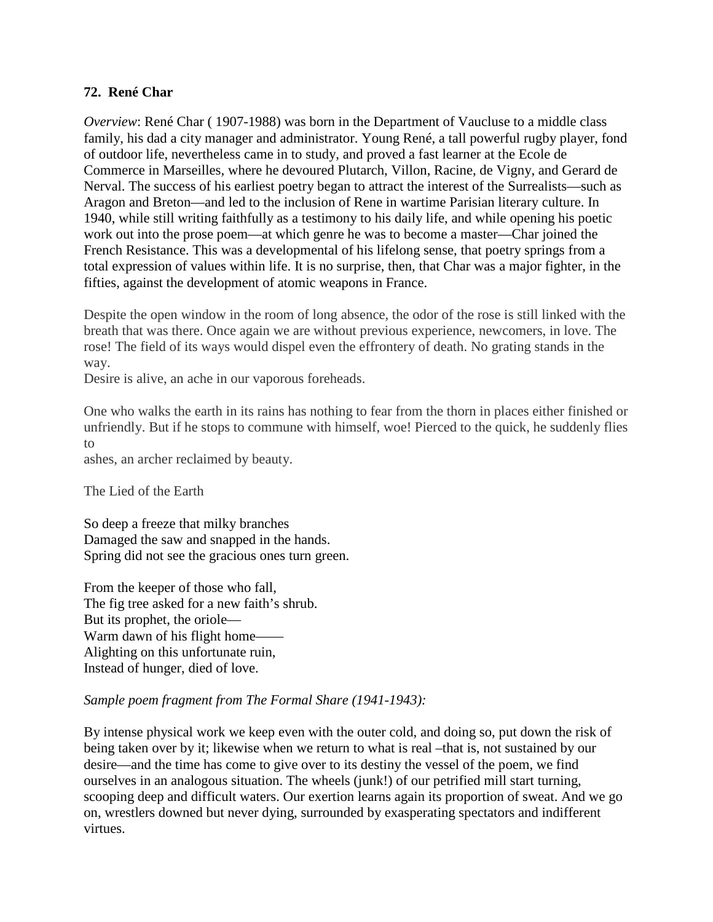# **72. René Char**

*Overview*: René Char ( 1907-1988) was born in the Department of Vaucluse to a middle class family, his dad a city manager and administrator. Young René, a tall powerful rugby player, fond of outdoor life, nevertheless came in to study, and proved a fast learner at the Ecole de Commerce in Marseilles, where he devoured Plutarch, Villon, Racine, de Vigny, and Gerard de Nerval. The success of his earliest poetry began to attract the interest of the Surrealists—such as Aragon and Breton—and led to the inclusion of Rene in wartime Parisian literary culture. In 1940, while still writing faithfully as a testimony to his daily life, and while opening his poetic work out into the prose poem—at which genre he was to become a master—Char joined the French Resistance. This was a developmental of his lifelong sense, that poetry springs from a total expression of values within life. It is no surprise, then, that Char was a major fighter, in the fifties, against the development of atomic weapons in France.

Despite the open window in the room of long absence, the odor of the rose is still linked with the breath that was there. Once again we are without previous experience, newcomers, in love. The rose! The field of its ways would dispel even the effrontery of death. No grating stands in the way.

Desire is alive, an ache in our vaporous foreheads.

One who walks the earth in its rains has nothing to fear from the thorn in places either finished or unfriendly. But if he stops to commune with himself, woe! Pierced to the quick, he suddenly flies to

ashes, an archer reclaimed by beauty.

The Lied of the Earth

So deep a freeze that milky branches Damaged the saw and snapped in the hands. Spring did not see the gracious ones turn green.

From the keeper of those who fall, The fig tree asked for a new faith's shrub. But its prophet, the oriole— Warm dawn of his flight home-Alighting on this unfortunate ruin, Instead of hunger, died of love.

## *Sample poem fragment from The Formal Share (1941-1943):*

By intense physical work we keep even with the outer cold, and doing so, put down the risk of being taken over by it; likewise when we return to what is real –that is, not sustained by our desire—and the time has come to give over to its destiny the vessel of the poem, we find ourselves in an analogous situation. The wheels (junk!) of our petrified mill start turning, scooping deep and difficult waters. Our exertion learns again its proportion of sweat. And we go on, wrestlers downed but never dying, surrounded by exasperating spectators and indifferent virtues.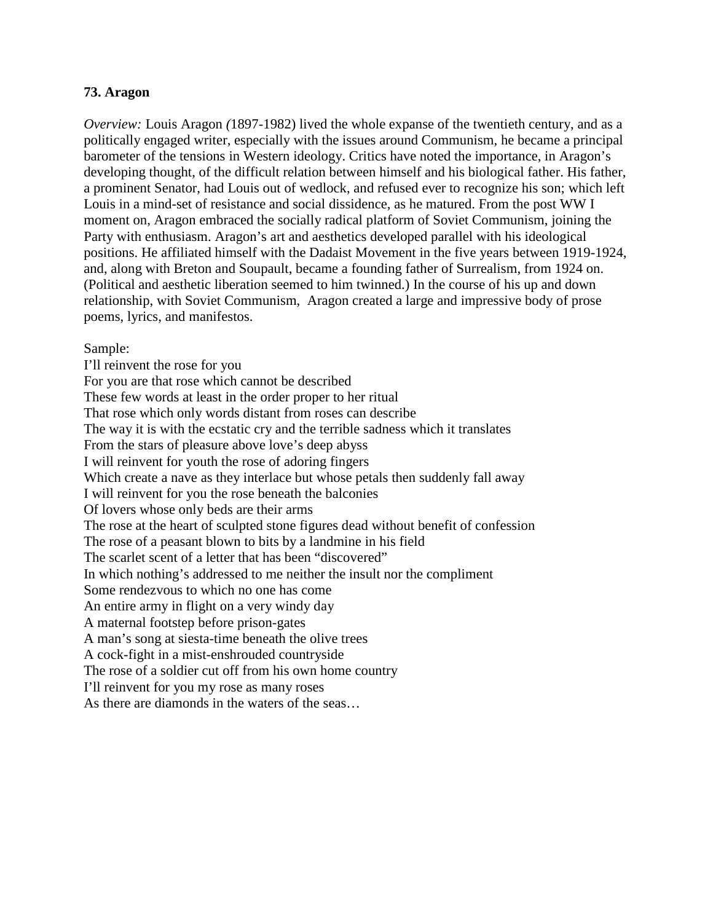### **73. Aragon**

*Overview:* Louis Aragon *(*1897-1982) lived the whole expanse of the twentieth century, and as a politically engaged writer, especially with the issues around Communism, he became a principal barometer of the tensions in Western ideology. Critics have noted the importance, in Aragon's developing thought, of the difficult relation between himself and his biological father. His father, a prominent Senator, had Louis out of wedlock, and refused ever to recognize his son; which left Louis in a mind-set of resistance and social dissidence, as he matured. From the post WW I moment on, Aragon embraced the socially radical platform of Soviet Communism, joining the Party with enthusiasm. Aragon's art and aesthetics developed parallel with his ideological positions. He affiliated himself with the Dadaist Movement in the five years between 1919-1924, and, along with Breton and Soupault, became a founding father of Surrealism, from 1924 on. (Political and aesthetic liberation seemed to him twinned.) In the course of his up and down relationship, with Soviet Communism, Aragon created a large and impressive body of prose poems, lyrics, and manifestos.

#### Sample:

I'll reinvent the rose for you For you are that rose which cannot be described These few words at least in the order proper to her ritual That rose which only words distant from roses can describe The way it is with the ecstatic cry and the terrible sadness which it translates From the stars of pleasure above love's deep abyss I will reinvent for youth the rose of adoring fingers Which create a nave as they interlace but whose petals then suddenly fall away I will reinvent for you the rose beneath the balconies Of lovers whose only beds are their arms The rose at the heart of sculpted stone figures dead without benefit of confession The rose of a peasant blown to bits by a landmine in his field The scarlet scent of a letter that has been "discovered" In which nothing's addressed to me neither the insult nor the compliment Some rendezvous to which no one has come An entire army in flight on a very windy day A maternal footstep before prison-gates A man's song at siesta-time beneath the olive trees A cock-fight in a mist-enshrouded countryside The rose of a soldier cut off from his own home country I'll reinvent for you my rose as many roses As there are diamonds in the waters of the seas…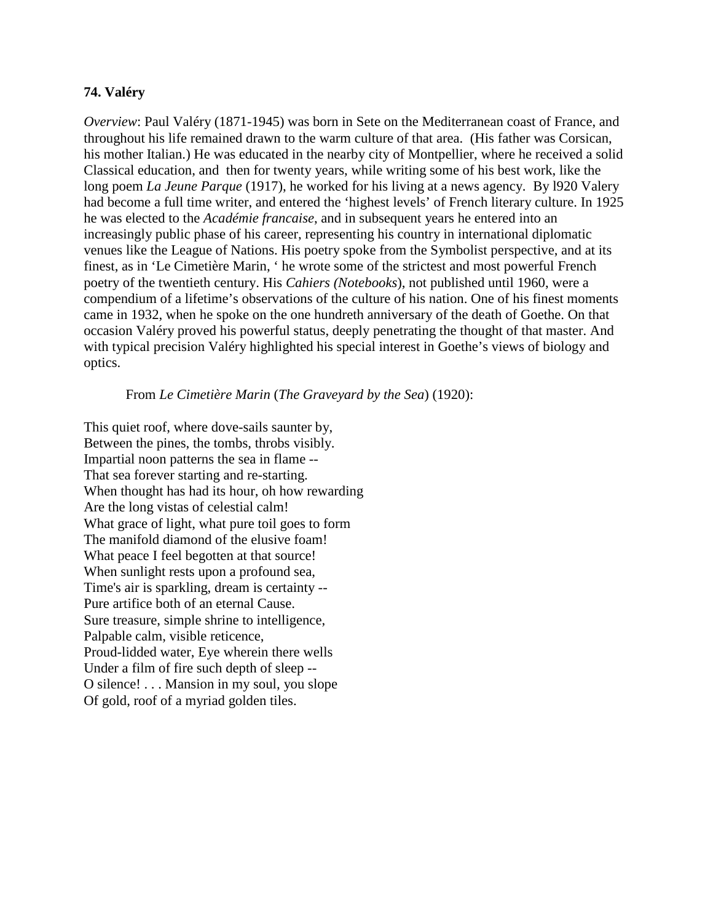## **74. Valéry**

*Overview*: Paul Valéry (1871-1945) was born in Sete on the Mediterranean coast of France, and throughout his life remained drawn to the warm culture of that area. (His father was Corsican, his mother Italian.) He was educated in the nearby city of Montpellier, where he received a solid Classical education, and then for twenty years, while writing some of his best work, like the long poem *La Jeune Parque* (1917), he worked for his living at a news agency. By l920 Valery had become a full time writer, and entered the 'highest levels' of French literary culture. In 1925 he was elected to the *Académie francaise*, and in subsequent years he entered into an increasingly public phase of his career, representing his country in international diplomatic venues like the League of Nations. His poetry spoke from the Symbolist perspective, and at its finest, as in 'Le Cimetière Marin, ' he wrote some of the strictest and most powerful French poetry of the twentieth century. His *Cahiers (Notebooks*), not published until 1960, were a compendium of a lifetime's observations of the culture of his nation. One of his finest moments came in 1932, when he spoke on the one hundreth anniversary of the death of Goethe. On that occasion Valéry proved his powerful status, deeply penetrating the thought of that master. And with typical precision Valéry highlighted his special interest in Goethe's views of biology and optics.

### From *Le Cimetière Marin* (*The Graveyard by the Sea*) (1920):

This quiet roof, where dove-sails saunter by, Between the pines, the tombs, throbs visibly. Impartial noon patterns the sea in flame -- That sea forever starting and re-starting. When thought has had its hour, oh how rewarding Are the long vistas of celestial calm! What grace of light, what pure toil goes to form The manifold diamond of the elusive foam! What peace I feel begotten at that source! When sunlight rests upon a profound sea, Time's air is sparkling, dream is certainty -- Pure artifice both of an eternal Cause. Sure treasure, simple shrine to intelligence, Palpable calm, visible reticence, Proud-lidded water, Eye wherein there wells Under a film of fire such depth of sleep -- O silence! . . . Mansion in my soul, you slope Of gold, roof of a myriad golden tiles.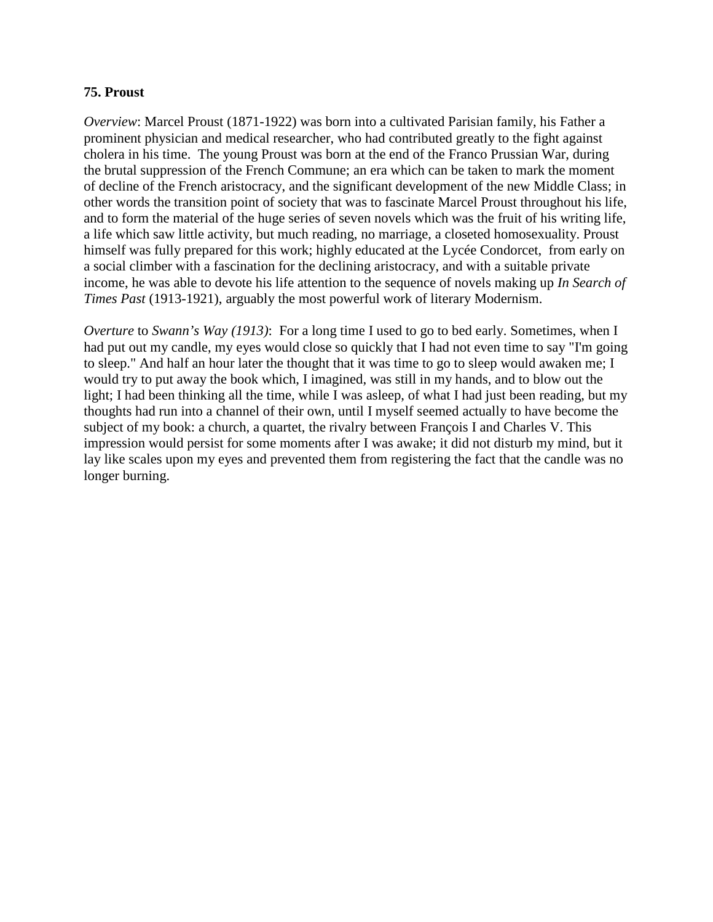### **75. Proust**

*Overview*: Marcel Proust (1871-1922) was born into a cultivated Parisian family, his Father a prominent physician and medical researcher, who had contributed greatly to the fight against cholera in his time. The young Proust was born at the end of the Franco Prussian War, during the brutal suppression of the French Commune; an era which can be taken to mark the moment of decline of the French aristocracy, and the significant development of the new Middle Class; in other words the transition point of society that was to fascinate Marcel Proust throughout his life, and to form the material of the huge series of seven novels which was the fruit of his writing life, a life which saw little activity, but much reading, no marriage, a closeted homosexuality. Proust himself was fully prepared for this work; highly educated at the Lycée Condorcet, from early on a social climber with a fascination for the declining aristocracy, and with a suitable private income, he was able to devote his life attention to the sequence of novels making up *In Search of Times Past* (1913-1921), arguably the most powerful work of literary Modernism.

*Overture* to *Swann's Way (1913)*: For a long time I used to go to bed early. Sometimes, when I had put out my candle, my eyes would close so quickly that I had not even time to say "I'm going to sleep." And half an hour later the thought that it was time to go to sleep would awaken me; I would try to put away the book which, I imagined, was still in my hands, and to blow out the light; I had been thinking all the time, while I was asleep, of what I had just been reading, but my thoughts had run into a channel of their own, until I myself seemed actually to have become the subject of my book: a church, a quartet, the rivalry between François I and Charles V. This impression would persist for some moments after I was awake; it did not disturb my mind, but it lay like scales upon my eyes and prevented them from registering the fact that the candle was no longer burning.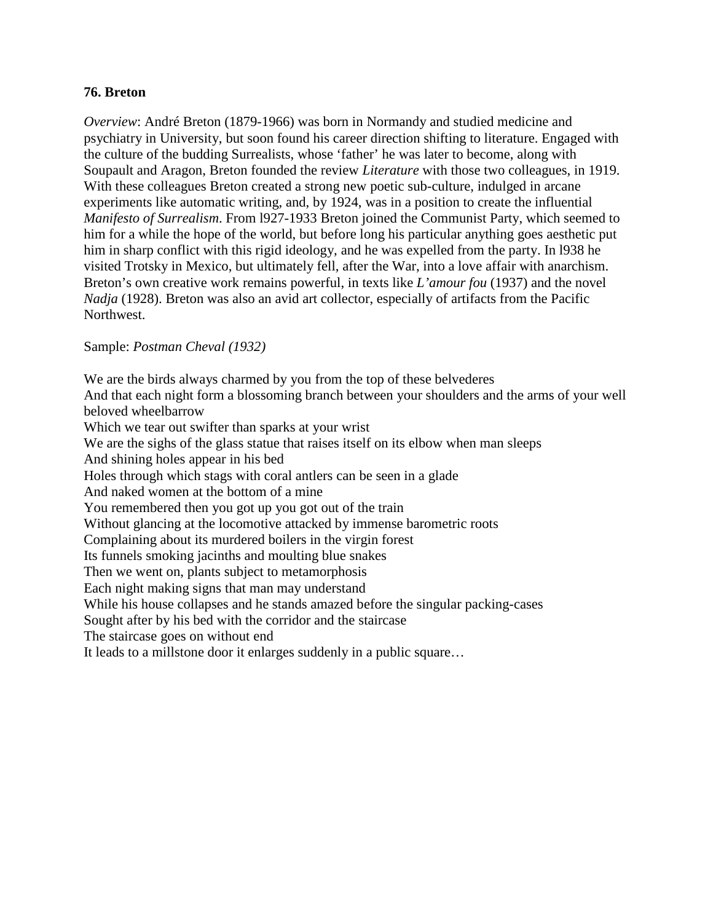# **76. Breton**

*Overview*: André Breton (1879-1966) was born in Normandy and studied medicine and psychiatry in University, but soon found his career direction shifting to literature. Engaged with the culture of the budding Surrealists, whose 'father' he was later to become, along with Soupault and Aragon, Breton founded the review *Literature* with those two colleagues, in 1919. With these colleagues Breton created a strong new poetic sub-culture, indulged in arcane experiments like automatic writing, and, by 1924, was in a position to create the influential *Manifesto of Surrealism*. From l927-1933 Breton joined the Communist Party, which seemed to him for a while the hope of the world, but before long his particular anything goes aesthetic put him in sharp conflict with this rigid ideology, and he was expelled from the party. In l938 he visited Trotsky in Mexico, but ultimately fell, after the War, into a love affair with anarchism. Breton's own creative work remains powerful, in texts like *L'amour fou* (1937) and the novel *Nadja* (1928). Breton was also an avid art collector, especially of artifacts from the Pacific Northwest.

## Sample: *Postman Cheval (1932)*

We are the birds always charmed by you from the top of these belvederes And that each night form a blossoming branch between your shoulders and the arms of your well beloved wheelbarrow Which we tear out swifter than sparks at your wrist We are the sighs of the glass statue that raises itself on its elbow when man sleeps And shining holes appear in his bed Holes through which stags with coral antlers can be seen in a glade And naked women at the bottom of a mine You remembered then you got up you got out of the train Without glancing at the locomotive attacked by immense barometric roots Complaining about its murdered boilers in the virgin forest Its funnels smoking jacinths and moulting blue snakes Then we went on, plants subject to metamorphosis Each night making signs that man may understand While his house collapses and he stands amazed before the singular packing-cases Sought after by his bed with the corridor and the staircase The staircase goes on without end It leads to a millstone door it enlarges suddenly in a public square…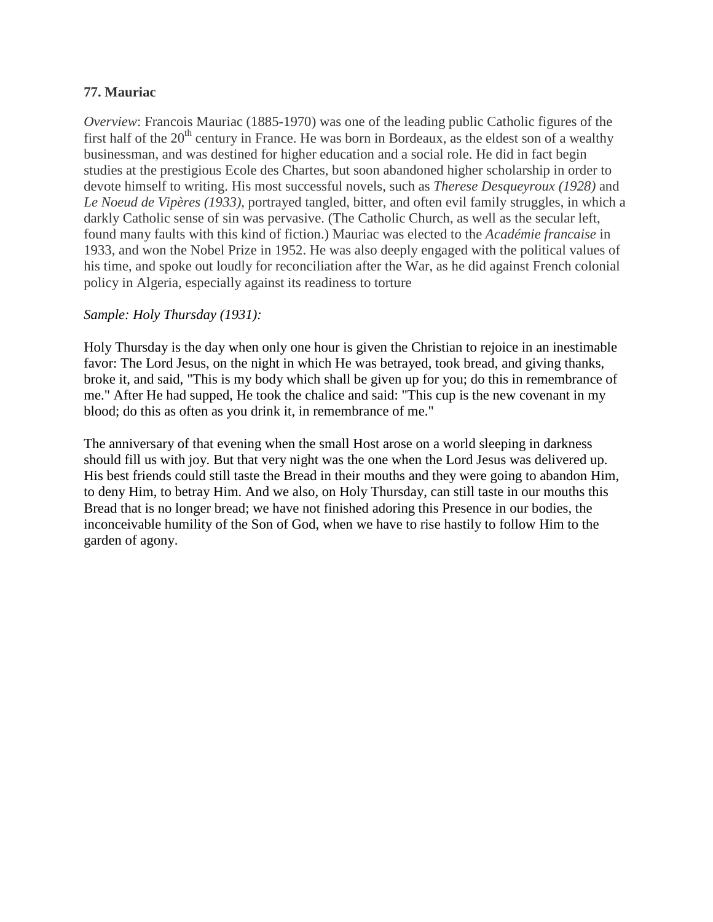# **77. Mauriac**

*Overview*: Francois Mauriac (1885-1970) was one of the leading public Catholic figures of the first half of the  $20<sup>th</sup>$  century in France. He was born in Bordeaux, as the eldest son of a wealthy businessman, and was destined for higher education and a social role. He did in fact begin studies at the prestigious Ecole des Chartes, but soon abandoned higher scholarship in order to devote himself to writing. His most successful novels, such as *Therese Desqueyroux (1928)* and *Le Noeud de Vipères (1933)*, portrayed tangled, bitter, and often evil family struggles, in which a darkly Catholic sense of sin was pervasive. (The Catholic Church, as well as the secular left, found many faults with this kind of fiction.) Mauriac was elected to the *Académie francaise* in 1933, and won the Nobel Prize in 1952. He was also deeply engaged with the political values of his time, and spoke out loudly for reconciliation after the War, as he did against French colonial policy in Algeria, especially against its readiness to torture

# *Sample: Holy Thursday (1931):*

Holy Thursday is the day when only one hour is given the Christian to rejoice in an inestimable favor: The Lord Jesus, on the night in which He was betrayed, took bread, and giving thanks, broke it, and said, "This is my body which shall be given up for you; do this in remembrance of me." After He had supped, He took the chalice and said: "This cup is the new covenant in my blood; do this as often as you drink it, in remembrance of me."

The anniversary of that evening when the small Host arose on a world sleeping in darkness should fill us with joy. But that very night was the one when the Lord Jesus was delivered up. His best friends could still taste the Bread in their mouths and they were going to abandon Him, to deny Him, to betray Him. And we also, on Holy Thursday, can still taste in our mouths this Bread that is no longer bread; we have not finished adoring this Presence in our bodies, the inconceivable humility of the Son of God, when we have to rise hastily to follow Him to the garden of agony.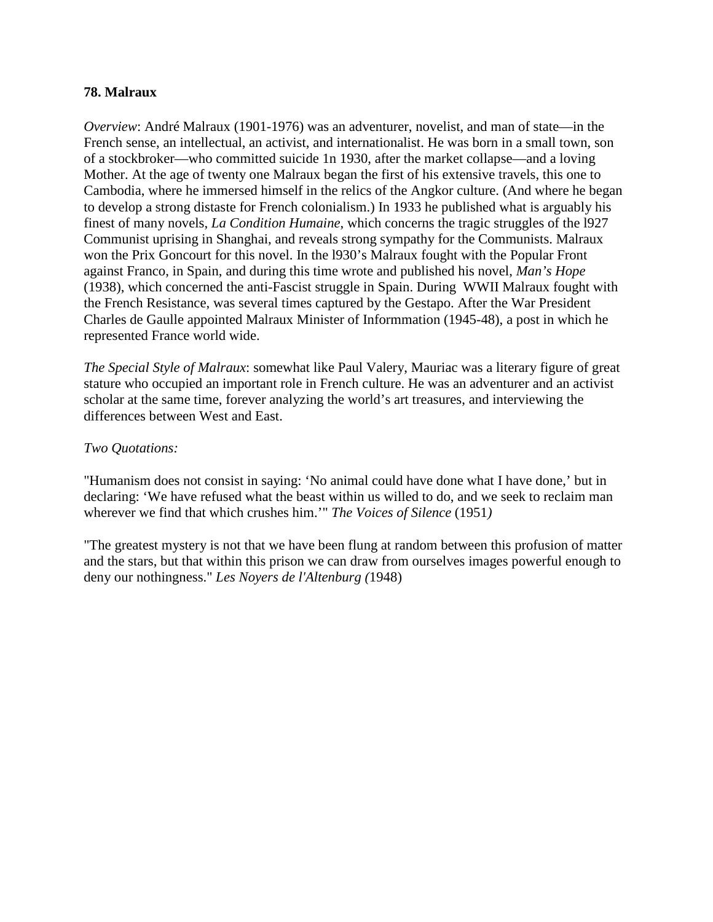## **78. Malraux**

*Overview*: André Malraux (1901-1976) was an adventurer, novelist, and man of state—in the French sense, an intellectual, an activist, and internationalist. He was born in a small town, son of a stockbroker—who committed suicide 1n 1930, after the market collapse—and a loving Mother. At the age of twenty one Malraux began the first of his extensive travels, this one to Cambodia, where he immersed himself in the relics of the Angkor culture. (And where he began to develop a strong distaste for French colonialism.) In 1933 he published what is arguably his finest of many novels, *La Condition Humaine*, which concerns the tragic struggles of the l927 Communist uprising in Shanghai, and reveals strong sympathy for the Communists. Malraux won the Prix Goncourt for this novel. In the l930's Malraux fought with the Popular Front against Franco, in Spain, and during this time wrote and published his novel, *Man's Hope* (1938), which concerned the anti-Fascist struggle in Spain. During WWII Malraux fought with the French Resistance, was several times captured by the Gestapo. After the War President Charles de Gaulle appointed Malraux Minister of Informmation (1945-48), a post in which he represented France world wide.

*The Special Style of Malraux*: somewhat like Paul Valery, Mauriac was a literary figure of great stature who occupied an important role in French culture. He was an adventurer and an activist scholar at the same time, forever analyzing the world's art treasures, and interviewing the differences between West and East.

## *Two Quotations:*

"Humanism does not consist in saying: 'No animal could have done what I have done,' but in declaring: 'We have refused what the beast within us willed to do, and we seek to reclaim man wherever we find that which crushes him.'" *The Voices of Silence* (1951*)*

"The greatest mystery is not that we have been flung at random between this profusion of matter and the stars, but that within this prison we can draw from ourselves images powerful enough to deny our nothingness." *Les Noyers de l'Altenburg (*1948)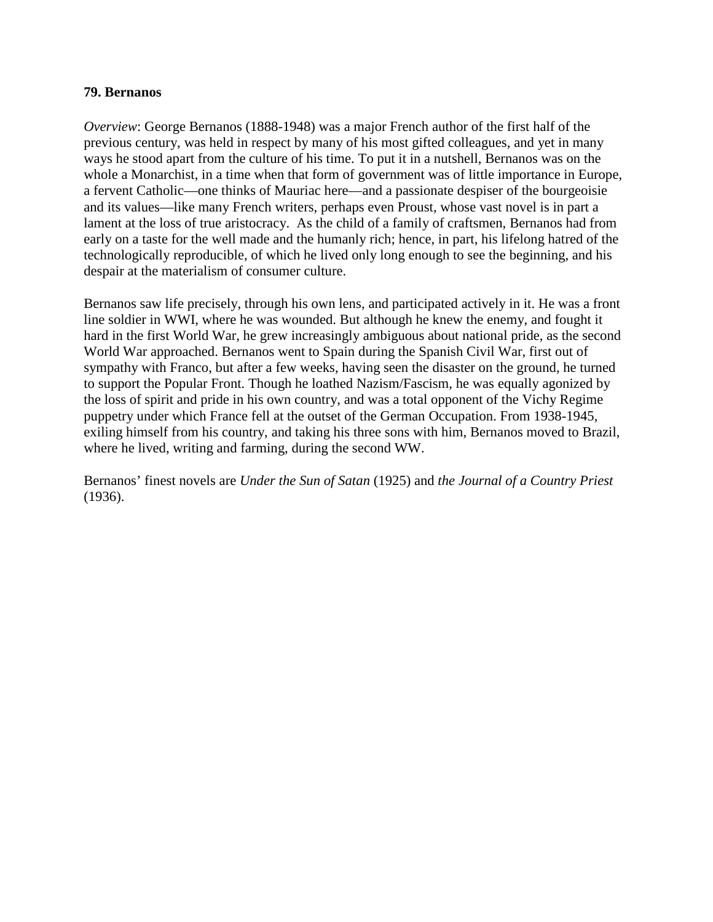### **79. Bernanos**

*Overview*: George Bernanos (1888-1948) was a major French author of the first half of the previous century, was held in respect by many of his most gifted colleagues, and yet in many ways he stood apart from the culture of his time. To put it in a nutshell, Bernanos was on the whole a Monarchist, in a time when that form of government was of little importance in Europe, a fervent Catholic—one thinks of Mauriac here—and a passionate despiser of the bourgeoisie and its values—like many French writers, perhaps even Proust, whose vast novel is in part a lament at the loss of true aristocracy. As the child of a family of craftsmen, Bernanos had from early on a taste for the well made and the humanly rich; hence, in part, his lifelong hatred of the technologically reproducible, of which he lived only long enough to see the beginning, and his despair at the materialism of consumer culture.

Bernanos saw life precisely, through his own lens, and participated actively in it. He was a front line soldier in WWI, where he was wounded. But although he knew the enemy, and fought it hard in the first World War, he grew increasingly ambiguous about national pride, as the second World War approached. Bernanos went to Spain during the Spanish Civil War, first out of sympathy with Franco, but after a few weeks, having seen the disaster on the ground, he turned to support the Popular Front. Though he loathed Nazism/Fascism, he was equally agonized by the loss of spirit and pride in his own country, and was a total opponent of the Vichy Regime puppetry under which France fell at the outset of the German Occupation. From 1938-1945, exiling himself from his country, and taking his three sons with him, Bernanos moved to Brazil, where he lived, writing and farming, during the second WW.

Bernanos' finest novels are *Under the Sun of Satan* (1925) and *the Journal of a Country Priest* (1936).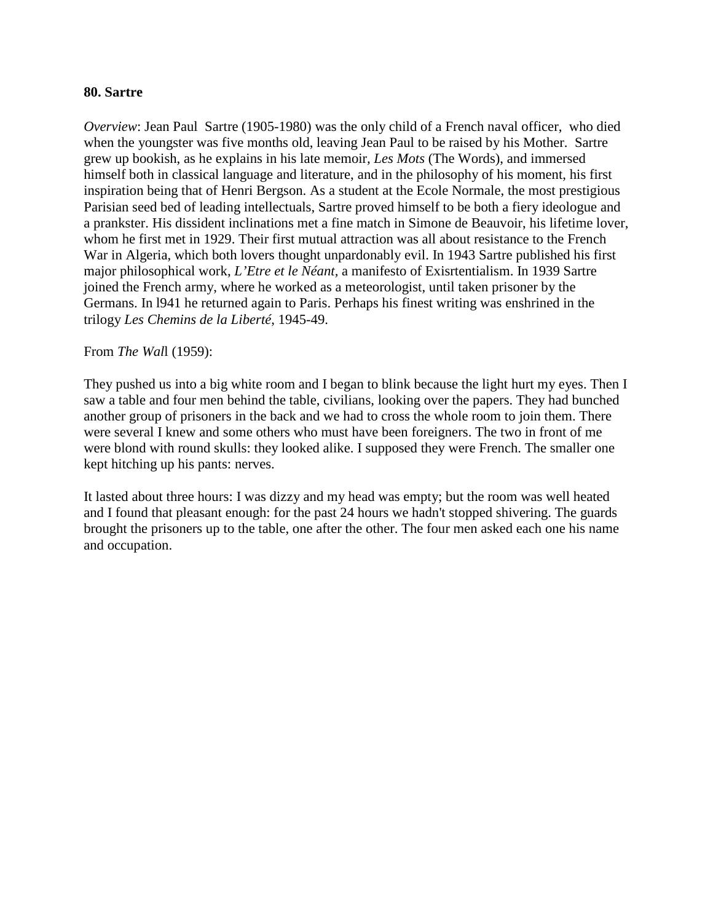### **80. Sartre**

*Overview*: Jean Paul Sartre (1905-1980) was the only child of a French naval officer, who died when the youngster was five months old, leaving Jean Paul to be raised by his Mother. Sartre grew up bookish, as he explains in his late memoir*, Les Mots* (The Words), and immersed himself both in classical language and literature, and in the philosophy of his moment, his first inspiration being that of Henri Bergson. As a student at the Ecole Normale, the most prestigious Parisian seed bed of leading intellectuals, Sartre proved himself to be both a fiery ideologue and a prankster. His dissident inclinations met a fine match in Simone de Beauvoir, his lifetime lover, whom he first met in 1929. Their first mutual attraction was all about resistance to the French War in Algeria, which both lovers thought unpardonably evil. In 1943 Sartre published his first major philosophical work, *L'Etre et le Néant,* a manifesto of Exisrtentialism. In 1939 Sartre joined the French army, where he worked as a meteorologist, until taken prisoner by the Germans. In l941 he returned again to Paris. Perhaps his finest writing was enshrined in the trilogy *Les Chemins de la Liberté*, 1945-49.

## From *The Wal*l (1959):

They pushed us into a big white room and I began to blink because the light hurt my eyes. Then I saw a table and four men behind the table, civilians, looking over the papers. They had bunched another group of prisoners in the back and we had to cross the whole room to join them. There were several I knew and some others who must have been foreigners. The two in front of me were blond with round skulls: they looked alike. I supposed they were French. The smaller one kept hitching up his pants: nerves.

It lasted about three hours: I was dizzy and my head was empty; but the room was well heated and I found that pleasant enough: for the past 24 hours we hadn't stopped shivering. The guards brought the prisoners up to the table, one after the other. The four men asked each one his name and occupation.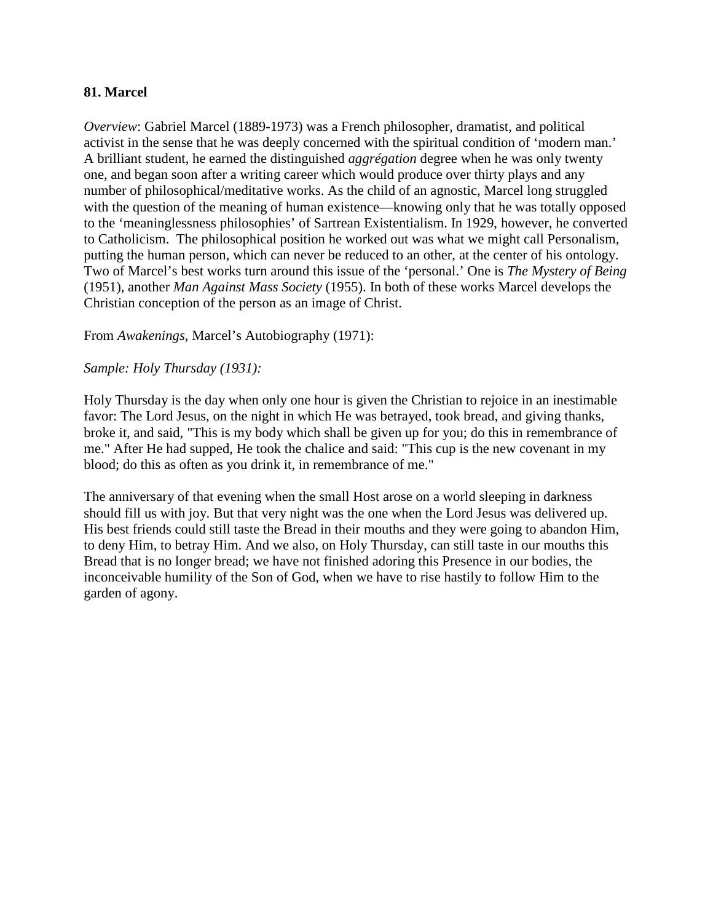# **81. Marcel**

*Overview*: Gabriel Marcel (1889-1973) was a French philosopher, dramatist, and political activist in the sense that he was deeply concerned with the spiritual condition of 'modern man.' A brilliant student, he earned the distinguished *aggrégation* degree when he was only twenty one, and began soon after a writing career which would produce over thirty plays and any number of philosophical/meditative works. As the child of an agnostic, Marcel long struggled with the question of the meaning of human existence—knowing only that he was totally opposed to the 'meaninglessness philosophies' of Sartrean Existentialism. In 1929, however, he converted to Catholicism. The philosophical position he worked out was what we might call Personalism, putting the human person, which can never be reduced to an other, at the center of his ontology. Two of Marcel's best works turn around this issue of the 'personal.' One is *The Mystery of Being*  (1951), another *Man Against Mass Society* (1955). In both of these works Marcel develops the Christian conception of the person as an image of Christ.

From *Awakenings*, Marcel's Autobiography (1971):

# *Sample: Holy Thursday (1931):*

Holy Thursday is the day when only one hour is given the Christian to rejoice in an inestimable favor: The Lord Jesus, on the night in which He was betrayed, took bread, and giving thanks, broke it, and said, "This is my body which shall be given up for you; do this in remembrance of me." After He had supped, He took the chalice and said: "This cup is the new covenant in my blood; do this as often as you drink it, in remembrance of me."

The anniversary of that evening when the small Host arose on a world sleeping in darkness should fill us with joy. But that very night was the one when the Lord Jesus was delivered up. His best friends could still taste the Bread in their mouths and they were going to abandon Him, to deny Him, to betray Him. And we also, on Holy Thursday, can still taste in our mouths this Bread that is no longer bread; we have not finished adoring this Presence in our bodies, the inconceivable humility of the Son of God, when we have to rise hastily to follow Him to the garden of agony.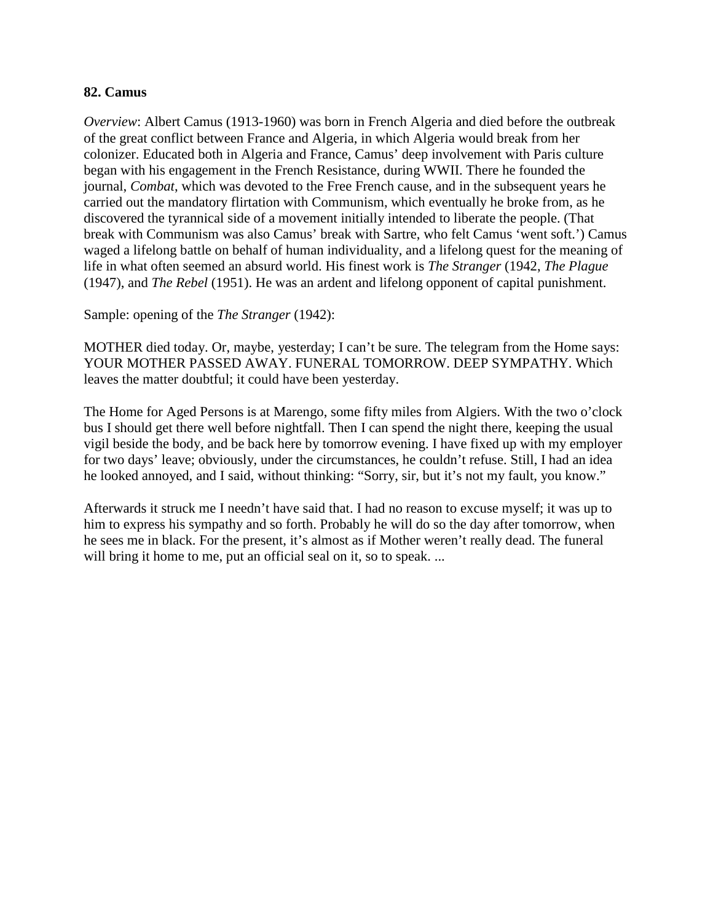## **82. Camus**

*Overview*: Albert Camus (1913-1960) was born in French Algeria and died before the outbreak of the great conflict between France and Algeria, in which Algeria would break from her colonizer. Educated both in Algeria and France, Camus' deep involvement with Paris culture began with his engagement in the French Resistance, during WWII. There he founded the journal, *Combat*, which was devoted to the Free French cause, and in the subsequent years he carried out the mandatory flirtation with Communism, which eventually he broke from, as he discovered the tyrannical side of a movement initially intended to liberate the people. (That break with Communism was also Camus' break with Sartre, who felt Camus 'went soft.') Camus waged a lifelong battle on behalf of human individuality, and a lifelong quest for the meaning of life in what often seemed an absurd world. His finest work is *The Stranger* (1942, *The Plague* (1947), and *The Rebel* (1951). He was an ardent and lifelong opponent of capital punishment.

Sample: opening of the *The Stranger* (1942):

MOTHER died today. Or, maybe, yesterday; I can't be sure. The telegram from the Home says: YOUR MOTHER PASSED AWAY. FUNERAL TOMORROW. DEEP SYMPATHY. Which leaves the matter doubtful; it could have been yesterday.

The Home for Aged Persons is at Marengo, some fifty miles from Algiers. With the two o'clock bus I should get there well before nightfall. Then I can spend the night there, keeping the usual vigil beside the body, and be back here by tomorrow evening. I have fixed up with my employer for two days' leave; obviously, under the circumstances, he couldn't refuse. Still, I had an idea he looked annoyed, and I said, without thinking: "Sorry, sir, but it's not my fault, you know."

Afterwards it struck me I needn't have said that. I had no reason to excuse myself; it was up to him to express his sympathy and so forth. Probably he will do so the day after tomorrow, when he sees me in black. For the present, it's almost as if Mother weren't really dead. The funeral will bring it home to me, put an official seal on it, so to speak. ...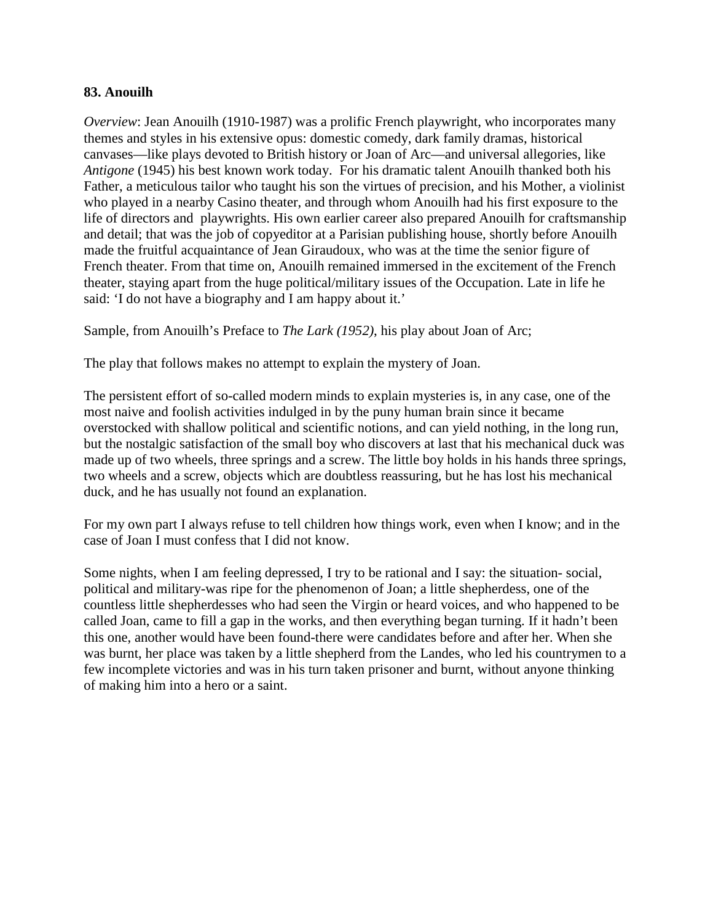## **83. Anouilh**

*Overview*: Jean Anouilh (1910-1987) was a prolific French playwright, who incorporates many themes and styles in his extensive opus: domestic comedy, dark family dramas, historical canvases—like plays devoted to British history or Joan of Arc—and universal allegories, like *Antigone* (1945) his best known work today. For his dramatic talent Anouilh thanked both his Father, a meticulous tailor who taught his son the virtues of precision, and his Mother, a violinist who played in a nearby Casino theater, and through whom Anouilh had his first exposure to the life of directors and playwrights. His own earlier career also prepared Anouilh for craftsmanship and detail; that was the job of copyeditor at a Parisian publishing house, shortly before Anouilh made the fruitful acquaintance of Jean Giraudoux, who was at the time the senior figure of French theater. From that time on, Anouilh remained immersed in the excitement of the French theater, staying apart from the huge political/military issues of the Occupation. Late in life he said: 'I do not have a biography and I am happy about it.'

Sample, from Anouilh's Preface to *The Lark (1952)*, his play about Joan of Arc;

The play that follows makes no attempt to explain the mystery of Joan.

The persistent effort of so-called modern minds to explain mysteries is, in any case, one of the most naive and foolish activities indulged in by the puny human brain since it became overstocked with shallow political and scientific notions, and can yield nothing, in the long run, but the nostalgic satisfaction of the small boy who discovers at last that his mechanical duck was made up of two wheels, three springs and a screw. The little boy holds in his hands three springs, two wheels and a screw, objects which are doubtless reassuring, but he has lost his mechanical duck, and he has usually not found an explanation.

For my own part I always refuse to tell children how things work, even when I know; and in the case of Joan I must confess that I did not know.

Some nights, when I am feeling depressed, I try to be rational and I say: the situation- social, political and military-was ripe for the phenomenon of Joan; a little shepherdess, one of the countless little shepherdesses who had seen the Virgin or heard voices, and who happened to be called Joan, came to fill a gap in the works, and then everything began turning. If it hadn't been this one, another would have been found-there were candidates before and after her. When she was burnt, her place was taken by a little shepherd from the Landes, who led his countrymen to a few incomplete victories and was in his turn taken prisoner and burnt, without anyone thinking of making him into a hero or a saint.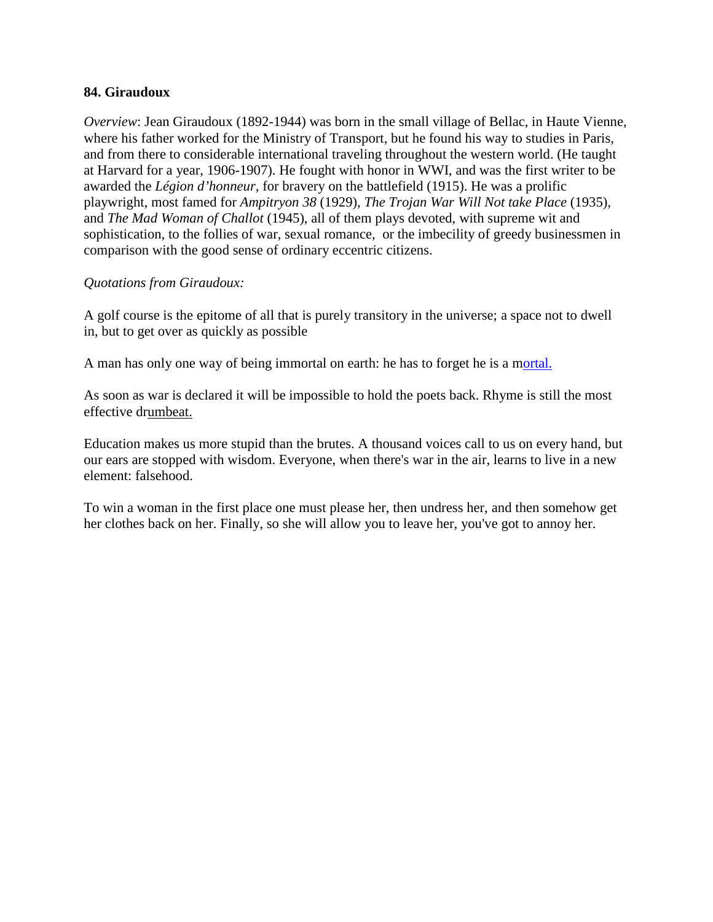## **84. Giraudoux**

*Overview*: Jean Giraudoux (1892-1944) was born in the small village of Bellac, in Haute Vienne, where his father worked for the Ministry of Transport, but he found his way to studies in Paris, and from there to considerable international traveling throughout the western world. (He taught at Harvard for a year, 1906-1907). He fought with honor in WWI, and was the first writer to be awarded the *Légion d'honneur,* for bravery on the battlefield (1915). He was a prolific playwright, most famed for *Ampitryon 38* (1929), *The Trojan War Will Not take Place* (1935), and *The Mad Woman of Challot* (1945), all of them plays devoted, with supreme wit and sophistication, to the follies of war, sexual romance, or the imbecility of greedy businessmen in comparison with the good sense of ordinary eccentric citizens.

## *Quotations from Giraudoux:*

A golf course is the epitome of all that is purely transitory in the universe; a space not to dwell in, but to get over as quickly as possible

A man has only one way of being immortal on earth: he has to forget he is a mortal.

As soon as war is declared it will be impossible to hold the poets back. Rhyme is still the most effective drumbeat.

Education makes us more stupid than the brutes. A thousand voices call to us on every hand, but our ears are stopped with wisdom. Everyone, when there's war in the air, learns to live in a new element: falsehood.

To win a woman in the first place one must please her, then undress her, and then somehow get her clothes back on her. Finally, so she will allow you to leave her, you've got to annoy her.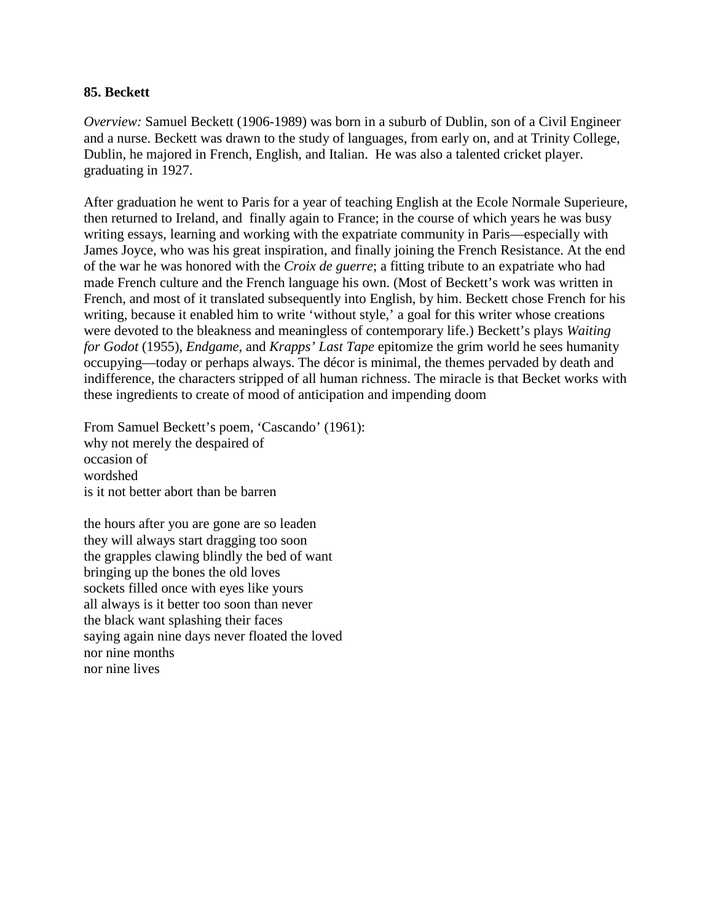# **85. Beckett**

*Overview:* Samuel Beckett (1906-1989) was born in a suburb of Dublin, son of a Civil Engineer and a nurse. Beckett was drawn to the study of languages, from early on, and at Trinity College, Dublin, he majored in French, English, and Italian. He was also a talented cricket player. graduating in 1927.

After graduation he went to Paris for a year of teaching English at the Ecole Normale Superieure, then returned to Ireland, and finally again to France; in the course of which years he was busy writing essays, learning and working with the expatriate community in Paris—especially with James Joyce, who was his great inspiration, and finally joining the French Resistance. At the end of the war he was honored with the *Croix de guerre*; a fitting tribute to an expatriate who had made French culture and the French language his own. (Most of Beckett's work was written in French, and most of it translated subsequently into English, by him. Beckett chose French for his writing, because it enabled him to write 'without style,' a goal for this writer whose creations were devoted to the bleakness and meaningless of contemporary life.) Beckett's plays *Waiting for Godot* (1955), *Endgame*, and *Krapps' Last Tape* epitomize the grim world he sees humanity occupying—today or perhaps always. The décor is minimal, the themes pervaded by death and indifference, the characters stripped of all human richness. The miracle is that Becket works with these ingredients to create of mood of anticipation and impending doom

From Samuel Beckett's poem, 'Cascando' (1961): why not merely the despaired of occasion of wordshed is it not better abort than be barren

the hours after you are gone are so leaden they will always start dragging too soon the grapples clawing blindly the bed of want bringing up the bones the old loves sockets filled once with eyes like yours all always is it better too soon than never the black want splashing their faces saying again nine days never floated the loved nor nine months nor nine lives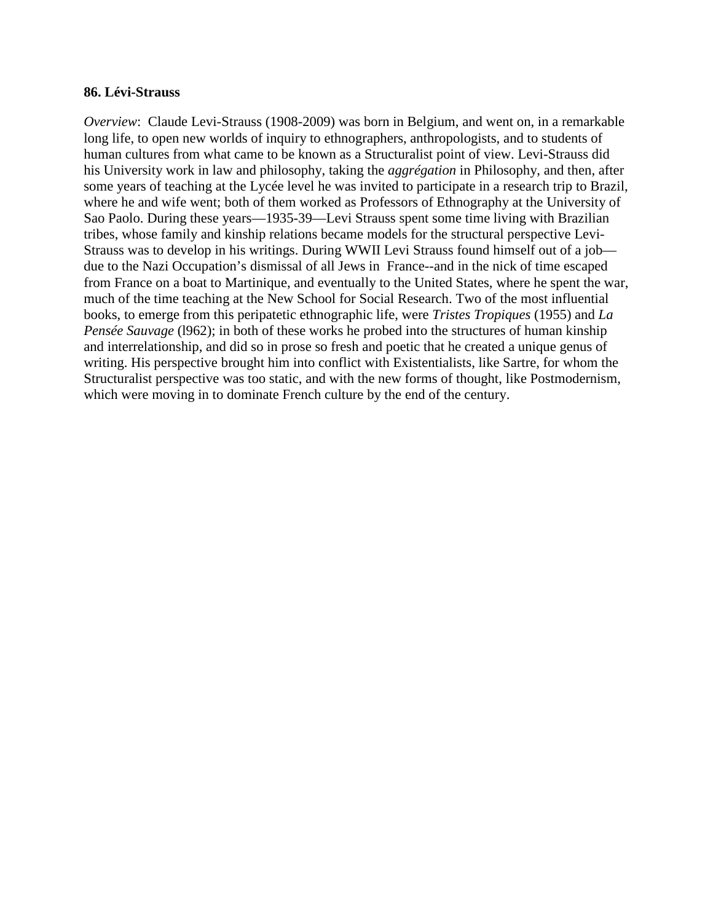### **86. Lévi-Strauss**

*Overview*: Claude Levi-Strauss (1908-2009) was born in Belgium, and went on, in a remarkable long life, to open new worlds of inquiry to ethnographers, anthropologists, and to students of human cultures from what came to be known as a Structuralist point of view. Levi-Strauss did his University work in law and philosophy, taking the *aggrégation* in Philosophy, and then, after some years of teaching at the Lycée level he was invited to participate in a research trip to Brazil, where he and wife went; both of them worked as Professors of Ethnography at the University of Sao Paolo. During these years—1935-39—Levi Strauss spent some time living with Brazilian tribes, whose family and kinship relations became models for the structural perspective Levi-Strauss was to develop in his writings. During WWII Levi Strauss found himself out of a job due to the Nazi Occupation's dismissal of all Jews in France--and in the nick of time escaped from France on a boat to Martinique, and eventually to the United States, where he spent the war, much of the time teaching at the New School for Social Research. Two of the most influential books, to emerge from this peripatetic ethnographic life, were *Tristes Tropiques* (1955) and *La Pensée Sauvage* (1962); in both of these works he probed into the structures of human kinship and interrelationship, and did so in prose so fresh and poetic that he created a unique genus of writing. His perspective brought him into conflict with Existentialists, like Sartre, for whom the Structuralist perspective was too static, and with the new forms of thought, like Postmodernism, which were moving in to dominate French culture by the end of the century.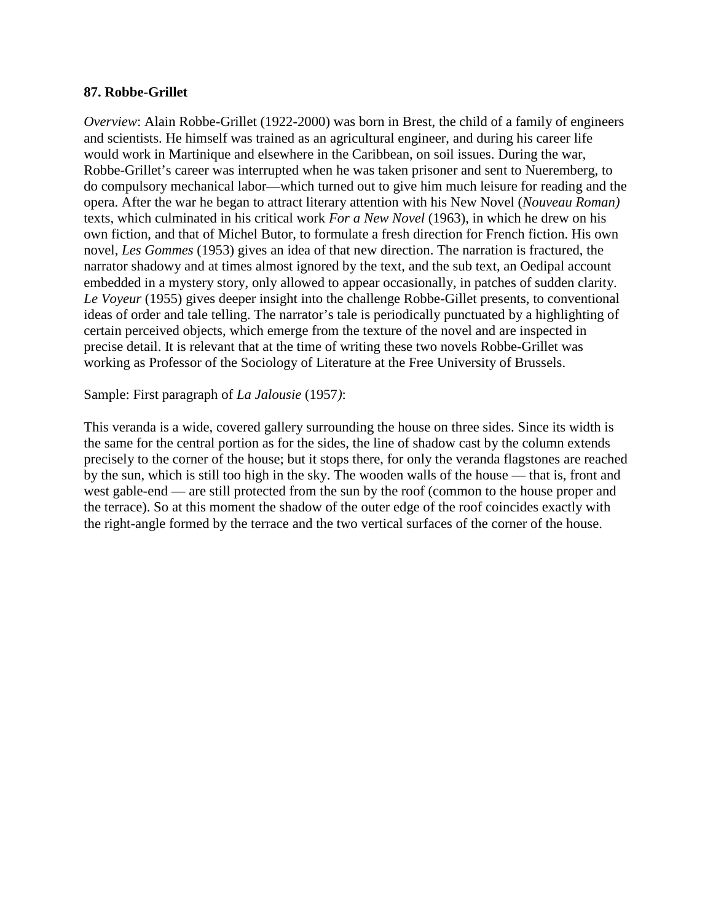## **87. Robbe-Grillet**

*Overview*: Alain Robbe-Grillet (1922-2000) was born in Brest, the child of a family of engineers and scientists. He himself was trained as an agricultural engineer, and during his career life would work in Martinique and elsewhere in the Caribbean, on soil issues. During the war, Robbe-Grillet's career was interrupted when he was taken prisoner and sent to Nueremberg, to do compulsory mechanical labor—which turned out to give him much leisure for reading and the opera. After the war he began to attract literary attention with his New Novel (*Nouveau Roman)* texts, which culminated in his critical work *For a New Novel* (1963), in which he drew on his own fiction, and that of Michel Butor, to formulate a fresh direction for French fiction. His own novel, *Les Gommes* (1953) gives an idea of that new direction. The narration is fractured, the narrator shadowy and at times almost ignored by the text, and the sub text, an Oedipal account embedded in a mystery story, only allowed to appear occasionally, in patches of sudden clarity. *Le Voyeur* (1955) gives deeper insight into the challenge Robbe-Gillet presents, to conventional ideas of order and tale telling. The narrator's tale is periodically punctuated by a highlighting of certain perceived objects, which emerge from the texture of the novel and are inspected in precise detail. It is relevant that at the time of writing these two novels Robbe-Grillet was working as Professor of the Sociology of Literature at the Free University of Brussels.

## Sample: First paragraph of *La Jalousie* (1957*)*:

This veranda is a wide, covered gallery surrounding the house on three sides. Since its width is the same for the central portion as for the sides, the line of shadow cast by the column extends precisely to the corner of the house; but it stops there, for only the veranda flagstones are reached by the sun, which is still too high in the sky. The wooden walls of the house — that is, front and west gable-end — are still protected from the sun by the roof (common to the house proper and the terrace). So at this moment the shadow of the outer edge of the roof coincides exactly with the right-angle formed by the terrace and the two vertical surfaces of the corner of the house.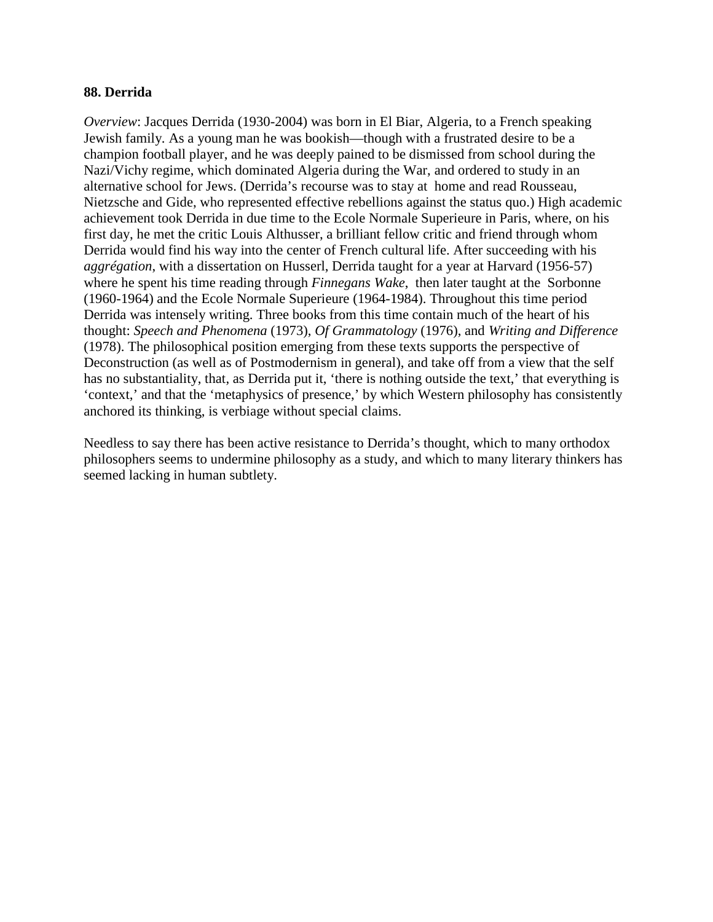### **88. Derrida**

*Overview*: Jacques Derrida (1930-2004) was born in El Biar, Algeria, to a French speaking Jewish family. As a young man he was bookish—though with a frustrated desire to be a champion football player, and he was deeply pained to be dismissed from school during the Nazi/Vichy regime, which dominated Algeria during the War, and ordered to study in an alternative school for Jews. (Derrida's recourse was to stay at home and read Rousseau, Nietzsche and Gide, who represented effective rebellions against the status quo.) High academic achievement took Derrida in due time to the Ecole Normale Superieure in Paris, where, on his first day, he met the critic Louis Althusser, a brilliant fellow critic and friend through whom Derrida would find his way into the center of French cultural life. After succeeding with his *aggrégation*, with a dissertation on Husserl, Derrida taught for a year at Harvard (1956-57) where he spent his time reading through *Finnegans Wake*, then later taught at the Sorbonne (1960-1964) and the Ecole Normale Superieure (1964-1984). Throughout this time period Derrida was intensely writing. Three books from this time contain much of the heart of his thought: *Speech and Phenomena* (1973), *Of Grammatology* (1976), and *Writing and Difference* (1978). The philosophical position emerging from these texts supports the perspective of Deconstruction (as well as of Postmodernism in general), and take off from a view that the self has no substantiality, that, as Derrida put it, 'there is nothing outside the text,' that everything is 'context,' and that the 'metaphysics of presence,' by which Western philosophy has consistently anchored its thinking, is verbiage without special claims.

Needless to say there has been active resistance to Derrida's thought, which to many orthodox philosophers seems to undermine philosophy as a study, and which to many literary thinkers has seemed lacking in human subtlety.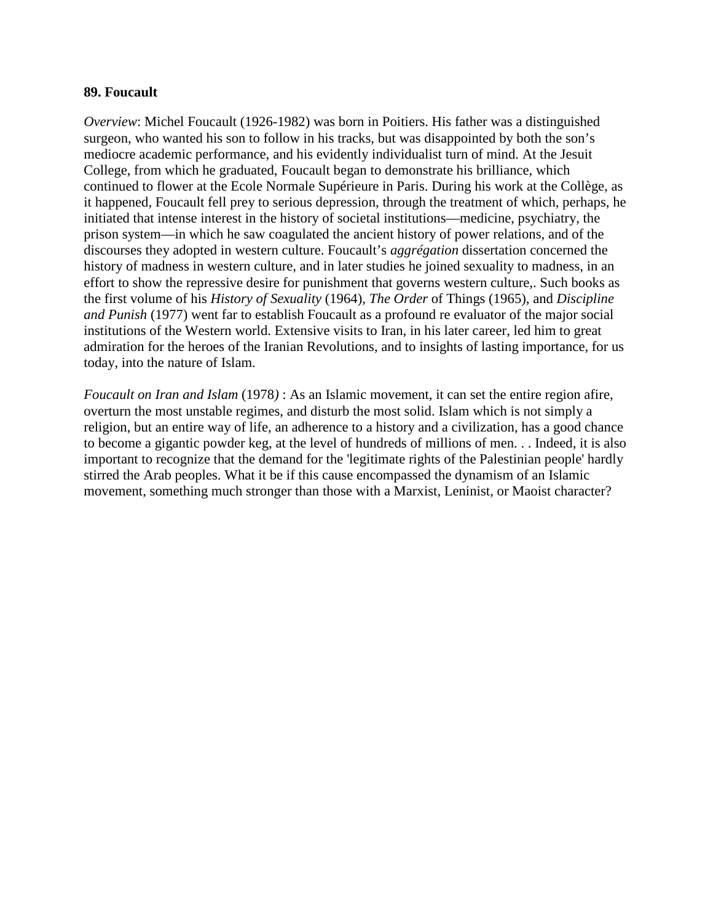### **89. Foucault**

*Overview*: Michel Foucault (1926-1982) was born in Poitiers. His father was a distinguished surgeon, who wanted his son to follow in his tracks, but was disappointed by both the son's mediocre academic performance, and his evidently individualist turn of mind. At the Jesuit College, from which he graduated, Foucault began to demonstrate his brilliance, which continued to flower at the Ecole Normale Supérieure in Paris. During his work at the Collège, as it happened, Foucault fell prey to serious depression, through the treatment of which, perhaps, he initiated that intense interest in the history of societal institutions—medicine, psychiatry, the prison system—in which he saw coagulated the ancient history of power relations, and of the discourses they adopted in western culture. Foucault's *aggrégation* dissertation concerned the history of madness in western culture, and in later studies he joined sexuality to madness, in an effort to show the repressive desire for punishment that governs western culture,. Such books as the first volume of his *History of Sexuality* (1964), *The Order* of Things (1965), and *Discipline and Punish* (1977) went far to establish Foucault as a profound re evaluator of the major social institutions of the Western world. Extensive visits to Iran, in his later career, led him to great admiration for the heroes of the Iranian Revolutions, and to insights of lasting importance, for us today, into the nature of Islam.

*Foucault on Iran and Islam* (1978*)* : As an Islamic movement, it can set the entire region afire, overturn the most unstable regimes, and disturb the most solid. Islam which is not simply a religion, but an entire way of life, an adherence to a history and a civilization, has a good chance to become a gigantic powder keg, at the level of hundreds of millions of men. . . Indeed, it is also important to recognize that the demand for the 'legitimate rights of the Palestinian people' hardly stirred the Arab peoples. What it be if this cause encompassed the dynamism of an Islamic movement, something much stronger than those with a Marxist, Leninist, or Maoist character?